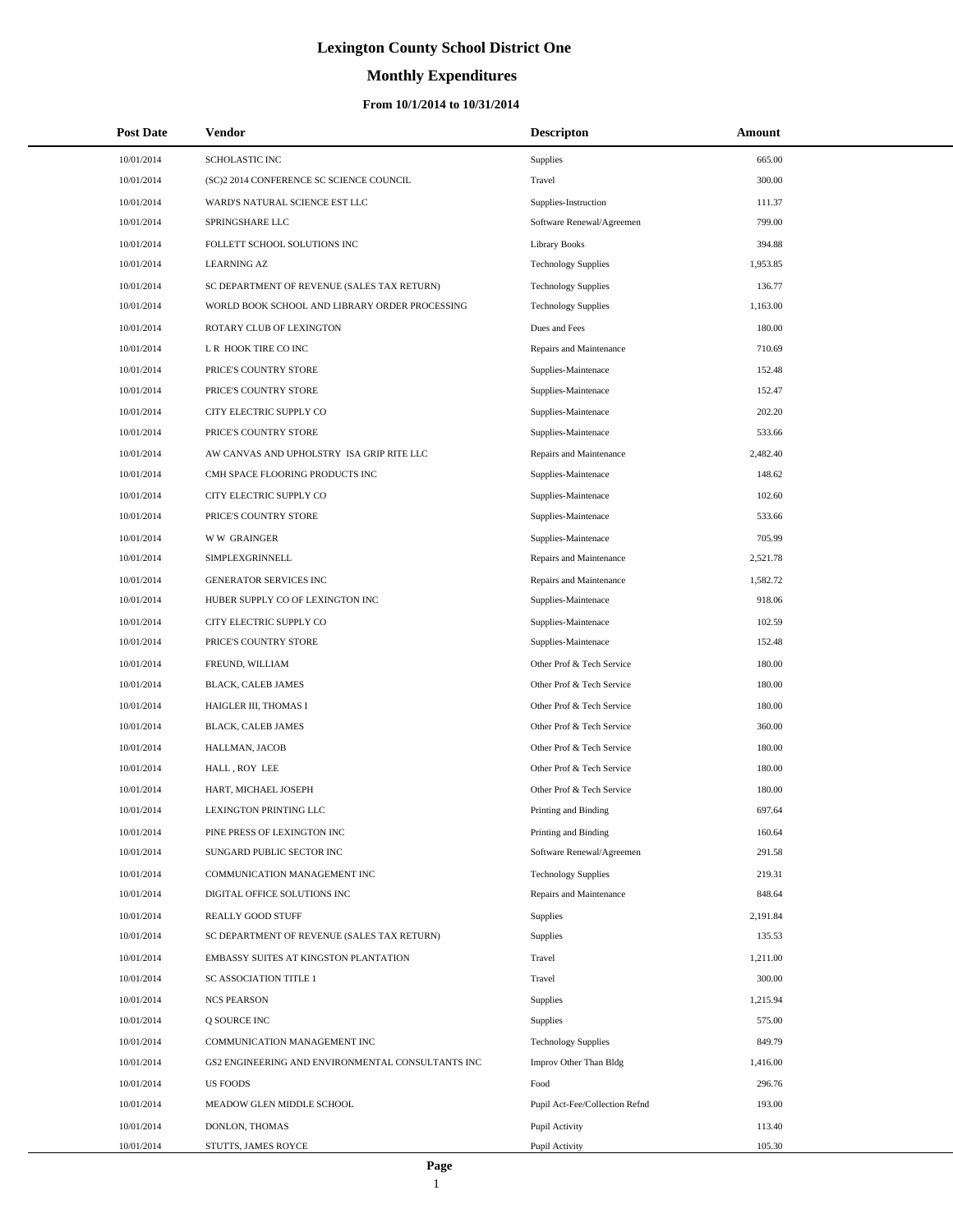# **Monthly Expenditures**

#### **From 10/1/2014 to 10/31/2014**

| <b>Post Date</b> | <b>Vendor</b>                                     | <b>Descripton</b>              | Amount   |
|------------------|---------------------------------------------------|--------------------------------|----------|
| 10/01/2014       | SCHOLASTIC INC                                    | Supplies                       | 665.00   |
| 10/01/2014       | (SC)2 2014 CONFERENCE SC SCIENCE COUNCIL          | Travel                         | 300.00   |
| 10/01/2014       | WARD'S NATURAL SCIENCE EST LLC                    | Supplies-Instruction           | 111.37   |
| 10/01/2014       | SPRINGSHARE LLC                                   | Software Renewal/Agreemen      | 799.00   |
| 10/01/2014       | FOLLETT SCHOOL SOLUTIONS INC                      | <b>Library Books</b>           | 394.88   |
| 10/01/2014       | <b>LEARNING AZ</b>                                | <b>Technology Supplies</b>     | 1,953.85 |
| 10/01/2014       | SC DEPARTMENT OF REVENUE (SALES TAX RETURN)       | <b>Technology Supplies</b>     | 136.77   |
| 10/01/2014       | WORLD BOOK SCHOOL AND LIBRARY ORDER PROCESSING    | <b>Technology Supplies</b>     | 1,163.00 |
| 10/01/2014       | ROTARY CLUB OF LEXINGTON                          | Dues and Fees                  | 180.00   |
| 10/01/2014       | L R HOOK TIRE CO INC                              | Repairs and Maintenance        | 710.69   |
| 10/01/2014       | PRICE'S COUNTRY STORE                             | Supplies-Maintenace            | 152.48   |
| 10/01/2014       | PRICE'S COUNTRY STORE                             | Supplies-Maintenace            | 152.47   |
| 10/01/2014       | CITY ELECTRIC SUPPLY CO                           | Supplies-Maintenace            | 202.20   |
| 10/01/2014       | PRICE'S COUNTRY STORE                             | Supplies-Maintenace            | 533.66   |
| 10/01/2014       | AW CANVAS AND UPHOLSTRY ISA GRIP RITE LLC         | Repairs and Maintenance        | 2,482.40 |
| 10/01/2014       | CMH SPACE FLOORING PRODUCTS INC                   | Supplies-Maintenace            | 148.62   |
| 10/01/2014       | CITY ELECTRIC SUPPLY CO                           | Supplies-Maintenace            | 102.60   |
| 10/01/2014       | PRICE'S COUNTRY STORE                             | Supplies-Maintenace            | 533.66   |
| 10/01/2014       | <b>WW GRAINGER</b>                                | Supplies-Maintenace            | 705.99   |
| 10/01/2014       | SIMPLEXGRINNELL                                   | Repairs and Maintenance        | 2,521.78 |
| 10/01/2014       | <b>GENERATOR SERVICES INC</b>                     | Repairs and Maintenance        | 1,582.72 |
| 10/01/2014       | HUBER SUPPLY CO OF LEXINGTON INC                  | Supplies-Maintenace            | 918.06   |
| 10/01/2014       | CITY ELECTRIC SUPPLY CO                           | Supplies-Maintenace            | 102.59   |
| 10/01/2014       | PRICE'S COUNTRY STORE                             | Supplies-Maintenace            | 152.48   |
| 10/01/2014       | FREUND, WILLIAM                                   | Other Prof & Tech Service      | 180.00   |
| 10/01/2014       | BLACK, CALEB JAMES                                | Other Prof & Tech Service      | 180.00   |
| 10/01/2014       | HAIGLER III, THOMAS I                             | Other Prof & Tech Service      | 180.00   |
| 10/01/2014       | BLACK, CALEB JAMES                                | Other Prof & Tech Service      | 360.00   |
| 10/01/2014       | HALLMAN, JACOB                                    | Other Prof & Tech Service      | 180.00   |
| 10/01/2014       | HALL, ROY LEE                                     | Other Prof & Tech Service      | 180.00   |
| 10/01/2014       | HART, MICHAEL JOSEPH                              | Other Prof & Tech Service      | 180.00   |
| 10/01/2014       | <b>LEXINGTON PRINTING LLC</b>                     | Printing and Binding           | 697.64   |
| 10/01/2014       | PINE PRESS OF LEXINGTON INC                       | Printing and Binding           | 160.64   |
| 10/01/2014       | SUNGARD PUBLIC SECTOR INC                         | Software Renewal/Agreemen      | 291.58   |
| 10/01/2014       | COMMUNICATION MANAGEMENT INC                      | <b>Technology Supplies</b>     | 219.31   |
| 10/01/2014       | DIGITAL OFFICE SOLUTIONS INC                      | Repairs and Maintenance        | 848.64   |
| 10/01/2014       | REALLY GOOD STUFF                                 | Supplies                       | 2,191.84 |
| 10/01/2014       | SC DEPARTMENT OF REVENUE (SALES TAX RETURN)       | Supplies                       | 135.53   |
| 10/01/2014       | EMBASSY SUITES AT KINGSTON PLANTATION             | Travel                         | 1,211.00 |
| 10/01/2014       | SC ASSOCIATION TITLE 1                            | Travel                         | 300.00   |
| 10/01/2014       | <b>NCS PEARSON</b>                                | Supplies                       | 1,215.94 |
| 10/01/2014       | Q SOURCE INC                                      | Supplies                       | 575.00   |
| 10/01/2014       | COMMUNICATION MANAGEMENT INC                      | <b>Technology Supplies</b>     | 849.79   |
| 10/01/2014       | GS2 ENGINEERING AND ENVIRONMENTAL CONSULTANTS INC | Improv Other Than Bldg         | 1,416.00 |
| 10/01/2014       | <b>US FOODS</b>                                   | Food                           | 296.76   |
| 10/01/2014       | MEADOW GLEN MIDDLE SCHOOL                         | Pupil Act-Fee/Collection Refnd | 193.00   |
| 10/01/2014       | DONLON, THOMAS                                    | Pupil Activity                 | 113.40   |
| 10/01/2014       | STUTTS, JAMES ROYCE                               | Pupil Activity                 | 105.30   |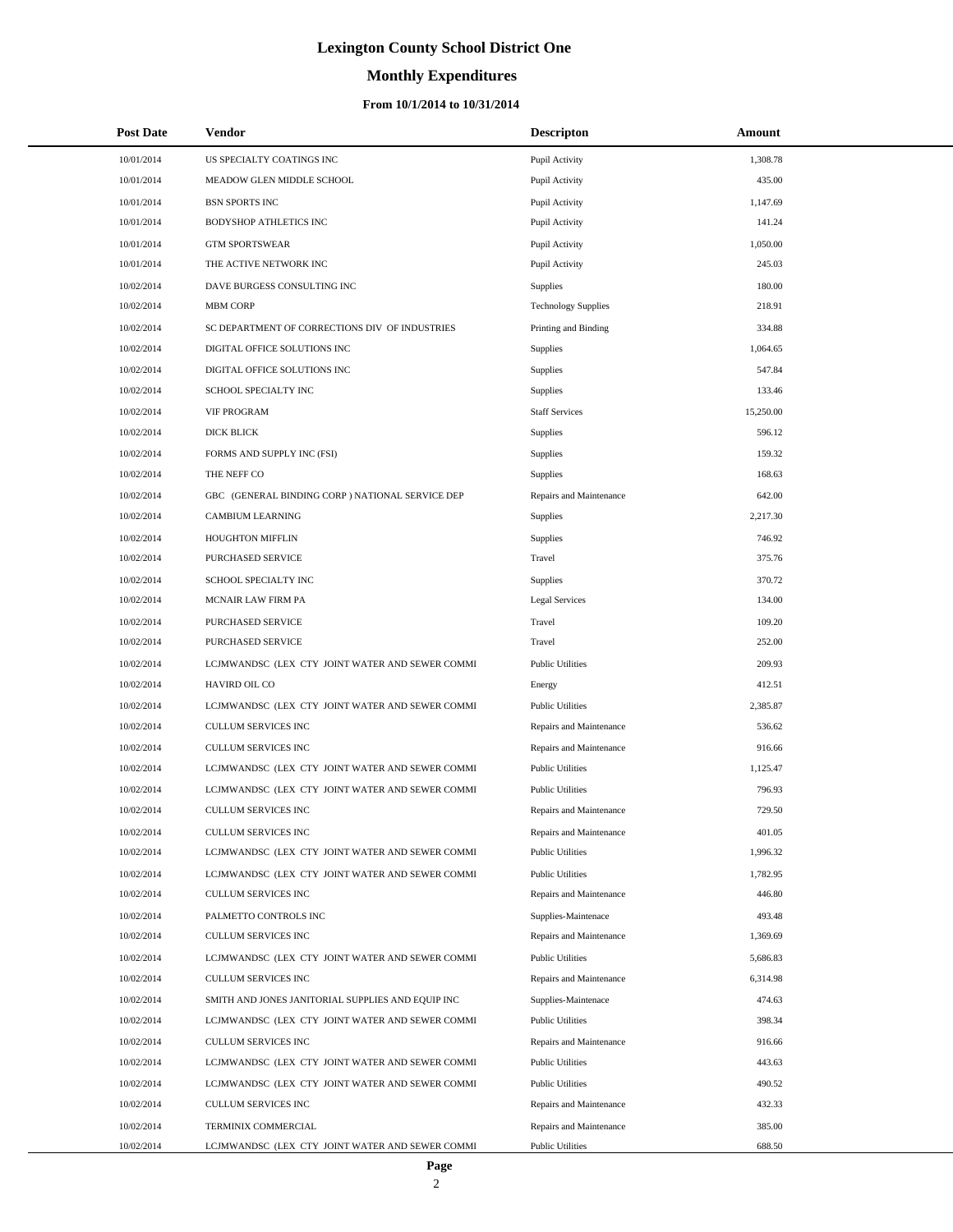# **Monthly Expenditures**

| <b>Post Date</b> | Vendor                                            | <b>Descripton</b>          | Amount    |
|------------------|---------------------------------------------------|----------------------------|-----------|
| 10/01/2014       | US SPECIALTY COATINGS INC                         | Pupil Activity             | 1,308.78  |
| 10/01/2014       | MEADOW GLEN MIDDLE SCHOOL                         | Pupil Activity             | 435.00    |
| 10/01/2014       | <b>BSN SPORTS INC</b>                             | Pupil Activity             | 1,147.69  |
| 10/01/2014       | BODYSHOP ATHLETICS INC                            | Pupil Activity             | 141.24    |
| 10/01/2014       | <b>GTM SPORTSWEAR</b>                             | Pupil Activity             | 1,050.00  |
| 10/01/2014       | THE ACTIVE NETWORK INC                            | Pupil Activity             | 245.03    |
| 10/02/2014       | DAVE BURGESS CONSULTING INC                       | Supplies                   | 180.00    |
| 10/02/2014       | MBM CORP                                          | <b>Technology Supplies</b> | 218.91    |
| 10/02/2014       | SC DEPARTMENT OF CORRECTIONS DIV OF INDUSTRIES    | Printing and Binding       | 334.88    |
| 10/02/2014       | DIGITAL OFFICE SOLUTIONS INC                      | Supplies                   | 1,064.65  |
| 10/02/2014       | DIGITAL OFFICE SOLUTIONS INC                      | Supplies                   | 547.84    |
| 10/02/2014       | SCHOOL SPECIALTY INC                              | Supplies                   | 133.46    |
| 10/02/2014       | <b>VIF PROGRAM</b>                                | <b>Staff Services</b>      | 15,250.00 |
| 10/02/2014       | <b>DICK BLICK</b>                                 | Supplies                   | 596.12    |
| 10/02/2014       | FORMS AND SUPPLY INC (FSI)                        | Supplies                   | 159.32    |
| 10/02/2014       | THE NEFF CO                                       | Supplies                   | 168.63    |
| 10/02/2014       | GBC (GENERAL BINDING CORP) NATIONAL SERVICE DEP   | Repairs and Maintenance    | 642.00    |
| 10/02/2014       | CAMBIUM LEARNING                                  | Supplies                   | 2,217.30  |
| 10/02/2014       | HOUGHTON MIFFLIN                                  | Supplies                   | 746.92    |
| 10/02/2014       | PURCHASED SERVICE                                 | Travel                     | 375.76    |
| 10/02/2014       | SCHOOL SPECIALTY INC                              | Supplies                   | 370.72    |
| 10/02/2014       | <b>MCNAIR LAW FIRM PA</b>                         | <b>Legal Services</b>      | 134.00    |
| 10/02/2014       | PURCHASED SERVICE                                 | Travel                     | 109.20    |
| 10/02/2014       | PURCHASED SERVICE                                 | Travel                     | 252.00    |
| 10/02/2014       | LCJMWANDSC (LEX CTY JOINT WATER AND SEWER COMMI   | <b>Public Utilities</b>    | 209.93    |
| 10/02/2014       | HAVIRD OIL CO                                     | Energy                     | 412.51    |
| 10/02/2014       | LCJMWANDSC (LEX CTY JOINT WATER AND SEWER COMMI   | <b>Public Utilities</b>    | 2,385.87  |
| 10/02/2014       | CULLUM SERVICES INC                               | Repairs and Maintenance    | 536.62    |
| 10/02/2014       | CULLUM SERVICES INC                               | Repairs and Maintenance    | 916.66    |
| 10/02/2014       | LCJMWANDSC (LEX CTY JOINT WATER AND SEWER COMMI   | <b>Public Utilities</b>    | 1,125.47  |
| 10/02/2014       | LCJMWANDSC (LEX CTY JOINT WATER AND SEWER COMMI   | <b>Public Utilities</b>    | 796.93    |
| 10/02/2014       | CULLUM SERVICES INC                               | Repairs and Maintenance    | 729.50    |
| 10/02/2014       | CULLUM SERVICES INC                               | Repairs and Maintenance    | 401.05    |
| 10/02/2014       | LCJMWANDSC (LEX CTY JOINT WATER AND SEWER COMMI   | <b>Public Utilities</b>    | 1,996.32  |
| 10/02/2014       | LCJMWANDSC (LEX CTY JOINT WATER AND SEWER COMMI   | <b>Public Utilities</b>    | 1,782.95  |
| 10/02/2014       | CULLUM SERVICES INC                               | Repairs and Maintenance    | 446.80    |
| 10/02/2014       | PALMETTO CONTROLS INC                             | Supplies-Maintenace        | 493.48    |
| 10/02/2014       | <b>CULLUM SERVICES INC</b>                        | Repairs and Maintenance    | 1,369.69  |
| 10/02/2014       | LCJMWANDSC (LEX CTY JOINT WATER AND SEWER COMMI   | <b>Public Utilities</b>    | 5,686.83  |
| 10/02/2014       | CULLUM SERVICES INC                               | Repairs and Maintenance    | 6,314.98  |
| 10/02/2014       | SMITH AND JONES JANITORIAL SUPPLIES AND EQUIP INC | Supplies-Maintenace        | 474.63    |
| 10/02/2014       | LCJMWANDSC (LEX CTY JOINT WATER AND SEWER COMMI   | <b>Public Utilities</b>    | 398.34    |
| 10/02/2014       | CULLUM SERVICES INC                               | Repairs and Maintenance    | 916.66    |
| 10/02/2014       | LCJMWANDSC (LEX CTY JOINT WATER AND SEWER COMMI   | <b>Public Utilities</b>    | 443.63    |
| 10/02/2014       | LCJMWANDSC (LEX CTY JOINT WATER AND SEWER COMMI   | <b>Public Utilities</b>    | 490.52    |
| 10/02/2014       | CULLUM SERVICES INC                               | Repairs and Maintenance    | 432.33    |
| 10/02/2014       | TERMINIX COMMERCIAL                               | Repairs and Maintenance    | 385.00    |
| 10/02/2014       | LCJMWANDSC (LEX CTY JOINT WATER AND SEWER COMMI   | <b>Public Utilities</b>    | 688.50    |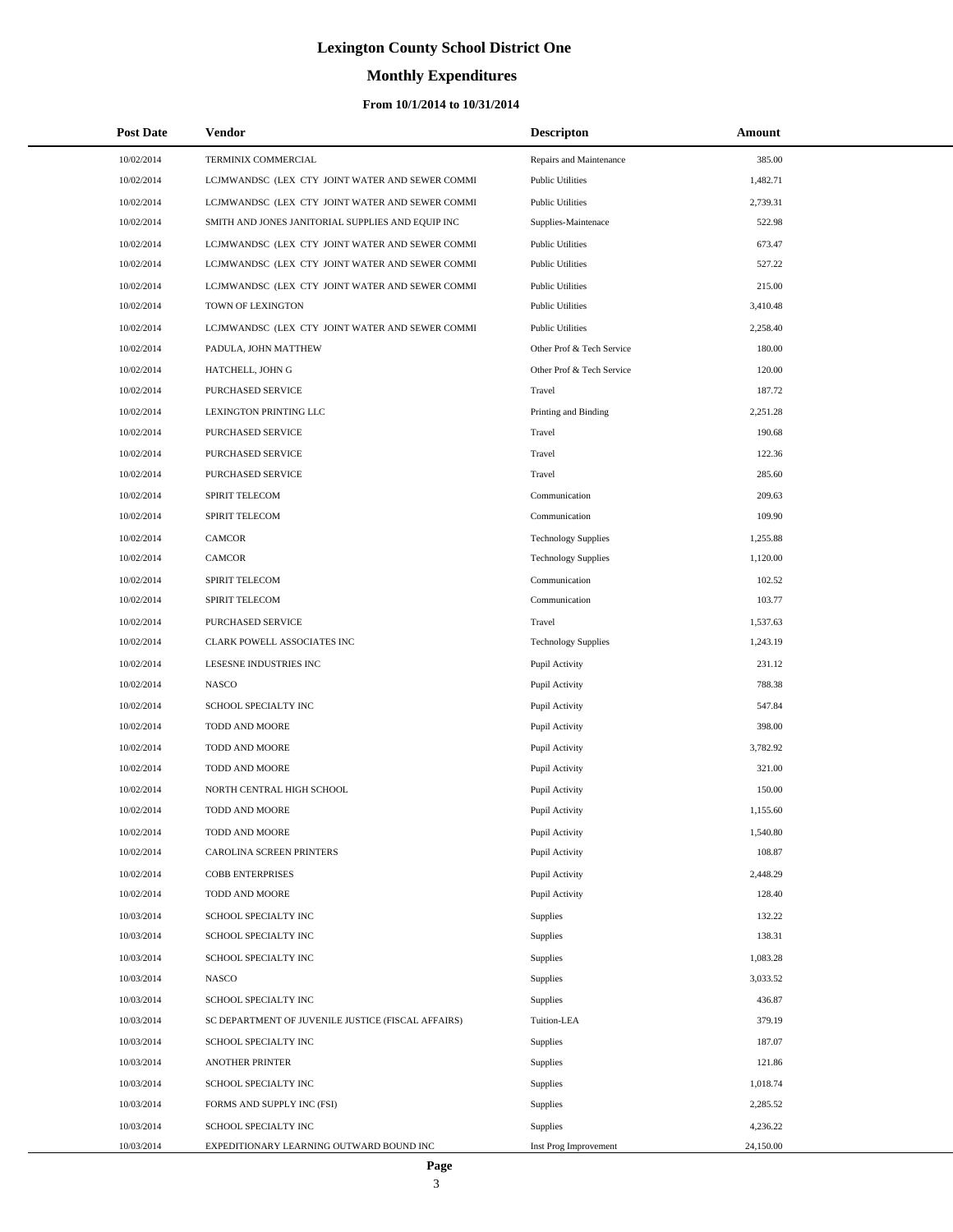# **Monthly Expenditures**

#### **From 10/1/2014 to 10/31/2014**

| <b>Post Date</b> | <b>Vendor</b>                                      | <b>Descripton</b>          | Amount    |
|------------------|----------------------------------------------------|----------------------------|-----------|
| 10/02/2014       | TERMINIX COMMERCIAL                                | Repairs and Maintenance    | 385.00    |
| 10/02/2014       | LCJMWANDSC (LEX CTY JOINT WATER AND SEWER COMMI    | <b>Public Utilities</b>    | 1,482.71  |
| 10/02/2014       | LCJMWANDSC (LEX CTY JOINT WATER AND SEWER COMMI    | <b>Public Utilities</b>    | 2,739.31  |
| 10/02/2014       | SMITH AND JONES JANITORIAL SUPPLIES AND EQUIP INC  | Supplies-Maintenace        | 522.98    |
| 10/02/2014       | LCJMWANDSC (LEX CTY JOINT WATER AND SEWER COMMI    | <b>Public Utilities</b>    | 673.47    |
| 10/02/2014       | LCJMWANDSC (LEX CTY JOINT WATER AND SEWER COMMI    | <b>Public Utilities</b>    | 527.22    |
| 10/02/2014       | LCJMWANDSC (LEX CTY JOINT WATER AND SEWER COMMI    | <b>Public Utilities</b>    | 215.00    |
| 10/02/2014       | TOWN OF LEXINGTON                                  | <b>Public Utilities</b>    | 3,410.48  |
| 10/02/2014       | LCJMWANDSC (LEX CTY JOINT WATER AND SEWER COMMI    | <b>Public Utilities</b>    | 2,258.40  |
| 10/02/2014       | PADULA, JOHN MATTHEW                               | Other Prof & Tech Service  | 180.00    |
| 10/02/2014       | HATCHELL, JOHN G                                   | Other Prof & Tech Service  | 120.00    |
| 10/02/2014       | PURCHASED SERVICE                                  | Travel                     | 187.72    |
| 10/02/2014       | LEXINGTON PRINTING LLC                             | Printing and Binding       | 2,251.28  |
| 10/02/2014       | PURCHASED SERVICE                                  | Travel                     | 190.68    |
| 10/02/2014       | PURCHASED SERVICE                                  | Travel                     | 122.36    |
| 10/02/2014       | PURCHASED SERVICE                                  | Travel                     | 285.60    |
| 10/02/2014       | SPIRIT TELECOM                                     | Communication              | 209.63    |
| 10/02/2014       | SPIRIT TELECOM                                     | Communication              | 109.90    |
| 10/02/2014       | CAMCOR                                             | <b>Technology Supplies</b> | 1,255.88  |
| 10/02/2014       | CAMCOR                                             | <b>Technology Supplies</b> | 1,120.00  |
| 10/02/2014       | SPIRIT TELECOM                                     | Communication              | 102.52    |
| 10/02/2014       | SPIRIT TELECOM                                     | Communication              | 103.77    |
| 10/02/2014       | PURCHASED SERVICE                                  | Travel                     | 1,537.63  |
| 10/02/2014       | CLARK POWELL ASSOCIATES INC                        | <b>Technology Supplies</b> | 1,243.19  |
| 10/02/2014       | LESESNE INDUSTRIES INC                             | Pupil Activity             | 231.12    |
| 10/02/2014       | <b>NASCO</b>                                       | Pupil Activity             | 788.38    |
| 10/02/2014       | SCHOOL SPECIALTY INC                               | Pupil Activity             | 547.84    |
| 10/02/2014       | TODD AND MOORE                                     | Pupil Activity             | 398.00    |
| 10/02/2014       | TODD AND MOORE                                     | Pupil Activity             | 3,782.92  |
| 10/02/2014       | TODD AND MOORE                                     | Pupil Activity             | 321.00    |
| 10/02/2014       | NORTH CENTRAL HIGH SCHOOL                          | Pupil Activity             | 150.00    |
| 10/02/2014       | <b>TODD AND MOORE</b>                              | Pupil Activity             | 1,155.60  |
| 10/02/2014       | TODD AND MOORE                                     | Pupil Activity             | 1,540.80  |
| 10/02/2014       | CAROLINA SCREEN PRINTERS                           | Pupil Activity             | 108.87    |
| 10/02/2014       | <b>COBB ENTERPRISES</b>                            | Pupil Activity             | 2,448.29  |
| 10/02/2014       | TODD AND MOORE                                     | Pupil Activity             | 128.40    |
| 10/03/2014       | SCHOOL SPECIALTY INC                               | <b>Supplies</b>            | 132.22    |
| 10/03/2014       | SCHOOL SPECIALTY INC                               | Supplies                   | 138.31    |
| 10/03/2014       | SCHOOL SPECIALTY INC                               | Supplies                   | 1,083.28  |
| 10/03/2014       | <b>NASCO</b>                                       | Supplies                   | 3,033.52  |
| 10/03/2014       | SCHOOL SPECIALTY INC                               | <b>Supplies</b>            | 436.87    |
| 10/03/2014       | SC DEPARTMENT OF JUVENILE JUSTICE (FISCAL AFFAIRS) | Tuition-LEA                | 379.19    |
| 10/03/2014       | SCHOOL SPECIALTY INC                               | Supplies                   | 187.07    |
| 10/03/2014       | ANOTHER PRINTER                                    | Supplies                   | 121.86    |
| 10/03/2014       | SCHOOL SPECIALTY INC                               | Supplies                   | 1,018.74  |
| 10/03/2014       | FORMS AND SUPPLY INC (FSI)                         | Supplies                   | 2,285.52  |
| 10/03/2014       | SCHOOL SPECIALTY INC                               | Supplies                   | 4,236.22  |
| 10/03/2014       | EXPEDITIONARY LEARNING OUTWARD BOUND INC           | Inst Prog Improvement      | 24,150.00 |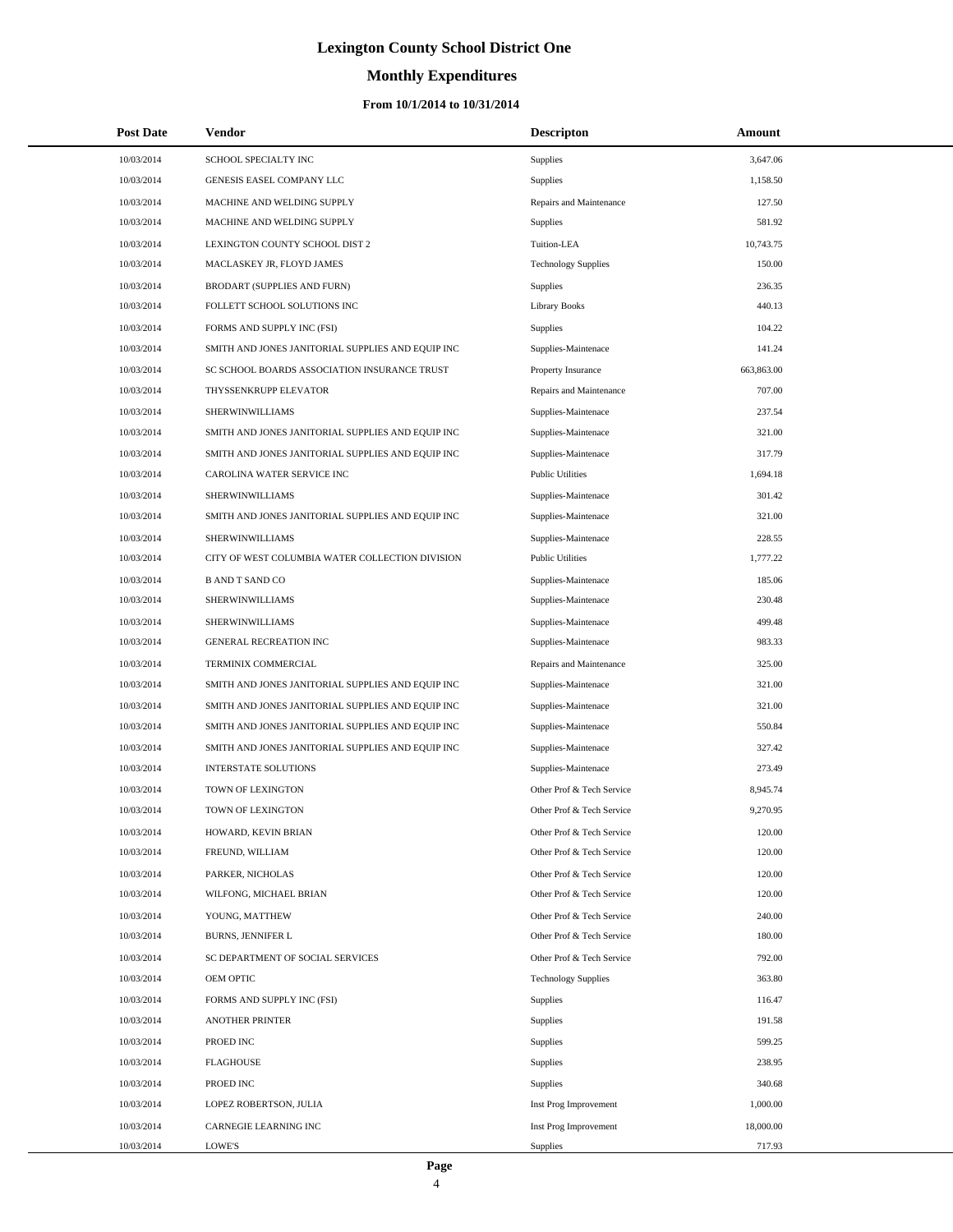# **Monthly Expenditures**

#### **From 10/1/2014 to 10/31/2014**

| <b>Post Date</b> | <b>Vendor</b>                                     | <b>Descripton</b>          | Amount     |
|------------------|---------------------------------------------------|----------------------------|------------|
| 10/03/2014       | SCHOOL SPECIALTY INC                              | Supplies                   | 3,647.06   |
| 10/03/2014       | GENESIS EASEL COMPANY LLC                         | Supplies                   | 1,158.50   |
| 10/03/2014       | MACHINE AND WELDING SUPPLY                        | Repairs and Maintenance    | 127.50     |
| 10/03/2014       | MACHINE AND WELDING SUPPLY                        | <b>Supplies</b>            | 581.92     |
| 10/03/2014       | LEXINGTON COUNTY SCHOOL DIST 2                    | Tuition-LEA                | 10,743.75  |
| 10/03/2014       | MACLASKEY JR, FLOYD JAMES                         | <b>Technology Supplies</b> | 150.00     |
| 10/03/2014       | BRODART (SUPPLIES AND FURN)                       | <b>Supplies</b>            | 236.35     |
| 10/03/2014       | FOLLETT SCHOOL SOLUTIONS INC                      | Library Books              | 440.13     |
| 10/03/2014       | FORMS AND SUPPLY INC (FSI)                        | Supplies                   | 104.22     |
| 10/03/2014       | SMITH AND JONES JANITORIAL SUPPLIES AND EQUIP INC | Supplies-Maintenace        | 141.24     |
| 10/03/2014       | SC SCHOOL BOARDS ASSOCIATION INSURANCE TRUST      | Property Insurance         | 663,863.00 |
| 10/03/2014       | THYSSENKRUPP ELEVATOR                             | Repairs and Maintenance    | 707.00     |
| 10/03/2014       | SHERWINWILLIAMS                                   | Supplies-Maintenace        | 237.54     |
| 10/03/2014       | SMITH AND JONES JANITORIAL SUPPLIES AND EQUIP INC | Supplies-Maintenace        | 321.00     |
| 10/03/2014       | SMITH AND JONES JANITORIAL SUPPLIES AND EQUIP INC | Supplies-Maintenace        | 317.79     |
| 10/03/2014       | CAROLINA WATER SERVICE INC                        | <b>Public Utilities</b>    | 1,694.18   |
| 10/03/2014       | SHERWINWILLIAMS                                   | Supplies-Maintenace        | 301.42     |
| 10/03/2014       | SMITH AND JONES JANITORIAL SUPPLIES AND EQUIP INC | Supplies-Maintenace        | 321.00     |
| 10/03/2014       | SHERWINWILLIAMS                                   | Supplies-Maintenace        | 228.55     |
| 10/03/2014       | CITY OF WEST COLUMBIA WATER COLLECTION DIVISION   | <b>Public Utilities</b>    | 1,777.22   |
| 10/03/2014       | <b>B AND T SAND CO</b>                            | Supplies-Maintenace        | 185.06     |
| 10/03/2014       | SHERWINWILLIAMS                                   | Supplies-Maintenace        | 230.48     |
| 10/03/2014       | SHERWINWILLIAMS                                   | Supplies-Maintenace        | 499.48     |
| 10/03/2014       | <b>GENERAL RECREATION INC</b>                     | Supplies-Maintenace        | 983.33     |
| 10/03/2014       | TERMINIX COMMERCIAL                               | Repairs and Maintenance    | 325.00     |
| 10/03/2014       | SMITH AND JONES JANITORIAL SUPPLIES AND EQUIP INC | Supplies-Maintenace        | 321.00     |
| 10/03/2014       | SMITH AND JONES JANITORIAL SUPPLIES AND EQUIP INC | Supplies-Maintenace        | 321.00     |
| 10/03/2014       | SMITH AND JONES JANITORIAL SUPPLIES AND EQUIP INC | Supplies-Maintenace        | 550.84     |
| 10/03/2014       | SMITH AND JONES JANITORIAL SUPPLIES AND EQUIP INC | Supplies-Maintenace        | 327.42     |
| 10/03/2014       | <b>INTERSTATE SOLUTIONS</b>                       | Supplies-Maintenace        | 273.49     |
| 10/03/2014       | TOWN OF LEXINGTON                                 | Other Prof & Tech Service  | 8,945.74   |
| 10/03/2014       | TOWN OF LEXINGTON                                 | Other Prof & Tech Service  | 9,270.95   |
| 10/03/2014       | HOWARD, KEVIN BRIAN                               | Other Prof & Tech Service  | 120.00     |
| 10/03/2014       | FREUND, WILLIAM                                   | Other Prof & Tech Service  | 120.00     |
| 10/03/2014       | PARKER, NICHOLAS                                  | Other Prof & Tech Service  | 120.00     |
| 10/03/2014       | WILFONG, MICHAEL BRIAN                            | Other Prof & Tech Service  | 120.00     |
| 10/03/2014       | YOUNG, MATTHEW                                    | Other Prof & Tech Service  | 240.00     |
| 10/03/2014       | <b>BURNS, JENNIFER L</b>                          | Other Prof & Tech Service  | 180.00     |
| 10/03/2014       | SC DEPARTMENT OF SOCIAL SERVICES                  | Other Prof & Tech Service  | 792.00     |
| 10/03/2014       | OEM OPTIC                                         | <b>Technology Supplies</b> | 363.80     |
| 10/03/2014       | FORMS AND SUPPLY INC (FSI)                        | Supplies                   | 116.47     |
| 10/03/2014       | <b>ANOTHER PRINTER</b>                            | Supplies                   | 191.58     |
| 10/03/2014       | PROED INC                                         | Supplies                   | 599.25     |
| 10/03/2014       | <b>FLAGHOUSE</b>                                  | Supplies                   | 238.95     |
| 10/03/2014       | PROED INC                                         | Supplies                   | 340.68     |
| 10/03/2014       | LOPEZ ROBERTSON, JULIA                            | Inst Prog Improvement      | 1,000.00   |
| 10/03/2014       | CARNEGIE LEARNING INC                             | Inst Prog Improvement      | 18,000.00  |
| 10/03/2014       | LOWE'S                                            | Supplies                   | 717.93     |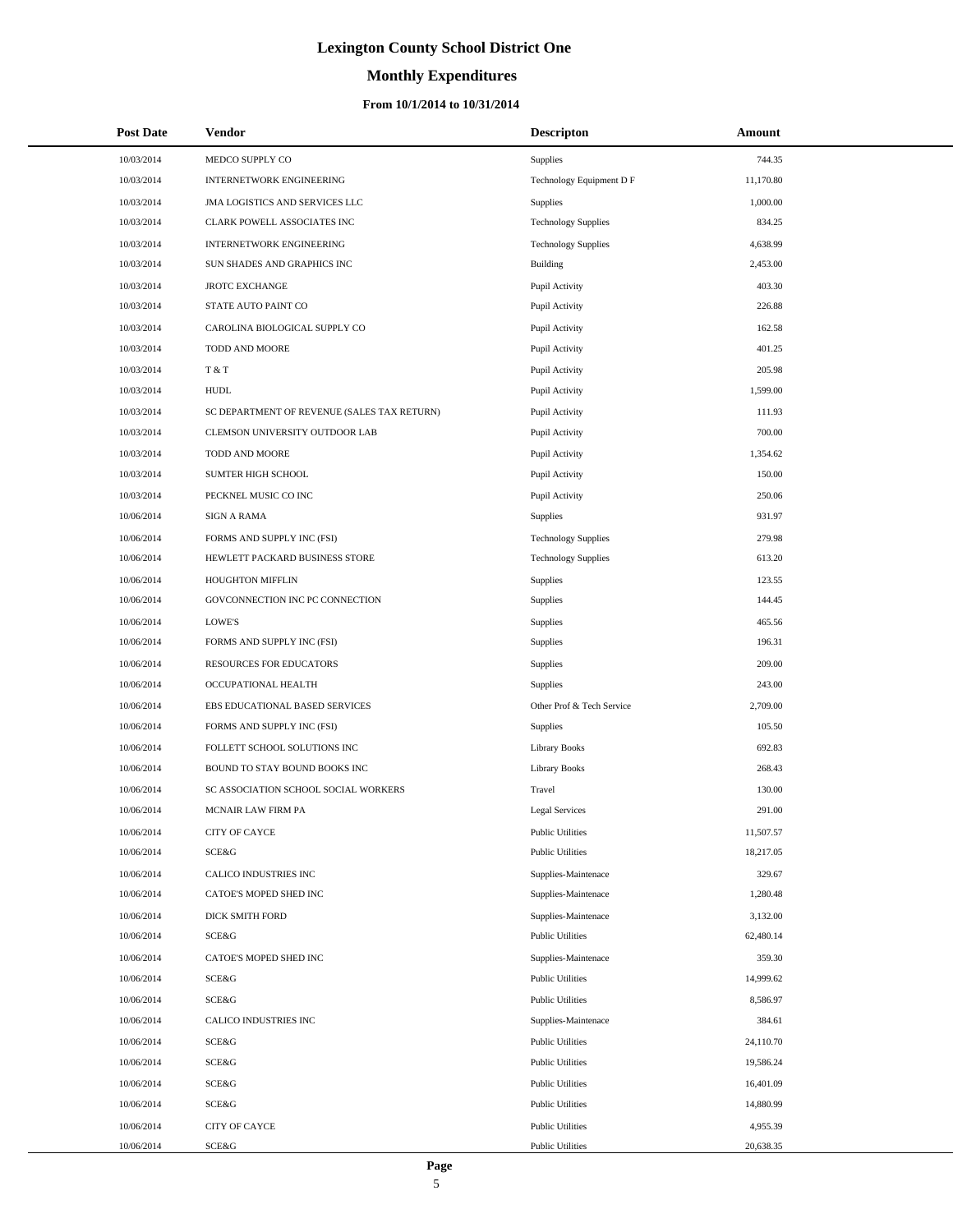# **Monthly Expenditures**

#### **From 10/1/2014 to 10/31/2014**

| <b>Post Date</b> | Vendor                                      | <b>Descripton</b>          | Amount    |
|------------------|---------------------------------------------|----------------------------|-----------|
| 10/03/2014       | MEDCO SUPPLY CO                             | Supplies                   | 744.35    |
| 10/03/2014       | <b>INTERNETWORK ENGINEERING</b>             | Technology Equipment D F   | 11,170.80 |
| 10/03/2014       | JMA LOGISTICS AND SERVICES LLC              | Supplies                   | 1,000.00  |
| 10/03/2014       | CLARK POWELL ASSOCIATES INC                 | <b>Technology Supplies</b> | 834.25    |
| 10/03/2014       | <b>INTERNETWORK ENGINEERING</b>             | <b>Technology Supplies</b> | 4,638.99  |
| 10/03/2014       | SUN SHADES AND GRAPHICS INC                 | Building                   | 2,453.00  |
| 10/03/2014       | <b>JROTC EXCHANGE</b>                       | Pupil Activity             | 403.30    |
| 10/03/2014       | STATE AUTO PAINT CO                         | Pupil Activity             | 226.88    |
| 10/03/2014       | CAROLINA BIOLOGICAL SUPPLY CO               | Pupil Activity             | 162.58    |
| 10/03/2014       | TODD AND MOORE                              | Pupil Activity             | 401.25    |
| 10/03/2014       | T & T                                       | Pupil Activity             | 205.98    |
| 10/03/2014       | <b>HUDL</b>                                 | Pupil Activity             | 1,599.00  |
| 10/03/2014       | SC DEPARTMENT OF REVENUE (SALES TAX RETURN) | Pupil Activity             | 111.93    |
| 10/03/2014       | CLEMSON UNIVERSITY OUTDOOR LAB              | Pupil Activity             | 700.00    |
| 10/03/2014       | TODD AND MOORE                              | Pupil Activity             | 1,354.62  |
| 10/03/2014       | SUMTER HIGH SCHOOL                          | Pupil Activity             | 150.00    |
| 10/03/2014       | PECKNEL MUSIC CO INC                        | Pupil Activity             | 250.06    |
| 10/06/2014       | <b>SIGN A RAMA</b>                          | Supplies                   | 931.97    |
| 10/06/2014       | FORMS AND SUPPLY INC (FSI)                  | <b>Technology Supplies</b> | 279.98    |
| 10/06/2014       | HEWLETT PACKARD BUSINESS STORE              | <b>Technology Supplies</b> | 613.20    |
| 10/06/2014       | HOUGHTON MIFFLIN                            | Supplies                   | 123.55    |
| 10/06/2014       | GOVCONNECTION INC PC CONNECTION             | Supplies                   | 144.45    |
| 10/06/2014       | <b>LOWE'S</b>                               | Supplies                   | 465.56    |
| 10/06/2014       | FORMS AND SUPPLY INC (FSI)                  | Supplies                   | 196.31    |
| 10/06/2014       | RESOURCES FOR EDUCATORS                     | Supplies                   | 209.00    |
| 10/06/2014       | OCCUPATIONAL HEALTH                         | Supplies                   | 243.00    |
| 10/06/2014       | EBS EDUCATIONAL BASED SERVICES              | Other Prof & Tech Service  | 2,709.00  |
| 10/06/2014       | FORMS AND SUPPLY INC (FSI)                  | Supplies                   | 105.50    |
| 10/06/2014       | FOLLETT SCHOOL SOLUTIONS INC                | <b>Library Books</b>       | 692.83    |
| 10/06/2014       | BOUND TO STAY BOUND BOOKS INC               | <b>Library Books</b>       | 268.43    |
| 10/06/2014       | SC ASSOCIATION SCHOOL SOCIAL WORKERS        | Travel                     | 130.00    |
| 10/06/2014       | MCNAIR LAW FIRM PA                          | Legal Services             | 291.00    |
| 10/06/2014       | CITY OF CAYCE                               | <b>Public Utilities</b>    | 11,507.57 |
| 10/06/2014       | SCE&G                                       | <b>Public Utilities</b>    | 18,217.05 |
| 10/06/2014       | CALICO INDUSTRIES INC                       | Supplies-Maintenace        | 329.67    |
| 10/06/2014       | CATOE'S MOPED SHED INC                      | Supplies-Maintenace        | 1,280.48  |
| 10/06/2014       | <b>DICK SMITH FORD</b>                      | Supplies-Maintenace        | 3,132.00  |
| 10/06/2014       | SCE&G                                       | <b>Public Utilities</b>    | 62,480.14 |
| 10/06/2014       | CATOE'S MOPED SHED INC                      | Supplies-Maintenace        | 359.30    |
| 10/06/2014       | SCE&G                                       | <b>Public Utilities</b>    | 14,999.62 |
| 10/06/2014       | SCE&G                                       | <b>Public Utilities</b>    | 8,586.97  |
| 10/06/2014       | CALICO INDUSTRIES INC                       | Supplies-Maintenace        | 384.61    |
| 10/06/2014       | SCE&G                                       | <b>Public Utilities</b>    | 24,110.70 |
| 10/06/2014       | SCE&G                                       | <b>Public Utilities</b>    | 19,586.24 |
| 10/06/2014       | SCE&G                                       | <b>Public Utilities</b>    | 16,401.09 |
| 10/06/2014       | SCE&G                                       | <b>Public Utilities</b>    | 14,880.99 |
| 10/06/2014       | CITY OF CAYCE                               | <b>Public Utilities</b>    | 4,955.39  |
| 10/06/2014       | SCE&G                                       | <b>Public Utilities</b>    | 20,638.35 |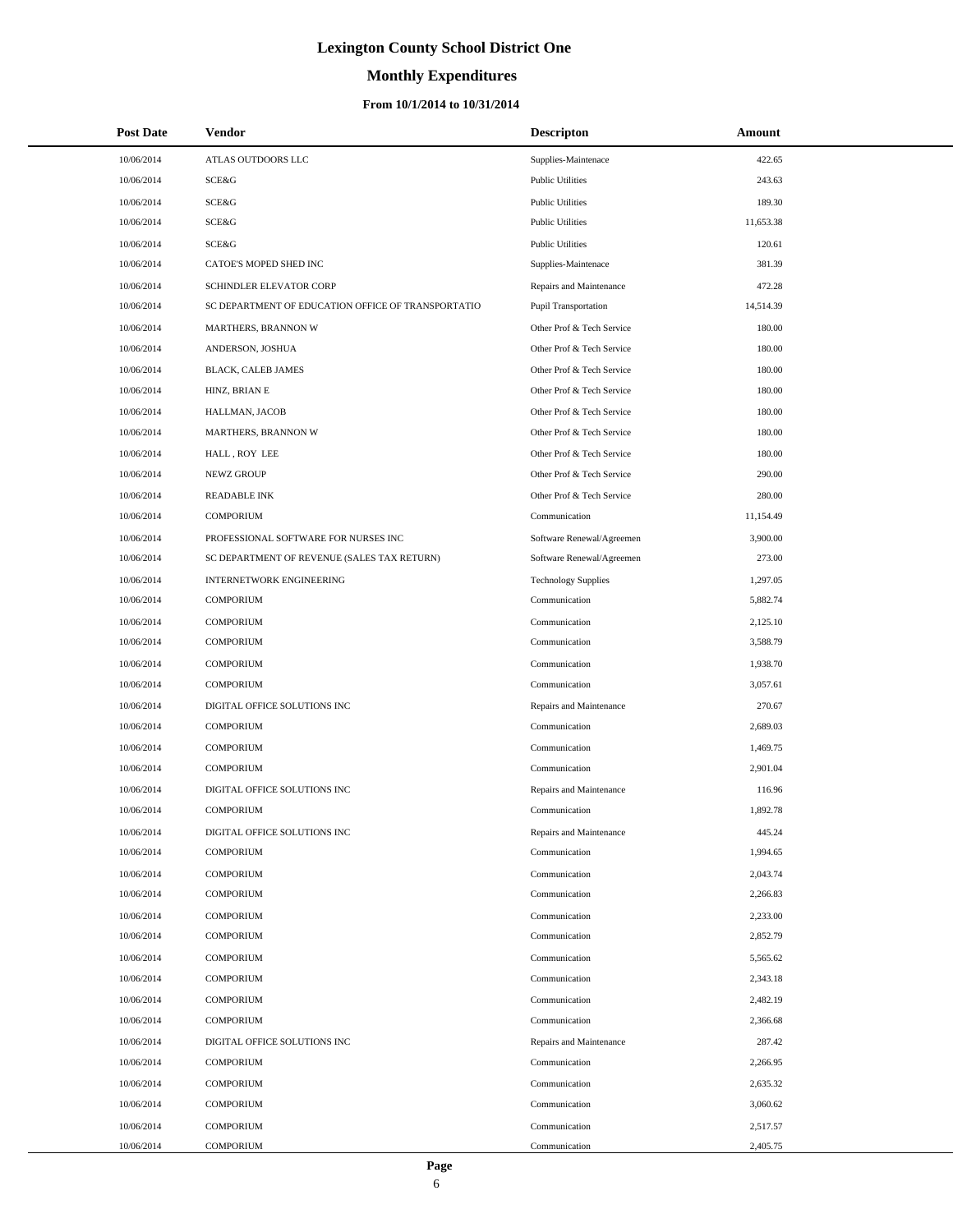# **Monthly Expenditures**

#### **From 10/1/2014 to 10/31/2014**

| <b>Post Date</b> | Vendor                                             | <b>Descripton</b>          | Amount    |
|------------------|----------------------------------------------------|----------------------------|-----------|
| 10/06/2014       | ATLAS OUTDOORS LLC                                 | Supplies-Maintenace        | 422.65    |
| 10/06/2014       | SCE&G                                              | <b>Public Utilities</b>    | 243.63    |
| 10/06/2014       | <b>SCE&amp;G</b>                                   | <b>Public Utilities</b>    | 189.30    |
| 10/06/2014       | <b>SCE&amp;G</b>                                   | <b>Public Utilities</b>    | 11,653.38 |
| 10/06/2014       | SCE&G                                              | <b>Public Utilities</b>    | 120.61    |
| 10/06/2014       | CATOE'S MOPED SHED INC                             | Supplies-Maintenace        | 381.39    |
| 10/06/2014       | SCHINDLER ELEVATOR CORP                            | Repairs and Maintenance    | 472.28    |
| 10/06/2014       | SC DEPARTMENT OF EDUCATION OFFICE OF TRANSPORTATIO | Pupil Transportation       | 14,514.39 |
| 10/06/2014       | MARTHERS, BRANNON W                                | Other Prof & Tech Service  | 180.00    |
| 10/06/2014       | ANDERSON, JOSHUA                                   | Other Prof & Tech Service  | 180.00    |
| 10/06/2014       | BLACK, CALEB JAMES                                 | Other Prof & Tech Service  | 180.00    |
| 10/06/2014       | HINZ, BRIAN E                                      | Other Prof & Tech Service  | 180.00    |
| 10/06/2014       | HALLMAN, JACOB                                     | Other Prof & Tech Service  | 180.00    |
| 10/06/2014       | MARTHERS, BRANNON W                                | Other Prof & Tech Service  | 180.00    |
| 10/06/2014       | HALL, ROY LEE                                      | Other Prof & Tech Service  | 180.00    |
| 10/06/2014       | NEWZ GROUP                                         | Other Prof & Tech Service  | 290.00    |
| 10/06/2014       | <b>READABLE INK</b>                                | Other Prof & Tech Service  | 280.00    |
| 10/06/2014       | <b>COMPORIUM</b>                                   | Communication              | 11,154.49 |
| 10/06/2014       | PROFESSIONAL SOFTWARE FOR NURSES INC               | Software Renewal/Agreemen  | 3,900.00  |
| 10/06/2014       | SC DEPARTMENT OF REVENUE (SALES TAX RETURN)        | Software Renewal/Agreemen  | 273.00    |
| 10/06/2014       | <b>INTERNETWORK ENGINEERING</b>                    | <b>Technology Supplies</b> | 1,297.05  |
| 10/06/2014       | <b>COMPORIUM</b>                                   | Communication              | 5,882.74  |
| 10/06/2014       | <b>COMPORIUM</b>                                   | Communication              | 2,125.10  |
| 10/06/2014       | <b>COMPORIUM</b>                                   | Communication              | 3,588.79  |
| 10/06/2014       | <b>COMPORIUM</b>                                   | Communication              | 1,938.70  |
| 10/06/2014       | <b>COMPORIUM</b>                                   | Communication              | 3,057.61  |
| 10/06/2014       | DIGITAL OFFICE SOLUTIONS INC                       | Repairs and Maintenance    | 270.67    |
| 10/06/2014       | <b>COMPORIUM</b>                                   | Communication              | 2,689.03  |
| 10/06/2014       | <b>COMPORIUM</b>                                   | Communication              | 1,469.75  |
| 10/06/2014       | <b>COMPORIUM</b>                                   | Communication              | 2,901.04  |
| 10/06/2014       | DIGITAL OFFICE SOLUTIONS INC                       | Repairs and Maintenance    | 116.96    |
| 10/06/2014       | <b>COMPORIUM</b>                                   | Communication              | 1,892.78  |
| 10/06/2014       | DIGITAL OFFICE SOLUTIONS INC                       | Repairs and Maintenance    | 445.24    |
| 10/06/2014       | <b>COMPORIUM</b>                                   | Communication              | 1,994.65  |
| 10/06/2014       | <b>COMPORIUM</b>                                   | Communication              | 2,043.74  |
| 10/06/2014       | <b>COMPORIUM</b>                                   | Communication              | 2,266.83  |
| 10/06/2014       | <b>COMPORIUM</b>                                   | Communication              | 2,233.00  |
| 10/06/2014       | <b>COMPORIUM</b>                                   | Communication              | 2,852.79  |
| 10/06/2014       | <b>COMPORIUM</b>                                   | Communication              | 5,565.62  |
| 10/06/2014       | <b>COMPORIUM</b>                                   | Communication              | 2,343.18  |
| 10/06/2014       | <b>COMPORIUM</b>                                   | Communication              | 2,482.19  |
| 10/06/2014       | <b>COMPORIUM</b>                                   | Communication              | 2,366.68  |
| 10/06/2014       | DIGITAL OFFICE SOLUTIONS INC                       | Repairs and Maintenance    | 287.42    |
| 10/06/2014       | <b>COMPORIUM</b>                                   | Communication              | 2,266.95  |
| 10/06/2014       | <b>COMPORIUM</b>                                   | Communication              | 2,635.32  |
| 10/06/2014       | <b>COMPORIUM</b>                                   | Communication              | 3,060.62  |
| 10/06/2014       | <b>COMPORIUM</b>                                   | Communication              | 2,517.57  |
| 10/06/2014       | <b>COMPORIUM</b>                                   | Communication              | 2,405.75  |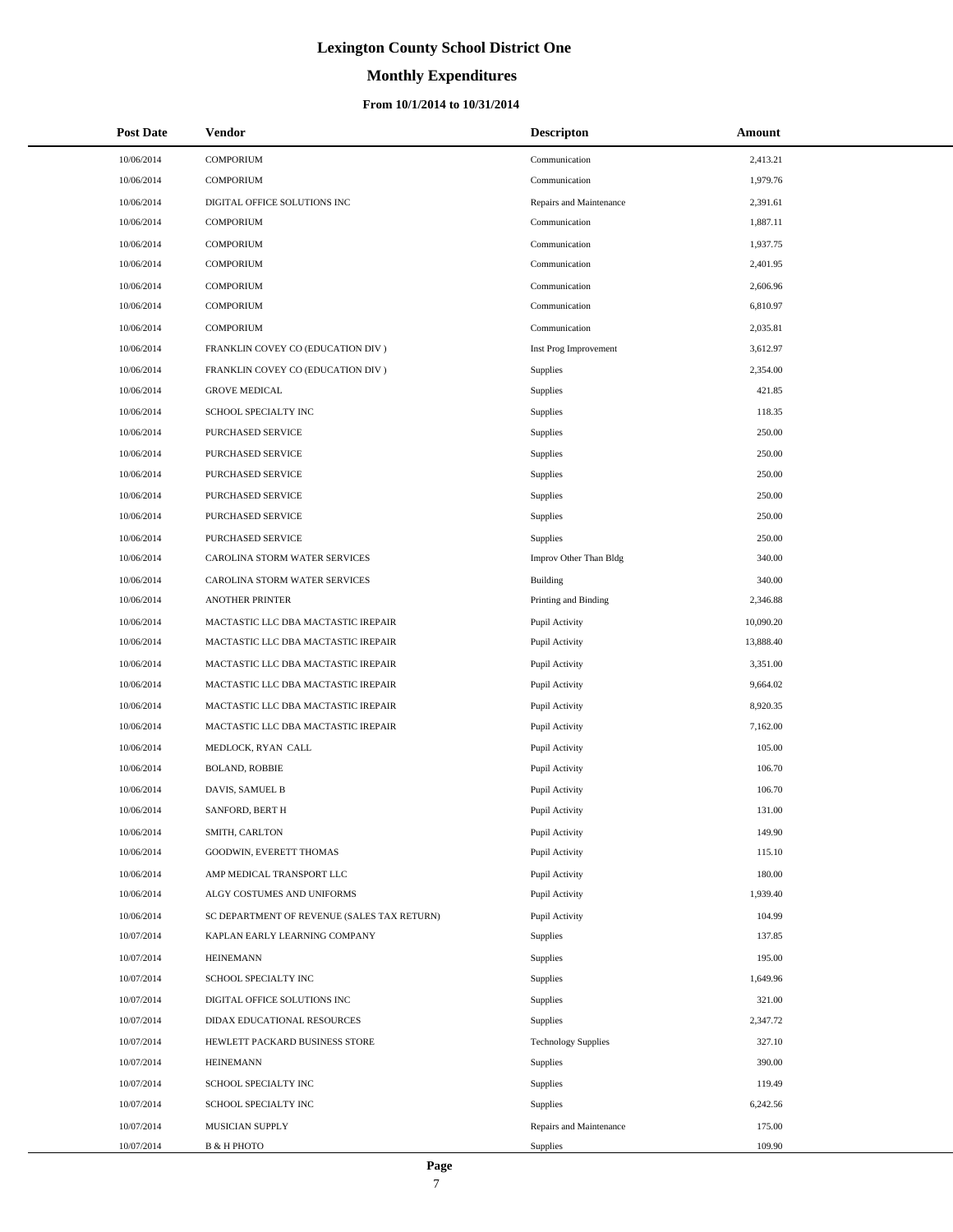### **Monthly Expenditures**

| <b>Post Date</b> | <b>Vendor</b>                               | <b>Descripton</b>          | Amount    |
|------------------|---------------------------------------------|----------------------------|-----------|
| 10/06/2014       | <b>COMPORIUM</b>                            | Communication              | 2,413.21  |
| 10/06/2014       | <b>COMPORIUM</b>                            | Communication              | 1,979.76  |
| 10/06/2014       | DIGITAL OFFICE SOLUTIONS INC                | Repairs and Maintenance    | 2,391.61  |
| 10/06/2014       | <b>COMPORIUM</b>                            | Communication              | 1,887.11  |
| 10/06/2014       | <b>COMPORIUM</b>                            | Communication              | 1,937.75  |
| 10/06/2014       | <b>COMPORIUM</b>                            | Communication              | 2,401.95  |
| 10/06/2014       | <b>COMPORIUM</b>                            | Communication              | 2,606.96  |
| 10/06/2014       | <b>COMPORIUM</b>                            | Communication              | 6,810.97  |
| 10/06/2014       | <b>COMPORIUM</b>                            | Communication              | 2,035.81  |
| 10/06/2014       | FRANKLIN COVEY CO (EDUCATION DIV)           | Inst Prog Improvement      | 3,612.97  |
| 10/06/2014       | FRANKLIN COVEY CO (EDUCATION DIV)           | Supplies                   | 2,354.00  |
| 10/06/2014       | <b>GROVE MEDICAL</b>                        | Supplies                   | 421.85    |
| 10/06/2014       | SCHOOL SPECIALTY INC                        | Supplies                   | 118.35    |
| 10/06/2014       | PURCHASED SERVICE                           | Supplies                   | 250.00    |
| 10/06/2014       | PURCHASED SERVICE                           | Supplies                   | 250.00    |
| 10/06/2014       | PURCHASED SERVICE                           | Supplies                   | 250.00    |
| 10/06/2014       | PURCHASED SERVICE                           | Supplies                   | 250.00    |
| 10/06/2014       | PURCHASED SERVICE                           | Supplies                   | 250.00    |
| 10/06/2014       | PURCHASED SERVICE                           | Supplies                   | 250.00    |
| 10/06/2014       | CAROLINA STORM WATER SERVICES               | Improv Other Than Bldg     | 340.00    |
| 10/06/2014       | CAROLINA STORM WATER SERVICES               | Building                   | 340.00    |
| 10/06/2014       | <b>ANOTHER PRINTER</b>                      | Printing and Binding       | 2,346.88  |
| 10/06/2014       | MACTASTIC LLC DBA MACTASTIC IREPAIR         | Pupil Activity             | 10,090.20 |
| 10/06/2014       | MACTASTIC LLC DBA MACTASTIC IREPAIR         | Pupil Activity             | 13,888.40 |
| 10/06/2014       | MACTASTIC LLC DBA MACTASTIC IREPAIR         | Pupil Activity             | 3,351.00  |
| 10/06/2014       | MACTASTIC LLC DBA MACTASTIC IREPAIR         | Pupil Activity             | 9,664.02  |
| 10/06/2014       | MACTASTIC LLC DBA MACTASTIC IREPAIR         | Pupil Activity             | 8,920.35  |
| 10/06/2014       | MACTASTIC LLC DBA MACTASTIC IREPAIR         | Pupil Activity             | 7,162.00  |
| 10/06/2014       | MEDLOCK, RYAN CALL                          | Pupil Activity             | 105.00    |
| 10/06/2014       | <b>BOLAND, ROBBIE</b>                       | Pupil Activity             | 106.70    |
| 10/06/2014       | DAVIS, SAMUEL B                             | Pupil Activity             | 106.70    |
| 10/06/2014       | SANFORD, BERT H                             | Pupil Activity             | 131.00    |
| 10/06/2014       | SMITH, CARLTON                              | Pupil Activity             | 149.90    |
| 10/06/2014       | GOODWIN, EVERETT THOMAS                     | Pupil Activity             | 115.10    |
| 10/06/2014       | AMP MEDICAL TRANSPORT LLC                   | Pupil Activity             | 180.00    |
| 10/06/2014       | ALGY COSTUMES AND UNIFORMS                  | Pupil Activity             | 1,939.40  |
| 10/06/2014       | SC DEPARTMENT OF REVENUE (SALES TAX RETURN) | Pupil Activity             | 104.99    |
| 10/07/2014       | KAPLAN EARLY LEARNING COMPANY               | Supplies                   | 137.85    |
| 10/07/2014       | <b>HEINEMANN</b>                            | Supplies                   | 195.00    |
| 10/07/2014       | SCHOOL SPECIALTY INC                        | Supplies                   | 1,649.96  |
| 10/07/2014       | DIGITAL OFFICE SOLUTIONS INC                | Supplies                   | 321.00    |
| 10/07/2014       | DIDAX EDUCATIONAL RESOURCES                 | Supplies                   | 2,347.72  |
| 10/07/2014       | HEWLETT PACKARD BUSINESS STORE              | <b>Technology Supplies</b> | 327.10    |
| 10/07/2014       | <b>HEINEMANN</b>                            | Supplies                   | 390.00    |
| 10/07/2014       | SCHOOL SPECIALTY INC                        | Supplies                   | 119.49    |
| 10/07/2014       | SCHOOL SPECIALTY INC                        | Supplies                   | 6,242.56  |
| 10/07/2014       | MUSICIAN SUPPLY                             | Repairs and Maintenance    | 175.00    |
| 10/07/2014       | <b>B &amp; H PHOTO</b>                      | Supplies                   | 109.90    |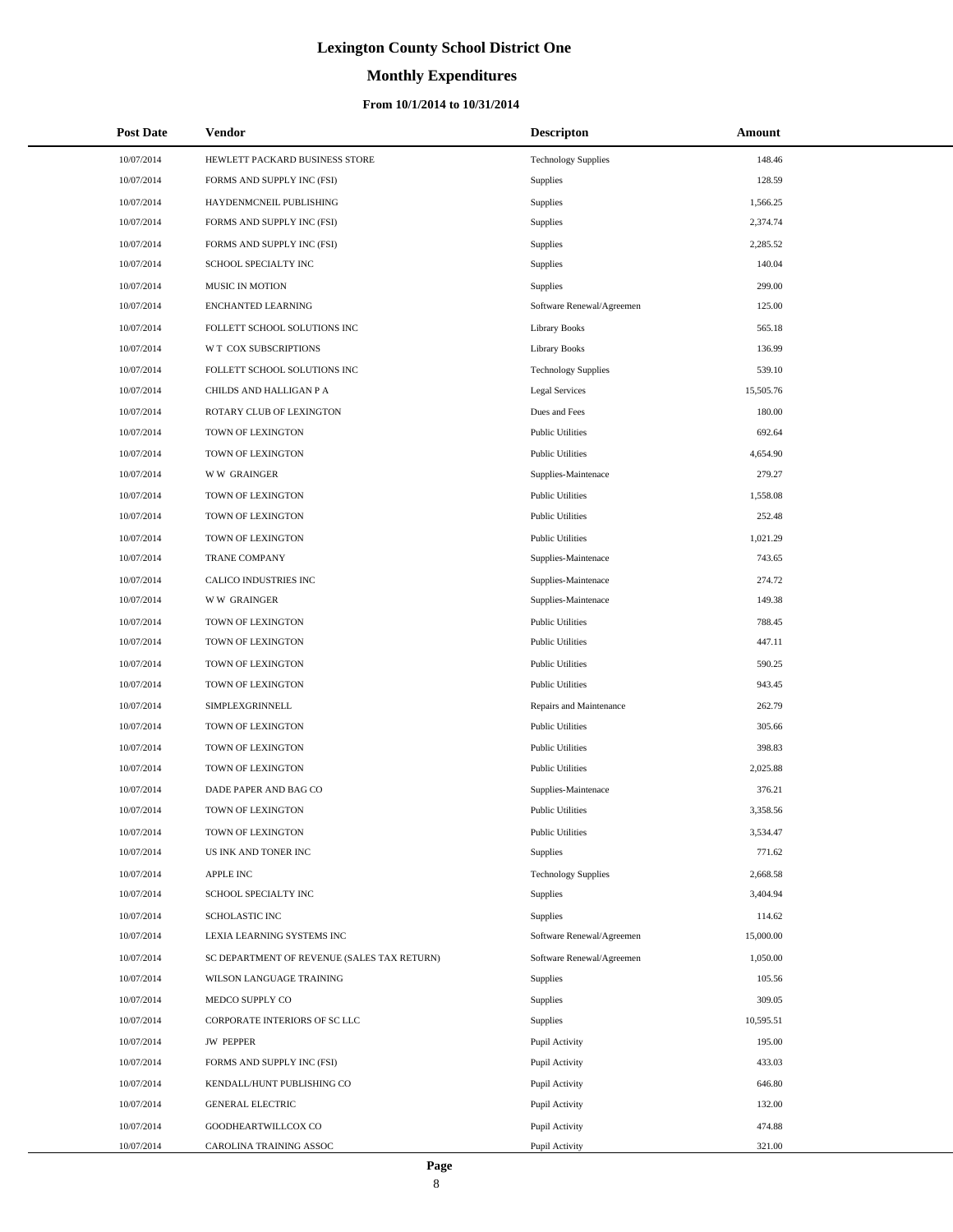# **Monthly Expenditures**

| <b>Post Date</b> | Vendor                                      | <b>Descripton</b>          | Amount    |
|------------------|---------------------------------------------|----------------------------|-----------|
| 10/07/2014       | HEWLETT PACKARD BUSINESS STORE              | <b>Technology Supplies</b> | 148.46    |
| 10/07/2014       | FORMS AND SUPPLY INC (FSI)                  | <b>Supplies</b>            | 128.59    |
| 10/07/2014       | HAYDENMCNEIL PUBLISHING                     | Supplies                   | 1,566.25  |
| 10/07/2014       | FORMS AND SUPPLY INC (FSI)                  | Supplies                   | 2,374.74  |
| 10/07/2014       | FORMS AND SUPPLY INC (FSI)                  | Supplies                   | 2,285.52  |
| 10/07/2014       | SCHOOL SPECIALTY INC                        | Supplies                   | 140.04    |
| 10/07/2014       | <b>MUSIC IN MOTION</b>                      | Supplies                   | 299.00    |
| 10/07/2014       | <b>ENCHANTED LEARNING</b>                   | Software Renewal/Agreemen  | 125.00    |
| 10/07/2014       | FOLLETT SCHOOL SOLUTIONS INC                | <b>Library Books</b>       | 565.18    |
| 10/07/2014       | W T COX SUBSCRIPTIONS                       | <b>Library Books</b>       | 136.99    |
| 10/07/2014       | FOLLETT SCHOOL SOLUTIONS INC                | <b>Technology Supplies</b> | 539.10    |
| 10/07/2014       | CHILDS AND HALLIGAN P A                     | Legal Services             | 15,505.76 |
| 10/07/2014       | ROTARY CLUB OF LEXINGTON                    | Dues and Fees              | 180.00    |
| 10/07/2014       | TOWN OF LEXINGTON                           | <b>Public Utilities</b>    | 692.64    |
| 10/07/2014       | TOWN OF LEXINGTON                           | <b>Public Utilities</b>    | 4,654.90  |
| 10/07/2014       | <b>WW GRAINGER</b>                          | Supplies-Maintenace        | 279.27    |
| 10/07/2014       | TOWN OF LEXINGTON                           | <b>Public Utilities</b>    | 1,558.08  |
| 10/07/2014       | TOWN OF LEXINGTON                           | <b>Public Utilities</b>    | 252.48    |
| 10/07/2014       | TOWN OF LEXINGTON                           | <b>Public Utilities</b>    | 1,021.29  |
| 10/07/2014       | <b>TRANE COMPANY</b>                        | Supplies-Maintenace        | 743.65    |
| 10/07/2014       | CALICO INDUSTRIES INC                       | Supplies-Maintenace        | 274.72    |
| 10/07/2014       | <b>WW GRAINGER</b>                          | Supplies-Maintenace        | 149.38    |
| 10/07/2014       | TOWN OF LEXINGTON                           | <b>Public Utilities</b>    | 788.45    |
| 10/07/2014       | TOWN OF LEXINGTON                           | <b>Public Utilities</b>    | 447.11    |
| 10/07/2014       | TOWN OF LEXINGTON                           | <b>Public Utilities</b>    | 590.25    |
| 10/07/2014       | TOWN OF LEXINGTON                           | <b>Public Utilities</b>    | 943.45    |
| 10/07/2014       | SIMPLEXGRINNELL                             | Repairs and Maintenance    | 262.79    |
| 10/07/2014       | TOWN OF LEXINGTON                           | <b>Public Utilities</b>    | 305.66    |
| 10/07/2014       | TOWN OF LEXINGTON                           | <b>Public Utilities</b>    | 398.83    |
| 10/07/2014       | TOWN OF LEXINGTON                           | <b>Public Utilities</b>    | 2,025.88  |
| 10/07/2014       | DADE PAPER AND BAG CO                       | Supplies-Maintenace        | 376.21    |
| 10/07/2014       | TOWN OF LEXINGTON                           | <b>Public Utilities</b>    | 3,358.56  |
| 10/07/2014       | TOWN OF LEXINGTON                           | <b>Public Utilities</b>    | 3,534.47  |
| 10/07/2014       | US INK AND TONER INC                        | Supplies                   | 771.62    |
| 10/07/2014       | <b>APPLE INC</b>                            | <b>Technology Supplies</b> | 2,668.58  |
| 10/07/2014       | SCHOOL SPECIALTY INC                        | Supplies                   | 3,404.94  |
| 10/07/2014       | <b>SCHOLASTIC INC</b>                       | Supplies                   | 114.62    |
| 10/07/2014       | LEXIA LEARNING SYSTEMS INC                  | Software Renewal/Agreemen  | 15,000.00 |
| 10/07/2014       | SC DEPARTMENT OF REVENUE (SALES TAX RETURN) | Software Renewal/Agreemen  | 1,050.00  |
| 10/07/2014       | WILSON LANGUAGE TRAINING                    | Supplies                   | 105.56    |
| 10/07/2014       | MEDCO SUPPLY CO                             | Supplies                   | 309.05    |
| 10/07/2014       | CORPORATE INTERIORS OF SC LLC               | Supplies                   | 10,595.51 |
| 10/07/2014       | <b>JW PEPPER</b>                            | Pupil Activity             | 195.00    |
| 10/07/2014       | FORMS AND SUPPLY INC (FSI)                  | Pupil Activity             | 433.03    |
| 10/07/2014       | KENDALL/HUNT PUBLISHING CO                  | Pupil Activity             | 646.80    |
| 10/07/2014       | <b>GENERAL ELECTRIC</b>                     | Pupil Activity             | 132.00    |
| 10/07/2014       | GOODHEARTWILLCOX CO                         | Pupil Activity             | 474.88    |
| 10/07/2014       | CAROLINA TRAINING ASSOC                     | Pupil Activity             | 321.00    |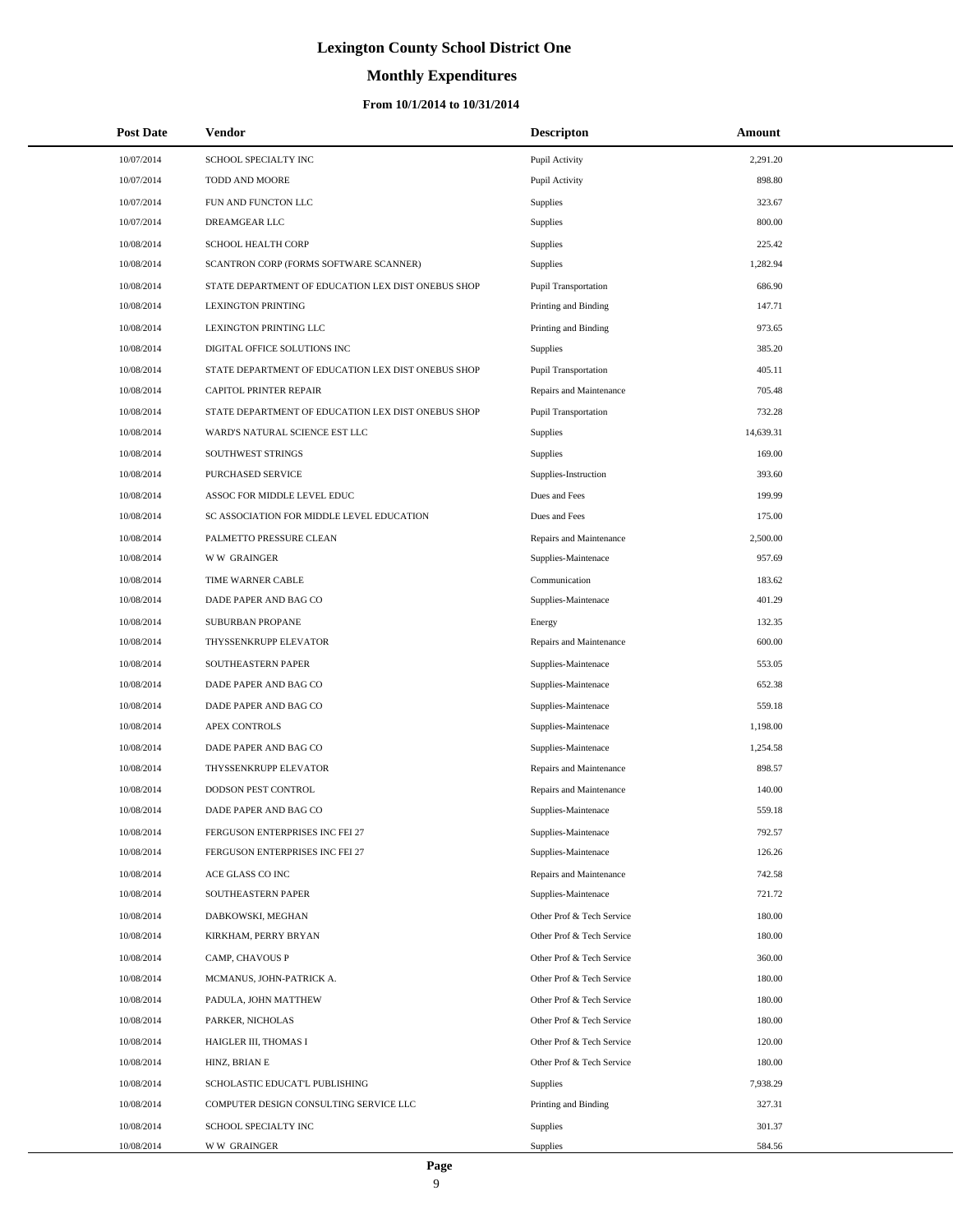### **Monthly Expenditures**

| <b>Post Date</b> | Vendor                                             | <b>Descripton</b>         | Amount    |
|------------------|----------------------------------------------------|---------------------------|-----------|
| 10/07/2014       | SCHOOL SPECIALTY INC                               | Pupil Activity            | 2,291.20  |
| 10/07/2014       | TODD AND MOORE                                     | Pupil Activity            | 898.80    |
| 10/07/2014       | FUN AND FUNCTON LLC                                | Supplies                  | 323.67    |
| 10/07/2014       | DREAMGEAR LLC                                      | Supplies                  | 800.00    |
| 10/08/2014       | SCHOOL HEALTH CORP                                 | Supplies                  | 225.42    |
| 10/08/2014       | SCANTRON CORP (FORMS SOFTWARE SCANNER)             | <b>Supplies</b>           | 1,282.94  |
| 10/08/2014       | STATE DEPARTMENT OF EDUCATION LEX DIST ONEBUS SHOP | Pupil Transportation      | 686.90    |
| 10/08/2014       | <b>LEXINGTON PRINTING</b>                          | Printing and Binding      | 147.71    |
| 10/08/2014       | LEXINGTON PRINTING LLC                             | Printing and Binding      | 973.65    |
| 10/08/2014       | DIGITAL OFFICE SOLUTIONS INC                       | <b>Supplies</b>           | 385.20    |
| 10/08/2014       | STATE DEPARTMENT OF EDUCATION LEX DIST ONEBUS SHOP | Pupil Transportation      | 405.11    |
| 10/08/2014       | CAPITOL PRINTER REPAIR                             | Repairs and Maintenance   | 705.48    |
| 10/08/2014       | STATE DEPARTMENT OF EDUCATION LEX DIST ONEBUS SHOP | Pupil Transportation      | 732.28    |
| 10/08/2014       | WARD'S NATURAL SCIENCE EST LLC                     | Supplies                  | 14,639.31 |
| 10/08/2014       | SOUTHWEST STRINGS                                  | <b>Supplies</b>           | 169.00    |
| 10/08/2014       | PURCHASED SERVICE                                  | Supplies-Instruction      | 393.60    |
| 10/08/2014       | ASSOC FOR MIDDLE LEVEL EDUC                        | Dues and Fees             | 199.99    |
| 10/08/2014       | SC ASSOCIATION FOR MIDDLE LEVEL EDUCATION          | Dues and Fees             | 175.00    |
| 10/08/2014       | PALMETTO PRESSURE CLEAN                            | Repairs and Maintenance   | 2,500.00  |
| 10/08/2014       | <b>WW GRAINGER</b>                                 | Supplies-Maintenace       | 957.69    |
| 10/08/2014       | TIME WARNER CABLE                                  | Communication             | 183.62    |
| 10/08/2014       | DADE PAPER AND BAG CO                              | Supplies-Maintenace       | 401.29    |
| 10/08/2014       | SUBURBAN PROPANE                                   | Energy                    | 132.35    |
| 10/08/2014       | THYSSENKRUPP ELEVATOR                              | Repairs and Maintenance   | 600.00    |
| 10/08/2014       | SOUTHEASTERN PAPER                                 | Supplies-Maintenace       | 553.05    |
| 10/08/2014       | DADE PAPER AND BAG CO                              | Supplies-Maintenace       | 652.38    |
| 10/08/2014       | DADE PAPER AND BAG CO                              | Supplies-Maintenace       | 559.18    |
| 10/08/2014       | APEX CONTROLS                                      | Supplies-Maintenace       | 1,198.00  |
| 10/08/2014       | DADE PAPER AND BAG CO                              | Supplies-Maintenace       | 1,254.58  |
| 10/08/2014       | THYSSENKRUPP ELEVATOR                              | Repairs and Maintenance   | 898.57    |
| 10/08/2014       | DODSON PEST CONTROL                                | Repairs and Maintenance   | 140.00    |
| 10/08/2014       | DADE PAPER AND BAG CO                              | Supplies-Maintenace       | 559.18    |
| 10/08/2014       | FERGUSON ENTERPRISES INC FEI 27                    | Supplies-Maintenace       | 792.57    |
| 10/08/2014       | FERGUSON ENTERPRISES INC FEI 27                    | Supplies-Maintenace       | 126.26    |
| 10/08/2014       | ACE GLASS CO INC                                   | Repairs and Maintenance   | 742.58    |
| 10/08/2014       | SOUTHEASTERN PAPER                                 | Supplies-Maintenace       | 721.72    |
| 10/08/2014       | DABKOWSKI, MEGHAN                                  | Other Prof & Tech Service | 180.00    |
| 10/08/2014       | KIRKHAM, PERRY BRYAN                               | Other Prof & Tech Service | 180.00    |
| 10/08/2014       | CAMP, CHAVOUS P                                    | Other Prof & Tech Service | 360.00    |
| 10/08/2014       | MCMANUS, JOHN-PATRICK A.                           | Other Prof & Tech Service | 180.00    |
| 10/08/2014       | PADULA, JOHN MATTHEW                               | Other Prof & Tech Service | 180.00    |
| 10/08/2014       | PARKER, NICHOLAS                                   | Other Prof & Tech Service | 180.00    |
| 10/08/2014       | HAIGLER III, THOMAS I                              | Other Prof & Tech Service | 120.00    |
| 10/08/2014       | HINZ, BRIAN E                                      | Other Prof & Tech Service | 180.00    |
| 10/08/2014       | SCHOLASTIC EDUCAT'L PUBLISHING                     | Supplies                  | 7,938.29  |
| 10/08/2014       | COMPUTER DESIGN CONSULTING SERVICE LLC             | Printing and Binding      | 327.31    |
| 10/08/2014       | SCHOOL SPECIALTY INC                               | <b>Supplies</b>           | 301.37    |
| 10/08/2014       | <b>WW GRAINGER</b>                                 | <b>Supplies</b>           | 584.56    |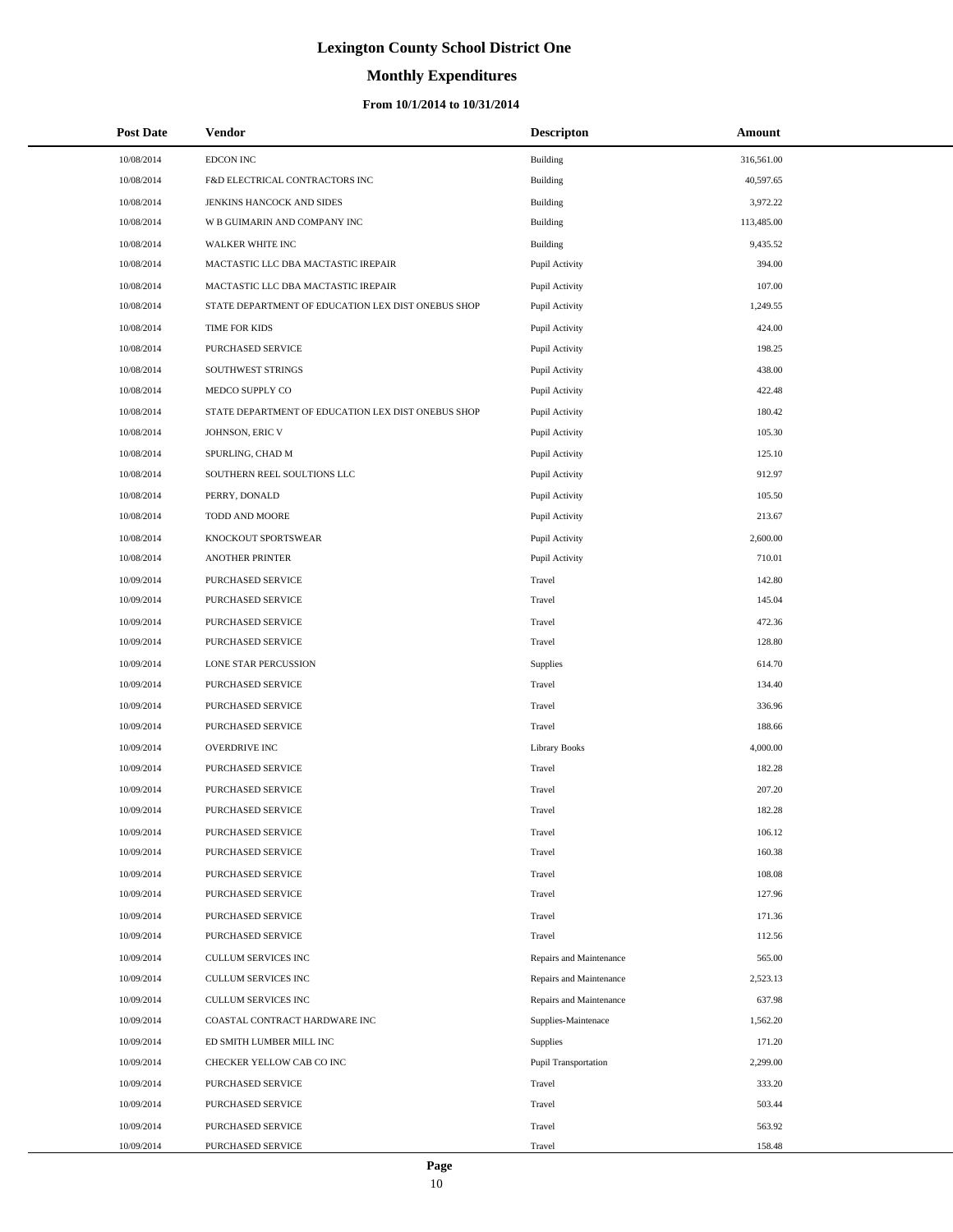# **Monthly Expenditures**

#### **From 10/1/2014 to 10/31/2014**

| <b>Post Date</b> | <b>Vendor</b>                                      | <b>Descripton</b>           | <b>Amount</b> |
|------------------|----------------------------------------------------|-----------------------------|---------------|
| 10/08/2014       | <b>EDCON INC</b>                                   | Building                    | 316,561.00    |
| 10/08/2014       | F&D ELECTRICAL CONTRACTORS INC                     | <b>Building</b>             | 40,597.65     |
| 10/08/2014       | JENKINS HANCOCK AND SIDES                          | <b>Building</b>             | 3,972.22      |
| 10/08/2014       | W B GUIMARIN AND COMPANY INC                       | <b>Building</b>             | 113,485.00    |
| 10/08/2014       | WALKER WHITE INC                                   | <b>Building</b>             | 9,435.52      |
| 10/08/2014       | MACTASTIC LLC DBA MACTASTIC IREPAIR                | Pupil Activity              | 394.00        |
| 10/08/2014       | MACTASTIC LLC DBA MACTASTIC IREPAIR                | Pupil Activity              | 107.00        |
| 10/08/2014       | STATE DEPARTMENT OF EDUCATION LEX DIST ONEBUS SHOP | Pupil Activity              | 1,249.55      |
| 10/08/2014       | TIME FOR KIDS                                      | Pupil Activity              | 424.00        |
| 10/08/2014       | PURCHASED SERVICE                                  | Pupil Activity              | 198.25        |
| 10/08/2014       | SOUTHWEST STRINGS                                  | Pupil Activity              | 438.00        |
| 10/08/2014       | MEDCO SUPPLY CO                                    | Pupil Activity              | 422.48        |
| 10/08/2014       | STATE DEPARTMENT OF EDUCATION LEX DIST ONEBUS SHOP | Pupil Activity              | 180.42        |
| 10/08/2014       | JOHNSON, ERIC V                                    | Pupil Activity              | 105.30        |
| 10/08/2014       | SPURLING, CHAD M                                   | Pupil Activity              | 125.10        |
| 10/08/2014       | SOUTHERN REEL SOULTIONS LLC                        | Pupil Activity              | 912.97        |
| 10/08/2014       | PERRY, DONALD                                      | Pupil Activity              | 105.50        |
| 10/08/2014       | TODD AND MOORE                                     | Pupil Activity              | 213.67        |
| 10/08/2014       | KNOCKOUT SPORTSWEAR                                | Pupil Activity              | 2,600.00      |
| 10/08/2014       | <b>ANOTHER PRINTER</b>                             | Pupil Activity              | 710.01        |
| 10/09/2014       | PURCHASED SERVICE                                  | Travel                      | 142.80        |
| 10/09/2014       | PURCHASED SERVICE                                  | Travel                      | 145.04        |
| 10/09/2014       | PURCHASED SERVICE                                  | Travel                      | 472.36        |
| 10/09/2014       | PURCHASED SERVICE                                  | Travel                      | 128.80        |
| 10/09/2014       | LONE STAR PERCUSSION                               | Supplies                    | 614.70        |
| 10/09/2014       | PURCHASED SERVICE                                  | Travel                      | 134.40        |
| 10/09/2014       | PURCHASED SERVICE                                  | Travel                      | 336.96        |
| 10/09/2014       | PURCHASED SERVICE                                  | Travel                      | 188.66        |
| 10/09/2014       | OVERDRIVE INC                                      | <b>Library Books</b>        | 4,000.00      |
| 10/09/2014       | PURCHASED SERVICE                                  | Travel                      | 182.28        |
| 10/09/2014       | PURCHASED SERVICE                                  | Travel                      | 207.20        |
| 10/09/2014       | <b>PURCHASED SERVICE</b>                           | Travel                      | 182.28        |
| 10/09/2014       | PURCHASED SERVICE                                  | Travel                      | 106.12        |
| 10/09/2014       | PURCHASED SERVICE                                  | Travel                      | 160.38        |
| 10/09/2014       | PURCHASED SERVICE                                  | Travel                      | 108.08        |
| 10/09/2014       | PURCHASED SERVICE                                  | Travel                      | 127.96        |
| 10/09/2014       | PURCHASED SERVICE                                  | Travel                      | 171.36        |
| 10/09/2014       | PURCHASED SERVICE                                  | Travel                      | 112.56        |
| 10/09/2014       | CULLUM SERVICES INC                                | Repairs and Maintenance     | 565.00        |
| 10/09/2014       | CULLUM SERVICES INC                                | Repairs and Maintenance     | 2,523.13      |
| 10/09/2014       | <b>CULLUM SERVICES INC</b>                         | Repairs and Maintenance     | 637.98        |
| 10/09/2014       | COASTAL CONTRACT HARDWARE INC                      | Supplies-Maintenace         | 1,562.20      |
| 10/09/2014       | ED SMITH LUMBER MILL INC                           | Supplies                    | 171.20        |
| 10/09/2014       | CHECKER YELLOW CAB CO INC                          | <b>Pupil Transportation</b> | 2,299.00      |
| 10/09/2014       | PURCHASED SERVICE                                  | Travel                      | 333.20        |
| 10/09/2014       | PURCHASED SERVICE                                  | Travel                      | 503.44        |
| 10/09/2014       | PURCHASED SERVICE                                  | Travel                      | 563.92        |
| 10/09/2014       | PURCHASED SERVICE                                  | Travel                      | 158.48        |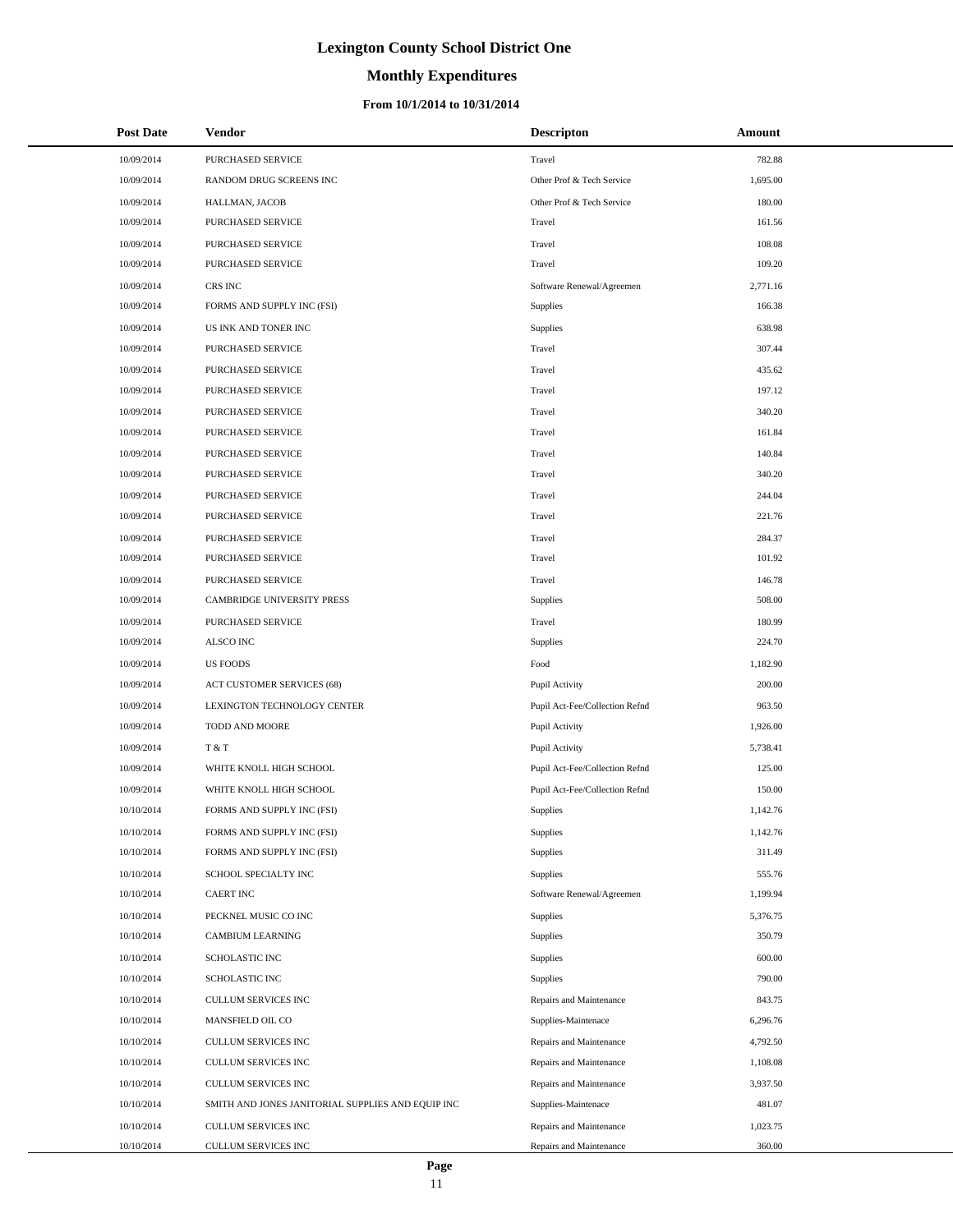# **Monthly Expenditures**

#### **From 10/1/2014 to 10/31/2014**

| <b>Post Date</b> | Vendor                                            | <b>Descripton</b>              | Amount   |
|------------------|---------------------------------------------------|--------------------------------|----------|
| 10/09/2014       | PURCHASED SERVICE                                 | Travel                         | 782.88   |
| 10/09/2014       | RANDOM DRUG SCREENS INC                           | Other Prof & Tech Service      | 1,695.00 |
| 10/09/2014       | HALLMAN, JACOB                                    | Other Prof & Tech Service      | 180.00   |
| 10/09/2014       | PURCHASED SERVICE                                 | Travel                         | 161.56   |
| 10/09/2014       | PURCHASED SERVICE                                 | Travel                         | 108.08   |
| 10/09/2014       | PURCHASED SERVICE                                 | Travel                         | 109.20   |
| 10/09/2014       | CRS INC                                           | Software Renewal/Agreemen      | 2,771.16 |
| 10/09/2014       | FORMS AND SUPPLY INC (FSI)                        | Supplies                       | 166.38   |
| 10/09/2014       | US INK AND TONER INC                              | Supplies                       | 638.98   |
| 10/09/2014       | PURCHASED SERVICE                                 | Travel                         | 307.44   |
| 10/09/2014       | PURCHASED SERVICE                                 | Travel                         | 435.62   |
| 10/09/2014       | PURCHASED SERVICE                                 | Travel                         | 197.12   |
| 10/09/2014       | PURCHASED SERVICE                                 | Travel                         | 340.20   |
| 10/09/2014       | <b>PURCHASED SERVICE</b>                          | Travel                         | 161.84   |
| 10/09/2014       | PURCHASED SERVICE                                 | Travel                         | 140.84   |
| 10/09/2014       | PURCHASED SERVICE                                 | Travel                         | 340.20   |
| 10/09/2014       | PURCHASED SERVICE                                 | Travel                         | 244.04   |
| 10/09/2014       | PURCHASED SERVICE                                 | Travel                         | 221.76   |
| 10/09/2014       | PURCHASED SERVICE                                 | Travel                         | 284.37   |
| 10/09/2014       | <b>PURCHASED SERVICE</b>                          | Travel                         | 101.92   |
| 10/09/2014       | PURCHASED SERVICE                                 | Travel                         | 146.78   |
| 10/09/2014       | CAMBRIDGE UNIVERSITY PRESS                        | Supplies                       | 508.00   |
| 10/09/2014       | PURCHASED SERVICE                                 | Travel                         | 180.99   |
| 10/09/2014       | ALSCO INC                                         | Supplies                       | 224.70   |
| 10/09/2014       | <b>US FOODS</b>                                   | Food                           | 1,182.90 |
| 10/09/2014       | ACT CUSTOMER SERVICES (68)                        | Pupil Activity                 | 200.00   |
| 10/09/2014       | LEXINGTON TECHNOLOGY CENTER                       | Pupil Act-Fee/Collection Refnd | 963.50   |
| 10/09/2014       | TODD AND MOORE                                    | Pupil Activity                 | 1,926.00 |
| 10/09/2014       | T & T                                             | Pupil Activity                 | 5,738.41 |
| 10/09/2014       | WHITE KNOLL HIGH SCHOOL                           | Pupil Act-Fee/Collection Refnd | 125.00   |
| 10/09/2014       | WHITE KNOLL HIGH SCHOOL                           | Pupil Act-Fee/Collection Refnd | 150.00   |
| 10/10/2014       | FORMS AND SUPPLY INC (FSI)                        | Supplies                       | 1,142.76 |
| 10/10/2014       | FORMS AND SUPPLY INC (FSI)                        | Supplies                       | 1,142.76 |
| 10/10/2014       | FORMS AND SUPPLY INC (FSI)                        | Supplies                       | 311.49   |
| 10/10/2014       | SCHOOL SPECIALTY INC                              | Supplies                       | 555.76   |
| 10/10/2014       | <b>CAERT INC</b>                                  | Software Renewal/Agreemen      | 1,199.94 |
| 10/10/2014       | PECKNEL MUSIC CO INC                              | Supplies                       | 5,376.75 |
| 10/10/2014       | CAMBIUM LEARNING                                  | Supplies                       | 350.79   |
| 10/10/2014       | SCHOLASTIC INC                                    | Supplies                       | 600.00   |
| 10/10/2014       | SCHOLASTIC INC                                    | Supplies                       | 790.00   |
| 10/10/2014       | <b>CULLUM SERVICES INC</b>                        | Repairs and Maintenance        | 843.75   |
| 10/10/2014       | MANSFIELD OIL CO                                  | Supplies-Maintenace            | 6,296.76 |
| 10/10/2014       | CULLUM SERVICES INC                               | Repairs and Maintenance        | 4,792.50 |
| 10/10/2014       | CULLUM SERVICES INC                               | Repairs and Maintenance        | 1,108.08 |
| 10/10/2014       | CULLUM SERVICES INC                               | Repairs and Maintenance        | 3,937.50 |
| 10/10/2014       | SMITH AND JONES JANITORIAL SUPPLIES AND EQUIP INC | Supplies-Maintenace            | 481.07   |
| 10/10/2014       | CULLUM SERVICES INC                               | Repairs and Maintenance        | 1,023.75 |
| 10/10/2014       | CULLUM SERVICES INC                               | Repairs and Maintenance        | 360.00   |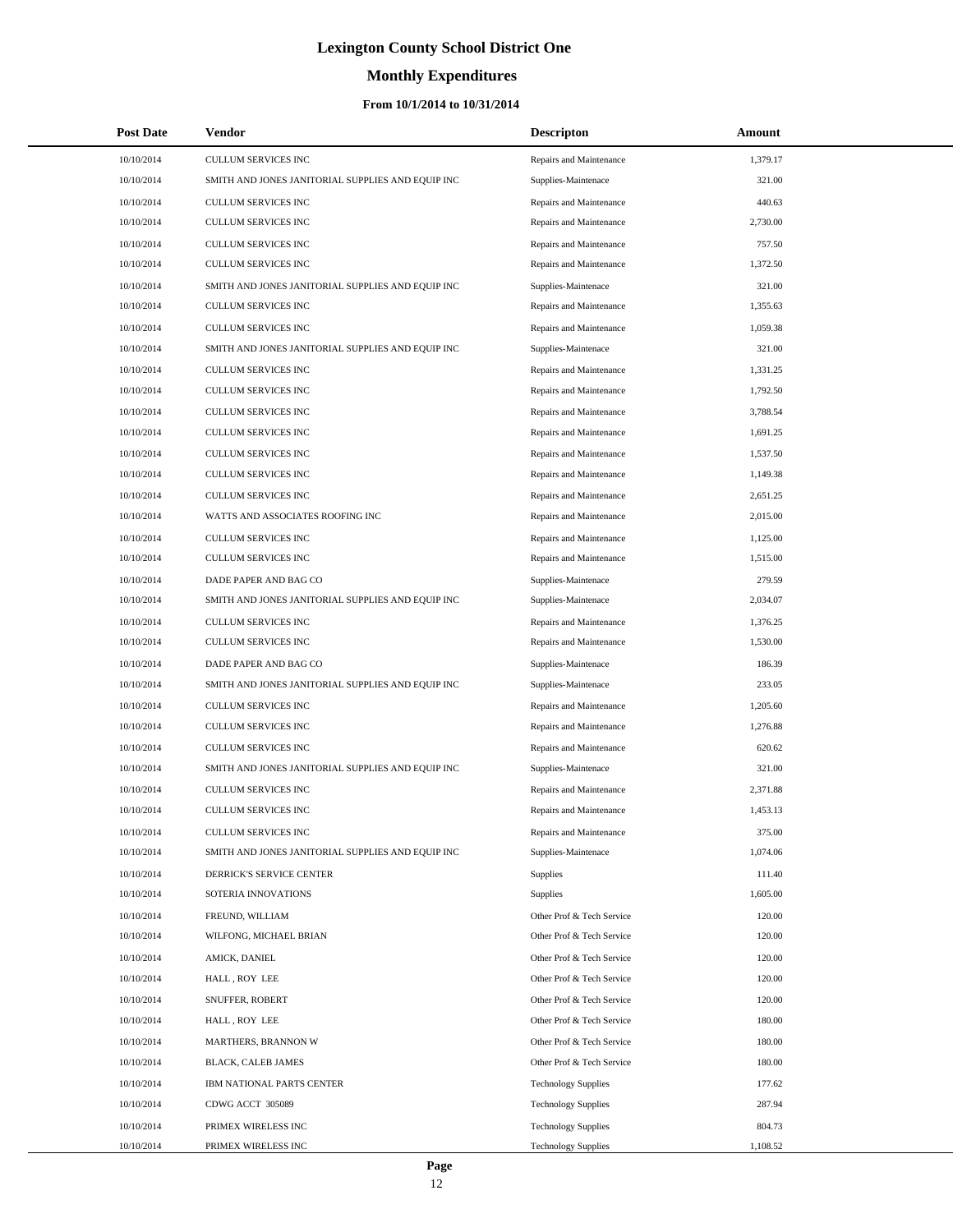# **Monthly Expenditures**

| <b>Post Date</b> | <b>Vendor</b>                                     | <b>Descripton</b>          | Amount   |  |
|------------------|---------------------------------------------------|----------------------------|----------|--|
| 10/10/2014       | CULLUM SERVICES INC                               | Repairs and Maintenance    | 1,379.17 |  |
| 10/10/2014       | SMITH AND JONES JANITORIAL SUPPLIES AND EQUIP INC | Supplies-Maintenace        | 321.00   |  |
| 10/10/2014       | <b>CULLUM SERVICES INC</b>                        | Repairs and Maintenance    | 440.63   |  |
| 10/10/2014       | CULLUM SERVICES INC                               | Repairs and Maintenance    | 2,730.00 |  |
| 10/10/2014       | CULLUM SERVICES INC                               | Repairs and Maintenance    | 757.50   |  |
| 10/10/2014       | CULLUM SERVICES INC                               | Repairs and Maintenance    | 1,372.50 |  |
| 10/10/2014       | SMITH AND JONES JANITORIAL SUPPLIES AND EQUIP INC | Supplies-Maintenace        | 321.00   |  |
| 10/10/2014       | <b>CULLUM SERVICES INC</b>                        | Repairs and Maintenance    | 1,355.63 |  |
| 10/10/2014       | CULLUM SERVICES INC                               | Repairs and Maintenance    | 1,059.38 |  |
| 10/10/2014       | SMITH AND JONES JANITORIAL SUPPLIES AND EQUIP INC | Supplies-Maintenace        | 321.00   |  |
| 10/10/2014       | CULLUM SERVICES INC                               | Repairs and Maintenance    | 1,331.25 |  |
| 10/10/2014       | <b>CULLUM SERVICES INC</b>                        | Repairs and Maintenance    | 1,792.50 |  |
| 10/10/2014       | <b>CULLUM SERVICES INC</b>                        | Repairs and Maintenance    | 3,788.54 |  |
| 10/10/2014       | CULLUM SERVICES INC                               | Repairs and Maintenance    | 1,691.25 |  |
| 10/10/2014       | <b>CULLUM SERVICES INC</b>                        | Repairs and Maintenance    | 1,537.50 |  |
| 10/10/2014       | CULLUM SERVICES INC                               | Repairs and Maintenance    | 1,149.38 |  |
| 10/10/2014       | CULLUM SERVICES INC                               | Repairs and Maintenance    | 2,651.25 |  |
| 10/10/2014       | WATTS AND ASSOCIATES ROOFING INC                  | Repairs and Maintenance    | 2,015.00 |  |
| 10/10/2014       | CULLUM SERVICES INC                               | Repairs and Maintenance    | 1,125.00 |  |
| 10/10/2014       | CULLUM SERVICES INC                               | Repairs and Maintenance    | 1,515.00 |  |
| 10/10/2014       | DADE PAPER AND BAG CO                             | Supplies-Maintenace        | 279.59   |  |
| 10/10/2014       | SMITH AND JONES JANITORIAL SUPPLIES AND EQUIP INC | Supplies-Maintenace        | 2,034.07 |  |
| 10/10/2014       | <b>CULLUM SERVICES INC</b>                        | Repairs and Maintenance    | 1,376.25 |  |
| 10/10/2014       | CULLUM SERVICES INC                               | Repairs and Maintenance    | 1,530.00 |  |
| 10/10/2014       | DADE PAPER AND BAG CO                             | Supplies-Maintenace        | 186.39   |  |
| 10/10/2014       | SMITH AND JONES JANITORIAL SUPPLIES AND EQUIP INC | Supplies-Maintenace        | 233.05   |  |
| 10/10/2014       | <b>CULLUM SERVICES INC</b>                        | Repairs and Maintenance    | 1,205.60 |  |
| 10/10/2014       | <b>CULLUM SERVICES INC</b>                        | Repairs and Maintenance    | 1,276.88 |  |
| 10/10/2014       | CULLUM SERVICES INC                               | Repairs and Maintenance    | 620.62   |  |
| 10/10/2014       | SMITH AND JONES JANITORIAL SUPPLIES AND EQUIP INC | Supplies-Maintenace        | 321.00   |  |
| 10/10/2014       | CULLUM SERVICES INC                               | Repairs and Maintenance    | 2,371.88 |  |
| 10/10/2014       | <b>CULLUM SERVICES INC</b>                        | Repairs and Maintenance    | 1.453.13 |  |
| 10/10/2014       | CULLUM SERVICES INC                               | Repairs and Maintenance    | 375.00   |  |
| 10/10/2014       | SMITH AND JONES JANITORIAL SUPPLIES AND EQUIP INC | Supplies-Maintenace        | 1,074.06 |  |
| 10/10/2014       | DERRICK'S SERVICE CENTER                          | <b>Supplies</b>            | 111.40   |  |
| 10/10/2014       | SOTERIA INNOVATIONS                               | Supplies                   | 1,605.00 |  |
| 10/10/2014       | FREUND, WILLIAM                                   | Other Prof & Tech Service  | 120.00   |  |
| 10/10/2014       | WILFONG, MICHAEL BRIAN                            | Other Prof & Tech Service  | 120.00   |  |
| 10/10/2014       | AMICK, DANIEL                                     | Other Prof & Tech Service  | 120.00   |  |
| 10/10/2014       | HALL, ROY LEE                                     | Other Prof & Tech Service  | 120.00   |  |
| 10/10/2014       | SNUFFER, ROBERT                                   | Other Prof & Tech Service  | 120.00   |  |
| 10/10/2014       | HALL, ROY LEE                                     | Other Prof & Tech Service  | 180.00   |  |
| 10/10/2014       | MARTHERS, BRANNON W                               | Other Prof & Tech Service  | 180.00   |  |
| 10/10/2014       | BLACK, CALEB JAMES                                | Other Prof & Tech Service  | 180.00   |  |
| 10/10/2014       | IBM NATIONAL PARTS CENTER                         | <b>Technology Supplies</b> | 177.62   |  |
| 10/10/2014       | CDWG ACCT 305089                                  | <b>Technology Supplies</b> | 287.94   |  |
| 10/10/2014       | PRIMEX WIRELESS INC                               | <b>Technology Supplies</b> | 804.73   |  |
| 10/10/2014       | PRIMEX WIRELESS INC                               | <b>Technology Supplies</b> | 1,108.52 |  |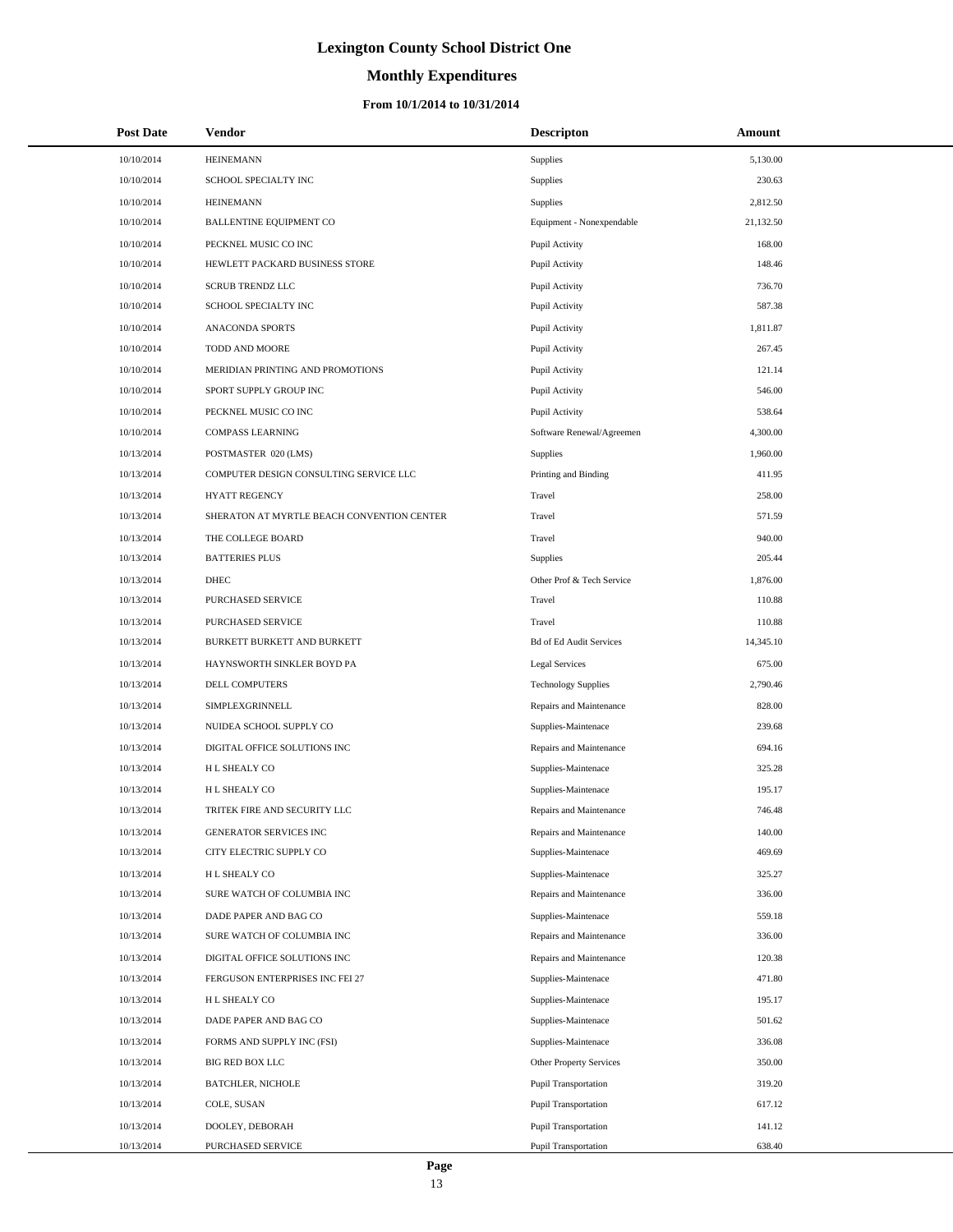# **Monthly Expenditures**

| <b>Post Date</b> | Vendor                                     | <b>Descripton</b>              | Amount    |
|------------------|--------------------------------------------|--------------------------------|-----------|
| 10/10/2014       | <b>HEINEMANN</b>                           | <b>Supplies</b>                | 5,130.00  |
| 10/10/2014       | SCHOOL SPECIALTY INC                       | Supplies                       | 230.63    |
| 10/10/2014       | <b>HEINEMANN</b>                           | <b>Supplies</b>                | 2,812.50  |
| 10/10/2014       | <b>BALLENTINE EQUIPMENT CO</b>             | Equipment - Nonexpendable      | 21,132.50 |
| 10/10/2014       | PECKNEL MUSIC CO INC                       | Pupil Activity                 | 168.00    |
| 10/10/2014       | HEWLETT PACKARD BUSINESS STORE             | Pupil Activity                 | 148.46    |
| 10/10/2014       | <b>SCRUB TRENDZ LLC</b>                    | Pupil Activity                 | 736.70    |
| 10/10/2014       | SCHOOL SPECIALTY INC                       | Pupil Activity                 | 587.38    |
| 10/10/2014       | <b>ANACONDA SPORTS</b>                     | Pupil Activity                 | 1,811.87  |
| 10/10/2014       | TODD AND MOORE                             | Pupil Activity                 | 267.45    |
| 10/10/2014       | MERIDIAN PRINTING AND PROMOTIONS           | Pupil Activity                 | 121.14    |
| 10/10/2014       | SPORT SUPPLY GROUP INC                     | Pupil Activity                 | 546.00    |
| 10/10/2014       | PECKNEL MUSIC CO INC                       | Pupil Activity                 | 538.64    |
| 10/10/2014       | COMPASS LEARNING                           | Software Renewal/Agreemen      | 4,300.00  |
| 10/13/2014       | POSTMASTER 020 (LMS)                       | Supplies                       | 1,960.00  |
| 10/13/2014       | COMPUTER DESIGN CONSULTING SERVICE LLC     | Printing and Binding           | 411.95    |
| 10/13/2014       | <b>HYATT REGENCY</b>                       | Travel                         | 258.00    |
| 10/13/2014       | SHERATON AT MYRTLE BEACH CONVENTION CENTER | Travel                         | 571.59    |
| 10/13/2014       | THE COLLEGE BOARD                          | Travel                         | 940.00    |
| 10/13/2014       | <b>BATTERIES PLUS</b>                      | <b>Supplies</b>                | 205.44    |
| 10/13/2014       | <b>DHEC</b>                                | Other Prof & Tech Service      | 1,876.00  |
| 10/13/2014       | PURCHASED SERVICE                          | Travel                         | 110.88    |
| 10/13/2014       | PURCHASED SERVICE                          | Travel                         | 110.88    |
| 10/13/2014       | BURKETT BURKETT AND BURKETT                | <b>Bd of Ed Audit Services</b> | 14,345.10 |
| 10/13/2014       | HAYNSWORTH SINKLER BOYD PA                 | <b>Legal Services</b>          | 675.00    |
| 10/13/2014       | DELL COMPUTERS                             | <b>Technology Supplies</b>     | 2,790.46  |
| 10/13/2014       | SIMPLEXGRINNELL                            | Repairs and Maintenance        | 828.00    |
| 10/13/2014       | NUIDEA SCHOOL SUPPLY CO                    | Supplies-Maintenace            | 239.68    |
| 10/13/2014       | DIGITAL OFFICE SOLUTIONS INC               | Repairs and Maintenance        | 694.16    |
| 10/13/2014       | H L SHEALY CO                              | Supplies-Maintenace            | 325.28    |
| 10/13/2014       | H L SHEALY CO                              | Supplies-Maintenace            | 195.17    |
| 10/13/2014       | TRITEK FIRE AND SECURITY LLC               | Repairs and Maintenance        | 746.48    |
| 10/13/2014       | GENERATOR SERVICES INC                     | Repairs and Maintenance        | 140.00    |
| 10/13/2014       | CITY ELECTRIC SUPPLY CO                    | Supplies-Maintenace            | 469.69    |
| 10/13/2014       | H L SHEALY CO                              | Supplies-Maintenace            | 325.27    |
| 10/13/2014       | SURE WATCH OF COLUMBIA INC                 | Repairs and Maintenance        | 336.00    |
| 10/13/2014       | DADE PAPER AND BAG CO                      | Supplies-Maintenace            | 559.18    |
| 10/13/2014       | SURE WATCH OF COLUMBIA INC                 | Repairs and Maintenance        | 336.00    |
| 10/13/2014       | DIGITAL OFFICE SOLUTIONS INC               | Repairs and Maintenance        | 120.38    |
| 10/13/2014       | FERGUSON ENTERPRISES INC FEI 27            | Supplies-Maintenace            | 471.80    |
| 10/13/2014       | H L SHEALY CO                              | Supplies-Maintenace            | 195.17    |
| 10/13/2014       | DADE PAPER AND BAG CO                      | Supplies-Maintenace            | 501.62    |
| 10/13/2014       | FORMS AND SUPPLY INC (FSI)                 | Supplies-Maintenace            | 336.08    |
| 10/13/2014       | BIG RED BOX LLC                            | Other Property Services        | 350.00    |
| 10/13/2014       | <b>BATCHLER, NICHOLE</b>                   | <b>Pupil Transportation</b>    | 319.20    |
| 10/13/2014       | COLE, SUSAN                                | <b>Pupil Transportation</b>    | 617.12    |
| 10/13/2014       | DOOLEY, DEBORAH                            | <b>Pupil Transportation</b>    | 141.12    |
| 10/13/2014       | PURCHASED SERVICE                          | <b>Pupil Transportation</b>    | 638.40    |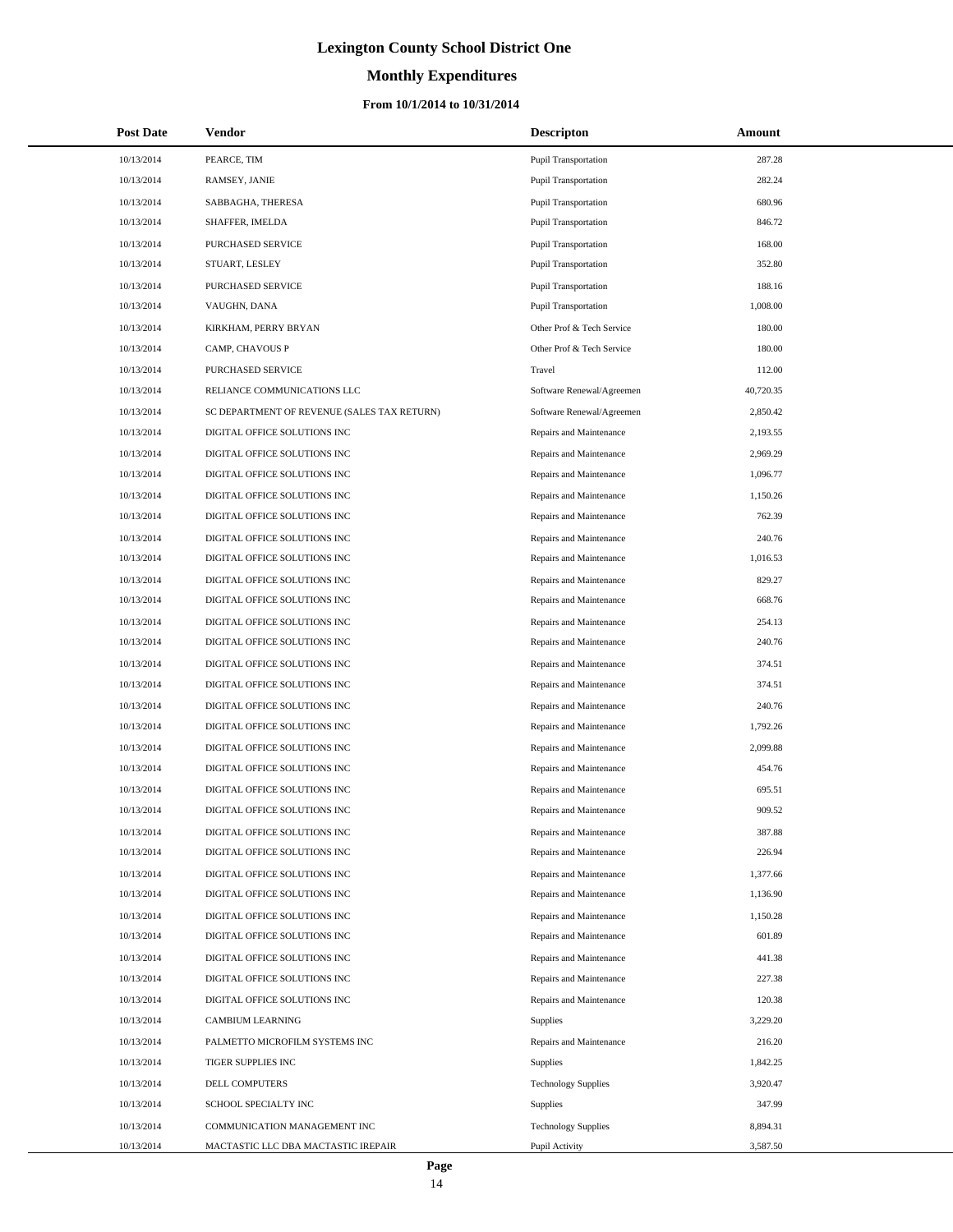# **Monthly Expenditures**

#### **From 10/1/2014 to 10/31/2014**

| <b>Post Date</b> | <b>Vendor</b>                               | <b>Descripton</b>           | Amount    |
|------------------|---------------------------------------------|-----------------------------|-----------|
| 10/13/2014       | PEARCE, TIM                                 | <b>Pupil Transportation</b> | 287.28    |
| 10/13/2014       | RAMSEY, JANIE                               | Pupil Transportation        | 282.24    |
| 10/13/2014       | SABBAGHA, THERESA                           | Pupil Transportation        | 680.96    |
| 10/13/2014       | SHAFFER, IMELDA                             | Pupil Transportation        | 846.72    |
| 10/13/2014       | PURCHASED SERVICE                           | <b>Pupil Transportation</b> | 168.00    |
| 10/13/2014       | STUART, LESLEY                              | <b>Pupil Transportation</b> | 352.80    |
| 10/13/2014       | PURCHASED SERVICE                           | <b>Pupil Transportation</b> | 188.16    |
| 10/13/2014       | VAUGHN, DANA                                | Pupil Transportation        | 1,008.00  |
| 10/13/2014       | KIRKHAM, PERRY BRYAN                        | Other Prof & Tech Service   | 180.00    |
| 10/13/2014       | CAMP, CHAVOUS P                             | Other Prof & Tech Service   | 180.00    |
| 10/13/2014       | PURCHASED SERVICE                           | Travel                      | 112.00    |
| 10/13/2014       | RELIANCE COMMUNICATIONS LLC                 | Software Renewal/Agreemen   | 40,720.35 |
| 10/13/2014       | SC DEPARTMENT OF REVENUE (SALES TAX RETURN) | Software Renewal/Agreemen   | 2,850.42  |
| 10/13/2014       | DIGITAL OFFICE SOLUTIONS INC                | Repairs and Maintenance     | 2,193.55  |
| 10/13/2014       | DIGITAL OFFICE SOLUTIONS INC                | Repairs and Maintenance     | 2,969.29  |
| 10/13/2014       | DIGITAL OFFICE SOLUTIONS INC                | Repairs and Maintenance     | 1,096.77  |
| 10/13/2014       | DIGITAL OFFICE SOLUTIONS INC                | Repairs and Maintenance     | 1,150.26  |
| 10/13/2014       | DIGITAL OFFICE SOLUTIONS INC                | Repairs and Maintenance     | 762.39    |
| 10/13/2014       | DIGITAL OFFICE SOLUTIONS INC                | Repairs and Maintenance     | 240.76    |
| 10/13/2014       | DIGITAL OFFICE SOLUTIONS INC                | Repairs and Maintenance     | 1,016.53  |
| 10/13/2014       | DIGITAL OFFICE SOLUTIONS INC                | Repairs and Maintenance     | 829.27    |
| 10/13/2014       | DIGITAL OFFICE SOLUTIONS INC                | Repairs and Maintenance     | 668.76    |
| 10/13/2014       | DIGITAL OFFICE SOLUTIONS INC                | Repairs and Maintenance     | 254.13    |
| 10/13/2014       | DIGITAL OFFICE SOLUTIONS INC                | Repairs and Maintenance     | 240.76    |
| 10/13/2014       | DIGITAL OFFICE SOLUTIONS INC                | Repairs and Maintenance     | 374.51    |
| 10/13/2014       | DIGITAL OFFICE SOLUTIONS INC                | Repairs and Maintenance     | 374.51    |
| 10/13/2014       | DIGITAL OFFICE SOLUTIONS INC                | Repairs and Maintenance     | 240.76    |
| 10/13/2014       | DIGITAL OFFICE SOLUTIONS INC                | Repairs and Maintenance     | 1,792.26  |
| 10/13/2014       | DIGITAL OFFICE SOLUTIONS INC                | Repairs and Maintenance     | 2,099.88  |
| 10/13/2014       | DIGITAL OFFICE SOLUTIONS INC                | Repairs and Maintenance     | 454.76    |
| 10/13/2014       | DIGITAL OFFICE SOLUTIONS INC                | Repairs and Maintenance     | 695.51    |
| 10/13/2014       | DIGITAL OFFICE SOLUTIONS INC                | Repairs and Maintenance     | 909.52    |
| 10/13/2014       | DIGITAL OFFICE SOLUTIONS INC                | Repairs and Maintenance     | 387.88    |
| 10/13/2014       | DIGITAL OFFICE SOLUTIONS INC                | Repairs and Maintenance     | 226.94    |
| 10/13/2014       | DIGITAL OFFICE SOLUTIONS INC                | Repairs and Maintenance     | 1,377.66  |
| 10/13/2014       | DIGITAL OFFICE SOLUTIONS INC                | Repairs and Maintenance     | 1,136.90  |
| 10/13/2014       | DIGITAL OFFICE SOLUTIONS INC                | Repairs and Maintenance     | 1,150.28  |
| 10/13/2014       | DIGITAL OFFICE SOLUTIONS INC                | Repairs and Maintenance     | 601.89    |
| 10/13/2014       | DIGITAL OFFICE SOLUTIONS INC                | Repairs and Maintenance     | 441.38    |
| 10/13/2014       | DIGITAL OFFICE SOLUTIONS INC                | Repairs and Maintenance     | 227.38    |
| 10/13/2014       | DIGITAL OFFICE SOLUTIONS INC                | Repairs and Maintenance     | 120.38    |
| 10/13/2014       | <b>CAMBIUM LEARNING</b>                     | Supplies                    | 3,229.20  |
| 10/13/2014       | PALMETTO MICROFILM SYSTEMS INC              | Repairs and Maintenance     | 216.20    |
| 10/13/2014       | TIGER SUPPLIES INC                          | Supplies                    | 1,842.25  |
| 10/13/2014       | DELL COMPUTERS                              | <b>Technology Supplies</b>  | 3,920.47  |
| 10/13/2014       | SCHOOL SPECIALTY INC                        | Supplies                    | 347.99    |
| 10/13/2014       | COMMUNICATION MANAGEMENT INC                | <b>Technology Supplies</b>  | 8,894.31  |
| 10/13/2014       | MACTASTIC LLC DBA MACTASTIC IREPAIR         | Pupil Activity              | 3,587.50  |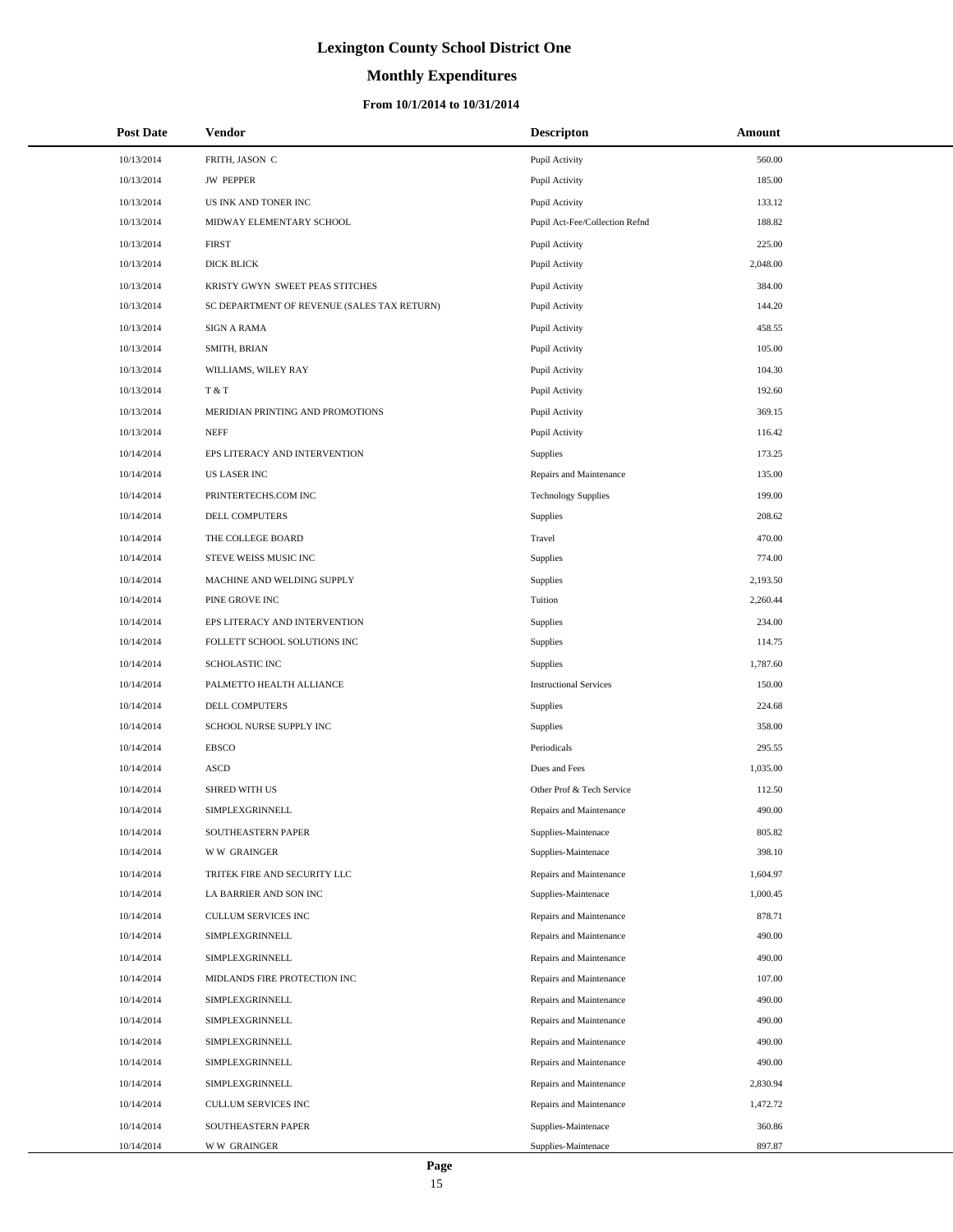# **Monthly Expenditures**

#### **From 10/1/2014 to 10/31/2014**

| <b>Post Date</b> | Vendor                                      | <b>Descripton</b>              | Amount   |
|------------------|---------------------------------------------|--------------------------------|----------|
| 10/13/2014       | FRITH, JASON C                              | Pupil Activity                 | 560.00   |
| 10/13/2014       | <b>JW PEPPER</b>                            | Pupil Activity                 | 185.00   |
| 10/13/2014       | US INK AND TONER INC                        | Pupil Activity                 | 133.12   |
| 10/13/2014       | MIDWAY ELEMENTARY SCHOOL                    | Pupil Act-Fee/Collection Refnd | 188.82   |
| 10/13/2014       | <b>FIRST</b>                                | Pupil Activity                 | 225.00   |
| 10/13/2014       | <b>DICK BLICK</b>                           | Pupil Activity                 | 2,048.00 |
| 10/13/2014       | KRISTY GWYN SWEET PEAS STITCHES             | Pupil Activity                 | 384.00   |
| 10/13/2014       | SC DEPARTMENT OF REVENUE (SALES TAX RETURN) | Pupil Activity                 | 144.20   |
| 10/13/2014       | <b>SIGN A RAMA</b>                          | Pupil Activity                 | 458.55   |
| 10/13/2014       | SMITH, BRIAN                                | Pupil Activity                 | 105.00   |
| 10/13/2014       | WILLIAMS, WILEY RAY                         | Pupil Activity                 | 104.30   |
| 10/13/2014       | T & T                                       | Pupil Activity                 | 192.60   |
| 10/13/2014       | MERIDIAN PRINTING AND PROMOTIONS            | Pupil Activity                 | 369.15   |
| 10/13/2014       | <b>NEFF</b>                                 | Pupil Activity                 | 116.42   |
| 10/14/2014       | EPS LITERACY AND INTERVENTION               | <b>Supplies</b>                | 173.25   |
| 10/14/2014       | <b>US LASER INC</b>                         | Repairs and Maintenance        | 135.00   |
| 10/14/2014       | PRINTERTECHS.COM INC                        | <b>Technology Supplies</b>     | 199.00   |
| 10/14/2014       | DELL COMPUTERS                              | Supplies                       | 208.62   |
| 10/14/2014       | THE COLLEGE BOARD                           | Travel                         | 470.00   |
| 10/14/2014       | STEVE WEISS MUSIC INC                       | Supplies                       | 774.00   |
| 10/14/2014       | MACHINE AND WELDING SUPPLY                  | Supplies                       | 2,193.50 |
| 10/14/2014       | PINE GROVE INC                              | Tuition                        | 2,260.44 |
| 10/14/2014       | EPS LITERACY AND INTERVENTION               | Supplies                       | 234.00   |
| 10/14/2014       | FOLLETT SCHOOL SOLUTIONS INC                | Supplies                       | 114.75   |
| 10/14/2014       | <b>SCHOLASTIC INC</b>                       | Supplies                       | 1,787.60 |
| 10/14/2014       | PALMETTO HEALTH ALLIANCE                    | <b>Instructional Services</b>  | 150.00   |
| 10/14/2014       | DELL COMPUTERS                              | Supplies                       | 224.68   |
| 10/14/2014       | SCHOOL NURSE SUPPLY INC                     | Supplies                       | 358.00   |
| 10/14/2014       | <b>EBSCO</b>                                | Periodicals                    | 295.55   |
| 10/14/2014       | <b>ASCD</b>                                 | Dues and Fees                  | 1,035.00 |
| 10/14/2014       | <b>SHRED WITH US</b>                        | Other Prof & Tech Service      | 112.50   |
| 10/14/2014       | SIMPLEXGRINNELL                             | Repairs and Maintenance        | 490.00   |
| 10/14/2014       | SOUTHEASTERN PAPER                          | Supplies-Maintenace            | 805.82   |
| 10/14/2014       | <b>WW GRAINGER</b>                          | Supplies-Maintenace            | 398.10   |
| 10/14/2014       | TRITEK FIRE AND SECURITY LLC                | Repairs and Maintenance        | 1,604.97 |
| 10/14/2014       | LA BARRIER AND SON INC                      | Supplies-Maintenace            | 1,000.45 |
| 10/14/2014       | CULLUM SERVICES INC                         | Repairs and Maintenance        | 878.71   |
| 10/14/2014       | SIMPLEXGRINNELL                             | Repairs and Maintenance        | 490.00   |
| 10/14/2014       | SIMPLEXGRINNELL                             | Repairs and Maintenance        | 490.00   |
| 10/14/2014       | MIDLANDS FIRE PROTECTION INC                | Repairs and Maintenance        | 107.00   |
| 10/14/2014       | SIMPLEXGRINNELL                             | Repairs and Maintenance        | 490.00   |
| 10/14/2014       | SIMPLEXGRINNELL                             | Repairs and Maintenance        | 490.00   |
| 10/14/2014       | SIMPLEXGRINNELL                             | Repairs and Maintenance        | 490.00   |
| 10/14/2014       | SIMPLEXGRINNELL                             | Repairs and Maintenance        | 490.00   |
| 10/14/2014       | SIMPLEXGRINNELL                             | Repairs and Maintenance        | 2,830.94 |
| 10/14/2014       | CULLUM SERVICES INC                         | Repairs and Maintenance        | 1,472.72 |
| 10/14/2014       | SOUTHEASTERN PAPER                          | Supplies-Maintenace            | 360.86   |
| 10/14/2014       | <b>WW GRAINGER</b>                          | Supplies-Maintenace            | 897.87   |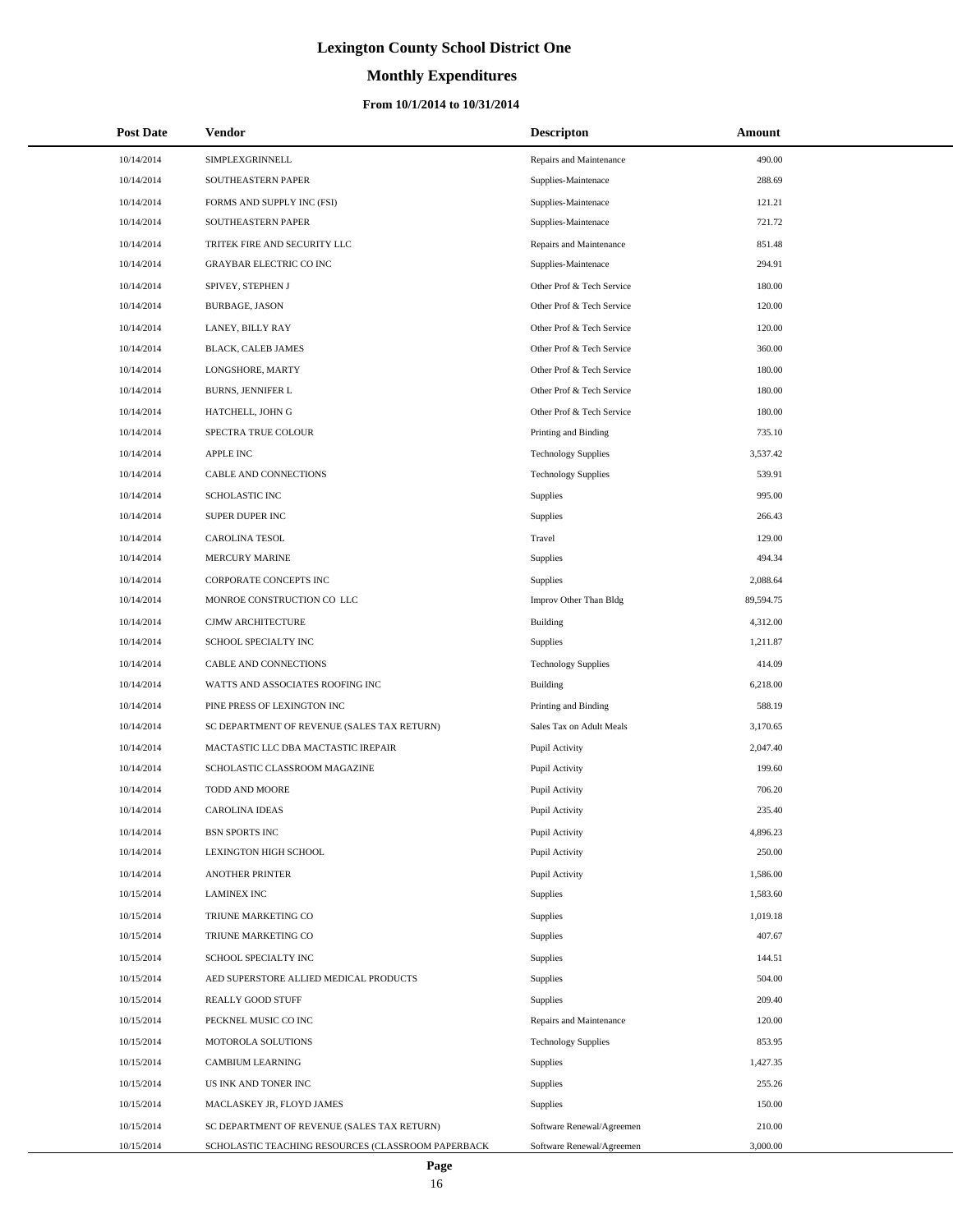# **Monthly Expenditures**

#### **From 10/1/2014 to 10/31/2014**

| <b>Post Date</b> | Vendor                                             | <b>Descripton</b>          | Amount    |
|------------------|----------------------------------------------------|----------------------------|-----------|
| 10/14/2014       | SIMPLEXGRINNELL                                    | Repairs and Maintenance    | 490.00    |
| 10/14/2014       | SOUTHEASTERN PAPER                                 | Supplies-Maintenace        | 288.69    |
| 10/14/2014       | FORMS AND SUPPLY INC (FSI)                         | Supplies-Maintenace        | 121.21    |
| 10/14/2014       | SOUTHEASTERN PAPER                                 | Supplies-Maintenace        | 721.72    |
| 10/14/2014       | TRITEK FIRE AND SECURITY LLC                       | Repairs and Maintenance    | 851.48    |
| 10/14/2014       | <b>GRAYBAR ELECTRIC CO INC</b>                     | Supplies-Maintenace        | 294.91    |
| 10/14/2014       | SPIVEY, STEPHEN J                                  | Other Prof & Tech Service  | 180.00    |
| 10/14/2014       | <b>BURBAGE, JASON</b>                              | Other Prof & Tech Service  | 120.00    |
| 10/14/2014       | LANEY, BILLY RAY                                   | Other Prof & Tech Service  | 120.00    |
| 10/14/2014       | <b>BLACK, CALEB JAMES</b>                          | Other Prof & Tech Service  | 360.00    |
| 10/14/2014       | LONGSHORE, MARTY                                   | Other Prof & Tech Service  | 180.00    |
| 10/14/2014       | <b>BURNS, JENNIFER L</b>                           | Other Prof & Tech Service  | 180.00    |
| 10/14/2014       | HATCHELL, JOHN G                                   | Other Prof & Tech Service  | 180.00    |
| 10/14/2014       | SPECTRA TRUE COLOUR                                | Printing and Binding       | 735.10    |
| 10/14/2014       | <b>APPLE INC</b>                                   | <b>Technology Supplies</b> | 3,537.42  |
| 10/14/2014       | CABLE AND CONNECTIONS                              | <b>Technology Supplies</b> | 539.91    |
| 10/14/2014       | <b>SCHOLASTIC INC</b>                              | Supplies                   | 995.00    |
| 10/14/2014       | SUPER DUPER INC                                    | Supplies                   | 266.43    |
| 10/14/2014       | CAROLINA TESOL                                     | Travel                     | 129.00    |
| 10/14/2014       | <b>MERCURY MARINE</b>                              | Supplies                   | 494.34    |
| 10/14/2014       | CORPORATE CONCEPTS INC                             | Supplies                   | 2,088.64  |
| 10/14/2014       | MONROE CONSTRUCTION CO LLC                         | Improv Other Than Bldg     | 89,594.75 |
| 10/14/2014       | CJMW ARCHITECTURE                                  | <b>Building</b>            | 4,312.00  |
| 10/14/2014       | SCHOOL SPECIALTY INC                               | <b>Supplies</b>            | 1,211.87  |
| 10/14/2014       | CABLE AND CONNECTIONS                              | <b>Technology Supplies</b> | 414.09    |
| 10/14/2014       | WATTS AND ASSOCIATES ROOFING INC                   | <b>Building</b>            | 6,218.00  |
| 10/14/2014       | PINE PRESS OF LEXINGTON INC                        | Printing and Binding       | 588.19    |
| 10/14/2014       | SC DEPARTMENT OF REVENUE (SALES TAX RETURN)        | Sales Tax on Adult Meals   | 3,170.65  |
| 10/14/2014       | MACTASTIC LLC DBA MACTASTIC IREPAIR                | Pupil Activity             | 2,047.40  |
| 10/14/2014       | SCHOLASTIC CLASSROOM MAGAZINE                      | Pupil Activity             | 199.60    |
| 10/14/2014       | TODD AND MOORE                                     | Pupil Activity             | 706.20    |
| 10/14/2014       | <b>CAROLINA IDEAS</b>                              | Pupil Activity             | 235.40    |
| 10/14/2014       | <b>BSN SPORTS INC</b>                              | Pupil Activity             | 4,896.23  |
| 10/14/2014       | LEXINGTON HIGH SCHOOL                              | Pupil Activity             | 250.00    |
| 10/14/2014       | <b>ANOTHER PRINTER</b>                             | Pupil Activity             | 1,586.00  |
| 10/15/2014       | <b>LAMINEX INC</b>                                 | <b>Supplies</b>            | 1,583.60  |
| 10/15/2014       | TRIUNE MARKETING CO                                | Supplies                   | 1,019.18  |
| 10/15/2014       | TRIUNE MARKETING CO                                | <b>Supplies</b>            | 407.67    |
| 10/15/2014       | SCHOOL SPECIALTY INC                               | Supplies                   | 144.51    |
| 10/15/2014       | AED SUPERSTORE ALLIED MEDICAL PRODUCTS             | Supplies                   | 504.00    |
| 10/15/2014       | REALLY GOOD STUFF                                  | Supplies                   | 209.40    |
| 10/15/2014       | PECKNEL MUSIC CO INC                               | Repairs and Maintenance    | 120.00    |
| 10/15/2014       | MOTOROLA SOLUTIONS                                 | <b>Technology Supplies</b> | 853.95    |
| 10/15/2014       | CAMBIUM LEARNING                                   | <b>Supplies</b>            | 1,427.35  |
| 10/15/2014       | US INK AND TONER INC                               | Supplies                   | 255.26    |
| 10/15/2014       | MACLASKEY JR, FLOYD JAMES                          | <b>Supplies</b>            | 150.00    |
| 10/15/2014       | SC DEPARTMENT OF REVENUE (SALES TAX RETURN)        | Software Renewal/Agreemen  | 210.00    |
| 10/15/2014       | SCHOLASTIC TEACHING RESOURCES (CLASSROOM PAPERBACK | Software Renewal/Agreemen  | 3,000.00  |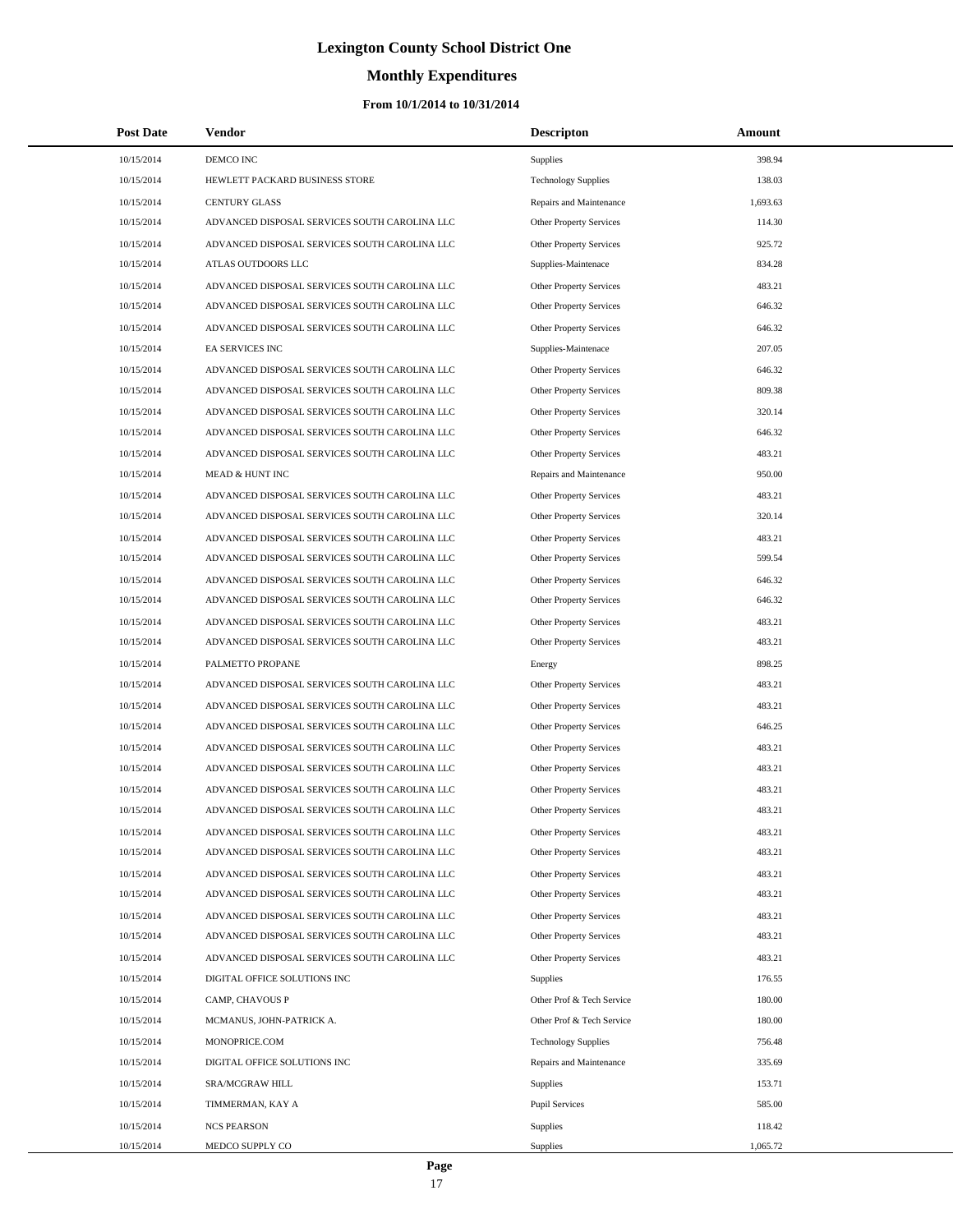# **Monthly Expenditures**

#### **From 10/1/2014 to 10/31/2014**

| <b>Post Date</b> | Vendor                                        | <b>Descripton</b>              | Amount   |
|------------------|-----------------------------------------------|--------------------------------|----------|
| 10/15/2014       | DEMCO INC                                     | <b>Supplies</b>                | 398.94   |
| 10/15/2014       | HEWLETT PACKARD BUSINESS STORE                | <b>Technology Supplies</b>     | 138.03   |
| 10/15/2014       | <b>CENTURY GLASS</b>                          | Repairs and Maintenance        | 1,693.63 |
| 10/15/2014       | ADVANCED DISPOSAL SERVICES SOUTH CAROLINA LLC | Other Property Services        | 114.30   |
| 10/15/2014       | ADVANCED DISPOSAL SERVICES SOUTH CAROLINA LLC | Other Property Services        | 925.72   |
| 10/15/2014       | ATLAS OUTDOORS LLC                            | Supplies-Maintenace            | 834.28   |
| 10/15/2014       | ADVANCED DISPOSAL SERVICES SOUTH CAROLINA LLC | Other Property Services        | 483.21   |
| 10/15/2014       | ADVANCED DISPOSAL SERVICES SOUTH CAROLINA LLC | <b>Other Property Services</b> | 646.32   |
| 10/15/2014       | ADVANCED DISPOSAL SERVICES SOUTH CAROLINA LLC | Other Property Services        | 646.32   |
| 10/15/2014       | <b>EA SERVICES INC</b>                        | Supplies-Maintenace            | 207.05   |
| 10/15/2014       | ADVANCED DISPOSAL SERVICES SOUTH CAROLINA LLC | Other Property Services        | 646.32   |
| 10/15/2014       | ADVANCED DISPOSAL SERVICES SOUTH CAROLINA LLC | Other Property Services        | 809.38   |
| 10/15/2014       | ADVANCED DISPOSAL SERVICES SOUTH CAROLINA LLC | Other Property Services        | 320.14   |
| 10/15/2014       | ADVANCED DISPOSAL SERVICES SOUTH CAROLINA LLC | Other Property Services        | 646.32   |
| 10/15/2014       | ADVANCED DISPOSAL SERVICES SOUTH CAROLINA LLC | Other Property Services        | 483.21   |
| 10/15/2014       | MEAD & HUNT INC                               | Repairs and Maintenance        | 950.00   |
| 10/15/2014       | ADVANCED DISPOSAL SERVICES SOUTH CAROLINA LLC | Other Property Services        | 483.21   |
| 10/15/2014       | ADVANCED DISPOSAL SERVICES SOUTH CAROLINA LLC | Other Property Services        | 320.14   |
| 10/15/2014       | ADVANCED DISPOSAL SERVICES SOUTH CAROLINA LLC | Other Property Services        | 483.21   |
| 10/15/2014       | ADVANCED DISPOSAL SERVICES SOUTH CAROLINA LLC | <b>Other Property Services</b> | 599.54   |
| 10/15/2014       | ADVANCED DISPOSAL SERVICES SOUTH CAROLINA LLC | Other Property Services        | 646.32   |
| 10/15/2014       | ADVANCED DISPOSAL SERVICES SOUTH CAROLINA LLC | Other Property Services        | 646.32   |
| 10/15/2014       | ADVANCED DISPOSAL SERVICES SOUTH CAROLINA LLC | Other Property Services        | 483.21   |
| 10/15/2014       | ADVANCED DISPOSAL SERVICES SOUTH CAROLINA LLC | Other Property Services        | 483.21   |
| 10/15/2014       | PALMETTO PROPANE                              | Energy                         | 898.25   |
| 10/15/2014       | ADVANCED DISPOSAL SERVICES SOUTH CAROLINA LLC | Other Property Services        | 483.21   |
| 10/15/2014       | ADVANCED DISPOSAL SERVICES SOUTH CAROLINA LLC | Other Property Services        | 483.21   |
| 10/15/2014       | ADVANCED DISPOSAL SERVICES SOUTH CAROLINA LLC | <b>Other Property Services</b> | 646.25   |
| 10/15/2014       | ADVANCED DISPOSAL SERVICES SOUTH CAROLINA LLC | Other Property Services        | 483.21   |
| 10/15/2014       | ADVANCED DISPOSAL SERVICES SOUTH CAROLINA LLC | <b>Other Property Services</b> | 483.21   |
| 10/15/2014       | ADVANCED DISPOSAL SERVICES SOUTH CAROLINA LLC | Other Property Services        | 483.21   |
| 10/15/2014       | ADVANCED DISPOSAL SERVICES SOUTH CAROLINA LLC | Other Property Services        | 483.21   |
| 10/15/2014       | ADVANCED DISPOSAL SERVICES SOUTH CAROLINA LLC | Other Property Services        | 483.21   |
| 10/15/2014       | ADVANCED DISPOSAL SERVICES SOUTH CAROLINA LLC | Other Property Services        | 483.21   |
| 10/15/2014       | ADVANCED DISPOSAL SERVICES SOUTH CAROLINA LLC | Other Property Services        | 483.21   |
| 10/15/2014       | ADVANCED DISPOSAL SERVICES SOUTH CAROLINA LLC | Other Property Services        | 483.21   |
| 10/15/2014       | ADVANCED DISPOSAL SERVICES SOUTH CAROLINA LLC | <b>Other Property Services</b> | 483.21   |
| 10/15/2014       | ADVANCED DISPOSAL SERVICES SOUTH CAROLINA LLC | <b>Other Property Services</b> | 483.21   |
| 10/15/2014       | ADVANCED DISPOSAL SERVICES SOUTH CAROLINA LLC | Other Property Services        | 483.21   |
| 10/15/2014       | DIGITAL OFFICE SOLUTIONS INC                  | Supplies                       | 176.55   |
| 10/15/2014       | CAMP, CHAVOUS P                               | Other Prof & Tech Service      | 180.00   |
| 10/15/2014       | MCMANUS, JOHN-PATRICK A.                      | Other Prof & Tech Service      | 180.00   |
| 10/15/2014       | MONOPRICE.COM                                 | <b>Technology Supplies</b>     | 756.48   |
| 10/15/2014       | DIGITAL OFFICE SOLUTIONS INC                  | Repairs and Maintenance        | 335.69   |
| 10/15/2014       | SRA/MCGRAW HILL                               | <b>Supplies</b>                | 153.71   |
| 10/15/2014       | TIMMERMAN, KAY A                              | <b>Pupil Services</b>          | 585.00   |
| 10/15/2014       | <b>NCS PEARSON</b>                            | <b>Supplies</b>                | 118.42   |
| 10/15/2014       | MEDCO SUPPLY CO                               | <b>Supplies</b>                | 1,065.72 |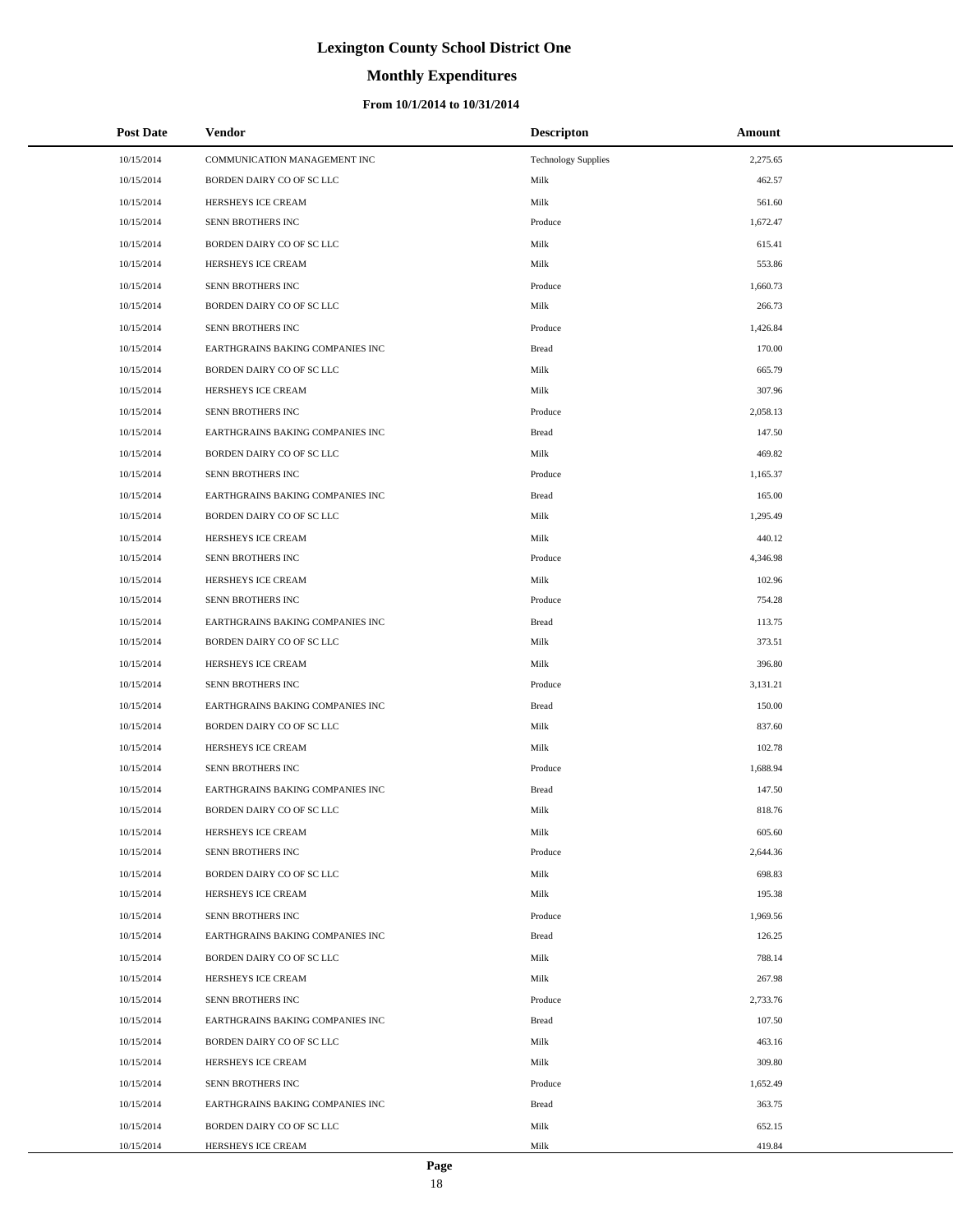# **Monthly Expenditures**

#### **From 10/1/2014 to 10/31/2014**

| 10/15/2014<br>2,275.65<br>COMMUNICATION MANAGEMENT INC<br><b>Technology Supplies</b><br>10/15/2014<br>BORDEN DAIRY CO OF SC LLC<br>Milk<br>462.57<br>Milk<br>10/15/2014<br>HERSHEYS ICE CREAM<br>561.60<br>10/15/2014<br>SENN BROTHERS INC<br>Produce<br>1,672.47<br>Milk<br>10/15/2014<br>BORDEN DAIRY CO OF SC LLC<br>615.41<br>10/15/2014<br>HERSHEYS ICE CREAM<br>Milk<br>553.86<br>10/15/2014<br>SENN BROTHERS INC<br>Produce<br>1,660.73<br>10/15/2014<br>BORDEN DAIRY CO OF SC LLC<br>Milk<br>266.73<br>10/15/2014<br>SENN BROTHERS INC<br>Produce<br>1,426.84<br>10/15/2014<br>EARTHGRAINS BAKING COMPANIES INC<br><b>Bread</b><br>170.00<br>Milk<br>10/15/2014<br>BORDEN DAIRY CO OF SC LLC<br>665.79<br>10/15/2014<br>HERSHEYS ICE CREAM<br>Milk<br>307.96<br>10/15/2014<br>SENN BROTHERS INC<br>Produce<br>2,058.13<br>10/15/2014<br>EARTHGRAINS BAKING COMPANIES INC<br><b>Bread</b><br>147.50<br>10/15/2014<br>Milk<br>469.82<br>BORDEN DAIRY CO OF SC LLC<br>10/15/2014<br>SENN BROTHERS INC<br>Produce<br>1,165.37<br>10/15/2014<br>EARTHGRAINS BAKING COMPANIES INC<br><b>Bread</b><br>165.00<br>10/15/2014<br>BORDEN DAIRY CO OF SC LLC<br>Milk<br>1,295.49<br>10/15/2014<br>HERSHEYS ICE CREAM<br>Milk<br>440.12<br>10/15/2014<br>SENN BROTHERS INC<br>Produce<br>4,346.98<br>Milk<br>102.96<br>10/15/2014<br>HERSHEYS ICE CREAM<br>10/15/2014<br>SENN BROTHERS INC<br>Produce<br>754.28<br>10/15/2014<br>EARTHGRAINS BAKING COMPANIES INC<br><b>Bread</b><br>113.75<br>10/15/2014<br>BORDEN DAIRY CO OF SC LLC<br>Milk<br>373.51<br>Milk<br>396.80<br>10/15/2014<br>HERSHEYS ICE CREAM<br>10/15/2014<br>SENN BROTHERS INC<br>Produce<br>3,131.21<br>150.00<br>10/15/2014<br>EARTHGRAINS BAKING COMPANIES INC<br><b>Bread</b><br>837.60<br>10/15/2014<br>BORDEN DAIRY CO OF SC LLC<br>Milk<br>10/15/2014<br>HERSHEYS ICE CREAM<br>Milk<br>102.78<br>10/15/2014<br>SENN BROTHERS INC<br>Produce<br>1,688.94<br>10/15/2014<br>EARTHGRAINS BAKING COMPANIES INC<br><b>Bread</b><br>147.50<br>10/15/2014<br>BORDEN DAIRY CO OF SC LLC<br>Milk<br>818.76<br>10/15/2014<br>HERSHEYS ICE CREAM<br>Milk<br>605.60<br>10/15/2014<br>SENN BROTHERS INC<br>Produce<br>2,644.36<br>10/15/2014<br>BORDEN DAIRY CO OF SC LLC<br>Milk<br>698.83<br>10/15/2014<br>HERSHEYS ICE CREAM<br>Milk<br>195.38<br>10/15/2014<br>SENN BROTHERS INC<br>Produce<br>1,969.56<br>10/15/2014<br>EARTHGRAINS BAKING COMPANIES INC<br><b>Bread</b><br>126.25<br>10/15/2014<br>BORDEN DAIRY CO OF SC LLC<br>Milk<br>788.14<br>10/15/2014<br>HERSHEYS ICE CREAM<br>Milk<br>267.98<br>10/15/2014<br>SENN BROTHERS INC<br>Produce<br>2,733.76<br>10/15/2014<br>EARTHGRAINS BAKING COMPANIES INC<br><b>Bread</b><br>107.50<br>10/15/2014<br>BORDEN DAIRY CO OF SC LLC<br>Milk<br>463.16<br>309.80<br>10/15/2014<br>HERSHEYS ICE CREAM<br>Milk<br>10/15/2014<br>SENN BROTHERS INC<br>Produce<br>1,652.49<br>10/15/2014<br>EARTHGRAINS BAKING COMPANIES INC<br><b>Bread</b><br>363.75<br>10/15/2014<br>BORDEN DAIRY CO OF SC LLC<br>Milk<br>652.15 | <b>Post Date</b> | <b>Vendor</b>      | <b>Descripton</b> | Amount |  |
|-------------------------------------------------------------------------------------------------------------------------------------------------------------------------------------------------------------------------------------------------------------------------------------------------------------------------------------------------------------------------------------------------------------------------------------------------------------------------------------------------------------------------------------------------------------------------------------------------------------------------------------------------------------------------------------------------------------------------------------------------------------------------------------------------------------------------------------------------------------------------------------------------------------------------------------------------------------------------------------------------------------------------------------------------------------------------------------------------------------------------------------------------------------------------------------------------------------------------------------------------------------------------------------------------------------------------------------------------------------------------------------------------------------------------------------------------------------------------------------------------------------------------------------------------------------------------------------------------------------------------------------------------------------------------------------------------------------------------------------------------------------------------------------------------------------------------------------------------------------------------------------------------------------------------------------------------------------------------------------------------------------------------------------------------------------------------------------------------------------------------------------------------------------------------------------------------------------------------------------------------------------------------------------------------------------------------------------------------------------------------------------------------------------------------------------------------------------------------------------------------------------------------------------------------------------------------------------------------------------------------------------------------------------------------------------------------------------------------------------------------------------------------------------------------------------------------------------------------------------------------------------------------------------------------------------------------------------------------------------------------------------------------------|------------------|--------------------|-------------------|--------|--|
|                                                                                                                                                                                                                                                                                                                                                                                                                                                                                                                                                                                                                                                                                                                                                                                                                                                                                                                                                                                                                                                                                                                                                                                                                                                                                                                                                                                                                                                                                                                                                                                                                                                                                                                                                                                                                                                                                                                                                                                                                                                                                                                                                                                                                                                                                                                                                                                                                                                                                                                                                                                                                                                                                                                                                                                                                                                                                                                                                                                                                               |                  |                    |                   |        |  |
|                                                                                                                                                                                                                                                                                                                                                                                                                                                                                                                                                                                                                                                                                                                                                                                                                                                                                                                                                                                                                                                                                                                                                                                                                                                                                                                                                                                                                                                                                                                                                                                                                                                                                                                                                                                                                                                                                                                                                                                                                                                                                                                                                                                                                                                                                                                                                                                                                                                                                                                                                                                                                                                                                                                                                                                                                                                                                                                                                                                                                               |                  |                    |                   |        |  |
|                                                                                                                                                                                                                                                                                                                                                                                                                                                                                                                                                                                                                                                                                                                                                                                                                                                                                                                                                                                                                                                                                                                                                                                                                                                                                                                                                                                                                                                                                                                                                                                                                                                                                                                                                                                                                                                                                                                                                                                                                                                                                                                                                                                                                                                                                                                                                                                                                                                                                                                                                                                                                                                                                                                                                                                                                                                                                                                                                                                                                               |                  |                    |                   |        |  |
|                                                                                                                                                                                                                                                                                                                                                                                                                                                                                                                                                                                                                                                                                                                                                                                                                                                                                                                                                                                                                                                                                                                                                                                                                                                                                                                                                                                                                                                                                                                                                                                                                                                                                                                                                                                                                                                                                                                                                                                                                                                                                                                                                                                                                                                                                                                                                                                                                                                                                                                                                                                                                                                                                                                                                                                                                                                                                                                                                                                                                               |                  |                    |                   |        |  |
|                                                                                                                                                                                                                                                                                                                                                                                                                                                                                                                                                                                                                                                                                                                                                                                                                                                                                                                                                                                                                                                                                                                                                                                                                                                                                                                                                                                                                                                                                                                                                                                                                                                                                                                                                                                                                                                                                                                                                                                                                                                                                                                                                                                                                                                                                                                                                                                                                                                                                                                                                                                                                                                                                                                                                                                                                                                                                                                                                                                                                               |                  |                    |                   |        |  |
|                                                                                                                                                                                                                                                                                                                                                                                                                                                                                                                                                                                                                                                                                                                                                                                                                                                                                                                                                                                                                                                                                                                                                                                                                                                                                                                                                                                                                                                                                                                                                                                                                                                                                                                                                                                                                                                                                                                                                                                                                                                                                                                                                                                                                                                                                                                                                                                                                                                                                                                                                                                                                                                                                                                                                                                                                                                                                                                                                                                                                               |                  |                    |                   |        |  |
|                                                                                                                                                                                                                                                                                                                                                                                                                                                                                                                                                                                                                                                                                                                                                                                                                                                                                                                                                                                                                                                                                                                                                                                                                                                                                                                                                                                                                                                                                                                                                                                                                                                                                                                                                                                                                                                                                                                                                                                                                                                                                                                                                                                                                                                                                                                                                                                                                                                                                                                                                                                                                                                                                                                                                                                                                                                                                                                                                                                                                               |                  |                    |                   |        |  |
|                                                                                                                                                                                                                                                                                                                                                                                                                                                                                                                                                                                                                                                                                                                                                                                                                                                                                                                                                                                                                                                                                                                                                                                                                                                                                                                                                                                                                                                                                                                                                                                                                                                                                                                                                                                                                                                                                                                                                                                                                                                                                                                                                                                                                                                                                                                                                                                                                                                                                                                                                                                                                                                                                                                                                                                                                                                                                                                                                                                                                               |                  |                    |                   |        |  |
|                                                                                                                                                                                                                                                                                                                                                                                                                                                                                                                                                                                                                                                                                                                                                                                                                                                                                                                                                                                                                                                                                                                                                                                                                                                                                                                                                                                                                                                                                                                                                                                                                                                                                                                                                                                                                                                                                                                                                                                                                                                                                                                                                                                                                                                                                                                                                                                                                                                                                                                                                                                                                                                                                                                                                                                                                                                                                                                                                                                                                               |                  |                    |                   |        |  |
|                                                                                                                                                                                                                                                                                                                                                                                                                                                                                                                                                                                                                                                                                                                                                                                                                                                                                                                                                                                                                                                                                                                                                                                                                                                                                                                                                                                                                                                                                                                                                                                                                                                                                                                                                                                                                                                                                                                                                                                                                                                                                                                                                                                                                                                                                                                                                                                                                                                                                                                                                                                                                                                                                                                                                                                                                                                                                                                                                                                                                               |                  |                    |                   |        |  |
|                                                                                                                                                                                                                                                                                                                                                                                                                                                                                                                                                                                                                                                                                                                                                                                                                                                                                                                                                                                                                                                                                                                                                                                                                                                                                                                                                                                                                                                                                                                                                                                                                                                                                                                                                                                                                                                                                                                                                                                                                                                                                                                                                                                                                                                                                                                                                                                                                                                                                                                                                                                                                                                                                                                                                                                                                                                                                                                                                                                                                               |                  |                    |                   |        |  |
|                                                                                                                                                                                                                                                                                                                                                                                                                                                                                                                                                                                                                                                                                                                                                                                                                                                                                                                                                                                                                                                                                                                                                                                                                                                                                                                                                                                                                                                                                                                                                                                                                                                                                                                                                                                                                                                                                                                                                                                                                                                                                                                                                                                                                                                                                                                                                                                                                                                                                                                                                                                                                                                                                                                                                                                                                                                                                                                                                                                                                               |                  |                    |                   |        |  |
|                                                                                                                                                                                                                                                                                                                                                                                                                                                                                                                                                                                                                                                                                                                                                                                                                                                                                                                                                                                                                                                                                                                                                                                                                                                                                                                                                                                                                                                                                                                                                                                                                                                                                                                                                                                                                                                                                                                                                                                                                                                                                                                                                                                                                                                                                                                                                                                                                                                                                                                                                                                                                                                                                                                                                                                                                                                                                                                                                                                                                               |                  |                    |                   |        |  |
|                                                                                                                                                                                                                                                                                                                                                                                                                                                                                                                                                                                                                                                                                                                                                                                                                                                                                                                                                                                                                                                                                                                                                                                                                                                                                                                                                                                                                                                                                                                                                                                                                                                                                                                                                                                                                                                                                                                                                                                                                                                                                                                                                                                                                                                                                                                                                                                                                                                                                                                                                                                                                                                                                                                                                                                                                                                                                                                                                                                                                               |                  |                    |                   |        |  |
|                                                                                                                                                                                                                                                                                                                                                                                                                                                                                                                                                                                                                                                                                                                                                                                                                                                                                                                                                                                                                                                                                                                                                                                                                                                                                                                                                                                                                                                                                                                                                                                                                                                                                                                                                                                                                                                                                                                                                                                                                                                                                                                                                                                                                                                                                                                                                                                                                                                                                                                                                                                                                                                                                                                                                                                                                                                                                                                                                                                                                               |                  |                    |                   |        |  |
|                                                                                                                                                                                                                                                                                                                                                                                                                                                                                                                                                                                                                                                                                                                                                                                                                                                                                                                                                                                                                                                                                                                                                                                                                                                                                                                                                                                                                                                                                                                                                                                                                                                                                                                                                                                                                                                                                                                                                                                                                                                                                                                                                                                                                                                                                                                                                                                                                                                                                                                                                                                                                                                                                                                                                                                                                                                                                                                                                                                                                               |                  |                    |                   |        |  |
|                                                                                                                                                                                                                                                                                                                                                                                                                                                                                                                                                                                                                                                                                                                                                                                                                                                                                                                                                                                                                                                                                                                                                                                                                                                                                                                                                                                                                                                                                                                                                                                                                                                                                                                                                                                                                                                                                                                                                                                                                                                                                                                                                                                                                                                                                                                                                                                                                                                                                                                                                                                                                                                                                                                                                                                                                                                                                                                                                                                                                               |                  |                    |                   |        |  |
|                                                                                                                                                                                                                                                                                                                                                                                                                                                                                                                                                                                                                                                                                                                                                                                                                                                                                                                                                                                                                                                                                                                                                                                                                                                                                                                                                                                                                                                                                                                                                                                                                                                                                                                                                                                                                                                                                                                                                                                                                                                                                                                                                                                                                                                                                                                                                                                                                                                                                                                                                                                                                                                                                                                                                                                                                                                                                                                                                                                                                               |                  |                    |                   |        |  |
|                                                                                                                                                                                                                                                                                                                                                                                                                                                                                                                                                                                                                                                                                                                                                                                                                                                                                                                                                                                                                                                                                                                                                                                                                                                                                                                                                                                                                                                                                                                                                                                                                                                                                                                                                                                                                                                                                                                                                                                                                                                                                                                                                                                                                                                                                                                                                                                                                                                                                                                                                                                                                                                                                                                                                                                                                                                                                                                                                                                                                               |                  |                    |                   |        |  |
|                                                                                                                                                                                                                                                                                                                                                                                                                                                                                                                                                                                                                                                                                                                                                                                                                                                                                                                                                                                                                                                                                                                                                                                                                                                                                                                                                                                                                                                                                                                                                                                                                                                                                                                                                                                                                                                                                                                                                                                                                                                                                                                                                                                                                                                                                                                                                                                                                                                                                                                                                                                                                                                                                                                                                                                                                                                                                                                                                                                                                               |                  |                    |                   |        |  |
|                                                                                                                                                                                                                                                                                                                                                                                                                                                                                                                                                                                                                                                                                                                                                                                                                                                                                                                                                                                                                                                                                                                                                                                                                                                                                                                                                                                                                                                                                                                                                                                                                                                                                                                                                                                                                                                                                                                                                                                                                                                                                                                                                                                                                                                                                                                                                                                                                                                                                                                                                                                                                                                                                                                                                                                                                                                                                                                                                                                                                               |                  |                    |                   |        |  |
|                                                                                                                                                                                                                                                                                                                                                                                                                                                                                                                                                                                                                                                                                                                                                                                                                                                                                                                                                                                                                                                                                                                                                                                                                                                                                                                                                                                                                                                                                                                                                                                                                                                                                                                                                                                                                                                                                                                                                                                                                                                                                                                                                                                                                                                                                                                                                                                                                                                                                                                                                                                                                                                                                                                                                                                                                                                                                                                                                                                                                               |                  |                    |                   |        |  |
|                                                                                                                                                                                                                                                                                                                                                                                                                                                                                                                                                                                                                                                                                                                                                                                                                                                                                                                                                                                                                                                                                                                                                                                                                                                                                                                                                                                                                                                                                                                                                                                                                                                                                                                                                                                                                                                                                                                                                                                                                                                                                                                                                                                                                                                                                                                                                                                                                                                                                                                                                                                                                                                                                                                                                                                                                                                                                                                                                                                                                               |                  |                    |                   |        |  |
|                                                                                                                                                                                                                                                                                                                                                                                                                                                                                                                                                                                                                                                                                                                                                                                                                                                                                                                                                                                                                                                                                                                                                                                                                                                                                                                                                                                                                                                                                                                                                                                                                                                                                                                                                                                                                                                                                                                                                                                                                                                                                                                                                                                                                                                                                                                                                                                                                                                                                                                                                                                                                                                                                                                                                                                                                                                                                                                                                                                                                               |                  |                    |                   |        |  |
|                                                                                                                                                                                                                                                                                                                                                                                                                                                                                                                                                                                                                                                                                                                                                                                                                                                                                                                                                                                                                                                                                                                                                                                                                                                                                                                                                                                                                                                                                                                                                                                                                                                                                                                                                                                                                                                                                                                                                                                                                                                                                                                                                                                                                                                                                                                                                                                                                                                                                                                                                                                                                                                                                                                                                                                                                                                                                                                                                                                                                               |                  |                    |                   |        |  |
|                                                                                                                                                                                                                                                                                                                                                                                                                                                                                                                                                                                                                                                                                                                                                                                                                                                                                                                                                                                                                                                                                                                                                                                                                                                                                                                                                                                                                                                                                                                                                                                                                                                                                                                                                                                                                                                                                                                                                                                                                                                                                                                                                                                                                                                                                                                                                                                                                                                                                                                                                                                                                                                                                                                                                                                                                                                                                                                                                                                                                               |                  |                    |                   |        |  |
|                                                                                                                                                                                                                                                                                                                                                                                                                                                                                                                                                                                                                                                                                                                                                                                                                                                                                                                                                                                                                                                                                                                                                                                                                                                                                                                                                                                                                                                                                                                                                                                                                                                                                                                                                                                                                                                                                                                                                                                                                                                                                                                                                                                                                                                                                                                                                                                                                                                                                                                                                                                                                                                                                                                                                                                                                                                                                                                                                                                                                               |                  |                    |                   |        |  |
|                                                                                                                                                                                                                                                                                                                                                                                                                                                                                                                                                                                                                                                                                                                                                                                                                                                                                                                                                                                                                                                                                                                                                                                                                                                                                                                                                                                                                                                                                                                                                                                                                                                                                                                                                                                                                                                                                                                                                                                                                                                                                                                                                                                                                                                                                                                                                                                                                                                                                                                                                                                                                                                                                                                                                                                                                                                                                                                                                                                                                               |                  |                    |                   |        |  |
|                                                                                                                                                                                                                                                                                                                                                                                                                                                                                                                                                                                                                                                                                                                                                                                                                                                                                                                                                                                                                                                                                                                                                                                                                                                                                                                                                                                                                                                                                                                                                                                                                                                                                                                                                                                                                                                                                                                                                                                                                                                                                                                                                                                                                                                                                                                                                                                                                                                                                                                                                                                                                                                                                                                                                                                                                                                                                                                                                                                                                               |                  |                    |                   |        |  |
|                                                                                                                                                                                                                                                                                                                                                                                                                                                                                                                                                                                                                                                                                                                                                                                                                                                                                                                                                                                                                                                                                                                                                                                                                                                                                                                                                                                                                                                                                                                                                                                                                                                                                                                                                                                                                                                                                                                                                                                                                                                                                                                                                                                                                                                                                                                                                                                                                                                                                                                                                                                                                                                                                                                                                                                                                                                                                                                                                                                                                               |                  |                    |                   |        |  |
|                                                                                                                                                                                                                                                                                                                                                                                                                                                                                                                                                                                                                                                                                                                                                                                                                                                                                                                                                                                                                                                                                                                                                                                                                                                                                                                                                                                                                                                                                                                                                                                                                                                                                                                                                                                                                                                                                                                                                                                                                                                                                                                                                                                                                                                                                                                                                                                                                                                                                                                                                                                                                                                                                                                                                                                                                                                                                                                                                                                                                               |                  |                    |                   |        |  |
|                                                                                                                                                                                                                                                                                                                                                                                                                                                                                                                                                                                                                                                                                                                                                                                                                                                                                                                                                                                                                                                                                                                                                                                                                                                                                                                                                                                                                                                                                                                                                                                                                                                                                                                                                                                                                                                                                                                                                                                                                                                                                                                                                                                                                                                                                                                                                                                                                                                                                                                                                                                                                                                                                                                                                                                                                                                                                                                                                                                                                               |                  |                    |                   |        |  |
|                                                                                                                                                                                                                                                                                                                                                                                                                                                                                                                                                                                                                                                                                                                                                                                                                                                                                                                                                                                                                                                                                                                                                                                                                                                                                                                                                                                                                                                                                                                                                                                                                                                                                                                                                                                                                                                                                                                                                                                                                                                                                                                                                                                                                                                                                                                                                                                                                                                                                                                                                                                                                                                                                                                                                                                                                                                                                                                                                                                                                               |                  |                    |                   |        |  |
|                                                                                                                                                                                                                                                                                                                                                                                                                                                                                                                                                                                                                                                                                                                                                                                                                                                                                                                                                                                                                                                                                                                                                                                                                                                                                                                                                                                                                                                                                                                                                                                                                                                                                                                                                                                                                                                                                                                                                                                                                                                                                                                                                                                                                                                                                                                                                                                                                                                                                                                                                                                                                                                                                                                                                                                                                                                                                                                                                                                                                               |                  |                    |                   |        |  |
|                                                                                                                                                                                                                                                                                                                                                                                                                                                                                                                                                                                                                                                                                                                                                                                                                                                                                                                                                                                                                                                                                                                                                                                                                                                                                                                                                                                                                                                                                                                                                                                                                                                                                                                                                                                                                                                                                                                                                                                                                                                                                                                                                                                                                                                                                                                                                                                                                                                                                                                                                                                                                                                                                                                                                                                                                                                                                                                                                                                                                               |                  |                    |                   |        |  |
|                                                                                                                                                                                                                                                                                                                                                                                                                                                                                                                                                                                                                                                                                                                                                                                                                                                                                                                                                                                                                                                                                                                                                                                                                                                                                                                                                                                                                                                                                                                                                                                                                                                                                                                                                                                                                                                                                                                                                                                                                                                                                                                                                                                                                                                                                                                                                                                                                                                                                                                                                                                                                                                                                                                                                                                                                                                                                                                                                                                                                               |                  |                    |                   |        |  |
|                                                                                                                                                                                                                                                                                                                                                                                                                                                                                                                                                                                                                                                                                                                                                                                                                                                                                                                                                                                                                                                                                                                                                                                                                                                                                                                                                                                                                                                                                                                                                                                                                                                                                                                                                                                                                                                                                                                                                                                                                                                                                                                                                                                                                                                                                                                                                                                                                                                                                                                                                                                                                                                                                                                                                                                                                                                                                                                                                                                                                               |                  |                    |                   |        |  |
|                                                                                                                                                                                                                                                                                                                                                                                                                                                                                                                                                                                                                                                                                                                                                                                                                                                                                                                                                                                                                                                                                                                                                                                                                                                                                                                                                                                                                                                                                                                                                                                                                                                                                                                                                                                                                                                                                                                                                                                                                                                                                                                                                                                                                                                                                                                                                                                                                                                                                                                                                                                                                                                                                                                                                                                                                                                                                                                                                                                                                               |                  |                    |                   |        |  |
|                                                                                                                                                                                                                                                                                                                                                                                                                                                                                                                                                                                                                                                                                                                                                                                                                                                                                                                                                                                                                                                                                                                                                                                                                                                                                                                                                                                                                                                                                                                                                                                                                                                                                                                                                                                                                                                                                                                                                                                                                                                                                                                                                                                                                                                                                                                                                                                                                                                                                                                                                                                                                                                                                                                                                                                                                                                                                                                                                                                                                               |                  |                    |                   |        |  |
|                                                                                                                                                                                                                                                                                                                                                                                                                                                                                                                                                                                                                                                                                                                                                                                                                                                                                                                                                                                                                                                                                                                                                                                                                                                                                                                                                                                                                                                                                                                                                                                                                                                                                                                                                                                                                                                                                                                                                                                                                                                                                                                                                                                                                                                                                                                                                                                                                                                                                                                                                                                                                                                                                                                                                                                                                                                                                                                                                                                                                               |                  |                    |                   |        |  |
|                                                                                                                                                                                                                                                                                                                                                                                                                                                                                                                                                                                                                                                                                                                                                                                                                                                                                                                                                                                                                                                                                                                                                                                                                                                                                                                                                                                                                                                                                                                                                                                                                                                                                                                                                                                                                                                                                                                                                                                                                                                                                                                                                                                                                                                                                                                                                                                                                                                                                                                                                                                                                                                                                                                                                                                                                                                                                                                                                                                                                               |                  |                    |                   |        |  |
|                                                                                                                                                                                                                                                                                                                                                                                                                                                                                                                                                                                                                                                                                                                                                                                                                                                                                                                                                                                                                                                                                                                                                                                                                                                                                                                                                                                                                                                                                                                                                                                                                                                                                                                                                                                                                                                                                                                                                                                                                                                                                                                                                                                                                                                                                                                                                                                                                                                                                                                                                                                                                                                                                                                                                                                                                                                                                                                                                                                                                               |                  |                    |                   |        |  |
|                                                                                                                                                                                                                                                                                                                                                                                                                                                                                                                                                                                                                                                                                                                                                                                                                                                                                                                                                                                                                                                                                                                                                                                                                                                                                                                                                                                                                                                                                                                                                                                                                                                                                                                                                                                                                                                                                                                                                                                                                                                                                                                                                                                                                                                                                                                                                                                                                                                                                                                                                                                                                                                                                                                                                                                                                                                                                                                                                                                                                               |                  |                    |                   |        |  |
|                                                                                                                                                                                                                                                                                                                                                                                                                                                                                                                                                                                                                                                                                                                                                                                                                                                                                                                                                                                                                                                                                                                                                                                                                                                                                                                                                                                                                                                                                                                                                                                                                                                                                                                                                                                                                                                                                                                                                                                                                                                                                                                                                                                                                                                                                                                                                                                                                                                                                                                                                                                                                                                                                                                                                                                                                                                                                                                                                                                                                               |                  |                    |                   |        |  |
|                                                                                                                                                                                                                                                                                                                                                                                                                                                                                                                                                                                                                                                                                                                                                                                                                                                                                                                                                                                                                                                                                                                                                                                                                                                                                                                                                                                                                                                                                                                                                                                                                                                                                                                                                                                                                                                                                                                                                                                                                                                                                                                                                                                                                                                                                                                                                                                                                                                                                                                                                                                                                                                                                                                                                                                                                                                                                                                                                                                                                               |                  |                    |                   |        |  |
|                                                                                                                                                                                                                                                                                                                                                                                                                                                                                                                                                                                                                                                                                                                                                                                                                                                                                                                                                                                                                                                                                                                                                                                                                                                                                                                                                                                                                                                                                                                                                                                                                                                                                                                                                                                                                                                                                                                                                                                                                                                                                                                                                                                                                                                                                                                                                                                                                                                                                                                                                                                                                                                                                                                                                                                                                                                                                                                                                                                                                               |                  |                    |                   |        |  |
|                                                                                                                                                                                                                                                                                                                                                                                                                                                                                                                                                                                                                                                                                                                                                                                                                                                                                                                                                                                                                                                                                                                                                                                                                                                                                                                                                                                                                                                                                                                                                                                                                                                                                                                                                                                                                                                                                                                                                                                                                                                                                                                                                                                                                                                                                                                                                                                                                                                                                                                                                                                                                                                                                                                                                                                                                                                                                                                                                                                                                               | 10/15/2014       | HERSHEYS ICE CREAM | Milk              | 419.84 |  |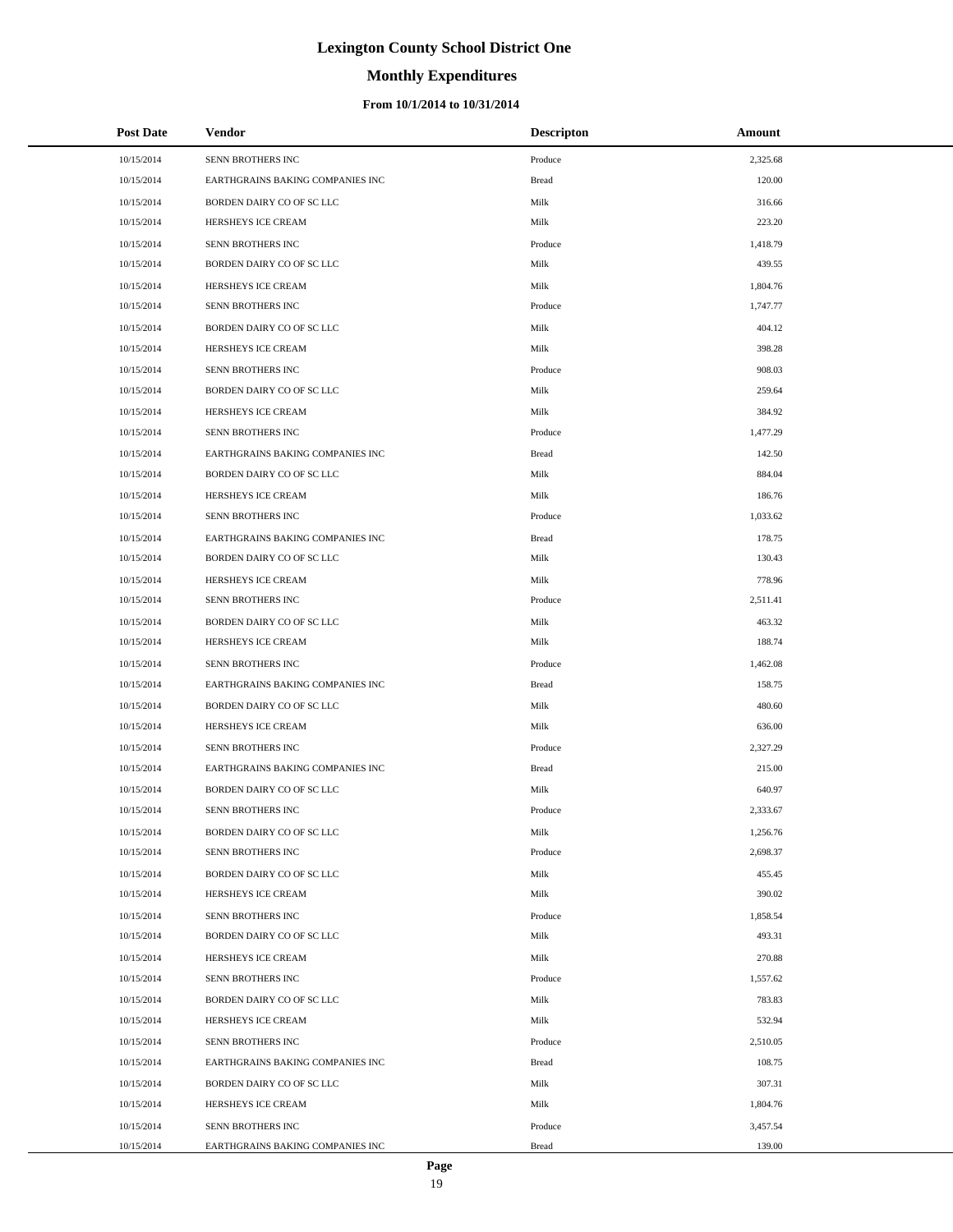# **Monthly Expenditures**

#### **From 10/1/2014 to 10/31/2014**

| <b>Post Date</b> | Vendor                           | <b>Descripton</b> | Amount   |
|------------------|----------------------------------|-------------------|----------|
| 10/15/2014       | SENN BROTHERS INC                | Produce           | 2,325.68 |
| 10/15/2014       | EARTHGRAINS BAKING COMPANIES INC | <b>Bread</b>      | 120.00   |
| 10/15/2014       | BORDEN DAIRY CO OF SC LLC        | Milk              | 316.66   |
| 10/15/2014       | HERSHEYS ICE CREAM               | Milk              | 223.20   |
| 10/15/2014       | SENN BROTHERS INC                | Produce           | 1,418.79 |
| 10/15/2014       | BORDEN DAIRY CO OF SC LLC        | Milk              | 439.55   |
| 10/15/2014       | HERSHEYS ICE CREAM               | Milk              | 1,804.76 |
| 10/15/2014       | SENN BROTHERS INC                | Produce           | 1,747.77 |
| 10/15/2014       | BORDEN DAIRY CO OF SC LLC        | Milk              | 404.12   |
| 10/15/2014       | HERSHEYS ICE CREAM               | Milk              | 398.28   |
| 10/15/2014       | SENN BROTHERS INC                | Produce           | 908.03   |
| 10/15/2014       | BORDEN DAIRY CO OF SC LLC        | Milk              | 259.64   |
| 10/15/2014       | HERSHEYS ICE CREAM               | Milk              | 384.92   |
| 10/15/2014       | SENN BROTHERS INC                | Produce           | 1,477.29 |
| 10/15/2014       | EARTHGRAINS BAKING COMPANIES INC | <b>Bread</b>      | 142.50   |
| 10/15/2014       | BORDEN DAIRY CO OF SC LLC        | Milk              | 884.04   |
| 10/15/2014       | HERSHEYS ICE CREAM               | Milk              | 186.76   |
| 10/15/2014       | SENN BROTHERS INC                | Produce           | 1,033.62 |
| 10/15/2014       | EARTHGRAINS BAKING COMPANIES INC | <b>Bread</b>      | 178.75   |
| 10/15/2014       | BORDEN DAIRY CO OF SC LLC        | Milk              | 130.43   |
| 10/15/2014       | HERSHEYS ICE CREAM               | Milk              | 778.96   |
| 10/15/2014       | SENN BROTHERS INC                | Produce           | 2,511.41 |
| 10/15/2014       | BORDEN DAIRY CO OF SC LLC        | Milk              | 463.32   |
| 10/15/2014       | HERSHEYS ICE CREAM               | Milk              | 188.74   |
| 10/15/2014       | SENN BROTHERS INC                | Produce           | 1,462.08 |
| 10/15/2014       | EARTHGRAINS BAKING COMPANIES INC | <b>Bread</b>      | 158.75   |
| 10/15/2014       | BORDEN DAIRY CO OF SC LLC        | Milk              | 480.60   |
| 10/15/2014       | HERSHEYS ICE CREAM               | Milk              | 636.00   |
| 10/15/2014       | SENN BROTHERS INC                | Produce           | 2,327.29 |
| 10/15/2014       | EARTHGRAINS BAKING COMPANIES INC | <b>Bread</b>      | 215.00   |
| 10/15/2014       | BORDEN DAIRY CO OF SC LLC        | Milk              | 640.97   |
| 10/15/2014       | SENN BROTHERS INC                | Produce           | 2,333.67 |
| 10/15/2014       | BORDEN DAIRY CO OF SC LLC        | Milk              | 1,256.76 |
| 10/15/2014       | SENN BROTHERS INC                | Produce           | 2,698.37 |
| 10/15/2014       | BORDEN DAIRY CO OF SC LLC        | Milk              | 455.45   |
| 10/15/2014       | HERSHEYS ICE CREAM               | Milk              | 390.02   |
| 10/15/2014       | SENN BROTHERS INC                | Produce           | 1,858.54 |
| 10/15/2014       | BORDEN DAIRY CO OF SC LLC        | Milk              | 493.31   |
| 10/15/2014       | HERSHEYS ICE CREAM               | Milk              | 270.88   |
| 10/15/2014       | SENN BROTHERS INC                | Produce           | 1,557.62 |
| 10/15/2014       | BORDEN DAIRY CO OF SC LLC        | Milk              | 783.83   |
| 10/15/2014       | HERSHEYS ICE CREAM               | Milk              | 532.94   |
| 10/15/2014       | SENN BROTHERS INC                | Produce           | 2,510.05 |
| 10/15/2014       | EARTHGRAINS BAKING COMPANIES INC | <b>Bread</b>      | 108.75   |
| 10/15/2014       | BORDEN DAIRY CO OF SC LLC        | Milk              | 307.31   |
| 10/15/2014       | HERSHEYS ICE CREAM               | Milk              | 1,804.76 |
| 10/15/2014       | SENN BROTHERS INC                | Produce           | 3,457.54 |
| 10/15/2014       | EARTHGRAINS BAKING COMPANIES INC | <b>Bread</b>      | 139.00   |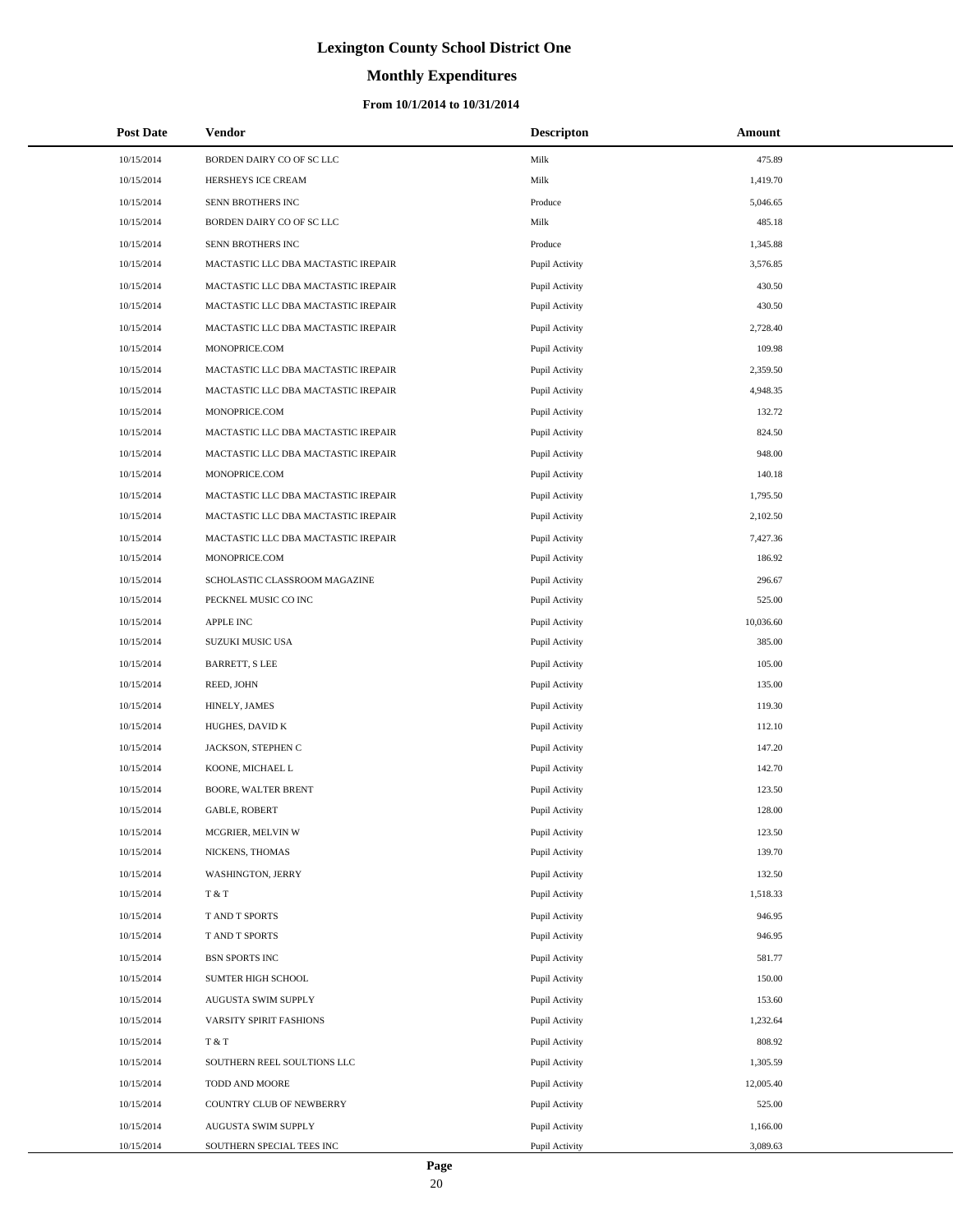# **Monthly Expenditures**

#### **From 10/1/2014 to 10/31/2014**

| <b>Post Date</b> | Vendor                              | <b>Descripton</b> | Amount    |
|------------------|-------------------------------------|-------------------|-----------|
| 10/15/2014       | BORDEN DAIRY CO OF SC LLC           | Milk              | 475.89    |
| 10/15/2014       | HERSHEYS ICE CREAM                  | Milk              | 1,419.70  |
| 10/15/2014       | SENN BROTHERS INC                   | Produce           | 5,046.65  |
| 10/15/2014       | BORDEN DAIRY CO OF SC LLC           | Milk              | 485.18    |
| 10/15/2014       | SENN BROTHERS INC                   | Produce           | 1,345.88  |
| 10/15/2014       | MACTASTIC LLC DBA MACTASTIC IREPAIR | Pupil Activity    | 3,576.85  |
| 10/15/2014       | MACTASTIC LLC DBA MACTASTIC IREPAIR | Pupil Activity    | 430.50    |
| 10/15/2014       | MACTASTIC LLC DBA MACTASTIC IREPAIR | Pupil Activity    | 430.50    |
| 10/15/2014       | MACTASTIC LLC DBA MACTASTIC IREPAIR | Pupil Activity    | 2,728.40  |
| 10/15/2014       | MONOPRICE.COM                       | Pupil Activity    | 109.98    |
| 10/15/2014       | MACTASTIC LLC DBA MACTASTIC IREPAIR | Pupil Activity    | 2,359.50  |
| 10/15/2014       | MACTASTIC LLC DBA MACTASTIC IREPAIR | Pupil Activity    | 4,948.35  |
| 10/15/2014       | MONOPRICE.COM                       | Pupil Activity    | 132.72    |
| 10/15/2014       | MACTASTIC LLC DBA MACTASTIC IREPAIR | Pupil Activity    | 824.50    |
| 10/15/2014       | MACTASTIC LLC DBA MACTASTIC IREPAIR | Pupil Activity    | 948.00    |
| 10/15/2014       | MONOPRICE.COM                       | Pupil Activity    | 140.18    |
| 10/15/2014       | MACTASTIC LLC DBA MACTASTIC IREPAIR | Pupil Activity    | 1,795.50  |
| 10/15/2014       | MACTASTIC LLC DBA MACTASTIC IREPAIR | Pupil Activity    | 2,102.50  |
| 10/15/2014       | MACTASTIC LLC DBA MACTASTIC IREPAIR | Pupil Activity    | 7,427.36  |
| 10/15/2014       | MONOPRICE.COM                       | Pupil Activity    | 186.92    |
| 10/15/2014       | SCHOLASTIC CLASSROOM MAGAZINE       | Pupil Activity    | 296.67    |
| 10/15/2014       | PECKNEL MUSIC CO INC                | Pupil Activity    | 525.00    |
| 10/15/2014       | <b>APPLE INC</b>                    | Pupil Activity    | 10,036.60 |
| 10/15/2014       | SUZUKI MUSIC USA                    | Pupil Activity    | 385.00    |
| 10/15/2014       | <b>BARRETT, S LEE</b>               | Pupil Activity    | 105.00    |
| 10/15/2014       | REED, JOHN                          | Pupil Activity    | 135.00    |
| 10/15/2014       | HINELY, JAMES                       | Pupil Activity    | 119.30    |
| 10/15/2014       | HUGHES, DAVID K                     | Pupil Activity    | 112.10    |
| 10/15/2014       | JACKSON, STEPHEN C                  | Pupil Activity    | 147.20    |
| 10/15/2014       | KOONE, MICHAEL L                    | Pupil Activity    | 142.70    |
| 10/15/2014       | <b>BOORE, WALTER BRENT</b>          | Pupil Activity    | 123.50    |
| 10/15/2014       | <b>GABLE, ROBERT</b>                | Pupil Activity    | 128.00    |
| 10/15/2014       | MCGRIER, MELVIN W                   | Pupil Activity    | 123.50    |
| 10/15/2014       | NICKENS, THOMAS                     | Pupil Activity    | 139.70    |
| 10/15/2014       | WASHINGTON, JERRY                   | Pupil Activity    | 132.50    |
| 10/15/2014       | T & T                               | Pupil Activity    | 1,518.33  |
| 10/15/2014       | T AND T SPORTS                      | Pupil Activity    | 946.95    |
| 10/15/2014       | T AND T SPORTS                      | Pupil Activity    | 946.95    |
| 10/15/2014       | <b>BSN SPORTS INC</b>               | Pupil Activity    | 581.77    |
| 10/15/2014       | SUMTER HIGH SCHOOL                  | Pupil Activity    | 150.00    |
| 10/15/2014       | AUGUSTA SWIM SUPPLY                 | Pupil Activity    | 153.60    |
| 10/15/2014       | VARSITY SPIRIT FASHIONS             | Pupil Activity    | 1,232.64  |
| 10/15/2014       | T & T                               | Pupil Activity    | 808.92    |
| 10/15/2014       | SOUTHERN REEL SOULTIONS LLC         | Pupil Activity    | 1,305.59  |
| 10/15/2014       | TODD AND MOORE                      | Pupil Activity    | 12,005.40 |
| 10/15/2014       | COUNTRY CLUB OF NEWBERRY            | Pupil Activity    | 525.00    |
| 10/15/2014       | AUGUSTA SWIM SUPPLY                 | Pupil Activity    | 1,166.00  |
| 10/15/2014       | SOUTHERN SPECIAL TEES INC           | Pupil Activity    | 3,089.63  |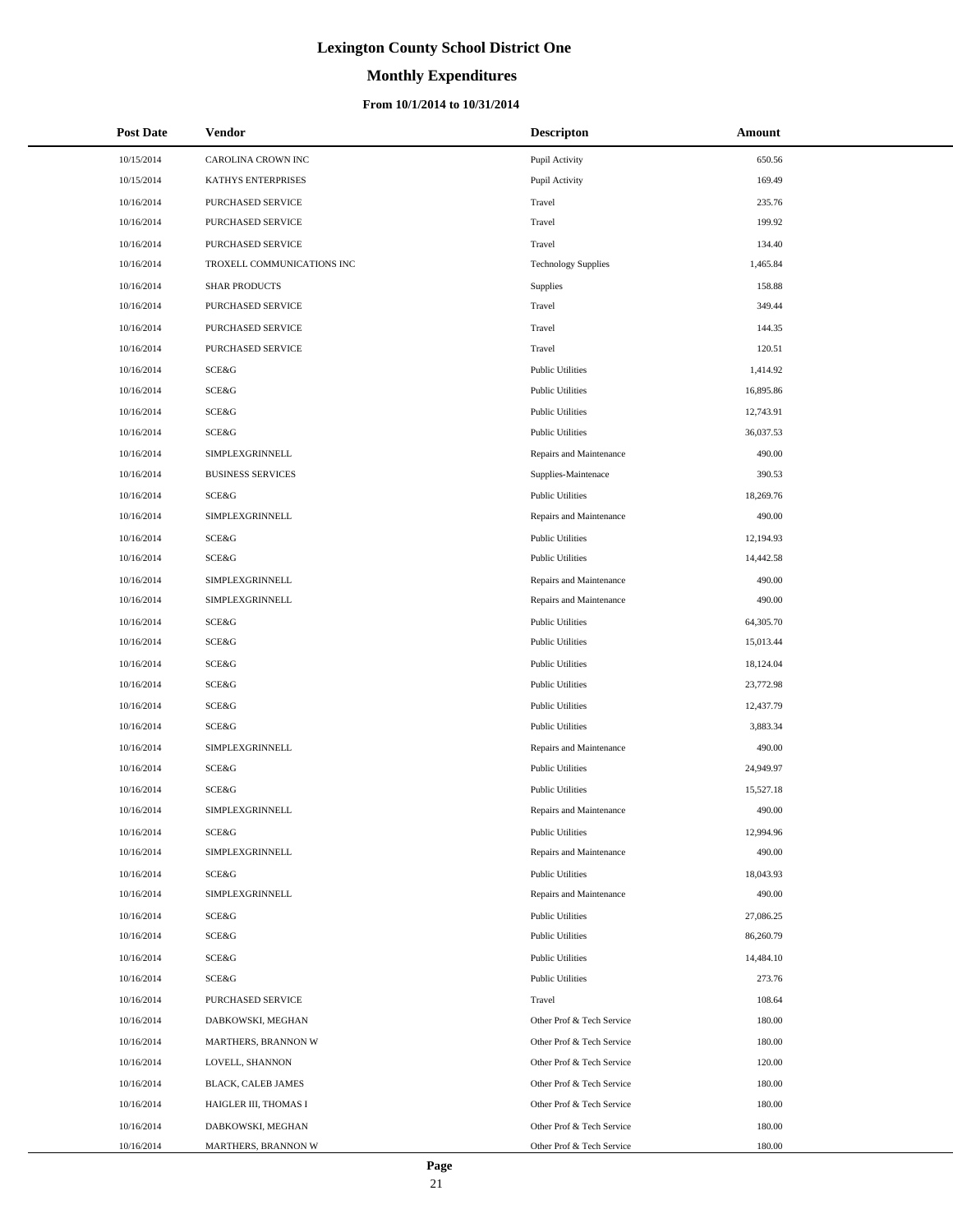# **Monthly Expenditures**

| <b>Post Date</b> | Vendor                     | <b>Descripton</b>          | Amount    |
|------------------|----------------------------|----------------------------|-----------|
| 10/15/2014       | CAROLINA CROWN INC         | Pupil Activity             | 650.56    |
| 10/15/2014       | KATHYS ENTERPRISES         | Pupil Activity             | 169.49    |
| 10/16/2014       | <b>PURCHASED SERVICE</b>   | Travel                     | 235.76    |
| 10/16/2014       | PURCHASED SERVICE          | Travel                     | 199.92    |
| 10/16/2014       | PURCHASED SERVICE          | Travel                     | 134.40    |
| 10/16/2014       | TROXELL COMMUNICATIONS INC | <b>Technology Supplies</b> | 1,465.84  |
| 10/16/2014       | <b>SHAR PRODUCTS</b>       | Supplies                   | 158.88    |
| 10/16/2014       | PURCHASED SERVICE          | Travel                     | 349.44    |
| 10/16/2014       | PURCHASED SERVICE          | Travel                     | 144.35    |
| 10/16/2014       | <b>PURCHASED SERVICE</b>   | Travel                     | 120.51    |
| 10/16/2014       | <b>SCE&amp;G</b>           | <b>Public Utilities</b>    | 1,414.92  |
| 10/16/2014       | SCE&G                      | <b>Public Utilities</b>    | 16,895.86 |
| 10/16/2014       | SCE&G                      | <b>Public Utilities</b>    | 12,743.91 |
| 10/16/2014       | SCE&G                      | <b>Public Utilities</b>    | 36,037.53 |
| 10/16/2014       | SIMPLEXGRINNELL            | Repairs and Maintenance    | 490.00    |
| 10/16/2014       | <b>BUSINESS SERVICES</b>   | Supplies-Maintenace        | 390.53    |
| 10/16/2014       | SCE&G                      | <b>Public Utilities</b>    | 18,269.76 |
| 10/16/2014       | SIMPLEXGRINNELL            | Repairs and Maintenance    | 490.00    |
| 10/16/2014       | <b>SCE&amp;G</b>           | <b>Public Utilities</b>    | 12,194.93 |
| 10/16/2014       | <b>SCE&amp;G</b>           | <b>Public Utilities</b>    | 14,442.58 |
| 10/16/2014       | SIMPLEXGRINNELL            | Repairs and Maintenance    | 490.00    |
| 10/16/2014       | SIMPLEXGRINNELL            | Repairs and Maintenance    | 490.00    |
| 10/16/2014       | SCE&G                      | <b>Public Utilities</b>    | 64,305.70 |
| 10/16/2014       | <b>SCE&amp;G</b>           | <b>Public Utilities</b>    | 15,013.44 |
| 10/16/2014       | SCE&G                      | <b>Public Utilities</b>    | 18,124.04 |
| 10/16/2014       | SCE&G                      | <b>Public Utilities</b>    | 23,772.98 |
| 10/16/2014       | <b>SCE&amp;G</b>           | <b>Public Utilities</b>    | 12,437.79 |
| 10/16/2014       | SCE&G                      | <b>Public Utilities</b>    | 3,883.34  |
| 10/16/2014       | SIMPLEXGRINNELL            | Repairs and Maintenance    | 490.00    |
| 10/16/2014       | SCE&G                      | <b>Public Utilities</b>    | 24,949.97 |
| 10/16/2014       | <b>SCE&amp;G</b>           | <b>Public Utilities</b>    | 15,527.18 |
| 10/16/2014       | SIMPLEXGRINNELL            | Repairs and Maintenance    | 490.00    |
| 10/16/2014       | SCE&G                      | <b>Public Utilities</b>    | 12,994.96 |
| 10/16/2014       | SIMPLEXGRINNELL            | Repairs and Maintenance    | 490.00    |
| 10/16/2014       | SCE&G                      | <b>Public Utilities</b>    | 18,043.93 |
| 10/16/2014       | SIMPLEXGRINNELL            | Repairs and Maintenance    | 490.00    |
| 10/16/2014       | SCE&G                      | <b>Public Utilities</b>    | 27,086.25 |
| 10/16/2014       | SCE&G                      | <b>Public Utilities</b>    | 86,260.79 |
| 10/16/2014       | SCE&G                      | <b>Public Utilities</b>    | 14,484.10 |
| 10/16/2014       | SCE&G                      | <b>Public Utilities</b>    | 273.76    |
| 10/16/2014       | <b>PURCHASED SERVICE</b>   | Travel                     | 108.64    |
| 10/16/2014       | DABKOWSKI, MEGHAN          | Other Prof & Tech Service  | 180.00    |
| 10/16/2014       | <b>MARTHERS, BRANNON W</b> | Other Prof & Tech Service  | 180.00    |
| 10/16/2014       | LOVELL, SHANNON            | Other Prof & Tech Service  | 120.00    |
| 10/16/2014       | BLACK, CALEB JAMES         | Other Prof & Tech Service  | 180.00    |
| 10/16/2014       | HAIGLER III, THOMAS I      | Other Prof & Tech Service  | 180.00    |
| 10/16/2014       | DABKOWSKI, MEGHAN          | Other Prof & Tech Service  | 180.00    |
| 10/16/2014       | MARTHERS, BRANNON W        | Other Prof & Tech Service  | 180.00    |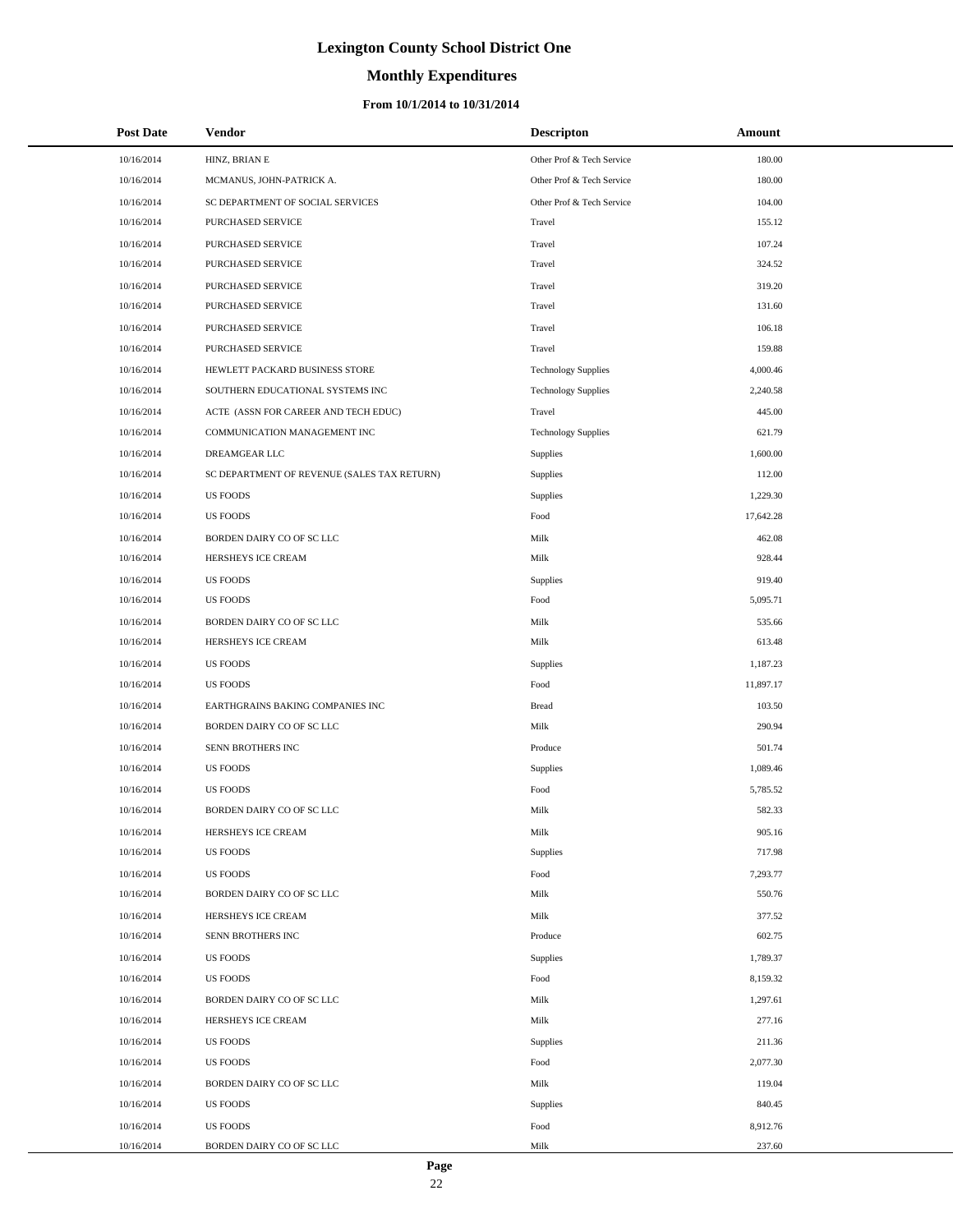# **Monthly Expenditures**

| <b>Post Date</b>         | Vendor                                          | <b>Descripton</b>          | Amount               |
|--------------------------|-------------------------------------------------|----------------------------|----------------------|
| 10/16/2014               | HINZ, BRIAN E                                   | Other Prof & Tech Service  | 180.00               |
| 10/16/2014               | MCMANUS, JOHN-PATRICK A.                        | Other Prof & Tech Service  | 180.00               |
| 10/16/2014               | SC DEPARTMENT OF SOCIAL SERVICES                | Other Prof & Tech Service  | 104.00               |
| 10/16/2014               | PURCHASED SERVICE                               | Travel                     | 155.12               |
| 10/16/2014               | PURCHASED SERVICE                               | Travel                     | 107.24               |
| 10/16/2014               | PURCHASED SERVICE                               | Travel                     | 324.52               |
| 10/16/2014               | PURCHASED SERVICE                               | Travel                     | 319.20               |
| 10/16/2014               | PURCHASED SERVICE                               | Travel                     | 131.60               |
| 10/16/2014               | PURCHASED SERVICE                               | Travel                     | 106.18               |
| 10/16/2014               | PURCHASED SERVICE                               | Travel                     | 159.88               |
| 10/16/2014               | HEWLETT PACKARD BUSINESS STORE                  | <b>Technology Supplies</b> | 4,000.46             |
| 10/16/2014               | SOUTHERN EDUCATIONAL SYSTEMS INC                | <b>Technology Supplies</b> | 2,240.58             |
| 10/16/2014               | ACTE (ASSN FOR CAREER AND TECH EDUC)            | Travel                     | 445.00               |
| 10/16/2014               | COMMUNICATION MANAGEMENT INC                    | <b>Technology Supplies</b> | 621.79               |
| 10/16/2014               | DREAMGEAR LLC                                   | Supplies                   | 1,600.00             |
| 10/16/2014               | SC DEPARTMENT OF REVENUE (SALES TAX RETURN)     | Supplies                   | 112.00               |
| 10/16/2014               | <b>US FOODS</b>                                 | Supplies                   | 1,229.30             |
| 10/16/2014               | <b>US FOODS</b>                                 | Food                       | 17,642.28            |
| 10/16/2014               | BORDEN DAIRY CO OF SC LLC                       | Milk                       | 462.08               |
| 10/16/2014               | HERSHEYS ICE CREAM                              | Milk                       | 928.44               |
| 10/16/2014               | <b>US FOODS</b>                                 | Supplies                   | 919.40               |
| 10/16/2014               | <b>US FOODS</b>                                 | Food                       | 5,095.71             |
| 10/16/2014               | BORDEN DAIRY CO OF SC LLC                       | Milk                       | 535.66               |
| 10/16/2014               | HERSHEYS ICE CREAM                              | Milk                       | 613.48               |
| 10/16/2014               | <b>US FOODS</b>                                 | Supplies                   | 1,187.23             |
| 10/16/2014               | <b>US FOODS</b>                                 | Food                       | 11,897.17            |
| 10/16/2014               | EARTHGRAINS BAKING COMPANIES INC                | <b>Bread</b>               | 103.50               |
| 10/16/2014               | BORDEN DAIRY CO OF SC LLC                       | Milk                       | 290.94               |
| 10/16/2014               | SENN BROTHERS INC                               | Produce                    | 501.74               |
| 10/16/2014               | <b>US FOODS</b>                                 | Supplies                   | 1,089.46             |
| 10/16/2014               | <b>US FOODS</b>                                 | Food                       | 5,785.52             |
| 10/16/2014               | BORDEN DAIRY CO OF SC LLC                       | Milk                       | 582.33               |
| 10/16/2014               | HERSHEYS ICE CREAM                              | Milk                       | 905.16               |
| 10/16/2014               | <b>US FOODS</b>                                 | Supplies                   | 717.98               |
| 10/16/2014               | <b>US FOODS</b>                                 | Food                       | 7,293.77             |
| 10/16/2014               | BORDEN DAIRY CO OF SC LLC                       | Milk                       | 550.76               |
| 10/16/2014               | HERSHEYS ICE CREAM                              | Milk                       | 377.52               |
| 10/16/2014               | SENN BROTHERS INC                               | Produce                    | 602.75               |
| 10/16/2014               | <b>US FOODS</b><br><b>US FOODS</b>              | Supplies<br>Food           | 1,789.37<br>8,159.32 |
| 10/16/2014<br>10/16/2014 |                                                 |                            | 1,297.61             |
| 10/16/2014               | BORDEN DAIRY CO OF SC LLC<br>HERSHEYS ICE CREAM | Milk<br>Milk               | 277.16               |
|                          |                                                 |                            |                      |
| 10/16/2014<br>10/16/2014 | <b>US FOODS</b><br><b>US FOODS</b>              | Supplies<br>Food           | 211.36<br>2,077.30   |
| 10/16/2014               | BORDEN DAIRY CO OF SC LLC                       | Milk                       | 119.04               |
| 10/16/2014               | <b>US FOODS</b>                                 | Supplies                   | 840.45               |
| 10/16/2014               | <b>US FOODS</b>                                 | Food                       | 8,912.76             |
| 10/16/2014               | BORDEN DAIRY CO OF SC LLC                       | Milk                       | 237.60               |
|                          |                                                 |                            |                      |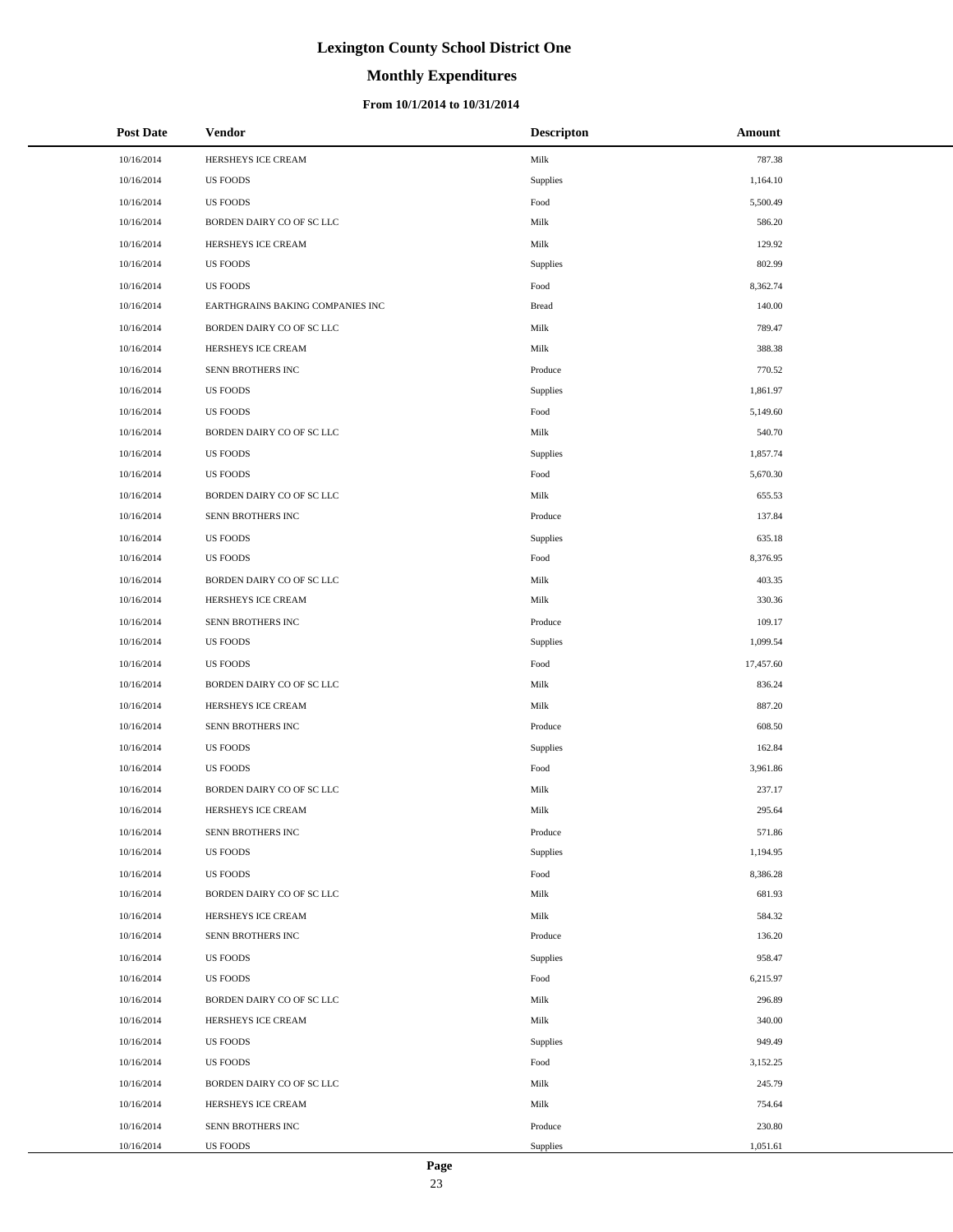# **Monthly Expenditures**

#### **From 10/1/2014 to 10/31/2014**

| <b>Post Date</b> | Vendor                           | <b>Descripton</b> | Amount    |
|------------------|----------------------------------|-------------------|-----------|
| 10/16/2014       | HERSHEYS ICE CREAM               | Milk              | 787.38    |
| 10/16/2014       | <b>US FOODS</b>                  | Supplies          | 1,164.10  |
| 10/16/2014       | <b>US FOODS</b>                  | Food              | 5,500.49  |
| 10/16/2014       | BORDEN DAIRY CO OF SC LLC        | Milk              | 586.20    |
| 10/16/2014       | HERSHEYS ICE CREAM               | Milk              | 129.92    |
| 10/16/2014       | <b>US FOODS</b>                  | Supplies          | 802.99    |
| 10/16/2014       | <b>US FOODS</b>                  | Food              | 8,362.74  |
| 10/16/2014       | EARTHGRAINS BAKING COMPANIES INC | <b>Bread</b>      | 140.00    |
| 10/16/2014       | BORDEN DAIRY CO OF SC LLC        | Milk              | 789.47    |
| 10/16/2014       | HERSHEYS ICE CREAM               | Milk              | 388.38    |
| 10/16/2014       | SENN BROTHERS INC                | Produce           | 770.52    |
| 10/16/2014       | <b>US FOODS</b>                  | Supplies          | 1,861.97  |
| 10/16/2014       | <b>US FOODS</b>                  | Food              | 5,149.60  |
| 10/16/2014       | BORDEN DAIRY CO OF SC LLC        | Milk              | 540.70    |
| 10/16/2014       | <b>US FOODS</b>                  | Supplies          | 1,857.74  |
| 10/16/2014       | <b>US FOODS</b>                  | Food              | 5,670.30  |
| 10/16/2014       | BORDEN DAIRY CO OF SC LLC        | Milk              | 655.53    |
| 10/16/2014       | SENN BROTHERS INC                | Produce           | 137.84    |
| 10/16/2014       | <b>US FOODS</b>                  | Supplies          | 635.18    |
| 10/16/2014       | <b>US FOODS</b>                  | Food              | 8,376.95  |
| 10/16/2014       | BORDEN DAIRY CO OF SC LLC        | Milk              | 403.35    |
| 10/16/2014       | HERSHEYS ICE CREAM               | Milk              | 330.36    |
| 10/16/2014       | SENN BROTHERS INC                | Produce           | 109.17    |
| 10/16/2014       | <b>US FOODS</b>                  | Supplies          | 1,099.54  |
| 10/16/2014       | <b>US FOODS</b>                  | Food              | 17,457.60 |
| 10/16/2014       | BORDEN DAIRY CO OF SC LLC        | Milk              | 836.24    |
| 10/16/2014       | HERSHEYS ICE CREAM               | Milk              | 887.20    |
| 10/16/2014       | SENN BROTHERS INC                | Produce           | 608.50    |
| 10/16/2014       | <b>US FOODS</b>                  | Supplies          | 162.84    |
| 10/16/2014       | <b>US FOODS</b>                  | Food              | 3,961.86  |
| 10/16/2014       | BORDEN DAIRY CO OF SC LLC        | Milk              | 237.17    |
| 10/16/2014       | HERSHEYS ICE CREAM               | Milk              | 295.64    |
| 10/16/2014       | SENN BROTHERS INC                | Produce           | 571.86    |
| 10/16/2014       | <b>US FOODS</b>                  | Supplies          | 1,194.95  |
| 10/16/2014       | <b>US FOODS</b>                  | Food              | 8,386.28  |
| 10/16/2014       | BORDEN DAIRY CO OF SC LLC        | Milk              | 681.93    |
| 10/16/2014       | HERSHEYS ICE CREAM               | Milk              | 584.32    |
| 10/16/2014       | SENN BROTHERS INC                | Produce           | 136.20    |
| 10/16/2014       | <b>US FOODS</b>                  | Supplies          | 958.47    |
| 10/16/2014       | <b>US FOODS</b>                  | Food              | 6,215.97  |
| 10/16/2014       | BORDEN DAIRY CO OF SC LLC        | Milk              | 296.89    |
| 10/16/2014       | HERSHEYS ICE CREAM               | Milk              | 340.00    |
| 10/16/2014       | <b>US FOODS</b>                  | Supplies          | 949.49    |
| 10/16/2014       | <b>US FOODS</b>                  | Food              | 3,152.25  |
| 10/16/2014       | BORDEN DAIRY CO OF SC LLC        | Milk              | 245.79    |
| 10/16/2014       | HERSHEYS ICE CREAM               | Milk              | 754.64    |
| 10/16/2014       | SENN BROTHERS INC                | Produce           | 230.80    |
| 10/16/2014       | US FOODS                         | Supplies          | 1,051.61  |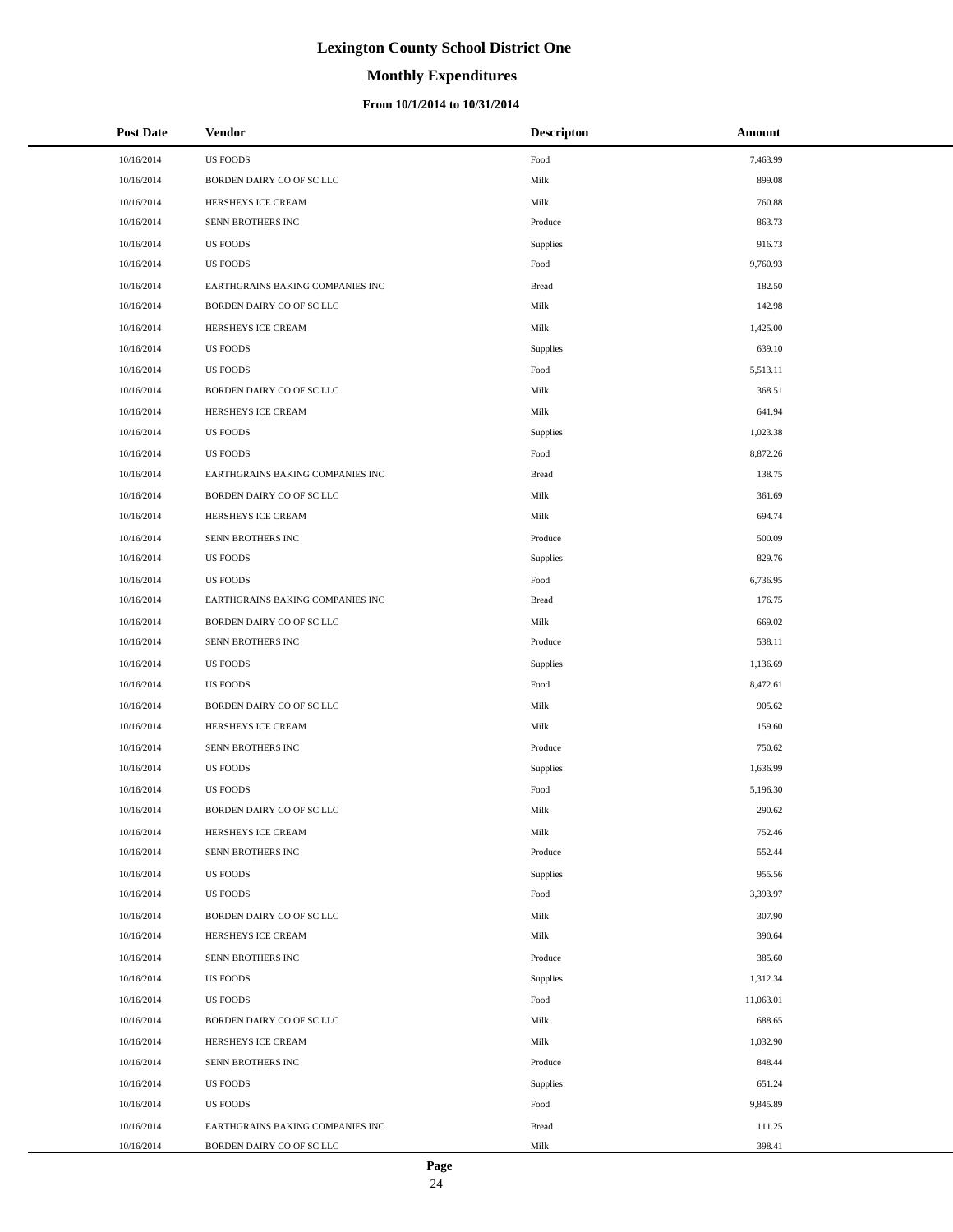# **Monthly Expenditures**

| <b>Post Date</b> | Vendor                           | <b>Descripton</b> | Amount    |  |
|------------------|----------------------------------|-------------------|-----------|--|
| 10/16/2014       | <b>US FOODS</b>                  | Food              | 7,463.99  |  |
| 10/16/2014       | BORDEN DAIRY CO OF SC LLC        | Milk              | 899.08    |  |
| 10/16/2014       | HERSHEYS ICE CREAM               | Milk              | 760.88    |  |
| 10/16/2014       | SENN BROTHERS INC                | Produce           | 863.73    |  |
| 10/16/2014       | <b>US FOODS</b>                  | Supplies          | 916.73    |  |
| 10/16/2014       | <b>US FOODS</b>                  | Food              | 9,760.93  |  |
| 10/16/2014       | EARTHGRAINS BAKING COMPANIES INC | <b>Bread</b>      | 182.50    |  |
| 10/16/2014       | BORDEN DAIRY CO OF SC LLC        | Milk              | 142.98    |  |
| 10/16/2014       | HERSHEYS ICE CREAM               | Milk              | 1,425.00  |  |
| 10/16/2014       | <b>US FOODS</b>                  | Supplies          | 639.10    |  |
| 10/16/2014       | <b>US FOODS</b>                  | Food              | 5,513.11  |  |
| 10/16/2014       | BORDEN DAIRY CO OF SC LLC        | Milk              | 368.51    |  |
| 10/16/2014       | HERSHEYS ICE CREAM               | Milk              | 641.94    |  |
| 10/16/2014       | <b>US FOODS</b>                  | Supplies          | 1,023.38  |  |
| 10/16/2014       | <b>US FOODS</b>                  | Food              | 8,872.26  |  |
| 10/16/2014       | EARTHGRAINS BAKING COMPANIES INC | <b>Bread</b>      | 138.75    |  |
| 10/16/2014       | BORDEN DAIRY CO OF SC LLC        | Milk              | 361.69    |  |
| 10/16/2014       | HERSHEYS ICE CREAM               | Milk              | 694.74    |  |
| 10/16/2014       | SENN BROTHERS INC                | Produce           | 500.09    |  |
| 10/16/2014       | <b>US FOODS</b>                  | Supplies          | 829.76    |  |
| 10/16/2014       | <b>US FOODS</b>                  | Food              | 6,736.95  |  |
| 10/16/2014       | EARTHGRAINS BAKING COMPANIES INC | <b>Bread</b>      | 176.75    |  |
| 10/16/2014       | BORDEN DAIRY CO OF SC LLC        | Milk              | 669.02    |  |
| 10/16/2014       | SENN BROTHERS INC                | Produce           | 538.11    |  |
| 10/16/2014       | <b>US FOODS</b>                  | Supplies          | 1,136.69  |  |
| 10/16/2014       | <b>US FOODS</b>                  | Food              | 8,472.61  |  |
| 10/16/2014       | BORDEN DAIRY CO OF SC LLC        | Milk              | 905.62    |  |
| 10/16/2014       | HERSHEYS ICE CREAM               | Milk              | 159.60    |  |
| 10/16/2014       | SENN BROTHERS INC                | Produce           | 750.62    |  |
| 10/16/2014       | <b>US FOODS</b>                  | Supplies          | 1,636.99  |  |
| 10/16/2014       | <b>US FOODS</b>                  | Food              | 5,196.30  |  |
| 10/16/2014       | BORDEN DAIRY CO OF SC LLC        | Milk              | 290.62    |  |
| 10/16/2014       | HERSHEYS ICE CREAM               | Milk              | 752.46    |  |
| 10/16/2014       | SENN BROTHERS INC                | Produce           | 552.44    |  |
| 10/16/2014       | <b>US FOODS</b>                  | Supplies          | 955.56    |  |
| 10/16/2014       | <b>US FOODS</b>                  | Food              | 3,393.97  |  |
| 10/16/2014       | BORDEN DAIRY CO OF SC LLC        | Milk              | 307.90    |  |
| 10/16/2014       | HERSHEYS ICE CREAM               | Milk              | 390.64    |  |
| 10/16/2014       | SENN BROTHERS INC                | Produce           | 385.60    |  |
| 10/16/2014       | US FOODS                         | Supplies          | 1,312.34  |  |
| 10/16/2014       | <b>US FOODS</b>                  | Food              | 11,063.01 |  |
| 10/16/2014       | BORDEN DAIRY CO OF SC LLC        | Milk              | 688.65    |  |
| 10/16/2014       | HERSHEYS ICE CREAM               | Milk              | 1,032.90  |  |
| 10/16/2014       | SENN BROTHERS INC                | Produce           | 848.44    |  |
| 10/16/2014       | <b>US FOODS</b>                  | Supplies          | 651.24    |  |
| 10/16/2014       | <b>US FOODS</b>                  | Food              | 9,845.89  |  |
| 10/16/2014       | EARTHGRAINS BAKING COMPANIES INC | <b>Bread</b>      | 111.25    |  |
| 10/16/2014       | BORDEN DAIRY CO OF SC LLC        | Milk              | 398.41    |  |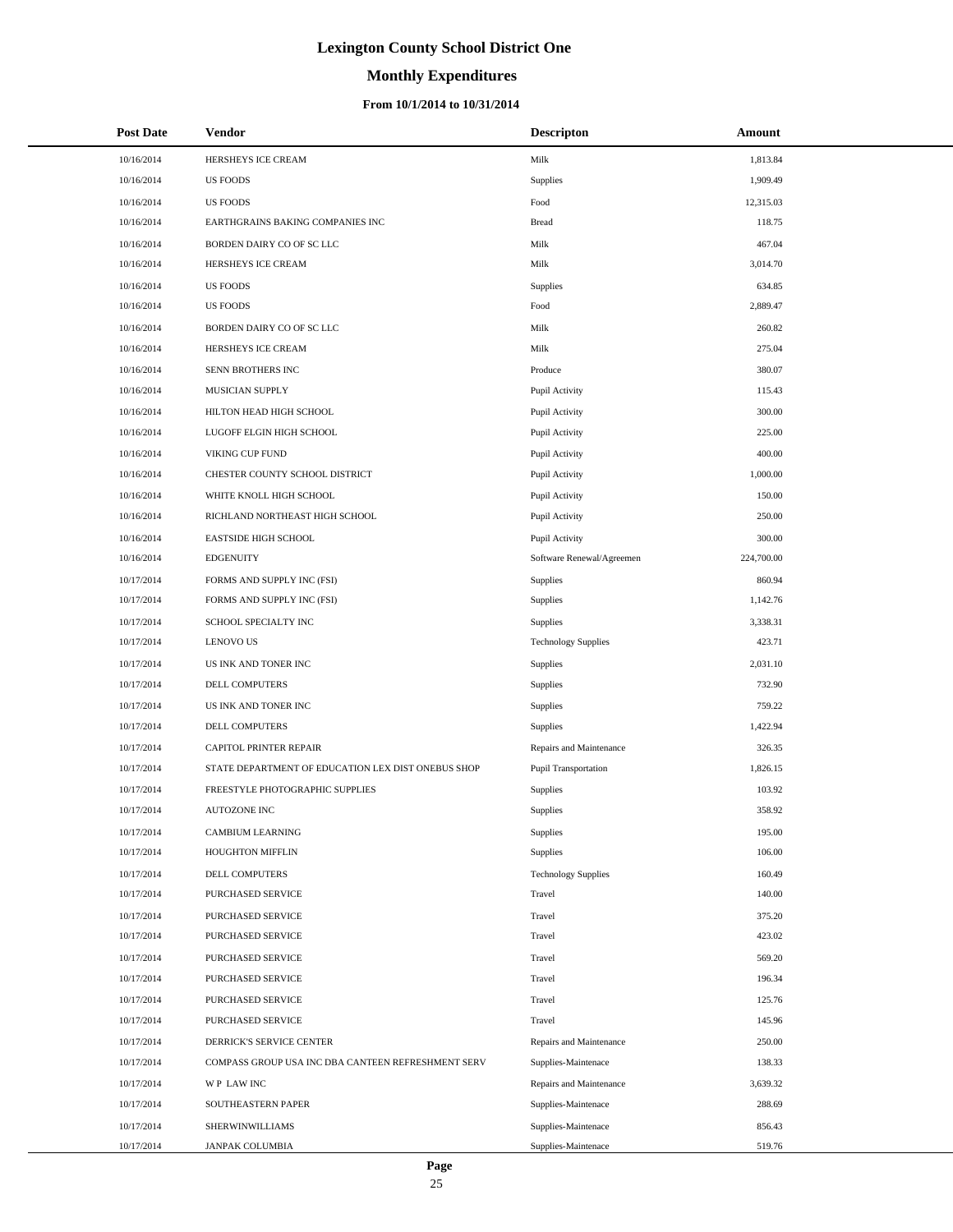# **Monthly Expenditures**

#### **From 10/1/2014 to 10/31/2014**

| <b>Post Date</b> | <b>Vendor</b>                                      | <b>Descripton</b>          | Amount     |
|------------------|----------------------------------------------------|----------------------------|------------|
| 10/16/2014       | HERSHEYS ICE CREAM                                 | Milk                       | 1,813.84   |
| 10/16/2014       | <b>US FOODS</b>                                    | Supplies                   | 1,909.49   |
| 10/16/2014       | <b>US FOODS</b>                                    | Food                       | 12,315.03  |
| 10/16/2014       | EARTHGRAINS BAKING COMPANIES INC                   | <b>Bread</b>               | 118.75     |
| 10/16/2014       | BORDEN DAIRY CO OF SC LLC                          | Milk                       | 467.04     |
| 10/16/2014       | HERSHEYS ICE CREAM                                 | Milk                       | 3,014.70   |
| 10/16/2014       | <b>US FOODS</b>                                    | Supplies                   | 634.85     |
| 10/16/2014       | <b>US FOODS</b>                                    | Food                       | 2,889.47   |
| 10/16/2014       | BORDEN DAIRY CO OF SC LLC                          | Milk                       | 260.82     |
| 10/16/2014       | HERSHEYS ICE CREAM                                 | Milk                       | 275.04     |
| 10/16/2014       | SENN BROTHERS INC                                  | Produce                    | 380.07     |
| 10/16/2014       | MUSICIAN SUPPLY                                    | Pupil Activity             | 115.43     |
| 10/16/2014       | HILTON HEAD HIGH SCHOOL                            | Pupil Activity             | 300.00     |
| 10/16/2014       | LUGOFF ELGIN HIGH SCHOOL                           | Pupil Activity             | 225.00     |
| 10/16/2014       | VIKING CUP FUND                                    | Pupil Activity             | 400.00     |
| 10/16/2014       | CHESTER COUNTY SCHOOL DISTRICT                     | Pupil Activity             | 1,000.00   |
| 10/16/2014       | WHITE KNOLL HIGH SCHOOL                            | Pupil Activity             | 150.00     |
| 10/16/2014       | RICHLAND NORTHEAST HIGH SCHOOL                     | Pupil Activity             | 250.00     |
| 10/16/2014       | <b>EASTSIDE HIGH SCHOOL</b>                        | Pupil Activity             | 300.00     |
| 10/16/2014       | <b>EDGENUITY</b>                                   | Software Renewal/Agreemen  | 224,700.00 |
| 10/17/2014       | FORMS AND SUPPLY INC (FSI)                         | Supplies                   | 860.94     |
| 10/17/2014       | FORMS AND SUPPLY INC (FSI)                         | Supplies                   | 1,142.76   |
| 10/17/2014       | SCHOOL SPECIALTY INC                               | Supplies                   | 3,338.31   |
| 10/17/2014       | <b>LENOVO US</b>                                   | <b>Technology Supplies</b> | 423.71     |
| 10/17/2014       | US INK AND TONER INC                               | Supplies                   | 2,031.10   |
| 10/17/2014       | DELL COMPUTERS                                     | Supplies                   | 732.90     |
| 10/17/2014       | US INK AND TONER INC                               | Supplies                   | 759.22     |
| 10/17/2014       | DELL COMPUTERS                                     | Supplies                   | 1,422.94   |
| 10/17/2014       | CAPITOL PRINTER REPAIR                             | Repairs and Maintenance    | 326.35     |
| 10/17/2014       | STATE DEPARTMENT OF EDUCATION LEX DIST ONEBUS SHOP | Pupil Transportation       | 1,826.15   |
| 10/17/2014       | FREESTYLE PHOTOGRAPHIC SUPPLIES                    | Supplies                   | 103.92     |
| 10/17/2014       | <b>AUTOZONE INC</b>                                | Supplies                   | 358.92     |
| 10/17/2014       | CAMBIUM LEARNING                                   | Supplies                   | 195.00     |
| 10/17/2014       | <b>HOUGHTON MIFFLIN</b>                            | Supplies                   | 106.00     |
| 10/17/2014       | DELL COMPUTERS                                     | <b>Technology Supplies</b> | 160.49     |
| 10/17/2014       | PURCHASED SERVICE                                  | Travel                     | 140.00     |
| 10/17/2014       | PURCHASED SERVICE                                  | Travel                     | 375.20     |
| 10/17/2014       | PURCHASED SERVICE                                  | Travel                     | 423.02     |
| 10/17/2014       | PURCHASED SERVICE                                  | Travel                     | 569.20     |
| 10/17/2014       | PURCHASED SERVICE                                  | Travel                     | 196.34     |
| 10/17/2014       | PURCHASED SERVICE                                  | Travel                     | 125.76     |
| 10/17/2014       | PURCHASED SERVICE                                  | Travel                     | 145.96     |
| 10/17/2014       | DERRICK'S SERVICE CENTER                           | Repairs and Maintenance    | 250.00     |
| 10/17/2014       | COMPASS GROUP USA INC DBA CANTEEN REFRESHMENT SERV | Supplies-Maintenace        | 138.33     |
| 10/17/2014       | WP LAW INC                                         | Repairs and Maintenance    | 3,639.32   |
| 10/17/2014       | SOUTHEASTERN PAPER                                 | Supplies-Maintenace        | 288.69     |
| 10/17/2014       | SHERWINWILLIAMS                                    | Supplies-Maintenace        | 856.43     |
| 10/17/2014       | JANPAK COLUMBIA                                    | Supplies-Maintenace        | 519.76     |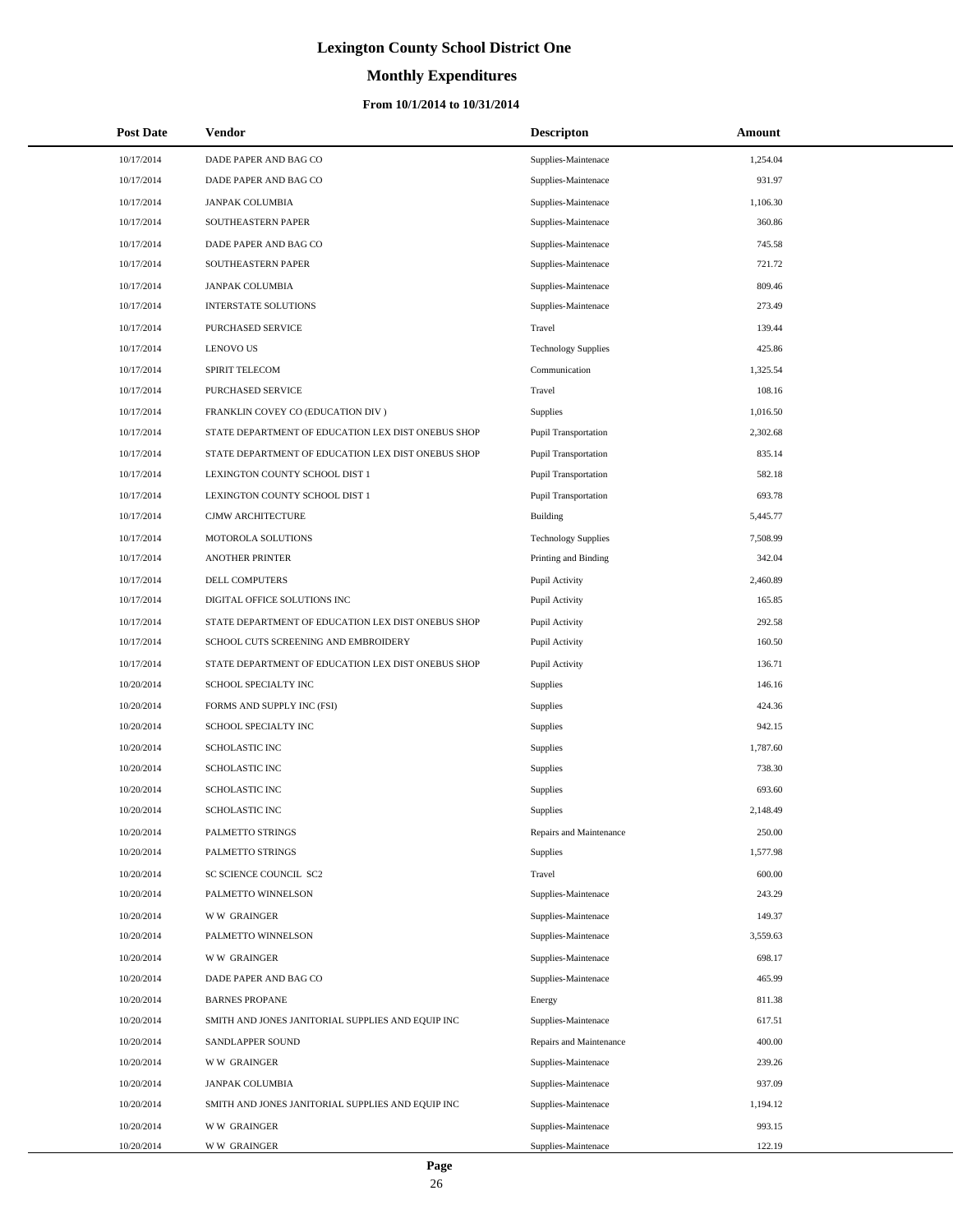# **Monthly Expenditures**

| <b>Post Date</b> | Vendor                                             | <b>Descripton</b>          | Amount   |
|------------------|----------------------------------------------------|----------------------------|----------|
| 10/17/2014       | DADE PAPER AND BAG CO                              | Supplies-Maintenace        | 1,254.04 |
| 10/17/2014       | DADE PAPER AND BAG CO                              | Supplies-Maintenace        | 931.97   |
| 10/17/2014       | <b>JANPAK COLUMBIA</b>                             | Supplies-Maintenace        | 1,106.30 |
| 10/17/2014       | SOUTHEASTERN PAPER                                 | Supplies-Maintenace        | 360.86   |
| 10/17/2014       | DADE PAPER AND BAG CO                              | Supplies-Maintenace        | 745.58   |
| 10/17/2014       | SOUTHEASTERN PAPER                                 | Supplies-Maintenace        | 721.72   |
| 10/17/2014       | <b>JANPAK COLUMBIA</b>                             | Supplies-Maintenace        | 809.46   |
| 10/17/2014       | <b>INTERSTATE SOLUTIONS</b>                        | Supplies-Maintenace        | 273.49   |
| 10/17/2014       | PURCHASED SERVICE                                  | Travel                     | 139.44   |
| 10/17/2014       | <b>LENOVO US</b>                                   | <b>Technology Supplies</b> | 425.86   |
| 10/17/2014       | SPIRIT TELECOM                                     | Communication              | 1,325.54 |
| 10/17/2014       | PURCHASED SERVICE                                  | Travel                     | 108.16   |
| 10/17/2014       | FRANKLIN COVEY CO (EDUCATION DIV)                  | Supplies                   | 1,016.50 |
| 10/17/2014       | STATE DEPARTMENT OF EDUCATION LEX DIST ONEBUS SHOP | Pupil Transportation       | 2,302.68 |
| 10/17/2014       | STATE DEPARTMENT OF EDUCATION LEX DIST ONEBUS SHOP | Pupil Transportation       | 835.14   |
| 10/17/2014       | LEXINGTON COUNTY SCHOOL DIST 1                     | Pupil Transportation       | 582.18   |
| 10/17/2014       | LEXINGTON COUNTY SCHOOL DIST 1                     | Pupil Transportation       | 693.78   |
| 10/17/2014       | <b>CJMW ARCHITECTURE</b>                           | Building                   | 5,445.77 |
| 10/17/2014       | MOTOROLA SOLUTIONS                                 | <b>Technology Supplies</b> | 7,508.99 |
| 10/17/2014       | <b>ANOTHER PRINTER</b>                             | Printing and Binding       | 342.04   |
| 10/17/2014       | DELL COMPUTERS                                     | Pupil Activity             | 2,460.89 |
| 10/17/2014       | DIGITAL OFFICE SOLUTIONS INC                       | Pupil Activity             | 165.85   |
| 10/17/2014       | STATE DEPARTMENT OF EDUCATION LEX DIST ONEBUS SHOP | Pupil Activity             | 292.58   |
| 10/17/2014       | SCHOOL CUTS SCREENING AND EMBROIDERY               | Pupil Activity             | 160.50   |
| 10/17/2014       | STATE DEPARTMENT OF EDUCATION LEX DIST ONEBUS SHOP | Pupil Activity             | 136.71   |
| 10/20/2014       | SCHOOL SPECIALTY INC                               | Supplies                   | 146.16   |
| 10/20/2014       | FORMS AND SUPPLY INC (FSI)                         | Supplies                   | 424.36   |
| 10/20/2014       | SCHOOL SPECIALTY INC                               | Supplies                   | 942.15   |
| 10/20/2014       | <b>SCHOLASTIC INC</b>                              | Supplies                   | 1,787.60 |
| 10/20/2014       | SCHOLASTIC INC                                     | Supplies                   | 738.30   |
| 10/20/2014       | <b>SCHOLASTIC INC</b>                              | Supplies                   | 693.60   |
| 10/20/2014       | <b>SCHOLASTIC INC</b>                              | Supplies                   | 2,148.49 |
| 10/20/2014       | PALMETTO STRINGS                                   | Repairs and Maintenance    | 250.00   |
| 10/20/2014       | PALMETTO STRINGS                                   | Supplies                   | 1,577.98 |
| 10/20/2014       | SC SCIENCE COUNCIL SC2                             | Travel                     | 600.00   |
| 10/20/2014       | PALMETTO WINNELSON                                 | Supplies-Maintenace        | 243.29   |
| 10/20/2014       | <b>WW GRAINGER</b>                                 | Supplies-Maintenace        | 149.37   |
| 10/20/2014       | PALMETTO WINNELSON                                 | Supplies-Maintenace        | 3,559.63 |
| 10/20/2014       | <b>WW GRAINGER</b>                                 | Supplies-Maintenace        | 698.17   |
| 10/20/2014       | DADE PAPER AND BAG CO                              | Supplies-Maintenace        | 465.99   |
| 10/20/2014       | <b>BARNES PROPANE</b>                              | Energy                     | 811.38   |
| 10/20/2014       | SMITH AND JONES JANITORIAL SUPPLIES AND EQUIP INC  | Supplies-Maintenace        | 617.51   |
| 10/20/2014       | SANDLAPPER SOUND                                   | Repairs and Maintenance    | 400.00   |
| 10/20/2014       | <b>WW GRAINGER</b>                                 | Supplies-Maintenace        | 239.26   |
| 10/20/2014       | <b>JANPAK COLUMBIA</b>                             | Supplies-Maintenace        | 937.09   |
| 10/20/2014       | SMITH AND JONES JANITORIAL SUPPLIES AND EQUIP INC  | Supplies-Maintenace        | 1,194.12 |
| 10/20/2014       | <b>WW GRAINGER</b>                                 | Supplies-Maintenace        | 993.15   |
| 10/20/2014       | <b>WW GRAINGER</b>                                 | Supplies-Maintenace        | 122.19   |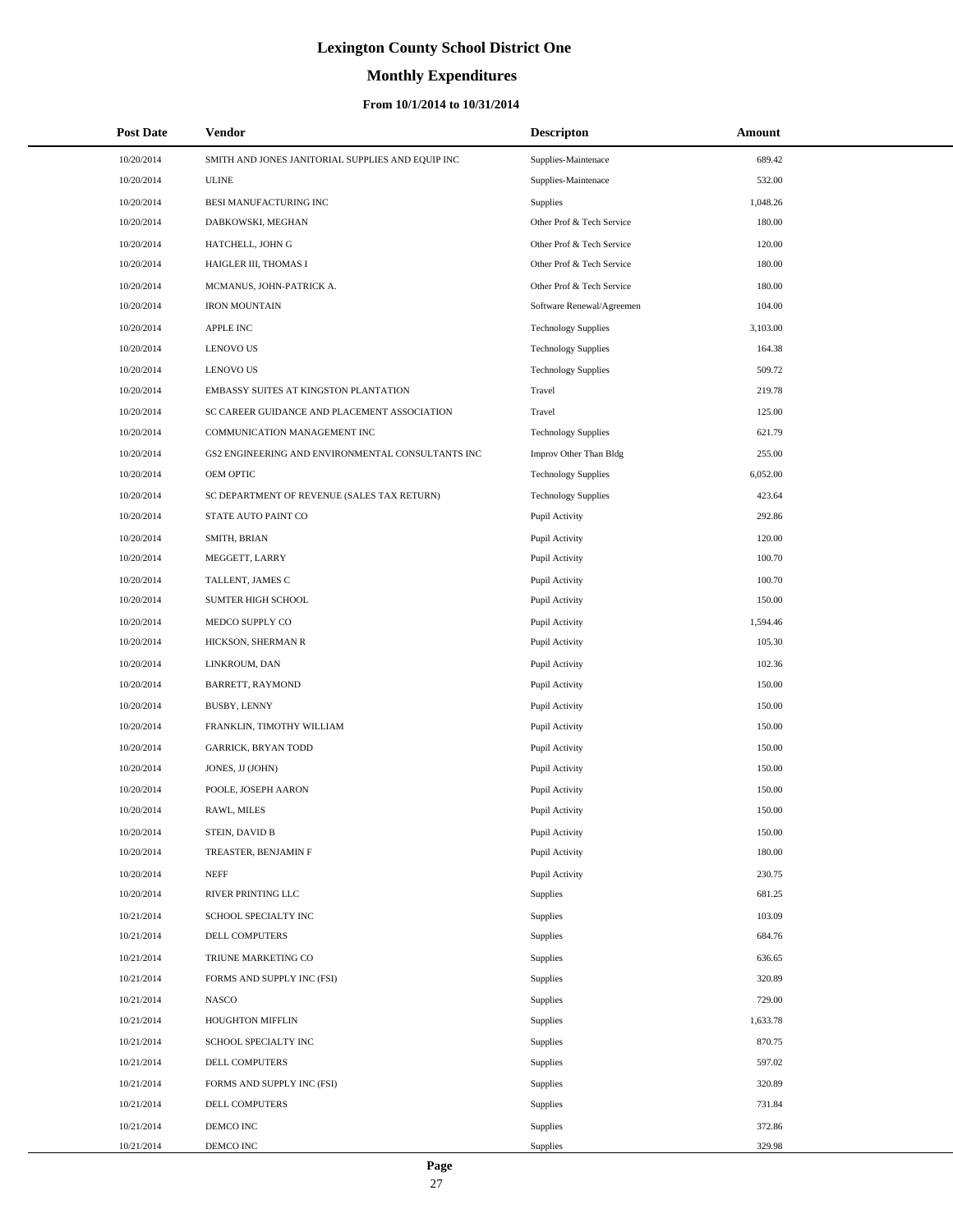# **Monthly Expenditures**

| <b>Post Date</b> | Vendor                                            | <b>Descripton</b>          | Amount   |
|------------------|---------------------------------------------------|----------------------------|----------|
| 10/20/2014       | SMITH AND JONES JANITORIAL SUPPLIES AND EQUIP INC | Supplies-Maintenace        | 689.42   |
| 10/20/2014       | <b>ULINE</b>                                      | Supplies-Maintenace        | 532.00   |
| 10/20/2014       | BESI MANUFACTURING INC                            | Supplies                   | 1,048.26 |
| 10/20/2014       | DABKOWSKI, MEGHAN                                 | Other Prof & Tech Service  | 180.00   |
| 10/20/2014       | HATCHELL, JOHN G                                  | Other Prof & Tech Service  | 120.00   |
| 10/20/2014       | HAIGLER III, THOMAS I                             | Other Prof & Tech Service  | 180.00   |
| 10/20/2014       | MCMANUS, JOHN-PATRICK A.                          | Other Prof & Tech Service  | 180.00   |
| 10/20/2014       | <b>IRON MOUNTAIN</b>                              | Software Renewal/Agreemen  | 104.00   |
| 10/20/2014       | APPLE INC                                         | <b>Technology Supplies</b> | 3,103.00 |
| 10/20/2014       | <b>LENOVO US</b>                                  | <b>Technology Supplies</b> | 164.38   |
| 10/20/2014       | <b>LENOVO US</b>                                  | <b>Technology Supplies</b> | 509.72   |
| 10/20/2014       | EMBASSY SUITES AT KINGSTON PLANTATION             | Travel                     | 219.78   |
| 10/20/2014       | SC CAREER GUIDANCE AND PLACEMENT ASSOCIATION      | Travel                     | 125.00   |
| 10/20/2014       | COMMUNICATION MANAGEMENT INC                      | <b>Technology Supplies</b> | 621.79   |
| 10/20/2014       | GS2 ENGINEERING AND ENVIRONMENTAL CONSULTANTS INC | Improv Other Than Bldg     | 255.00   |
| 10/20/2014       | OEM OPTIC                                         | <b>Technology Supplies</b> | 6,052.00 |
| 10/20/2014       | SC DEPARTMENT OF REVENUE (SALES TAX RETURN)       | <b>Technology Supplies</b> | 423.64   |
| 10/20/2014       | STATE AUTO PAINT CO                               | Pupil Activity             | 292.86   |
| 10/20/2014       | SMITH, BRIAN                                      | Pupil Activity             | 120.00   |
| 10/20/2014       | MEGGETT, LARRY                                    | Pupil Activity             | 100.70   |
| 10/20/2014       | TALLENT, JAMES C                                  | Pupil Activity             | 100.70   |
| 10/20/2014       | SUMTER HIGH SCHOOL                                | Pupil Activity             | 150.00   |
| 10/20/2014       | MEDCO SUPPLY CO                                   | Pupil Activity             | 1,594.46 |
| 10/20/2014       | HICKSON, SHERMAN R                                | Pupil Activity             | 105.30   |
| 10/20/2014       | LINKROUM, DAN                                     | Pupil Activity             | 102.36   |
| 10/20/2014       | BARRETT, RAYMOND                                  | Pupil Activity             | 150.00   |
| 10/20/2014       | BUSBY, LENNY                                      | Pupil Activity             | 150.00   |
| 10/20/2014       | FRANKLIN, TIMOTHY WILLIAM                         | Pupil Activity             | 150.00   |
| 10/20/2014       | <b>GARRICK, BRYAN TODD</b>                        | Pupil Activity             | 150.00   |
| 10/20/2014       | JONES, JJ (JOHN)                                  | Pupil Activity             | 150.00   |
| 10/20/2014       | POOLE, JOSEPH AARON                               | Pupil Activity             | 150.00   |
| 10/20/2014       | RAWL, MILES                                       | Pupil Activity             | 150.00   |
| 10/20/2014       | STEIN, DAVID B                                    | Pupil Activity             | 150.00   |
| 10/20/2014       | TREASTER, BENJAMIN F                              | Pupil Activity             | 180.00   |
| 10/20/2014       | <b>NEFF</b>                                       | Pupil Activity             | 230.75   |
| 10/20/2014       | RIVER PRINTING LLC                                | Supplies                   | 681.25   |
| 10/21/2014       | SCHOOL SPECIALTY INC                              | Supplies                   | 103.09   |
| 10/21/2014       | DELL COMPUTERS                                    | Supplies                   | 684.76   |
| 10/21/2014       | TRIUNE MARKETING CO                               | Supplies                   | 636.65   |
| 10/21/2014       | FORMS AND SUPPLY INC (FSI)                        | Supplies                   | 320.89   |
| 10/21/2014       | <b>NASCO</b>                                      | Supplies                   | 729.00   |
| 10/21/2014       | <b>HOUGHTON MIFFLIN</b>                           | Supplies                   | 1,633.78 |
| 10/21/2014       | SCHOOL SPECIALTY INC                              | Supplies                   | 870.75   |
| 10/21/2014       | DELL COMPUTERS                                    | Supplies                   | 597.02   |
| 10/21/2014       | FORMS AND SUPPLY INC (FSI)                        | Supplies                   | 320.89   |
| 10/21/2014       | DELL COMPUTERS                                    | Supplies                   | 731.84   |
| 10/21/2014       | DEMCO INC                                         | Supplies                   | 372.86   |
| 10/21/2014       | DEMCO INC                                         | Supplies                   | 329.98   |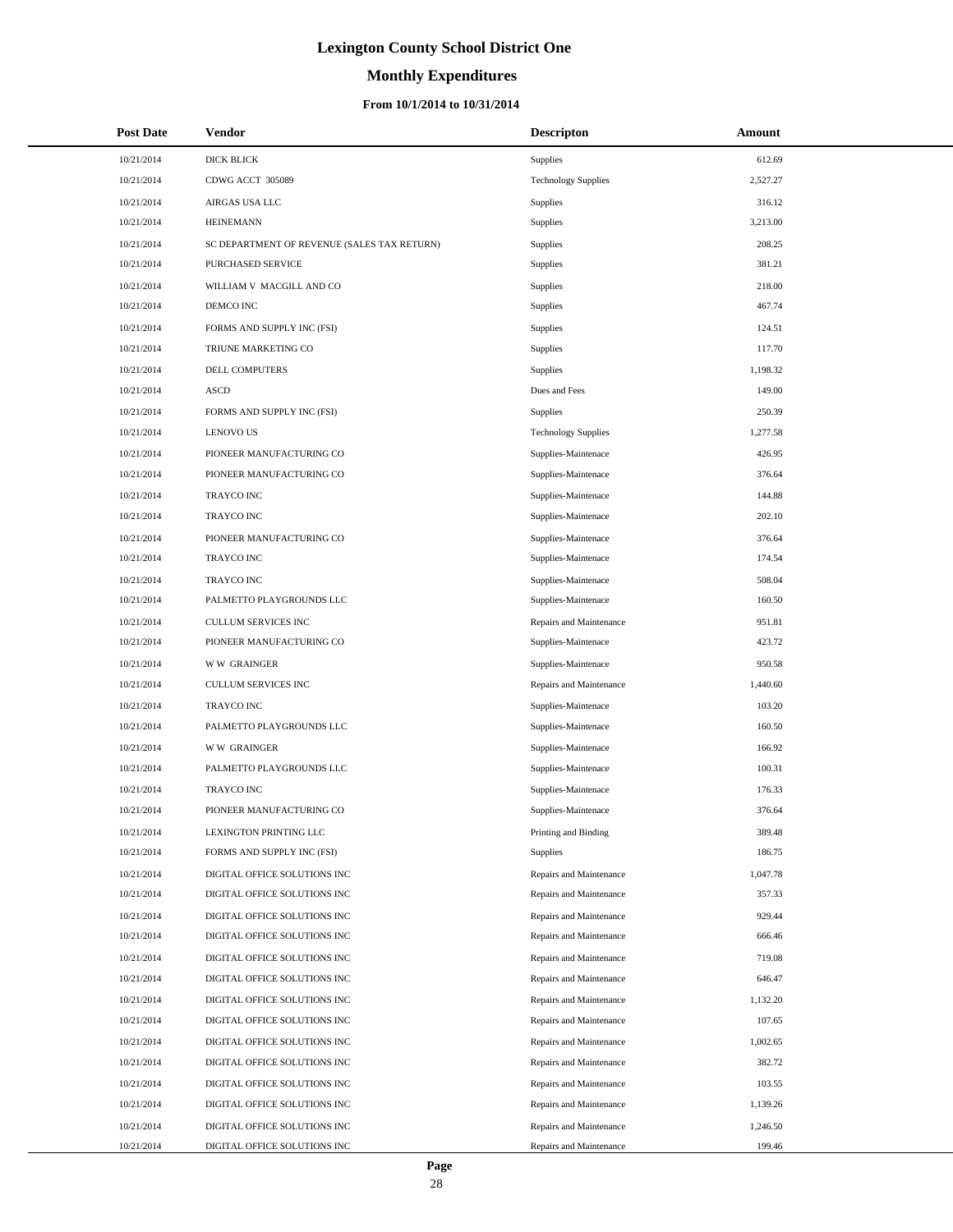# **Monthly Expenditures**

#### **From 10/1/2014 to 10/31/2014**

| <b>Post Date</b> | Vendor                                      | <b>Descripton</b>          | Amount   |
|------------------|---------------------------------------------|----------------------------|----------|
| 10/21/2014       | <b>DICK BLICK</b>                           | Supplies                   | 612.69   |
| 10/21/2014       | CDWG ACCT 305089                            | <b>Technology Supplies</b> | 2,527.27 |
| 10/21/2014       | AIRGAS USA LLC                              | Supplies                   | 316.12   |
| 10/21/2014       | <b>HEINEMANN</b>                            | Supplies                   | 3,213.00 |
| 10/21/2014       | SC DEPARTMENT OF REVENUE (SALES TAX RETURN) | Supplies                   | 208.25   |
| 10/21/2014       | PURCHASED SERVICE                           | Supplies                   | 381.21   |
| 10/21/2014       | WILLIAM V MACGILL AND CO                    | Supplies                   | 218.00   |
| 10/21/2014       | DEMCO INC                                   | Supplies                   | 467.74   |
| 10/21/2014       | FORMS AND SUPPLY INC (FSI)                  | Supplies                   | 124.51   |
| 10/21/2014       | TRIUNE MARKETING CO                         | Supplies                   | 117.70   |
| 10/21/2014       | DELL COMPUTERS                              | Supplies                   | 1,198.32 |
| 10/21/2014       | <b>ASCD</b>                                 | Dues and Fees              | 149.00   |
| 10/21/2014       | FORMS AND SUPPLY INC (FSI)                  | Supplies                   | 250.39   |
| 10/21/2014       | <b>LENOVO US</b>                            | <b>Technology Supplies</b> | 1,277.58 |
| 10/21/2014       | PIONEER MANUFACTURING CO                    | Supplies-Maintenace        | 426.95   |
| 10/21/2014       | PIONEER MANUFACTURING CO                    | Supplies-Maintenace        | 376.64   |
| 10/21/2014       | <b>TRAYCO INC</b>                           | Supplies-Maintenace        | 144.88   |
| 10/21/2014       | <b>TRAYCO INC</b>                           | Supplies-Maintenace        | 202.10   |
| 10/21/2014       | PIONEER MANUFACTURING CO                    | Supplies-Maintenace        | 376.64   |
| 10/21/2014       | TRAYCO INC                                  | Supplies-Maintenace        | 174.54   |
| 10/21/2014       | <b>TRAYCO INC</b>                           | Supplies-Maintenace        | 508.04   |
| 10/21/2014       | PALMETTO PLAYGROUNDS LLC                    | Supplies-Maintenace        | 160.50   |
| 10/21/2014       | CULLUM SERVICES INC                         | Repairs and Maintenance    | 951.81   |
| 10/21/2014       | PIONEER MANUFACTURING CO                    | Supplies-Maintenace        | 423.72   |
| 10/21/2014       | <b>WW GRAINGER</b>                          | Supplies-Maintenace        | 950.58   |
| 10/21/2014       | CULLUM SERVICES INC                         | Repairs and Maintenance    | 1,440.60 |
| 10/21/2014       | TRAYCO INC                                  | Supplies-Maintenace        | 103.20   |
| 10/21/2014       | PALMETTO PLAYGROUNDS LLC                    | Supplies-Maintenace        | 160.50   |
| 10/21/2014       | <b>WW GRAINGER</b>                          | Supplies-Maintenace        | 166.92   |
| 10/21/2014       | PALMETTO PLAYGROUNDS LLC                    | Supplies-Maintenace        | 100.31   |
| 10/21/2014       | TRAYCO INC                                  | Supplies-Maintenace        | 176.33   |
| 10/21/2014       | PIONEER MANUFACTURING CO                    | Supplies-Maintenace        | 376.64   |
| 10/21/2014       | LEXINGTON PRINTING LLC                      | Printing and Binding       | 389.48   |
| 10/21/2014       | FORMS AND SUPPLY INC (FSI)                  | Supplies                   | 186.75   |
| 10/21/2014       | DIGITAL OFFICE SOLUTIONS INC                | Repairs and Maintenance    | 1,047.78 |
| 10/21/2014       | DIGITAL OFFICE SOLUTIONS INC                | Repairs and Maintenance    | 357.33   |
| 10/21/2014       | DIGITAL OFFICE SOLUTIONS INC                | Repairs and Maintenance    | 929.44   |
| 10/21/2014       | DIGITAL OFFICE SOLUTIONS INC                | Repairs and Maintenance    | 666.46   |
| 10/21/2014       | DIGITAL OFFICE SOLUTIONS INC                | Repairs and Maintenance    | 719.08   |
| 10/21/2014       | DIGITAL OFFICE SOLUTIONS INC                | Repairs and Maintenance    | 646.47   |
| 10/21/2014       | DIGITAL OFFICE SOLUTIONS INC                | Repairs and Maintenance    | 1,132.20 |
| 10/21/2014       | DIGITAL OFFICE SOLUTIONS INC                | Repairs and Maintenance    | 107.65   |
| 10/21/2014       | DIGITAL OFFICE SOLUTIONS INC                | Repairs and Maintenance    | 1,002.65 |
| 10/21/2014       | DIGITAL OFFICE SOLUTIONS INC                | Repairs and Maintenance    | 382.72   |
| 10/21/2014       | DIGITAL OFFICE SOLUTIONS INC                | Repairs and Maintenance    | 103.55   |
| 10/21/2014       | DIGITAL OFFICE SOLUTIONS INC                | Repairs and Maintenance    | 1,139.26 |
| 10/21/2014       | DIGITAL OFFICE SOLUTIONS INC                | Repairs and Maintenance    | 1,246.50 |
| 10/21/2014       | DIGITAL OFFICE SOLUTIONS INC                | Repairs and Maintenance    | 199.46   |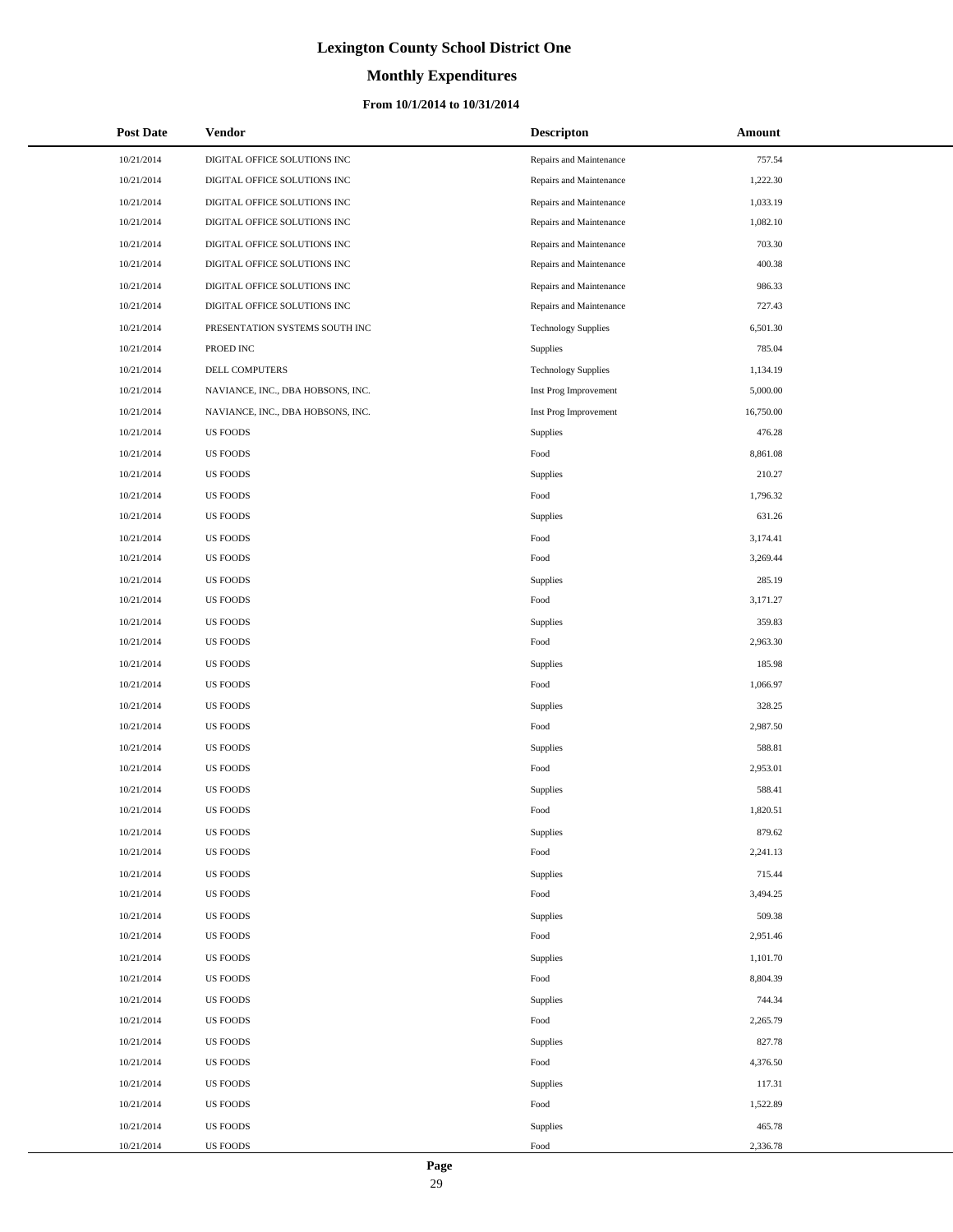# **Monthly Expenditures**

#### **From 10/1/2014 to 10/31/2014**

| <b>Post Date</b> | <b>Vendor</b>                     | <b>Descripton</b>          | Amount    |
|------------------|-----------------------------------|----------------------------|-----------|
| 10/21/2014       | DIGITAL OFFICE SOLUTIONS INC      | Repairs and Maintenance    | 757.54    |
| 10/21/2014       | DIGITAL OFFICE SOLUTIONS INC      | Repairs and Maintenance    | 1,222.30  |
| 10/21/2014       | DIGITAL OFFICE SOLUTIONS INC      | Repairs and Maintenance    | 1,033.19  |
| 10/21/2014       | DIGITAL OFFICE SOLUTIONS INC      | Repairs and Maintenance    | 1,082.10  |
| 10/21/2014       | DIGITAL OFFICE SOLUTIONS INC      | Repairs and Maintenance    | 703.30    |
| 10/21/2014       | DIGITAL OFFICE SOLUTIONS INC      | Repairs and Maintenance    | 400.38    |
| 10/21/2014       | DIGITAL OFFICE SOLUTIONS INC      | Repairs and Maintenance    | 986.33    |
| 10/21/2014       | DIGITAL OFFICE SOLUTIONS INC      | Repairs and Maintenance    | 727.43    |
| 10/21/2014       | PRESENTATION SYSTEMS SOUTH INC    | <b>Technology Supplies</b> | 6,501.30  |
| 10/21/2014       | PROED INC                         | Supplies                   | 785.04    |
| 10/21/2014       | DELL COMPUTERS                    | <b>Technology Supplies</b> | 1,134.19  |
| 10/21/2014       | NAVIANCE, INC., DBA HOBSONS, INC. | Inst Prog Improvement      | 5,000.00  |
| 10/21/2014       | NAVIANCE, INC., DBA HOBSONS, INC. | Inst Prog Improvement      | 16,750.00 |
| 10/21/2014       | <b>US FOODS</b>                   | Supplies                   | 476.28    |
| 10/21/2014       | <b>US FOODS</b>                   | Food                       | 8,861.08  |
| 10/21/2014       | <b>US FOODS</b>                   | Supplies                   | 210.27    |
| 10/21/2014       | <b>US FOODS</b>                   | Food                       | 1,796.32  |
| 10/21/2014       | US FOODS                          | Supplies                   | 631.26    |
| 10/21/2014       | <b>US FOODS</b>                   | Food                       | 3,174.41  |
| 10/21/2014       | <b>US FOODS</b>                   | Food                       | 3,269.44  |
| 10/21/2014       | <b>US FOODS</b>                   | Supplies                   | 285.19    |
| 10/21/2014       | <b>US FOODS</b>                   | Food                       | 3,171.27  |
| 10/21/2014       | <b>US FOODS</b>                   | Supplies                   | 359.83    |
| 10/21/2014       | <b>US FOODS</b>                   | Food                       | 2,963.30  |
| 10/21/2014       | <b>US FOODS</b>                   | Supplies                   | 185.98    |
| 10/21/2014       | <b>US FOODS</b>                   | Food                       | 1,066.97  |
| 10/21/2014       | <b>US FOODS</b>                   | Supplies                   | 328.25    |
| 10/21/2014       | <b>US FOODS</b>                   | Food                       | 2,987.50  |
| 10/21/2014       | <b>US FOODS</b>                   | Supplies                   | 588.81    |
| 10/21/2014       | <b>US FOODS</b>                   | Food                       | 2,953.01  |
| 10/21/2014       | <b>US FOODS</b>                   | Supplies                   | 588.41    |
| 10/21/2014       | <b>US FOODS</b>                   | Food                       | 1,820.51  |
| 10/21/2014       | <b>US FOODS</b>                   | Supplies                   | 879.62    |
| 10/21/2014       | <b>US FOODS</b>                   | Food                       | 2,241.13  |
| 10/21/2014       | <b>US FOODS</b>                   | Supplies                   | 715.44    |
| 10/21/2014       | <b>US FOODS</b>                   | Food                       | 3,494.25  |
| 10/21/2014       | <b>US FOODS</b>                   | Supplies                   | 509.38    |
| 10/21/2014       | <b>US FOODS</b>                   | Food                       | 2,951.46  |
| 10/21/2014       | <b>US FOODS</b>                   | Supplies                   | 1,101.70  |
| 10/21/2014       | <b>US FOODS</b>                   | Food                       | 8,804.39  |
| 10/21/2014       | <b>US FOODS</b>                   | Supplies                   | 744.34    |
| 10/21/2014       | <b>US FOODS</b>                   | Food                       | 2,265.79  |
| 10/21/2014       | <b>US FOODS</b>                   | Supplies                   | 827.78    |
| 10/21/2014       | <b>US FOODS</b>                   | Food                       | 4,376.50  |
| 10/21/2014       | <b>US FOODS</b>                   | Supplies                   | 117.31    |
| 10/21/2014       | <b>US FOODS</b>                   | Food                       | 1,522.89  |
| 10/21/2014       | <b>US FOODS</b>                   | Supplies                   | 465.78    |
| 10/21/2014       | <b>US FOODS</b>                   | Food                       | 2,336.78  |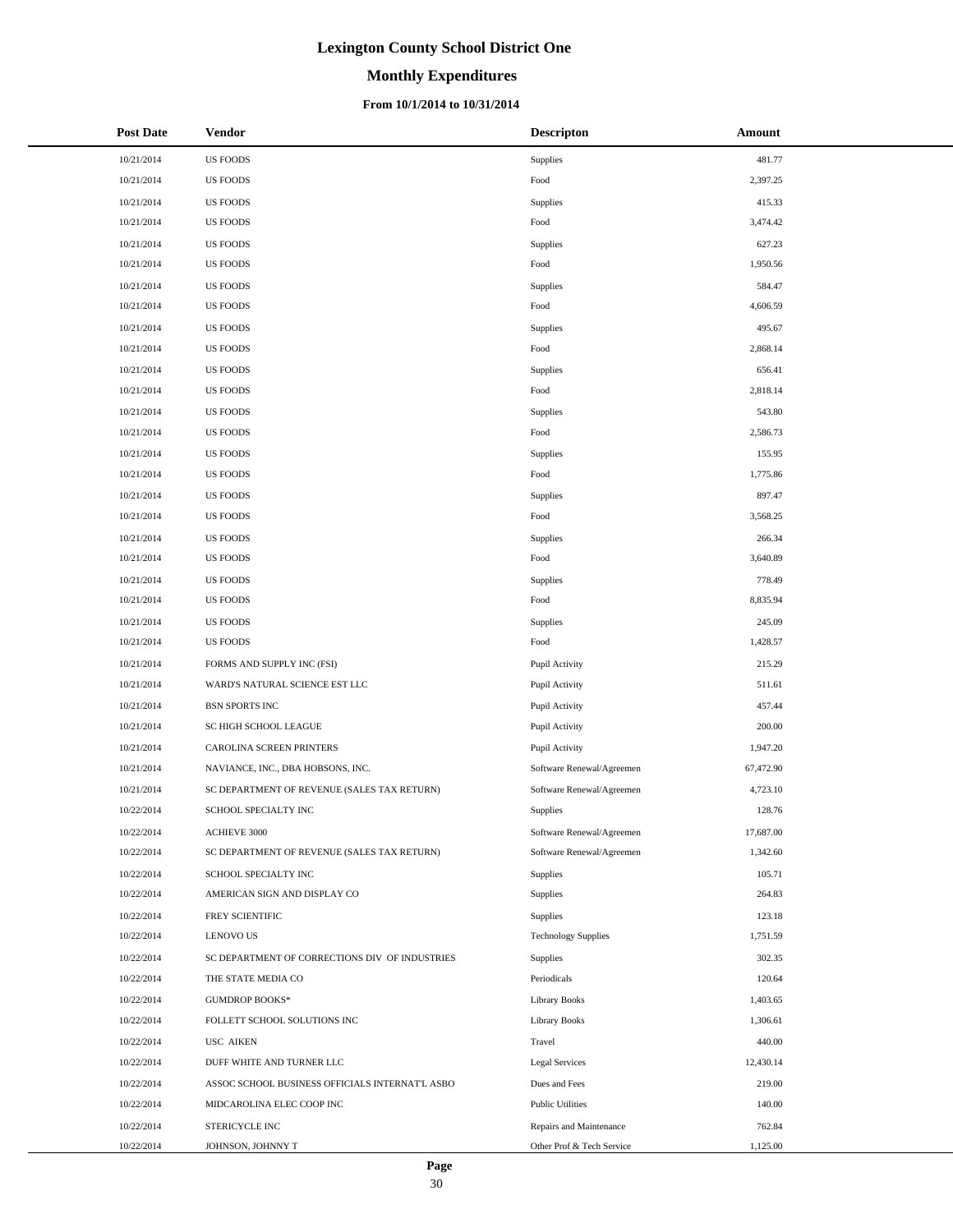# **Monthly Expenditures**

#### **From 10/1/2014 to 10/31/2014**

| <b>Post Date</b> | Vendor                                          | <b>Descripton</b>          | Amount    |
|------------------|-------------------------------------------------|----------------------------|-----------|
| 10/21/2014       | <b>US FOODS</b>                                 | Supplies                   | 481.77    |
| 10/21/2014       | <b>US FOODS</b>                                 | Food                       | 2,397.25  |
| 10/21/2014       | <b>US FOODS</b>                                 | <b>Supplies</b>            | 415.33    |
| 10/21/2014       | <b>US FOODS</b>                                 | Food                       | 3,474.42  |
| 10/21/2014       | <b>US FOODS</b>                                 | <b>Supplies</b>            | 627.23    |
| 10/21/2014       | <b>US FOODS</b>                                 | Food                       | 1,950.56  |
| 10/21/2014       | <b>US FOODS</b>                                 | <b>Supplies</b>            | 584.47    |
| 10/21/2014       | <b>US FOODS</b>                                 | Food                       | 4,606.59  |
| 10/21/2014       | <b>US FOODS</b>                                 | Supplies                   | 495.67    |
| 10/21/2014       | <b>US FOODS</b>                                 | Food                       | 2,868.14  |
| 10/21/2014       | <b>US FOODS</b>                                 | <b>Supplies</b>            | 656.41    |
| 10/21/2014       | <b>US FOODS</b>                                 | Food                       | 2,818.14  |
| 10/21/2014       | <b>US FOODS</b>                                 | <b>Supplies</b>            | 543.80    |
| 10/21/2014       | <b>US FOODS</b>                                 | Food                       | 2,586.73  |
| 10/21/2014       | <b>US FOODS</b>                                 | <b>Supplies</b>            | 155.95    |
| 10/21/2014       | <b>US FOODS</b>                                 | Food                       | 1,775.86  |
| 10/21/2014       | <b>US FOODS</b>                                 | Supplies                   | 897.47    |
| 10/21/2014       | <b>US FOODS</b>                                 | Food                       | 3,568.25  |
| 10/21/2014       | <b>US FOODS</b>                                 | <b>Supplies</b>            | 266.34    |
| 10/21/2014       | <b>US FOODS</b>                                 | Food                       | 3,640.89  |
| 10/21/2014       | <b>US FOODS</b>                                 | <b>Supplies</b>            | 778.49    |
| 10/21/2014       | <b>US FOODS</b>                                 | Food                       | 8,835.94  |
| 10/21/2014       | <b>US FOODS</b>                                 | <b>Supplies</b>            | 245.09    |
| 10/21/2014       | <b>US FOODS</b>                                 | Food                       | 1,428.57  |
| 10/21/2014       | FORMS AND SUPPLY INC (FSI)                      | Pupil Activity             | 215.29    |
| 10/21/2014       | WARD'S NATURAL SCIENCE EST LLC                  | Pupil Activity             | 511.61    |
| 10/21/2014       | <b>BSN SPORTS INC</b>                           | Pupil Activity             | 457.44    |
| 10/21/2014       | SC HIGH SCHOOL LEAGUE                           | Pupil Activity             | 200.00    |
| 10/21/2014       | CAROLINA SCREEN PRINTERS                        | Pupil Activity             | 1,947.20  |
| 10/21/2014       | NAVIANCE, INC., DBA HOBSONS, INC.               | Software Renewal/Agreemen  | 67,472.90 |
| 10/21/2014       | SC DEPARTMENT OF REVENUE (SALES TAX RETURN)     | Software Renewal/Agreemen  | 4,723.10  |
| 10/22/2014       | SCHOOL SPECIALTY INC                            | Supplies                   | 128.76    |
| 10/22/2014       | ACHIEVE 3000                                    | Software Renewal/Agreemen  | 17,687.00 |
| 10/22/2014       | SC DEPARTMENT OF REVENUE (SALES TAX RETURN)     | Software Renewal/Agreemen  | 1,342.60  |
| 10/22/2014       | SCHOOL SPECIALTY INC                            | <b>Supplies</b>            | 105.71    |
| 10/22/2014       | AMERICAN SIGN AND DISPLAY CO                    | <b>Supplies</b>            | 264.83    |
| 10/22/2014       | <b>FREY SCIENTIFIC</b>                          | Supplies                   | 123.18    |
| 10/22/2014       | <b>LENOVO US</b>                                | <b>Technology Supplies</b> | 1,751.59  |
| 10/22/2014       | SC DEPARTMENT OF CORRECTIONS DIV OF INDUSTRIES  | Supplies                   | 302.35    |
| 10/22/2014       | THE STATE MEDIA CO                              | Periodicals                | 120.64    |
| 10/22/2014       | <b>GUMDROP BOOKS*</b>                           | <b>Library Books</b>       | 1,403.65  |
| 10/22/2014       | FOLLETT SCHOOL SOLUTIONS INC                    | <b>Library Books</b>       | 1,306.61  |
| 10/22/2014       | <b>USC AIKEN</b>                                | Travel                     | 440.00    |
| 10/22/2014       | DUFF WHITE AND TURNER LLC                       | <b>Legal Services</b>      | 12,430.14 |
| 10/22/2014       | ASSOC SCHOOL BUSINESS OFFICIALS INTERNAT'L ASBO | Dues and Fees              | 219.00    |
| 10/22/2014       | MIDCAROLINA ELEC COOP INC                       | <b>Public Utilities</b>    | 140.00    |
| 10/22/2014       | STERICYCLE INC                                  | Repairs and Maintenance    | 762.84    |
| 10/22/2014       | JOHNSON, JOHNNY T                               | Other Prof & Tech Service  | 1,125.00  |

 $\overline{\phantom{a}}$  $\overline{\phantom{0}}$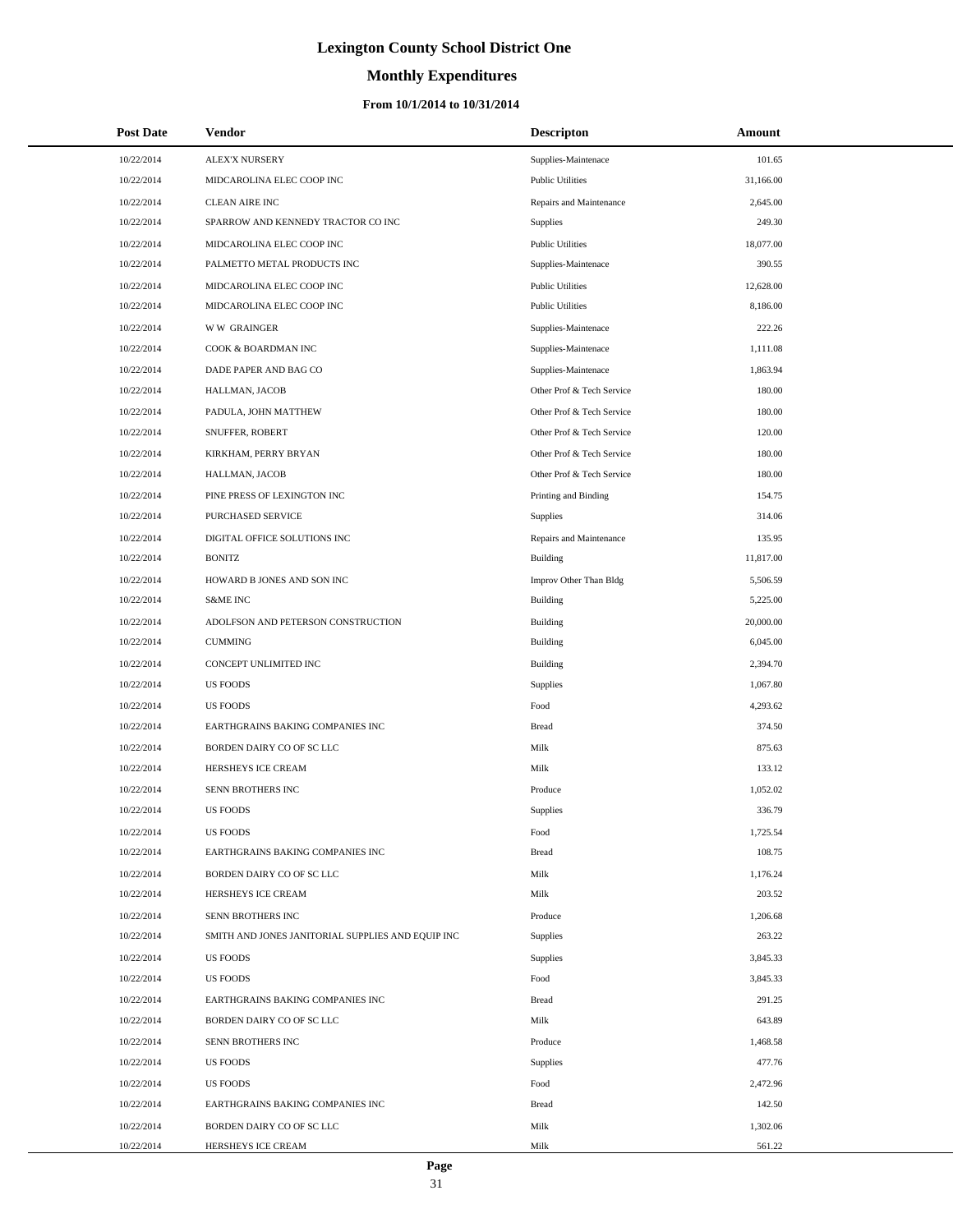# **Monthly Expenditures**

| <b>Post Date</b> | Vendor                                            | <b>Descripton</b>         | Amount    |  |
|------------------|---------------------------------------------------|---------------------------|-----------|--|
| 10/22/2014       | <b>ALEX'X NURSERY</b>                             | Supplies-Maintenace       | 101.65    |  |
| 10/22/2014       | MIDCAROLINA ELEC COOP INC                         | <b>Public Utilities</b>   | 31,166.00 |  |
| 10/22/2014       | <b>CLEAN AIRE INC</b>                             | Repairs and Maintenance   | 2,645.00  |  |
| 10/22/2014       | SPARROW AND KENNEDY TRACTOR CO INC                | Supplies                  | 249.30    |  |
| 10/22/2014       | MIDCAROLINA ELEC COOP INC                         | <b>Public Utilities</b>   | 18,077.00 |  |
| 10/22/2014       | PALMETTO METAL PRODUCTS INC                       | Supplies-Maintenace       | 390.55    |  |
| 10/22/2014       | MIDCAROLINA ELEC COOP INC                         | <b>Public Utilities</b>   | 12,628.00 |  |
| 10/22/2014       | MIDCAROLINA ELEC COOP INC                         | <b>Public Utilities</b>   | 8,186.00  |  |
| 10/22/2014       | <b>WW GRAINGER</b>                                | Supplies-Maintenace       | 222.26    |  |
| 10/22/2014       | COOK & BOARDMAN INC                               | Supplies-Maintenace       | 1,111.08  |  |
| 10/22/2014       | DADE PAPER AND BAG CO                             | Supplies-Maintenace       | 1,863.94  |  |
| 10/22/2014       | HALLMAN, JACOB                                    | Other Prof & Tech Service | 180.00    |  |
| 10/22/2014       | PADULA, JOHN MATTHEW                              | Other Prof & Tech Service | 180.00    |  |
| 10/22/2014       | SNUFFER, ROBERT                                   | Other Prof & Tech Service | 120.00    |  |
| 10/22/2014       | KIRKHAM, PERRY BRYAN                              | Other Prof & Tech Service | 180.00    |  |
| 10/22/2014       | HALLMAN, JACOB                                    | Other Prof & Tech Service | 180.00    |  |
| 10/22/2014       | PINE PRESS OF LEXINGTON INC                       | Printing and Binding      | 154.75    |  |
| 10/22/2014       | PURCHASED SERVICE                                 | <b>Supplies</b>           | 314.06    |  |
| 10/22/2014       | DIGITAL OFFICE SOLUTIONS INC                      | Repairs and Maintenance   | 135.95    |  |
| 10/22/2014       | <b>BONITZ</b>                                     | Building                  | 11,817.00 |  |
| 10/22/2014       | HOWARD B JONES AND SON INC                        | Improv Other Than Bldg    | 5,506.59  |  |
| 10/22/2014       | <b>S&amp;ME INC</b>                               | Building                  | 5,225.00  |  |
| 10/22/2014       | ADOLFSON AND PETERSON CONSTRUCTION                | Building                  | 20,000.00 |  |
| 10/22/2014       | <b>CUMMING</b>                                    | Building                  | 6,045.00  |  |
| 10/22/2014       | CONCEPT UNLIMITED INC                             | Building                  | 2,394.70  |  |
| 10/22/2014       | <b>US FOODS</b>                                   | <b>Supplies</b>           | 1,067.80  |  |
| 10/22/2014       | <b>US FOODS</b>                                   | Food                      | 4,293.62  |  |
| 10/22/2014       | EARTHGRAINS BAKING COMPANIES INC                  | <b>Bread</b>              | 374.50    |  |
| 10/22/2014       | BORDEN DAIRY CO OF SC LLC                         | Milk                      | 875.63    |  |
| 10/22/2014       | HERSHEYS ICE CREAM                                | Milk                      | 133.12    |  |
| 10/22/2014       | SENN BROTHERS INC                                 | Produce                   | 1,052.02  |  |
| 10/22/2014       | <b>US FOODS</b>                                   | <b>Supplies</b>           | 336.79    |  |
| 10/22/2014       | <b>US FOODS</b>                                   | Food                      | 1,725.54  |  |
| 10/22/2014       | EARTHGRAINS BAKING COMPANIES INC                  | <b>Bread</b>              | 108.75    |  |
| 10/22/2014       | BORDEN DAIRY CO OF SC LLC                         | Milk                      | 1,176.24  |  |
| 10/22/2014       | HERSHEYS ICE CREAM                                | Milk                      | 203.52    |  |
| 10/22/2014       | SENN BROTHERS INC                                 | Produce                   | 1,206.68  |  |
| 10/22/2014       | SMITH AND JONES JANITORIAL SUPPLIES AND EQUIP INC | Supplies                  | 263.22    |  |
| 10/22/2014       | <b>US FOODS</b>                                   | <b>Supplies</b>           | 3,845.33  |  |
| 10/22/2014       | <b>US FOODS</b>                                   | Food                      | 3,845.33  |  |
| 10/22/2014       | EARTHGRAINS BAKING COMPANIES INC                  | Bread                     | 291.25    |  |
| 10/22/2014       | BORDEN DAIRY CO OF SC LLC                         | Milk                      | 643.89    |  |
| 10/22/2014       | SENN BROTHERS INC                                 | Produce                   | 1,468.58  |  |
| 10/22/2014       | <b>US FOODS</b>                                   | Supplies                  | 477.76    |  |
| 10/22/2014       | <b>US FOODS</b>                                   | Food                      | 2,472.96  |  |
| 10/22/2014       | EARTHGRAINS BAKING COMPANIES INC                  | Bread                     | 142.50    |  |
| 10/22/2014       | BORDEN DAIRY CO OF SC LLC                         | Milk                      | 1,302.06  |  |
| 10/22/2014       | HERSHEYS ICE CREAM                                | Milk                      | 561.22    |  |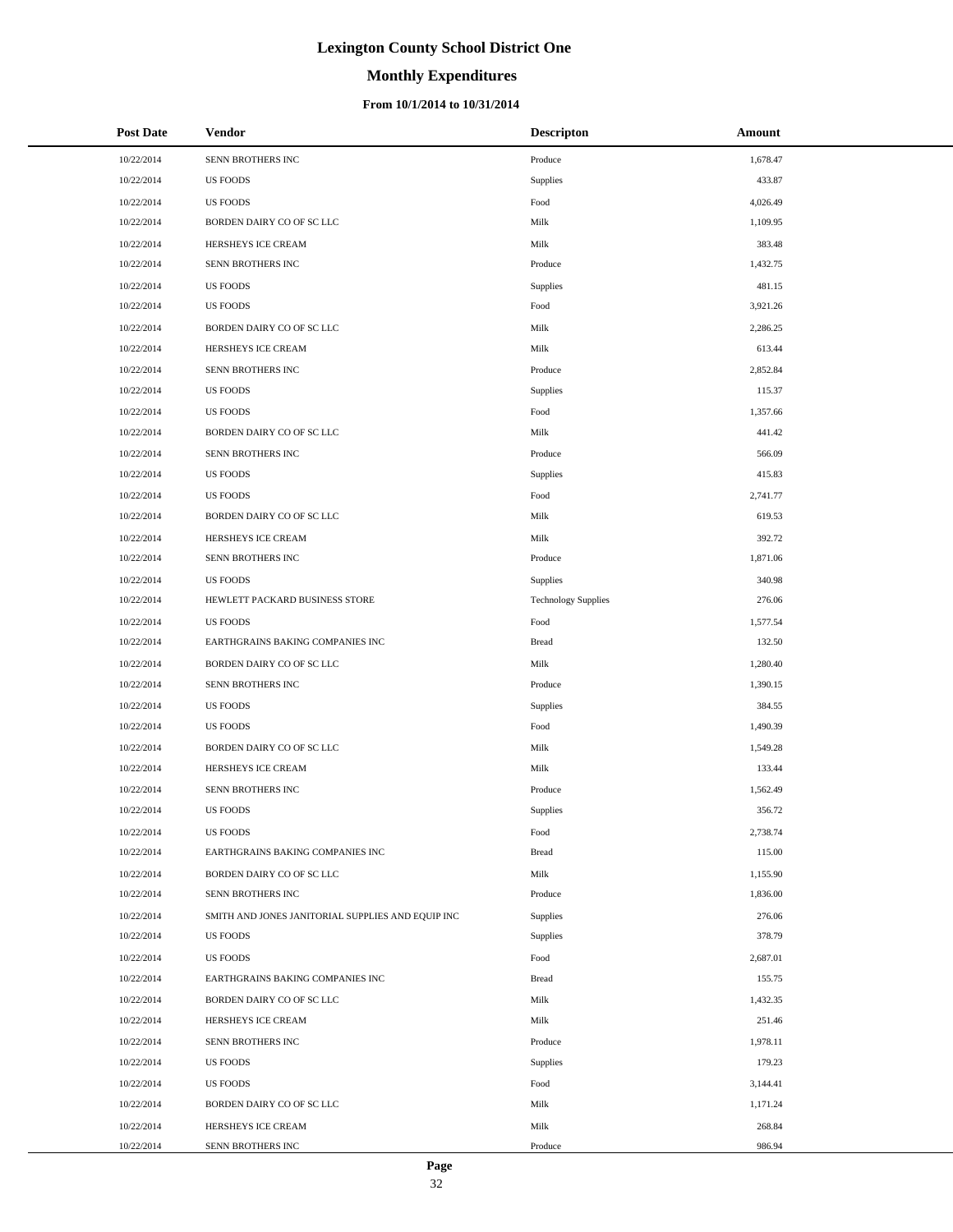# **Monthly Expenditures**

| <b>Post Date</b> | Vendor                                            | <b>Descripton</b>          | Amount   |
|------------------|---------------------------------------------------|----------------------------|----------|
| 10/22/2014       | SENN BROTHERS INC                                 | Produce                    | 1,678.47 |
| 10/22/2014       | <b>US FOODS</b>                                   | Supplies                   | 433.87   |
| 10/22/2014       | <b>US FOODS</b>                                   | Food                       | 4,026.49 |
| 10/22/2014       | BORDEN DAIRY CO OF SC LLC                         | Milk                       | 1,109.95 |
| 10/22/2014       | HERSHEYS ICE CREAM                                | Milk                       | 383.48   |
| 10/22/2014       | SENN BROTHERS INC                                 | Produce                    | 1,432.75 |
| 10/22/2014       | <b>US FOODS</b>                                   | Supplies                   | 481.15   |
| 10/22/2014       | <b>US FOODS</b>                                   | Food                       | 3,921.26 |
| 10/22/2014       | BORDEN DAIRY CO OF SC LLC                         | Milk                       | 2,286.25 |
| 10/22/2014       | HERSHEYS ICE CREAM                                | Milk                       | 613.44   |
| 10/22/2014       | SENN BROTHERS INC                                 | Produce                    | 2,852.84 |
| 10/22/2014       | <b>US FOODS</b>                                   | Supplies                   | 115.37   |
| 10/22/2014       | <b>US FOODS</b>                                   | Food                       | 1,357.66 |
| 10/22/2014       | BORDEN DAIRY CO OF SC LLC                         | Milk                       | 441.42   |
| 10/22/2014       | SENN BROTHERS INC                                 | Produce                    | 566.09   |
| 10/22/2014       | <b>US FOODS</b>                                   | Supplies                   | 415.83   |
| 10/22/2014       | <b>US FOODS</b>                                   | Food                       | 2,741.77 |
| 10/22/2014       | BORDEN DAIRY CO OF SC LLC                         | Milk                       | 619.53   |
| 10/22/2014       | HERSHEYS ICE CREAM                                | Milk                       | 392.72   |
| 10/22/2014       | SENN BROTHERS INC                                 | Produce                    | 1,871.06 |
| 10/22/2014       | <b>US FOODS</b>                                   | Supplies                   | 340.98   |
| 10/22/2014       | HEWLETT PACKARD BUSINESS STORE                    | <b>Technology Supplies</b> | 276.06   |
| 10/22/2014       | <b>US FOODS</b>                                   | Food                       | 1,577.54 |
| 10/22/2014       | EARTHGRAINS BAKING COMPANIES INC                  | <b>Bread</b>               | 132.50   |
| 10/22/2014       | BORDEN DAIRY CO OF SC LLC                         | Milk                       | 1,280.40 |
| 10/22/2014       | SENN BROTHERS INC                                 | Produce                    | 1,390.15 |
| 10/22/2014       | <b>US FOODS</b>                                   | Supplies                   | 384.55   |
| 10/22/2014       | <b>US FOODS</b>                                   | Food                       | 1,490.39 |
| 10/22/2014       | BORDEN DAIRY CO OF SC LLC                         | Milk                       | 1,549.28 |
| 10/22/2014       | HERSHEYS ICE CREAM                                | Milk                       | 133.44   |
| 10/22/2014       | SENN BROTHERS INC                                 | Produce                    | 1,562.49 |
| 10/22/2014       | <b>US FOODS</b>                                   | Supplies                   | 356.72   |
| 10/22/2014       | <b>US FOODS</b>                                   | Food                       | 2,738.74 |
| 10/22/2014       | EARTHGRAINS BAKING COMPANIES INC                  | <b>Bread</b>               | 115.00   |
| 10/22/2014       | BORDEN DAIRY CO OF SC LLC                         | Milk                       | 1,155.90 |
| 10/22/2014       | SENN BROTHERS INC                                 | Produce                    | 1,836.00 |
| 10/22/2014       | SMITH AND JONES JANITORIAL SUPPLIES AND EQUIP INC | Supplies                   | 276.06   |
| 10/22/2014       | <b>US FOODS</b>                                   | Supplies                   | 378.79   |
| 10/22/2014       | <b>US FOODS</b>                                   | Food                       | 2,687.01 |
| 10/22/2014       | EARTHGRAINS BAKING COMPANIES INC                  | <b>Bread</b>               | 155.75   |
| 10/22/2014       | BORDEN DAIRY CO OF SC LLC                         | Milk                       | 1,432.35 |
| 10/22/2014       | HERSHEYS ICE CREAM                                | Milk                       | 251.46   |
| 10/22/2014       | SENN BROTHERS INC                                 | Produce                    | 1,978.11 |
| 10/22/2014       | <b>US FOODS</b>                                   | Supplies                   | 179.23   |
| 10/22/2014       | <b>US FOODS</b>                                   | Food                       | 3,144.41 |
| 10/22/2014       | BORDEN DAIRY CO OF SC LLC                         | Milk                       | 1,171.24 |
| 10/22/2014       | HERSHEYS ICE CREAM                                | Milk                       | 268.84   |
| 10/22/2014       | SENN BROTHERS INC                                 | Produce                    | 986.94   |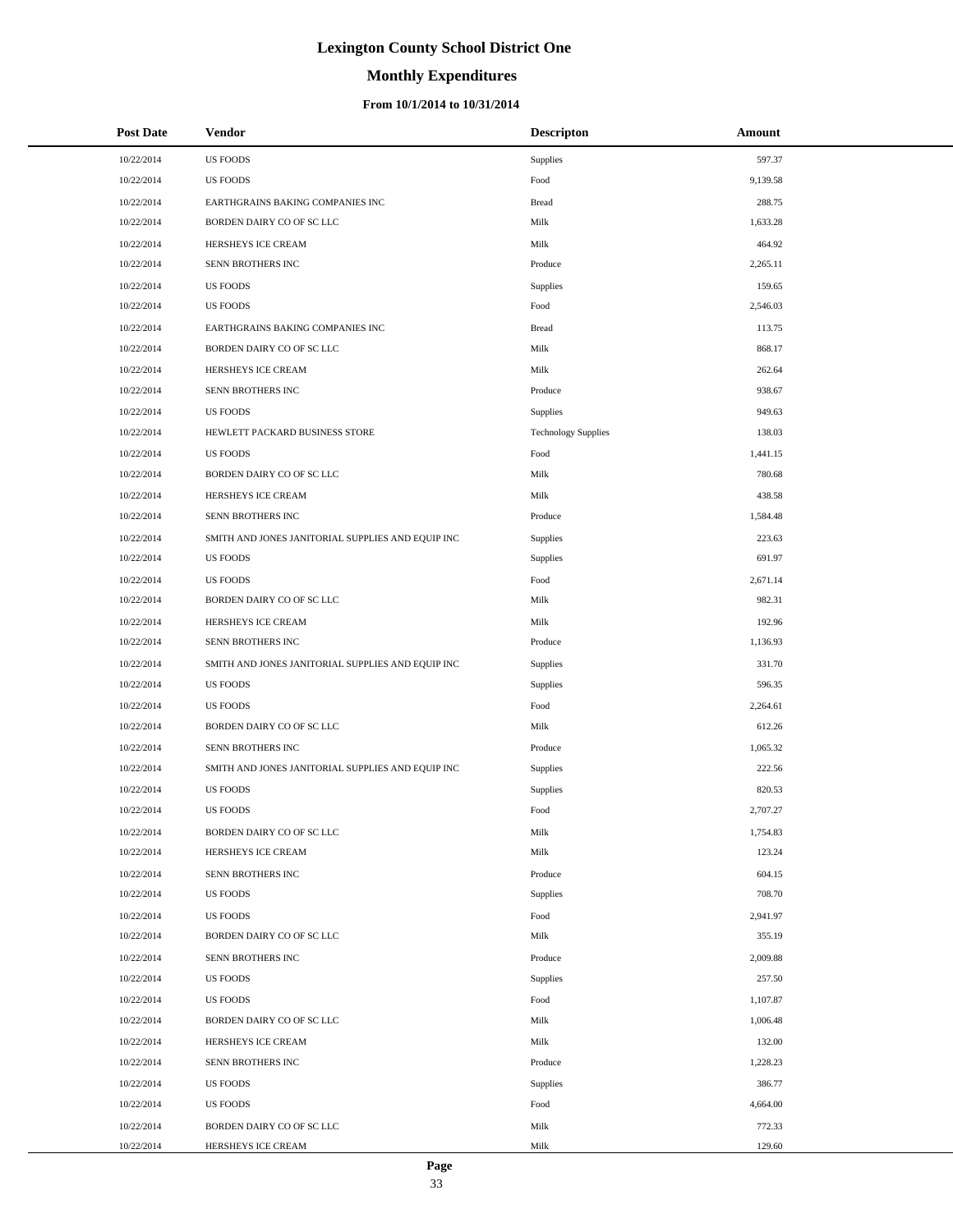# **Monthly Expenditures**

#### **From 10/1/2014 to 10/31/2014**

| <b>Post Date</b> | Vendor                                            | <b>Descripton</b>          | Amount   |  |
|------------------|---------------------------------------------------|----------------------------|----------|--|
| 10/22/2014       | <b>US FOODS</b>                                   | <b>Supplies</b>            | 597.37   |  |
| 10/22/2014       | <b>US FOODS</b>                                   | Food                       | 9,139.58 |  |
| 10/22/2014       | EARTHGRAINS BAKING COMPANIES INC                  | <b>Bread</b>               | 288.75   |  |
| 10/22/2014       | BORDEN DAIRY CO OF SC LLC                         | Milk                       | 1,633.28 |  |
| 10/22/2014       | HERSHEYS ICE CREAM                                | Milk                       | 464.92   |  |
| 10/22/2014       | SENN BROTHERS INC                                 | Produce                    | 2,265.11 |  |
| 10/22/2014       | <b>US FOODS</b>                                   | Supplies                   | 159.65   |  |
| 10/22/2014       | <b>US FOODS</b>                                   | Food                       | 2,546.03 |  |
| 10/22/2014       | EARTHGRAINS BAKING COMPANIES INC                  | <b>Bread</b>               | 113.75   |  |
| 10/22/2014       | BORDEN DAIRY CO OF SC LLC                         | Milk                       | 868.17   |  |
| 10/22/2014       | HERSHEYS ICE CREAM                                | Milk                       | 262.64   |  |
| 10/22/2014       | SENN BROTHERS INC                                 | Produce                    | 938.67   |  |
| 10/22/2014       | <b>US FOODS</b>                                   | Supplies                   | 949.63   |  |
| 10/22/2014       | HEWLETT PACKARD BUSINESS STORE                    | <b>Technology Supplies</b> | 138.03   |  |
| 10/22/2014       | <b>US FOODS</b>                                   | Food                       | 1,441.15 |  |
| 10/22/2014       | BORDEN DAIRY CO OF SC LLC                         | Milk                       | 780.68   |  |
| 10/22/2014       | HERSHEYS ICE CREAM                                | Milk                       | 438.58   |  |
| 10/22/2014       | SENN BROTHERS INC                                 | Produce                    | 1,584.48 |  |
| 10/22/2014       | SMITH AND JONES JANITORIAL SUPPLIES AND EQUIP INC | Supplies                   | 223.63   |  |
| 10/22/2014       | <b>US FOODS</b>                                   | Supplies                   | 691.97   |  |
| 10/22/2014       | <b>US FOODS</b>                                   | Food                       | 2,671.14 |  |
| 10/22/2014       | BORDEN DAIRY CO OF SC LLC                         | Milk                       | 982.31   |  |
| 10/22/2014       | HERSHEYS ICE CREAM                                | Milk                       | 192.96   |  |
| 10/22/2014       | SENN BROTHERS INC                                 | Produce                    | 1,136.93 |  |
| 10/22/2014       | SMITH AND JONES JANITORIAL SUPPLIES AND EQUIP INC | Supplies                   | 331.70   |  |
| 10/22/2014       | <b>US FOODS</b>                                   | Supplies                   | 596.35   |  |
| 10/22/2014       | <b>US FOODS</b>                                   | Food                       | 2,264.61 |  |
| 10/22/2014       | BORDEN DAIRY CO OF SC LLC                         | Milk                       | 612.26   |  |
| 10/22/2014       | SENN BROTHERS INC                                 | Produce                    | 1,065.32 |  |
| 10/22/2014       | SMITH AND JONES JANITORIAL SUPPLIES AND EQUIP INC | Supplies                   | 222.56   |  |
| 10/22/2014       | <b>US FOODS</b>                                   | Supplies                   | 820.53   |  |
| 10/22/2014       | <b>US FOODS</b>                                   | Food                       | 2,707.27 |  |
| 10/22/2014       | BORDEN DAIRY CO OF SC LLC                         | Milk                       | 1,754.83 |  |
| 10/22/2014       | HERSHEYS ICE CREAM                                | Milk                       | 123.24   |  |
| 10/22/2014       | SENN BROTHERS INC                                 | Produce                    | 604.15   |  |
| 10/22/2014       | <b>US FOODS</b>                                   | Supplies                   | 708.70   |  |
| 10/22/2014       | <b>US FOODS</b>                                   | Food                       | 2,941.97 |  |
| 10/22/2014       | BORDEN DAIRY CO OF SC LLC                         | Milk                       | 355.19   |  |
| 10/22/2014       | SENN BROTHERS INC                                 | Produce                    | 2,009.88 |  |
| 10/22/2014       | <b>US FOODS</b>                                   | Supplies                   | 257.50   |  |
| 10/22/2014       | <b>US FOODS</b>                                   | Food                       | 1,107.87 |  |
| 10/22/2014       | BORDEN DAIRY CO OF SC LLC                         | Milk                       | 1,006.48 |  |
| 10/22/2014       | HERSHEYS ICE CREAM                                | Milk                       | 132.00   |  |
| 10/22/2014       | SENN BROTHERS INC                                 | Produce                    | 1,228.23 |  |
| 10/22/2014       | <b>US FOODS</b>                                   | Supplies                   | 386.77   |  |
| 10/22/2014       | <b>US FOODS</b>                                   | Food                       | 4,664.00 |  |
| 10/22/2014       | BORDEN DAIRY CO OF SC LLC                         | Milk                       | 772.33   |  |
| 10/22/2014       | HERSHEYS ICE CREAM                                | Milk                       | 129.60   |  |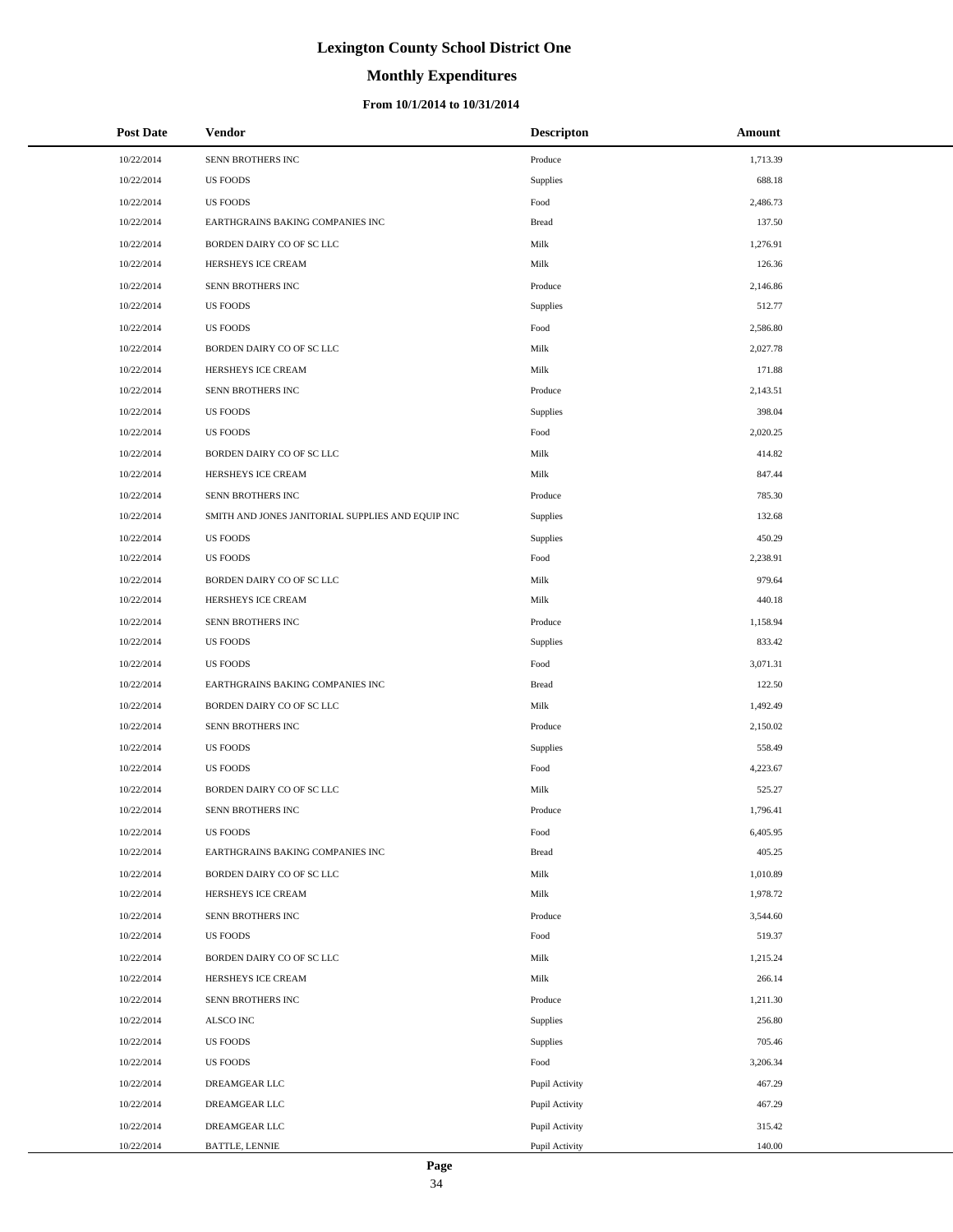# **Monthly Expenditures**

#### **From 10/1/2014 to 10/31/2014**

| <b>Post Date</b> | <b>Vendor</b>                                     | <b>Descripton</b> | Amount   |
|------------------|---------------------------------------------------|-------------------|----------|
| 10/22/2014       | SENN BROTHERS INC                                 | Produce           | 1,713.39 |
| 10/22/2014       | <b>US FOODS</b>                                   | Supplies          | 688.18   |
| 10/22/2014       | <b>US FOODS</b>                                   | Food              | 2,486.73 |
| 10/22/2014       | EARTHGRAINS BAKING COMPANIES INC                  | <b>Bread</b>      | 137.50   |
| 10/22/2014       | BORDEN DAIRY CO OF SC LLC                         | Milk              | 1,276.91 |
| 10/22/2014       | HERSHEYS ICE CREAM                                | Milk              | 126.36   |
| 10/22/2014       | SENN BROTHERS INC                                 | Produce           | 2,146.86 |
| 10/22/2014       | <b>US FOODS</b>                                   | Supplies          | 512.77   |
| 10/22/2014       | <b>US FOODS</b>                                   | Food              | 2,586.80 |
| 10/22/2014       | BORDEN DAIRY CO OF SC LLC                         | Milk              | 2,027.78 |
| 10/22/2014       | HERSHEYS ICE CREAM                                | Milk              | 171.88   |
| 10/22/2014       | SENN BROTHERS INC                                 | Produce           | 2,143.51 |
| 10/22/2014       | <b>US FOODS</b>                                   | Supplies          | 398.04   |
| 10/22/2014       | <b>US FOODS</b>                                   | Food              | 2,020.25 |
| 10/22/2014       | BORDEN DAIRY CO OF SC LLC                         | Milk              | 414.82   |
| 10/22/2014       | HERSHEYS ICE CREAM                                | Milk              | 847.44   |
| 10/22/2014       | SENN BROTHERS INC                                 | Produce           | 785.30   |
| 10/22/2014       | SMITH AND JONES JANITORIAL SUPPLIES AND EQUIP INC | Supplies          | 132.68   |
| 10/22/2014       | <b>US FOODS</b>                                   | <b>Supplies</b>   | 450.29   |
| 10/22/2014       | <b>US FOODS</b>                                   | Food              | 2,238.91 |
| 10/22/2014       | BORDEN DAIRY CO OF SC LLC                         | Milk              | 979.64   |
| 10/22/2014       | HERSHEYS ICE CREAM                                | Milk              | 440.18   |
| 10/22/2014       | SENN BROTHERS INC                                 | Produce           | 1,158.94 |
| 10/22/2014       | <b>US FOODS</b>                                   | Supplies          | 833.42   |
| 10/22/2014       | <b>US FOODS</b>                                   | Food              | 3,071.31 |
| 10/22/2014       | EARTHGRAINS BAKING COMPANIES INC                  | <b>Bread</b>      | 122.50   |
| 10/22/2014       | BORDEN DAIRY CO OF SC LLC                         | Milk              | 1,492.49 |
| 10/22/2014       | SENN BROTHERS INC                                 | Produce           | 2,150.02 |
| 10/22/2014       | <b>US FOODS</b>                                   | <b>Supplies</b>   | 558.49   |
| 10/22/2014       | <b>US FOODS</b>                                   | Food              | 4,223.67 |
| 10/22/2014       | BORDEN DAIRY CO OF SC LLC                         | Milk              | 525.27   |
| 10/22/2014       | SENN BROTHERS INC                                 | Produce           | 1,796.41 |
| 10/22/2014       | US FOODS                                          | Food              | 6,405.95 |
| 10/22/2014       | EARTHGRAINS BAKING COMPANIES INC                  | <b>Bread</b>      | 405.25   |
| 10/22/2014       | BORDEN DAIRY CO OF SC LLC                         | Milk              | 1,010.89 |
| 10/22/2014       | HERSHEYS ICE CREAM                                | Milk              | 1,978.72 |
| 10/22/2014       | SENN BROTHERS INC                                 | Produce           | 3,544.60 |
| 10/22/2014       | <b>US FOODS</b>                                   | Food              | 519.37   |
| 10/22/2014       | BORDEN DAIRY CO OF SC LLC                         | Milk              | 1,215.24 |
| 10/22/2014       | HERSHEYS ICE CREAM                                | Milk              | 266.14   |
| 10/22/2014       | SENN BROTHERS INC                                 | Produce           | 1,211.30 |
| 10/22/2014       | ALSCO INC                                         | Supplies          | 256.80   |
| 10/22/2014       | <b>US FOODS</b>                                   | <b>Supplies</b>   | 705.46   |
| 10/22/2014       | <b>US FOODS</b>                                   | Food              | 3,206.34 |
| 10/22/2014       | DREAMGEAR LLC                                     | Pupil Activity    | 467.29   |
| 10/22/2014       | DREAMGEAR LLC                                     | Pupil Activity    | 467.29   |
| 10/22/2014       | DREAMGEAR LLC                                     | Pupil Activity    | 315.42   |
| 10/22/2014       | <b>BATTLE, LENNIE</b>                             | Pupil Activity    | 140.00   |

L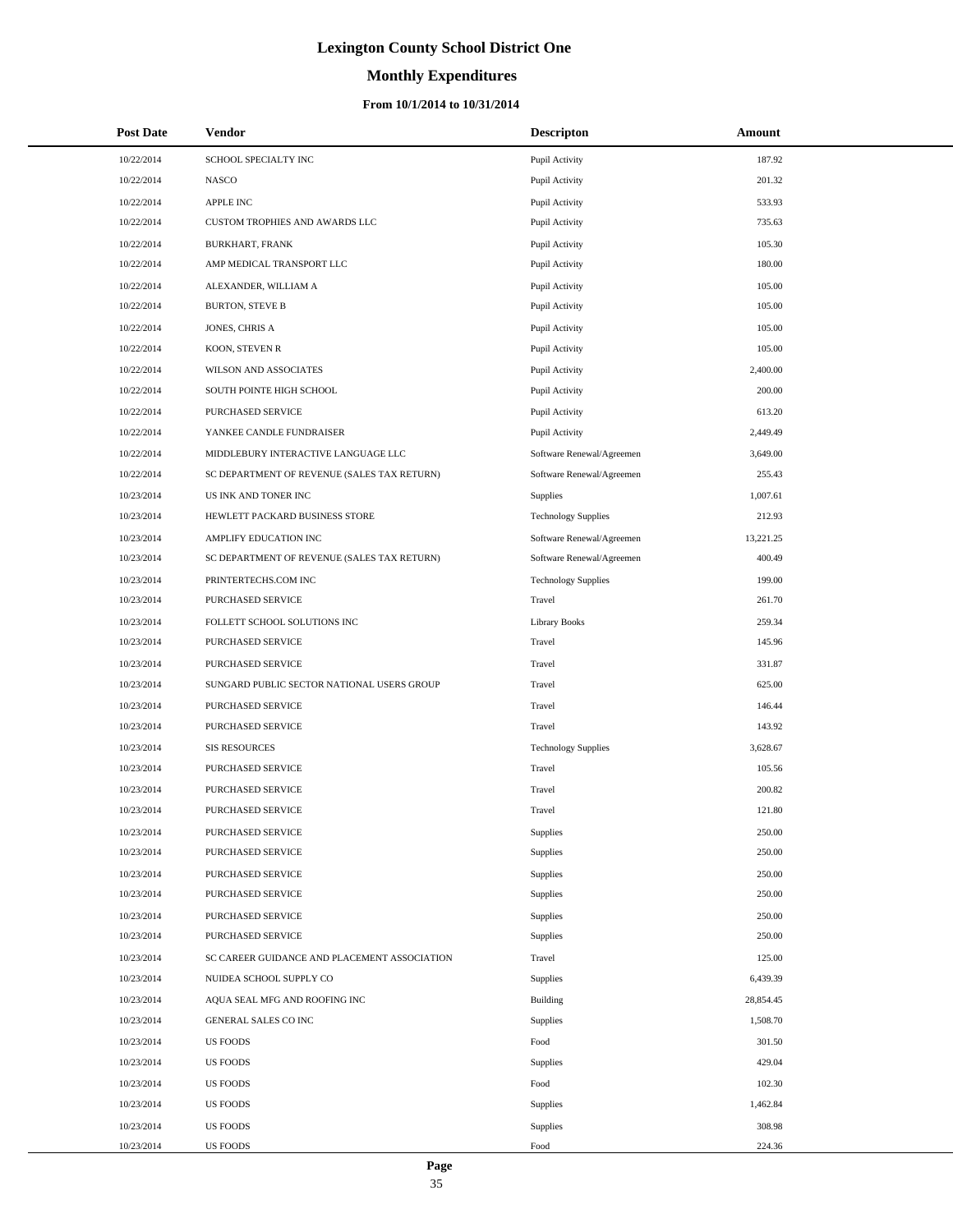# **Monthly Expenditures**

#### **From 10/1/2014 to 10/31/2014**

| <b>Post Date</b> | <b>Vendor</b>                                | <b>Descripton</b>          | Amount    |
|------------------|----------------------------------------------|----------------------------|-----------|
| 10/22/2014       | SCHOOL SPECIALTY INC                         | Pupil Activity             | 187.92    |
| 10/22/2014       | <b>NASCO</b>                                 | Pupil Activity             | 201.32    |
| 10/22/2014       | APPLE INC                                    | Pupil Activity             | 533.93    |
| 10/22/2014       | CUSTOM TROPHIES AND AWARDS LLC               | Pupil Activity             | 735.63    |
| 10/22/2014       | <b>BURKHART, FRANK</b>                       | Pupil Activity             | 105.30    |
| 10/22/2014       | AMP MEDICAL TRANSPORT LLC                    | Pupil Activity             | 180.00    |
| 10/22/2014       | ALEXANDER, WILLIAM A                         | Pupil Activity             | 105.00    |
| 10/22/2014       | <b>BURTON, STEVE B</b>                       | Pupil Activity             | 105.00    |
| 10/22/2014       | JONES, CHRIS A                               | Pupil Activity             | 105.00    |
| 10/22/2014       | KOON, STEVEN R                               | Pupil Activity             | 105.00    |
| 10/22/2014       | WILSON AND ASSOCIATES                        | Pupil Activity             | 2,400.00  |
| 10/22/2014       | SOUTH POINTE HIGH SCHOOL                     | Pupil Activity             | 200.00    |
| 10/22/2014       | PURCHASED SERVICE                            | Pupil Activity             | 613.20    |
| 10/22/2014       | YANKEE CANDLE FUNDRAISER                     | Pupil Activity             | 2,449.49  |
| 10/22/2014       | MIDDLEBURY INTERACTIVE LANGUAGE LLC          | Software Renewal/Agreemen  | 3,649.00  |
| 10/22/2014       | SC DEPARTMENT OF REVENUE (SALES TAX RETURN)  | Software Renewal/Agreemen  | 255.43    |
| 10/23/2014       | US INK AND TONER INC                         | <b>Supplies</b>            | 1,007.61  |
| 10/23/2014       | HEWLETT PACKARD BUSINESS STORE               | <b>Technology Supplies</b> | 212.93    |
| 10/23/2014       | AMPLIFY EDUCATION INC                        | Software Renewal/Agreemen  | 13,221.25 |
| 10/23/2014       | SC DEPARTMENT OF REVENUE (SALES TAX RETURN)  | Software Renewal/Agreemen  | 400.49    |
| 10/23/2014       | PRINTERTECHS.COM INC                         | <b>Technology Supplies</b> | 199.00    |
| 10/23/2014       | PURCHASED SERVICE                            | Travel                     | 261.70    |
| 10/23/2014       | FOLLETT SCHOOL SOLUTIONS INC                 | <b>Library Books</b>       | 259.34    |
| 10/23/2014       | PURCHASED SERVICE                            | Travel                     | 145.96    |
| 10/23/2014       | PURCHASED SERVICE                            | Travel                     | 331.87    |
| 10/23/2014       | SUNGARD PUBLIC SECTOR NATIONAL USERS GROUP   | Travel                     | 625.00    |
| 10/23/2014       | PURCHASED SERVICE                            | Travel                     | 146.44    |
| 10/23/2014       | PURCHASED SERVICE                            | Travel                     | 143.92    |
| 10/23/2014       | <b>SIS RESOURCES</b>                         | <b>Technology Supplies</b> | 3,628.67  |
| 10/23/2014       | PURCHASED SERVICE                            | Travel                     | 105.56    |
| 10/23/2014       | PURCHASED SERVICE                            | Travel                     | 200.82    |
| 10/23/2014       | PURCHASED SERVICE                            | Travel                     | 121.80    |
| 10/23/2014       | PURCHASED SERVICE                            | Supplies                   | 250.00    |
| 10/23/2014       | PURCHASED SERVICE                            | Supplies                   | 250.00    |
| 10/23/2014       | PURCHASED SERVICE                            | Supplies                   | 250.00    |
| 10/23/2014       | PURCHASED SERVICE                            | Supplies                   | 250.00    |
| 10/23/2014       | PURCHASED SERVICE                            | Supplies                   | 250.00    |
| 10/23/2014       | PURCHASED SERVICE                            | Supplies                   | 250.00    |
| 10/23/2014       | SC CAREER GUIDANCE AND PLACEMENT ASSOCIATION | Travel                     | 125.00    |
| 10/23/2014       | NUIDEA SCHOOL SUPPLY CO                      | Supplies                   | 6,439.39  |
| 10/23/2014       | AQUA SEAL MFG AND ROOFING INC                | Building                   | 28,854.45 |
| 10/23/2014       | <b>GENERAL SALES CO INC</b>                  | Supplies                   | 1,508.70  |
| 10/23/2014       | <b>US FOODS</b>                              | Food                       | 301.50    |
| 10/23/2014       | <b>US FOODS</b>                              | Supplies                   | 429.04    |
| 10/23/2014       | US FOODS                                     | Food                       | 102.30    |
| 10/23/2014       | US FOODS                                     | Supplies                   | 1,462.84  |
| 10/23/2014       | <b>US FOODS</b>                              | Supplies                   | 308.98    |
| 10/23/2014       | US FOODS                                     | Food                       | 224.36    |

L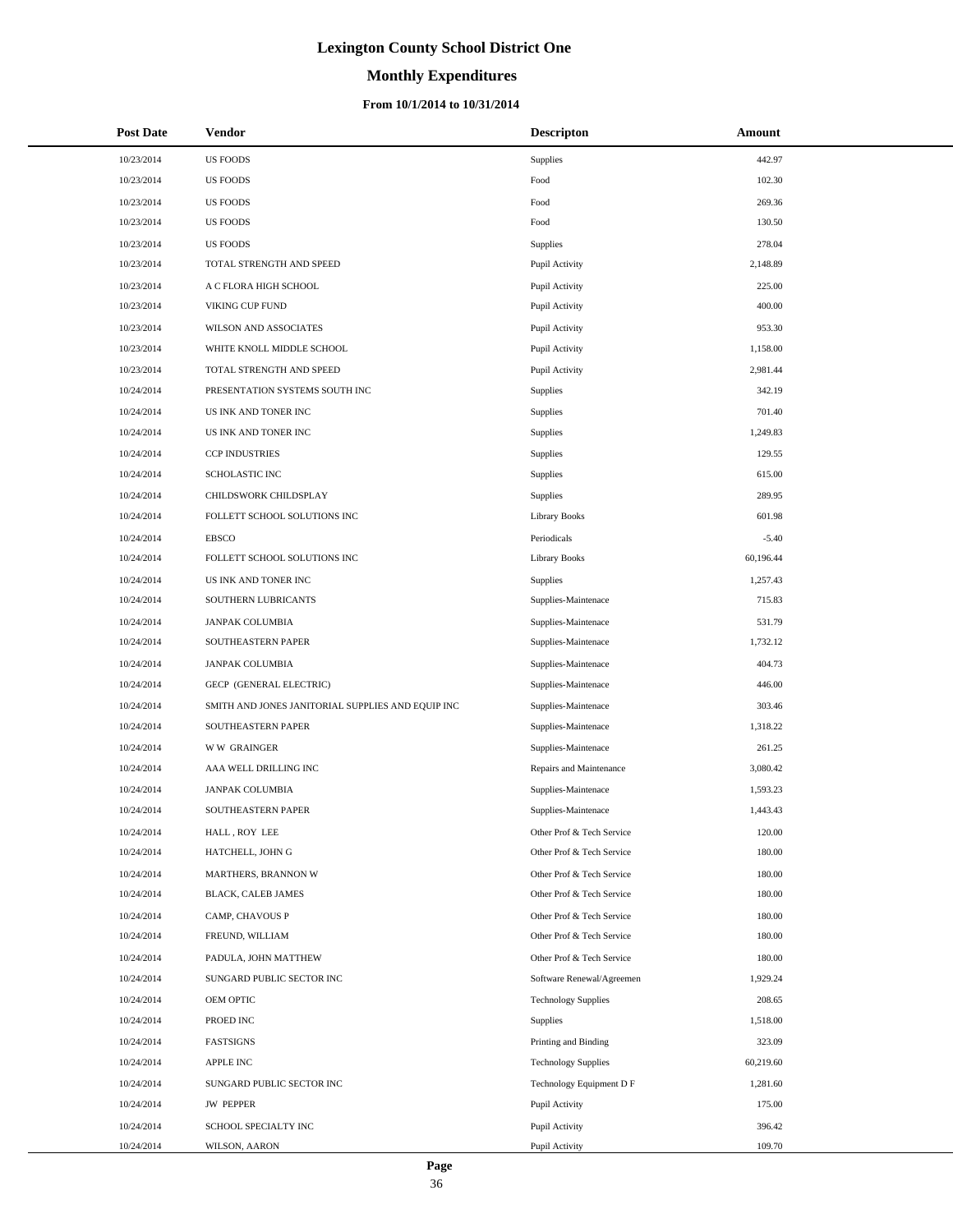# **Monthly Expenditures**

#### **From 10/1/2014 to 10/31/2014**

| <b>Post Date</b> | Vendor                                            | <b>Descripton</b>          | Amount    |
|------------------|---------------------------------------------------|----------------------------|-----------|
| 10/23/2014       | <b>US FOODS</b>                                   | Supplies                   | 442.97    |
| 10/23/2014       | <b>US FOODS</b>                                   | Food                       | 102.30    |
| 10/23/2014       | <b>US FOODS</b>                                   | Food                       | 269.36    |
| 10/23/2014       | <b>US FOODS</b>                                   | Food                       | 130.50    |
| 10/23/2014       | <b>US FOODS</b>                                   | Supplies                   | 278.04    |
| 10/23/2014       | TOTAL STRENGTH AND SPEED                          | Pupil Activity             | 2,148.89  |
| 10/23/2014       | A C FLORA HIGH SCHOOL                             | Pupil Activity             | 225.00    |
| 10/23/2014       | VIKING CUP FUND                                   | Pupil Activity             | 400.00    |
| 10/23/2014       | WILSON AND ASSOCIATES                             | Pupil Activity             | 953.30    |
| 10/23/2014       | WHITE KNOLL MIDDLE SCHOOL                         | Pupil Activity             | 1,158.00  |
| 10/23/2014       | TOTAL STRENGTH AND SPEED                          | Pupil Activity             | 2,981.44  |
| 10/24/2014       | PRESENTATION SYSTEMS SOUTH INC                    | Supplies                   | 342.19    |
| 10/24/2014       | US INK AND TONER INC                              | Supplies                   | 701.40    |
| 10/24/2014       | US INK AND TONER INC                              | Supplies                   | 1,249.83  |
| 10/24/2014       | <b>CCP INDUSTRIES</b>                             | Supplies                   | 129.55    |
| 10/24/2014       | <b>SCHOLASTIC INC</b>                             | Supplies                   | 615.00    |
| 10/24/2014       | CHILDSWORK CHILDSPLAY                             | Supplies                   | 289.95    |
| 10/24/2014       | FOLLETT SCHOOL SOLUTIONS INC                      | Library Books              | 601.98    |
| 10/24/2014       | <b>EBSCO</b>                                      | Periodicals                | $-5.40$   |
| 10/24/2014       | FOLLETT SCHOOL SOLUTIONS INC                      | Library Books              | 60,196.44 |
| 10/24/2014       | US INK AND TONER INC                              | Supplies                   | 1,257.43  |
| 10/24/2014       | SOUTHERN LUBRICANTS                               | Supplies-Maintenace        | 715.83    |
| 10/24/2014       | JANPAK COLUMBIA                                   | Supplies-Maintenace        | 531.79    |
| 10/24/2014       | SOUTHEASTERN PAPER                                | Supplies-Maintenace        | 1,732.12  |
| 10/24/2014       | JANPAK COLUMBIA                                   | Supplies-Maintenace        | 404.73    |
| 10/24/2014       | GECP (GENERAL ELECTRIC)                           | Supplies-Maintenace        | 446.00    |
| 10/24/2014       | SMITH AND JONES JANITORIAL SUPPLIES AND EQUIP INC | Supplies-Maintenace        | 303.46    |
| 10/24/2014       | SOUTHEASTERN PAPER                                | Supplies-Maintenace        | 1,318.22  |
| 10/24/2014       | <b>WW GRAINGER</b>                                | Supplies-Maintenace        | 261.25    |
| 10/24/2014       | AAA WELL DRILLING INC                             | Repairs and Maintenance    | 3,080.42  |
| 10/24/2014       | JANPAK COLUMBIA                                   | Supplies-Maintenace        | 1,593.23  |
| 10/24/2014       | SOUTHEASTERN PAPER                                | Supplies-Maintenace        | 1,443.43  |
| 10/24/2014       | HALL, ROY LEE                                     | Other Prof & Tech Service  | 120.00    |
| 10/24/2014       | HATCHELL, JOHN G                                  | Other Prof & Tech Service  | 180.00    |
| 10/24/2014       | MARTHERS, BRANNON W                               | Other Prof & Tech Service  | 180.00    |
| 10/24/2014       | BLACK, CALEB JAMES                                | Other Prof & Tech Service  | 180.00    |
| 10/24/2014       | CAMP, CHAVOUS P                                   | Other Prof & Tech Service  | 180.00    |
| 10/24/2014       | FREUND, WILLIAM                                   | Other Prof & Tech Service  | 180.00    |
| 10/24/2014       | PADULA, JOHN MATTHEW                              | Other Prof & Tech Service  | 180.00    |
| 10/24/2014       | SUNGARD PUBLIC SECTOR INC                         | Software Renewal/Agreemen  | 1,929.24  |
| 10/24/2014       | OEM OPTIC                                         | <b>Technology Supplies</b> | 208.65    |
| 10/24/2014       | PROED INC                                         | Supplies                   | 1,518.00  |
| 10/24/2014       | FASTSIGNS                                         | Printing and Binding       | 323.09    |
| 10/24/2014       | APPLE INC                                         | <b>Technology Supplies</b> | 60,219.60 |
| 10/24/2014       | SUNGARD PUBLIC SECTOR INC                         | Technology Equipment D F   | 1,281.60  |
| 10/24/2014       | <b>JW PEPPER</b>                                  | Pupil Activity             | 175.00    |
| 10/24/2014       | SCHOOL SPECIALTY INC                              | Pupil Activity             | 396.42    |
| 10/24/2014       | WILSON, AARON                                     | Pupil Activity             | 109.70    |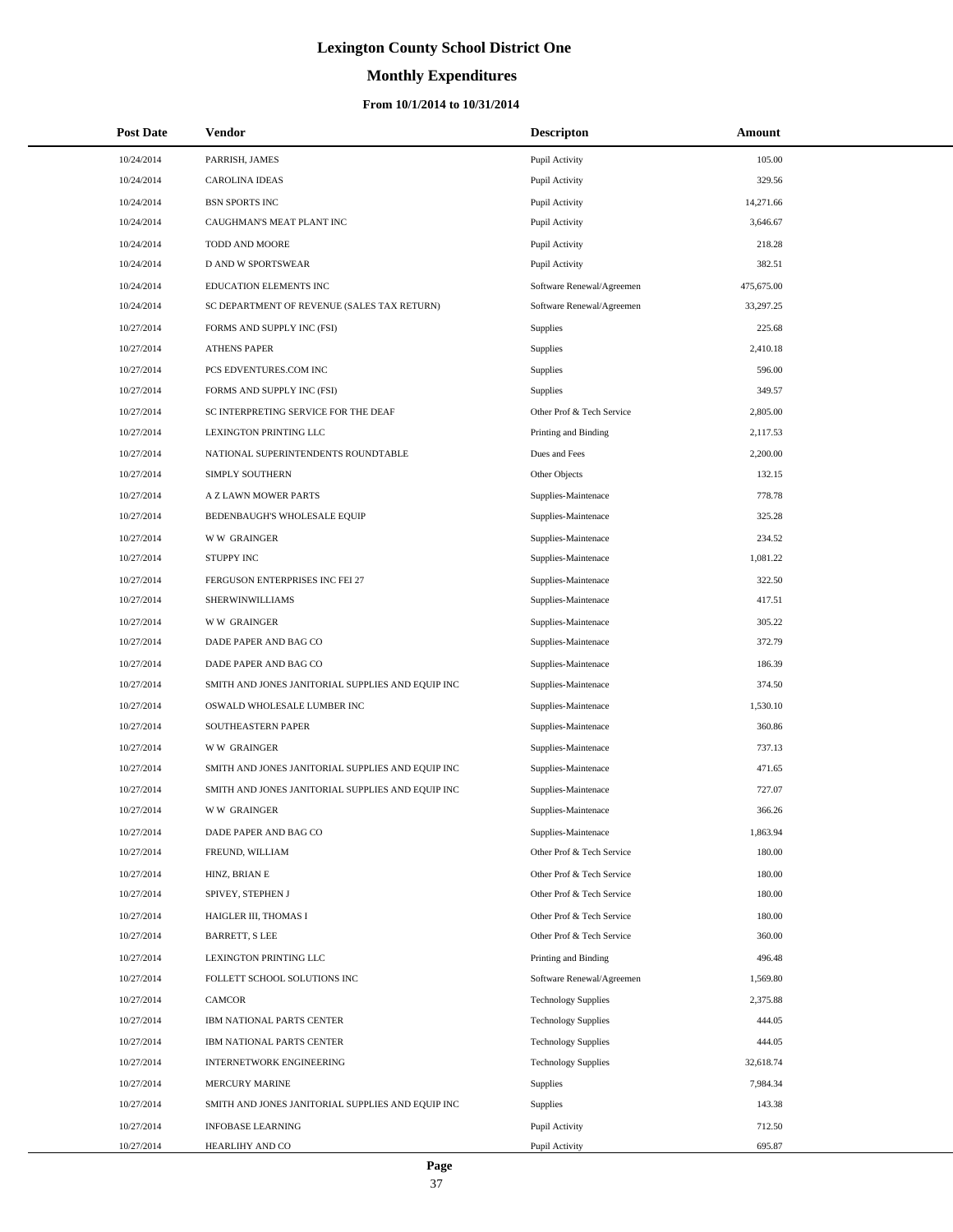# **Monthly Expenditures**

| <b>Post Date</b> | <b>Vendor</b>                                     | <b>Descripton</b>          | Amount     |  |
|------------------|---------------------------------------------------|----------------------------|------------|--|
| 10/24/2014       | PARRISH, JAMES                                    | Pupil Activity             | 105.00     |  |
| 10/24/2014       | <b>CAROLINA IDEAS</b>                             | Pupil Activity             | 329.56     |  |
| 10/24/2014       | <b>BSN SPORTS INC</b>                             | Pupil Activity             | 14,271.66  |  |
| 10/24/2014       | CAUGHMAN'S MEAT PLANT INC                         | Pupil Activity             | 3,646.67   |  |
| 10/24/2014       | TODD AND MOORE                                    | Pupil Activity             | 218.28     |  |
| 10/24/2014       | D AND W SPORTSWEAR                                | Pupil Activity             | 382.51     |  |
| 10/24/2014       | EDUCATION ELEMENTS INC                            | Software Renewal/Agreemen  | 475,675.00 |  |
| 10/24/2014       | SC DEPARTMENT OF REVENUE (SALES TAX RETURN)       | Software Renewal/Agreemen  | 33,297.25  |  |
| 10/27/2014       | FORMS AND SUPPLY INC (FSI)                        | Supplies                   | 225.68     |  |
| 10/27/2014       | <b>ATHENS PAPER</b>                               | Supplies                   | 2,410.18   |  |
| 10/27/2014       | PCS EDVENTURES.COM INC                            | Supplies                   | 596.00     |  |
| 10/27/2014       | FORMS AND SUPPLY INC (FSI)                        | Supplies                   | 349.57     |  |
| 10/27/2014       | SC INTERPRETING SERVICE FOR THE DEAF              | Other Prof & Tech Service  | 2,805.00   |  |
| 10/27/2014       | LEXINGTON PRINTING LLC                            | Printing and Binding       | 2,117.53   |  |
| 10/27/2014       | NATIONAL SUPERINTENDENTS ROUNDTABLE               | Dues and Fees              | 2,200.00   |  |
| 10/27/2014       | SIMPLY SOUTHERN                                   | Other Objects              | 132.15     |  |
| 10/27/2014       | A Z LAWN MOWER PARTS                              | Supplies-Maintenace        | 778.78     |  |
| 10/27/2014       | BEDENBAUGH'S WHOLESALE EQUIP                      | Supplies-Maintenace        | 325.28     |  |
| 10/27/2014       | <b>WW GRAINGER</b>                                | Supplies-Maintenace        | 234.52     |  |
| 10/27/2014       | <b>STUPPY INC</b>                                 | Supplies-Maintenace        | 1.081.22   |  |
| 10/27/2014       | FERGUSON ENTERPRISES INC FEI 27                   | Supplies-Maintenace        | 322.50     |  |
| 10/27/2014       | SHERWINWILLIAMS                                   | Supplies-Maintenace        | 417.51     |  |
| 10/27/2014       | <b>WW GRAINGER</b>                                | Supplies-Maintenace        | 305.22     |  |
| 10/27/2014       | DADE PAPER AND BAG CO                             | Supplies-Maintenace        | 372.79     |  |
| 10/27/2014       | DADE PAPER AND BAG CO                             | Supplies-Maintenace        | 186.39     |  |
| 10/27/2014       | SMITH AND JONES JANITORIAL SUPPLIES AND EQUIP INC | Supplies-Maintenace        | 374.50     |  |
| 10/27/2014       | OSWALD WHOLESALE LUMBER INC                       | Supplies-Maintenace        | 1,530.10   |  |
| 10/27/2014       | <b>SOUTHEASTERN PAPER</b>                         | Supplies-Maintenace        | 360.86     |  |
| 10/27/2014       | <b>WW GRAINGER</b>                                | Supplies-Maintenace        | 737.13     |  |
| 10/27/2014       | SMITH AND JONES JANITORIAL SUPPLIES AND EQUIP INC | Supplies-Maintenace        | 471.65     |  |
| 10/27/2014       | SMITH AND JONES JANITORIAL SUPPLIES AND EQUIP INC | Supplies-Maintenace        | 727.07     |  |
| 10/27/2014       | <b>WW GRAINGER</b>                                | Supplies-Maintenace        | 366.26     |  |
| 10/27/2014       | DADE PAPER AND BAG CO                             | Supplies-Maintenace        | 1,863.94   |  |
| 10/27/2014       | FREUND, WILLIAM                                   | Other Prof & Tech Service  | 180.00     |  |
| 10/27/2014       | HINZ, BRIAN E                                     | Other Prof & Tech Service  | 180.00     |  |
| 10/27/2014       | SPIVEY, STEPHEN J                                 | Other Prof & Tech Service  | 180.00     |  |
| 10/27/2014       | HAIGLER III, THOMAS I                             | Other Prof & Tech Service  | 180.00     |  |
| 10/27/2014       | <b>BARRETT, S LEE</b>                             | Other Prof & Tech Service  | 360.00     |  |
| 10/27/2014       | LEXINGTON PRINTING LLC                            | Printing and Binding       | 496.48     |  |
| 10/27/2014       | FOLLETT SCHOOL SOLUTIONS INC                      | Software Renewal/Agreemen  | 1,569.80   |  |
| 10/27/2014       | CAMCOR                                            | <b>Technology Supplies</b> | 2,375.88   |  |
| 10/27/2014       | IBM NATIONAL PARTS CENTER                         | <b>Technology Supplies</b> | 444.05     |  |
| 10/27/2014       | IBM NATIONAL PARTS CENTER                         | <b>Technology Supplies</b> | 444.05     |  |
| 10/27/2014       | INTERNETWORK ENGINEERING                          | <b>Technology Supplies</b> | 32,618.74  |  |
| 10/27/2014       | MERCURY MARINE                                    | <b>Supplies</b>            | 7,984.34   |  |
| 10/27/2014       | SMITH AND JONES JANITORIAL SUPPLIES AND EQUIP INC | Supplies                   | 143.38     |  |
| 10/27/2014       | <b>INFOBASE LEARNING</b>                          | Pupil Activity             | 712.50     |  |
| 10/27/2014       | HEARLIHY AND CO                                   | Pupil Activity             | 695.87     |  |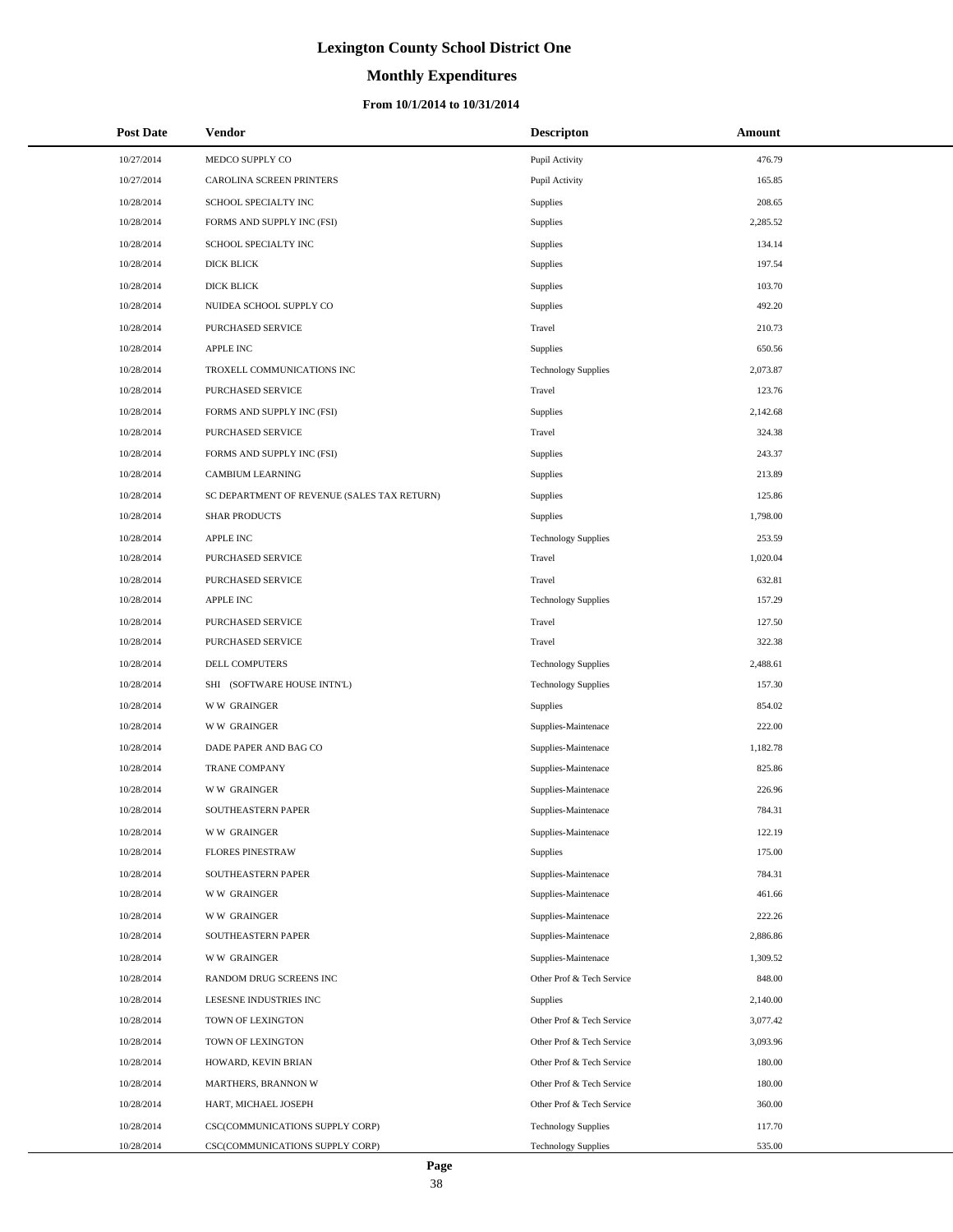# **Monthly Expenditures**

#### **From 10/1/2014 to 10/31/2014**

| <b>Post Date</b> | <b>Vendor</b>                               | <b>Descripton</b>          | Amount   |
|------------------|---------------------------------------------|----------------------------|----------|
| 10/27/2014       | MEDCO SUPPLY CO                             | Pupil Activity             | 476.79   |
| 10/27/2014       | CAROLINA SCREEN PRINTERS                    | Pupil Activity             | 165.85   |
| 10/28/2014       | SCHOOL SPECIALTY INC                        | Supplies                   | 208.65   |
| 10/28/2014       | FORMS AND SUPPLY INC (FSI)                  | Supplies                   | 2,285.52 |
| 10/28/2014       | SCHOOL SPECIALTY INC                        | Supplies                   | 134.14   |
| 10/28/2014       | DICK BLICK                                  | Supplies                   | 197.54   |
| 10/28/2014       | DICK BLICK                                  | Supplies                   | 103.70   |
| 10/28/2014       | NUIDEA SCHOOL SUPPLY CO                     | Supplies                   | 492.20   |
| 10/28/2014       | PURCHASED SERVICE                           | Travel                     | 210.73   |
| 10/28/2014       | <b>APPLE INC</b>                            | Supplies                   | 650.56   |
| 10/28/2014       | TROXELL COMMUNICATIONS INC                  | <b>Technology Supplies</b> | 2,073.87 |
| 10/28/2014       | PURCHASED SERVICE                           | Travel                     | 123.76   |
| 10/28/2014       | FORMS AND SUPPLY INC (FSI)                  | Supplies                   | 2,142.68 |
| 10/28/2014       | PURCHASED SERVICE                           | Travel                     | 324.38   |
| 10/28/2014       | FORMS AND SUPPLY INC (FSI)                  | Supplies                   | 243.37   |
| 10/28/2014       | CAMBIUM LEARNING                            | Supplies                   | 213.89   |
| 10/28/2014       | SC DEPARTMENT OF REVENUE (SALES TAX RETURN) | Supplies                   | 125.86   |
| 10/28/2014       | <b>SHAR PRODUCTS</b>                        | Supplies                   | 1,798.00 |
| 10/28/2014       | <b>APPLE INC</b>                            | <b>Technology Supplies</b> | 253.59   |
| 10/28/2014       | PURCHASED SERVICE                           | Travel                     | 1,020.04 |
| 10/28/2014       | PURCHASED SERVICE                           | Travel                     | 632.81   |
| 10/28/2014       | <b>APPLE INC</b>                            | <b>Technology Supplies</b> | 157.29   |
| 10/28/2014       | PURCHASED SERVICE                           | Travel                     | 127.50   |
| 10/28/2014       | PURCHASED SERVICE                           | Travel                     | 322.38   |
| 10/28/2014       | DELL COMPUTERS                              | <b>Technology Supplies</b> | 2,488.61 |
| 10/28/2014       | SHI (SOFTWARE HOUSE INTN'L)                 | <b>Technology Supplies</b> | 157.30   |
| 10/28/2014       | <b>WW GRAINGER</b>                          | Supplies                   | 854.02   |
| 10/28/2014       | <b>WW GRAINGER</b>                          | Supplies-Maintenace        | 222.00   |
| 10/28/2014       | DADE PAPER AND BAG CO                       | Supplies-Maintenace        | 1,182.78 |
| 10/28/2014       | <b>TRANE COMPANY</b>                        | Supplies-Maintenace        | 825.86   |
| 10/28/2014       | <b>WW GRAINGER</b>                          | Supplies-Maintenace        | 226.96   |
| 10/28/2014       | SOUTHEASTERN PAPER                          | Supplies-Maintenace        | 784.31   |
| 10/28/2014       | <b>WW GRAINGER</b>                          | Supplies-Maintenace        | 122.19   |
| 10/28/2014       | <b>FLORES PINESTRAW</b>                     | Supplies                   | 175.00   |
| 10/28/2014       | SOUTHEASTERN PAPER                          | Supplies-Maintenace        | 784.31   |
| 10/28/2014       | <b>WW GRAINGER</b>                          | Supplies-Maintenace        | 461.66   |
| 10/28/2014       | <b>WW GRAINGER</b>                          | Supplies-Maintenace        | 222.26   |
| 10/28/2014       | SOUTHEASTERN PAPER                          | Supplies-Maintenace        | 2,886.86 |
| 10/28/2014       | <b>WW GRAINGER</b>                          | Supplies-Maintenace        | 1,309.52 |
| 10/28/2014       | RANDOM DRUG SCREENS INC                     | Other Prof & Tech Service  | 848.00   |
| 10/28/2014       | LESESNE INDUSTRIES INC                      | Supplies                   | 2,140.00 |
| 10/28/2014       | TOWN OF LEXINGTON                           | Other Prof & Tech Service  | 3,077.42 |
| 10/28/2014       | TOWN OF LEXINGTON                           | Other Prof & Tech Service  | 3,093.96 |
| 10/28/2014       | HOWARD, KEVIN BRIAN                         | Other Prof & Tech Service  | 180.00   |
| 10/28/2014       | MARTHERS, BRANNON W                         | Other Prof & Tech Service  | 180.00   |
| 10/28/2014       | HART, MICHAEL JOSEPH                        | Other Prof & Tech Service  | 360.00   |
| 10/28/2014       | CSC(COMMUNICATIONS SUPPLY CORP)             | <b>Technology Supplies</b> | 117.70   |
| 10/28/2014       | CSC(COMMUNICATIONS SUPPLY CORP)             | <b>Technology Supplies</b> | 535.00   |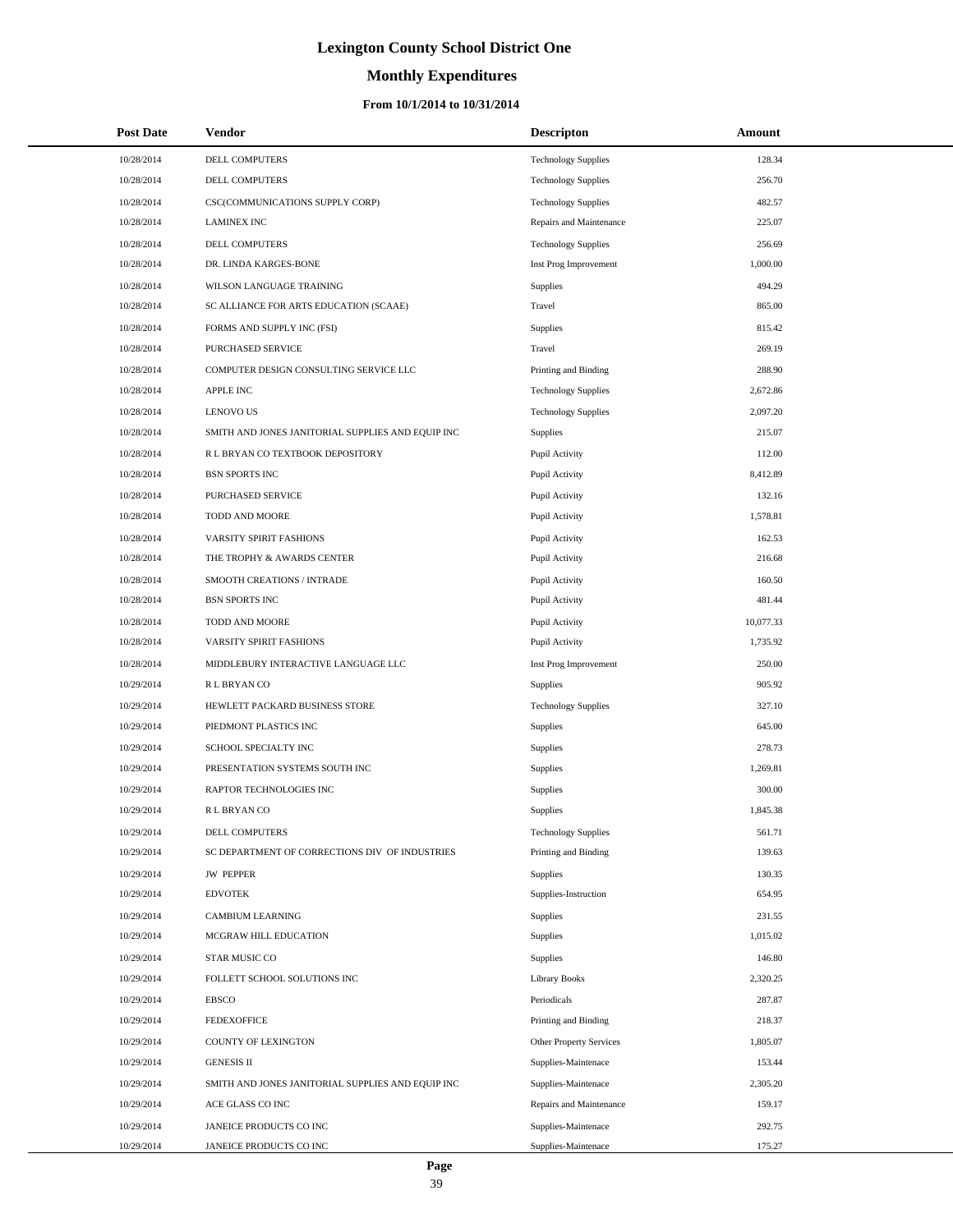# **Monthly Expenditures**

#### **From 10/1/2014 to 10/31/2014**

| <b>Post Date</b> | <b>Vendor</b>                                     | <b>Descripton</b>          | Amount    |
|------------------|---------------------------------------------------|----------------------------|-----------|
| 10/28/2014       | DELL COMPUTERS                                    | <b>Technology Supplies</b> | 128.34    |
| 10/28/2014       | DELL COMPUTERS                                    | <b>Technology Supplies</b> | 256.70    |
| 10/28/2014       | CSC(COMMUNICATIONS SUPPLY CORP)                   | <b>Technology Supplies</b> | 482.57    |
| 10/28/2014       | <b>LAMINEX INC</b>                                | Repairs and Maintenance    | 225.07    |
| 10/28/2014       | DELL COMPUTERS                                    | <b>Technology Supplies</b> | 256.69    |
| 10/28/2014       | DR. LINDA KARGES-BONE                             | Inst Prog Improvement      | 1,000.00  |
| 10/28/2014       | WILSON LANGUAGE TRAINING                          | Supplies                   | 494.29    |
| 10/28/2014       | SC ALLIANCE FOR ARTS EDUCATION (SCAAE)            | Travel                     | 865.00    |
| 10/28/2014       | FORMS AND SUPPLY INC (FSI)                        | Supplies                   | 815.42    |
| 10/28/2014       | <b>PURCHASED SERVICE</b>                          | Travel                     | 269.19    |
| 10/28/2014       | COMPUTER DESIGN CONSULTING SERVICE LLC            | Printing and Binding       | 288.90    |
| 10/28/2014       | <b>APPLE INC</b>                                  | <b>Technology Supplies</b> | 2,672.86  |
| 10/28/2014       | <b>LENOVO US</b>                                  | <b>Technology Supplies</b> | 2,097.20  |
| 10/28/2014       | SMITH AND JONES JANITORIAL SUPPLIES AND EQUIP INC | Supplies                   | 215.07    |
| 10/28/2014       | R L BRYAN CO TEXTBOOK DEPOSITORY                  | Pupil Activity             | 112.00    |
| 10/28/2014       | <b>BSN SPORTS INC</b>                             | Pupil Activity             | 8,412.89  |
| 10/28/2014       | PURCHASED SERVICE                                 | Pupil Activity             | 132.16    |
| 10/28/2014       | TODD AND MOORE                                    | Pupil Activity             | 1,578.81  |
| 10/28/2014       | VARSITY SPIRIT FASHIONS                           | Pupil Activity             | 162.53    |
| 10/28/2014       | THE TROPHY & AWARDS CENTER                        | Pupil Activity             | 216.68    |
| 10/28/2014       | SMOOTH CREATIONS / INTRADE                        | Pupil Activity             | 160.50    |
| 10/28/2014       | <b>BSN SPORTS INC</b>                             | Pupil Activity             | 481.44    |
| 10/28/2014       | TODD AND MOORE                                    | Pupil Activity             | 10,077.33 |
| 10/28/2014       | VARSITY SPIRIT FASHIONS                           | Pupil Activity             | 1,735.92  |
| 10/28/2014       | MIDDLEBURY INTERACTIVE LANGUAGE LLC               | Inst Prog Improvement      | 250.00    |
| 10/29/2014       | R L BRYAN CO                                      | <b>Supplies</b>            | 905.92    |
| 10/29/2014       | HEWLETT PACKARD BUSINESS STORE                    | <b>Technology Supplies</b> | 327.10    |
| 10/29/2014       | PIEDMONT PLASTICS INC                             | Supplies                   | 645.00    |
| 10/29/2014       | SCHOOL SPECIALTY INC                              | Supplies                   | 278.73    |
| 10/29/2014       | PRESENTATION SYSTEMS SOUTH INC                    | Supplies                   | 1,269.81  |
| 10/29/2014       | RAPTOR TECHNOLOGIES INC                           | Supplies                   | 300.00    |
| 10/29/2014       | R L BRYAN CO                                      | Supplies                   | 1,845.38  |
| 10/29/2014       | <b>DELL COMPUTERS</b>                             | <b>Technology Supplies</b> | 561.71    |
| 10/29/2014       | SC DEPARTMENT OF CORRECTIONS DIV OF INDUSTRIES    | Printing and Binding       | 139.63    |
| 10/29/2014       | <b>JW PEPPER</b>                                  | Supplies                   | 130.35    |
| 10/29/2014       | <b>EDVOTEK</b>                                    | Supplies-Instruction       | 654.95    |
| 10/29/2014       | <b>CAMBIUM LEARNING</b>                           | Supplies                   | 231.55    |
| 10/29/2014       | MCGRAW HILL EDUCATION                             | Supplies                   | 1,015.02  |
| 10/29/2014       | STAR MUSIC CO                                     | Supplies                   | 146.80    |
| 10/29/2014       | FOLLETT SCHOOL SOLUTIONS INC                      | <b>Library Books</b>       | 2,320.25  |
| 10/29/2014       | <b>EBSCO</b>                                      | Periodicals                | 287.87    |
| 10/29/2014       | <b>FEDEXOFFICE</b>                                | Printing and Binding       | 218.37    |
| 10/29/2014       | COUNTY OF LEXINGTON                               | Other Property Services    | 1,805.07  |
| 10/29/2014       | <b>GENESIS II</b>                                 | Supplies-Maintenace        | 153.44    |
| 10/29/2014       | SMITH AND JONES JANITORIAL SUPPLIES AND EQUIP INC | Supplies-Maintenace        | 2,305.20  |
| 10/29/2014       | ACE GLASS CO INC                                  | Repairs and Maintenance    | 159.17    |
| 10/29/2014       | JANEICE PRODUCTS CO INC                           | Supplies-Maintenace        | 292.75    |
| 10/29/2014       | JANEICE PRODUCTS CO INC                           | Supplies-Maintenace        | 175.27    |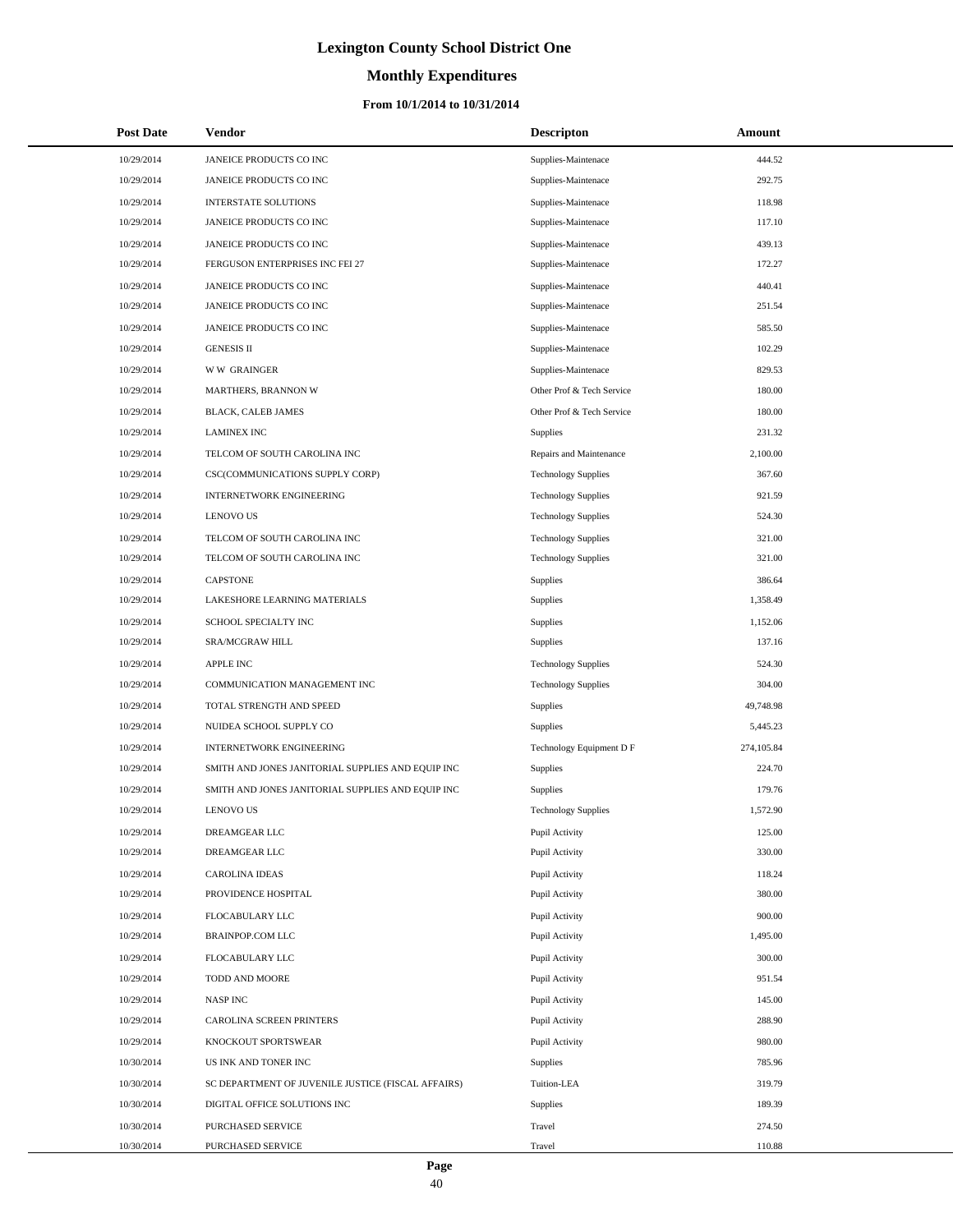# **Monthly Expenditures**

| <b>Post Date</b>         | Vendor                                             | <b>Descripton</b>                | Amount           |
|--------------------------|----------------------------------------------------|----------------------------------|------------------|
| 10/29/2014               | JANEICE PRODUCTS CO INC                            | Supplies-Maintenace              | 444.52           |
| 10/29/2014               | JANEICE PRODUCTS CO INC                            | Supplies-Maintenace              | 292.75           |
| 10/29/2014               | INTERSTATE SOLUTIONS                               | Supplies-Maintenace              | 118.98           |
| 10/29/2014               | JANEICE PRODUCTS CO INC                            | Supplies-Maintenace              | 117.10           |
| 10/29/2014               | JANEICE PRODUCTS CO INC                            | Supplies-Maintenace              | 439.13           |
| 10/29/2014               | FERGUSON ENTERPRISES INC FEI 27                    | Supplies-Maintenace              | 172.27           |
| 10/29/2014               | JANEICE PRODUCTS CO INC                            | Supplies-Maintenace              | 440.41           |
| 10/29/2014               | JANEICE PRODUCTS CO INC                            | Supplies-Maintenace              | 251.54           |
| 10/29/2014               | JANEICE PRODUCTS CO INC                            | Supplies-Maintenace              | 585.50           |
| 10/29/2014               | <b>GENESIS II</b>                                  | Supplies-Maintenace              | 102.29           |
| 10/29/2014               | <b>WW GRAINGER</b>                                 | Supplies-Maintenace              | 829.53           |
| 10/29/2014               | MARTHERS, BRANNON W                                | Other Prof & Tech Service        | 180.00           |
| 10/29/2014               | BLACK, CALEB JAMES                                 | Other Prof & Tech Service        | 180.00           |
| 10/29/2014               | <b>LAMINEX INC</b>                                 | Supplies                         | 231.32           |
| 10/29/2014               | TELCOM OF SOUTH CAROLINA INC                       | Repairs and Maintenance          | 2,100.00         |
| 10/29/2014               | CSC(COMMUNICATIONS SUPPLY CORP)                    | <b>Technology Supplies</b>       | 367.60           |
| 10/29/2014               | <b>INTERNETWORK ENGINEERING</b>                    | <b>Technology Supplies</b>       | 921.59           |
| 10/29/2014               | <b>LENOVO US</b>                                   | <b>Technology Supplies</b>       | 524.30           |
| 10/29/2014               | TELCOM OF SOUTH CAROLINA INC                       | <b>Technology Supplies</b>       | 321.00           |
| 10/29/2014               | TELCOM OF SOUTH CAROLINA INC                       | <b>Technology Supplies</b>       | 321.00           |
| 10/29/2014               | <b>CAPSTONE</b>                                    | Supplies                         | 386.64           |
| 10/29/2014               | LAKESHORE LEARNING MATERIALS                       | Supplies                         | 1,358.49         |
| 10/29/2014               | SCHOOL SPECIALTY INC                               | Supplies                         | 1,152.06         |
| 10/29/2014               | SRA/MCGRAW HILL                                    | Supplies                         | 137.16           |
| 10/29/2014               | <b>APPLE INC</b>                                   | <b>Technology Supplies</b>       | 524.30           |
| 10/29/2014               | COMMUNICATION MANAGEMENT INC                       | <b>Technology Supplies</b>       | 304.00           |
| 10/29/2014               | TOTAL STRENGTH AND SPEED                           | Supplies                         | 49,748.98        |
| 10/29/2014               | NUIDEA SCHOOL SUPPLY CO                            | Supplies                         | 5,445.23         |
| 10/29/2014               | INTERNETWORK ENGINEERING                           | Technology Equipment D F         | 274,105.84       |
| 10/29/2014               | SMITH AND JONES JANITORIAL SUPPLIES AND EQUIP INC  | Supplies                         | 224.70           |
| 10/29/2014               | SMITH AND JONES JANITORIAL SUPPLIES AND EQUIP INC  | Supplies                         | 179.76           |
| 10/29/2014               | <b>LENOVO US</b>                                   | <b>Technology Supplies</b>       | 1,572.90         |
| 10/29/2014               | DREAMGEAR LLC                                      | Pupil Activity                   | 125.00           |
| 10/29/2014               | <b>DREAMGEAR LLC</b>                               | Pupil Activity                   | 330.00           |
| 10/29/2014<br>10/29/2014 | <b>CAROLINA IDEAS</b>                              | Pupil Activity                   | 118.24<br>380.00 |
| 10/29/2014               | PROVIDENCE HOSPITAL                                | Pupil Activity                   | 900.00           |
| 10/29/2014               | FLOCABULARY LLC<br><b>BRAINPOP.COM LLC</b>         | Pupil Activity<br>Pupil Activity | 1,495.00         |
| 10/29/2014               | FLOCABULARY LLC                                    | Pupil Activity                   | 300.00           |
| 10/29/2014               | TODD AND MOORE                                     | Pupil Activity                   | 951.54           |
| 10/29/2014               | <b>NASP INC</b>                                    | Pupil Activity                   | 145.00           |
| 10/29/2014               | CAROLINA SCREEN PRINTERS                           | Pupil Activity                   | 288.90           |
| 10/29/2014               | KNOCKOUT SPORTSWEAR                                | Pupil Activity                   | 980.00           |
| 10/30/2014               | US INK AND TONER INC                               | Supplies                         | 785.96           |
| 10/30/2014               | SC DEPARTMENT OF JUVENILE JUSTICE (FISCAL AFFAIRS) | Tuition-LEA                      | 319.79           |
| 10/30/2014               | DIGITAL OFFICE SOLUTIONS INC                       | Supplies                         | 189.39           |
| 10/30/2014               | PURCHASED SERVICE                                  | Travel                           | 274.50           |
| 10/30/2014               | PURCHASED SERVICE                                  | Travel                           | 110.88           |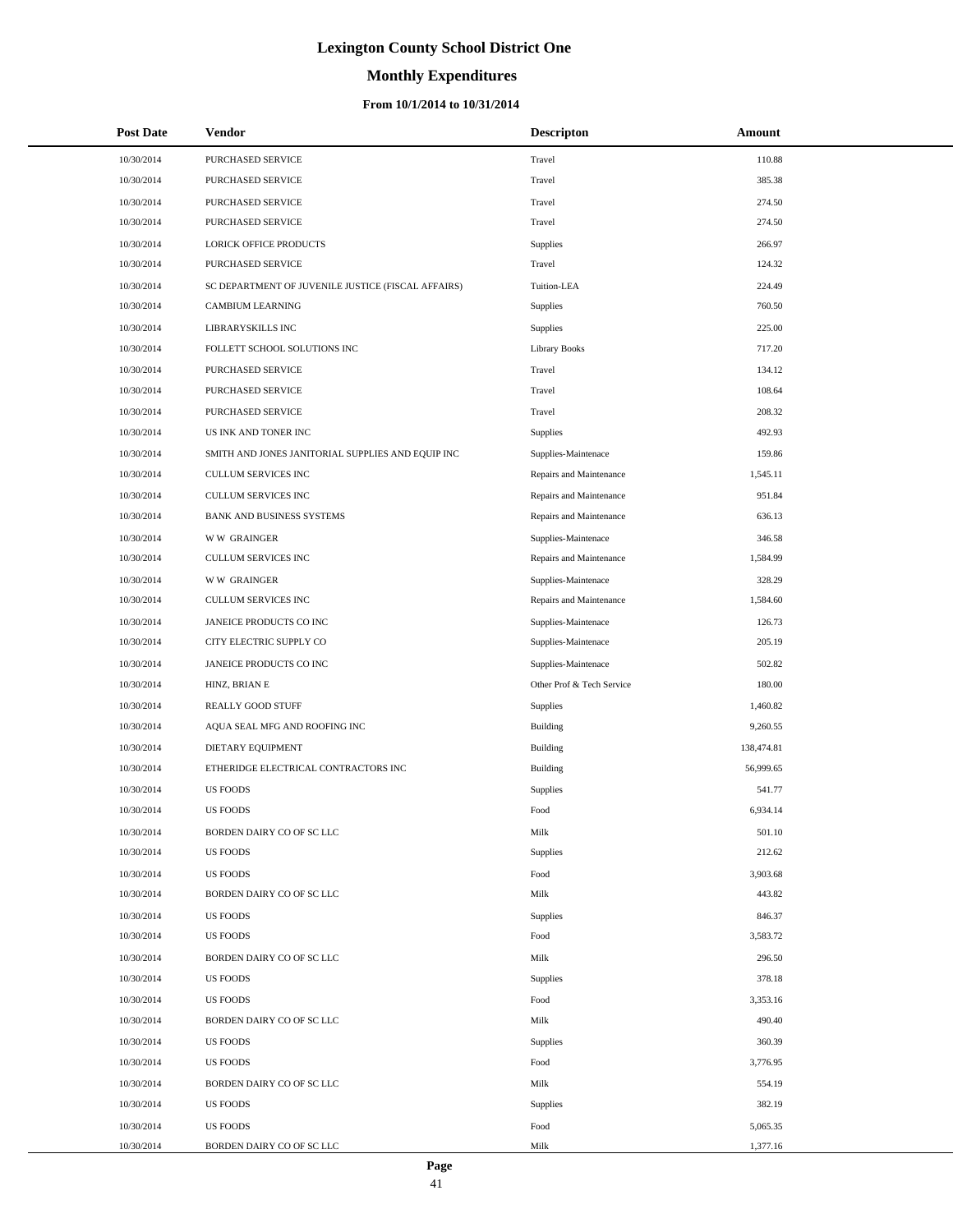# **Monthly Expenditures**

#### **From 10/1/2014 to 10/31/2014**

| <b>Post Date</b> | Vendor                                             | <b>Descripton</b>         | Amount     |
|------------------|----------------------------------------------------|---------------------------|------------|
| 10/30/2014       | PURCHASED SERVICE                                  | Travel                    | 110.88     |
| 10/30/2014       | PURCHASED SERVICE                                  | Travel                    | 385.38     |
| 10/30/2014       | PURCHASED SERVICE                                  | Travel                    | 274.50     |
| 10/30/2014       | PURCHASED SERVICE                                  | Travel                    | 274.50     |
| 10/30/2014       | LORICK OFFICE PRODUCTS                             | Supplies                  | 266.97     |
| 10/30/2014       | PURCHASED SERVICE                                  | Travel                    | 124.32     |
| 10/30/2014       | SC DEPARTMENT OF JUVENILE JUSTICE (FISCAL AFFAIRS) | Tuition-LEA               | 224.49     |
| 10/30/2014       | <b>CAMBIUM LEARNING</b>                            | Supplies                  | 760.50     |
| 10/30/2014       | LIBRARYSKILLS INC                                  | Supplies                  | 225.00     |
| 10/30/2014       | FOLLETT SCHOOL SOLUTIONS INC                       | <b>Library Books</b>      | 717.20     |
| 10/30/2014       | PURCHASED SERVICE                                  | Travel                    | 134.12     |
| 10/30/2014       | PURCHASED SERVICE                                  | Travel                    | 108.64     |
| 10/30/2014       | PURCHASED SERVICE                                  | Travel                    | 208.32     |
| 10/30/2014       | US INK AND TONER INC                               | Supplies                  | 492.93     |
| 10/30/2014       | SMITH AND JONES JANITORIAL SUPPLIES AND EQUIP INC  | Supplies-Maintenace       | 159.86     |
| 10/30/2014       | <b>CULLUM SERVICES INC</b>                         | Repairs and Maintenance   | 1,545.11   |
| 10/30/2014       | CULLUM SERVICES INC                                | Repairs and Maintenance   | 951.84     |
| 10/30/2014       | BANK AND BUSINESS SYSTEMS                          | Repairs and Maintenance   | 636.13     |
| 10/30/2014       | <b>WW GRAINGER</b>                                 | Supplies-Maintenace       | 346.58     |
| 10/30/2014       | <b>CULLUM SERVICES INC</b>                         | Repairs and Maintenance   | 1,584.99   |
| 10/30/2014       | <b>WW GRAINGER</b>                                 | Supplies-Maintenace       | 328.29     |
| 10/30/2014       | CULLUM SERVICES INC                                | Repairs and Maintenance   | 1,584.60   |
| 10/30/2014       | JANEICE PRODUCTS CO INC                            | Supplies-Maintenace       | 126.73     |
| 10/30/2014       | CITY ELECTRIC SUPPLY CO                            | Supplies-Maintenace       | 205.19     |
| 10/30/2014       | JANEICE PRODUCTS CO INC                            | Supplies-Maintenace       | 502.82     |
| 10/30/2014       | HINZ, BRIAN E                                      | Other Prof & Tech Service | 180.00     |
| 10/30/2014       | REALLY GOOD STUFF                                  | Supplies                  | 1,460.82   |
| 10/30/2014       | AQUA SEAL MFG AND ROOFING INC                      | Building                  | 9,260.55   |
| 10/30/2014       | DIETARY EQUIPMENT                                  | Building                  | 138,474.81 |
| 10/30/2014       | ETHERIDGE ELECTRICAL CONTRACTORS INC               | Building                  | 56,999.65  |
| 10/30/2014       | <b>US FOODS</b>                                    | Supplies                  | 541.77     |
| 10/30/2014       | <b>US FOODS</b>                                    | Food                      | 6,934.14   |
| 10/30/2014       | BORDEN DAIRY CO OF SC LLC                          | Milk                      | 501.10     |
| 10/30/2014       | <b>US FOODS</b>                                    | Supplies                  | 212.62     |
| 10/30/2014       | <b>US FOODS</b>                                    | Food                      | 3,903.68   |
| 10/30/2014       | BORDEN DAIRY CO OF SC LLC                          | Milk                      | 443.82     |
| 10/30/2014       | <b>US FOODS</b>                                    | <b>Supplies</b>           | 846.37     |
| 10/30/2014       | <b>US FOODS</b>                                    | Food                      | 3,583.72   |
| 10/30/2014       | BORDEN DAIRY CO OF SC LLC                          | Milk                      | 296.50     |
| 10/30/2014       | <b>US FOODS</b>                                    | Supplies                  | 378.18     |
| 10/30/2014       | <b>US FOODS</b>                                    | Food                      | 3,353.16   |
| 10/30/2014       | BORDEN DAIRY CO OF SC LLC                          | Milk                      | 490.40     |
| 10/30/2014       | <b>US FOODS</b>                                    | Supplies                  | 360.39     |
| 10/30/2014       | <b>US FOODS</b>                                    | Food                      | 3,776.95   |
| 10/30/2014       | BORDEN DAIRY CO OF SC LLC                          | Milk                      | 554.19     |
| 10/30/2014       | <b>US FOODS</b>                                    | Supplies                  | 382.19     |
| 10/30/2014       | <b>US FOODS</b>                                    | Food                      | 5,065.35   |
| 10/30/2014       | BORDEN DAIRY CO OF SC LLC                          | Milk                      | 1,377.16   |

L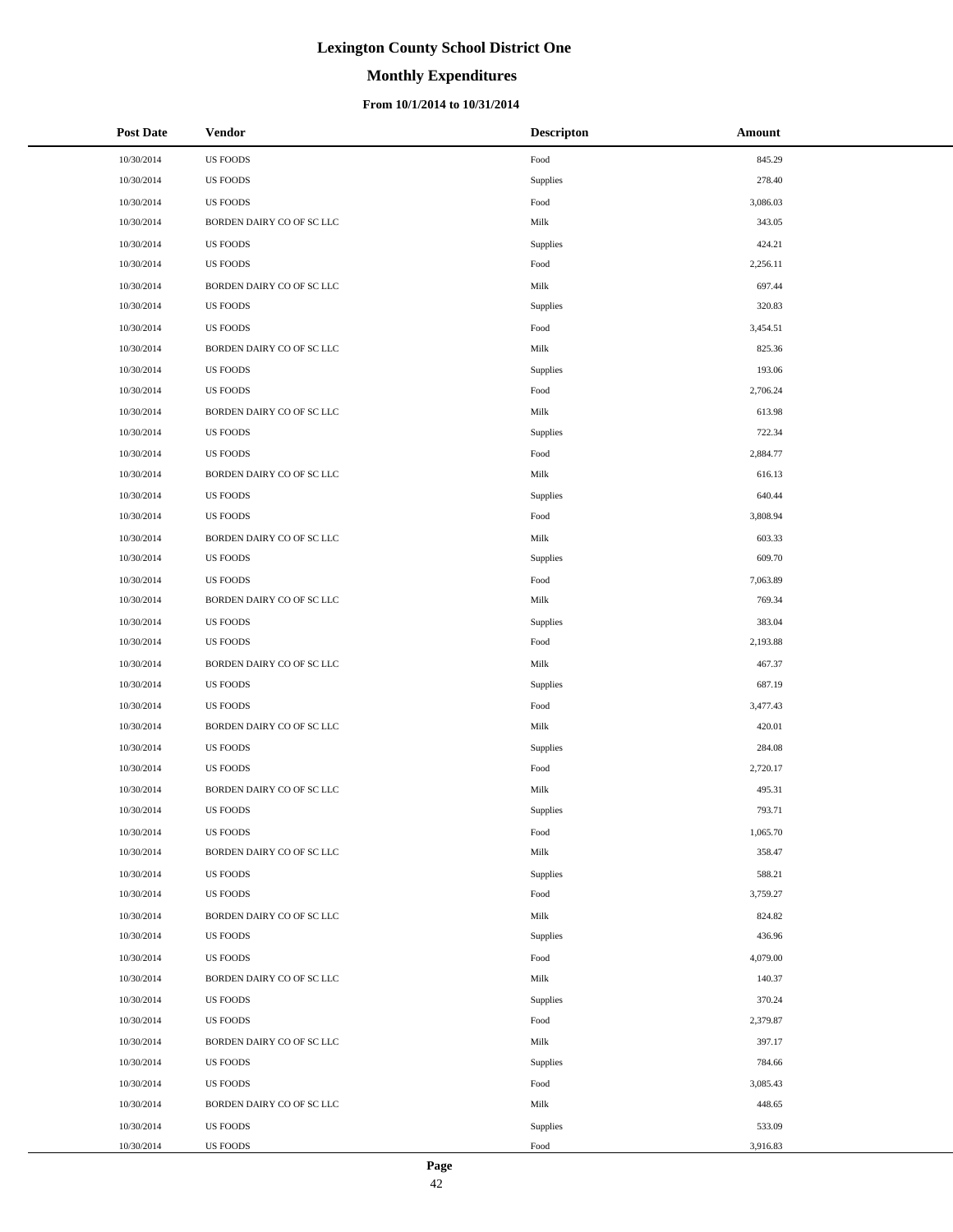# **Monthly Expenditures**

#### **From 10/1/2014 to 10/31/2014**

| <b>Post Date</b> | <b>Vendor</b>             | <b>Descripton</b> | Amount   |
|------------------|---------------------------|-------------------|----------|
| 10/30/2014       | <b>US FOODS</b>           | Food              | 845.29   |
| 10/30/2014       | <b>US FOODS</b>           | Supplies          | 278.40   |
| 10/30/2014       | <b>US FOODS</b>           | Food              | 3,086.03 |
| 10/30/2014       | BORDEN DAIRY CO OF SC LLC | Milk              | 343.05   |
| 10/30/2014       | <b>US FOODS</b>           | Supplies          | 424.21   |
| 10/30/2014       | <b>US FOODS</b>           | Food              | 2,256.11 |
| 10/30/2014       | BORDEN DAIRY CO OF SC LLC | Milk              | 697.44   |
| 10/30/2014       | <b>US FOODS</b>           | Supplies          | 320.83   |
| 10/30/2014       | <b>US FOODS</b>           | Food              | 3,454.51 |
| 10/30/2014       | BORDEN DAIRY CO OF SC LLC | Milk              | 825.36   |
| 10/30/2014       | <b>US FOODS</b>           | Supplies          | 193.06   |
| 10/30/2014       | <b>US FOODS</b>           | Food              | 2,706.24 |
| 10/30/2014       | BORDEN DAIRY CO OF SC LLC | Milk              | 613.98   |
| 10/30/2014       | <b>US FOODS</b>           | Supplies          | 722.34   |
| 10/30/2014       | <b>US FOODS</b>           | Food              | 2,884.77 |
| 10/30/2014       | BORDEN DAIRY CO OF SC LLC | Milk              | 616.13   |
| 10/30/2014       | <b>US FOODS</b>           | Supplies          | 640.44   |
| 10/30/2014       | <b>US FOODS</b>           | Food              | 3,808.94 |
| 10/30/2014       | BORDEN DAIRY CO OF SC LLC | Milk              | 603.33   |
| 10/30/2014       | <b>US FOODS</b>           | Supplies          | 609.70   |
| 10/30/2014       | <b>US FOODS</b>           | Food              | 7,063.89 |
| 10/30/2014       | BORDEN DAIRY CO OF SC LLC | Milk              | 769.34   |
| 10/30/2014       | <b>US FOODS</b>           | Supplies          | 383.04   |
| 10/30/2014       | <b>US FOODS</b>           | Food              | 2,193.88 |
| 10/30/2014       | BORDEN DAIRY CO OF SC LLC | Milk              | 467.37   |
| 10/30/2014       | <b>US FOODS</b>           | Supplies          | 687.19   |
| 10/30/2014       | <b>US FOODS</b>           | Food              | 3,477.43 |
| 10/30/2014       | BORDEN DAIRY CO OF SC LLC | Milk              | 420.01   |
| 10/30/2014       | <b>US FOODS</b>           | Supplies          | 284.08   |
| 10/30/2014       | <b>US FOODS</b>           | Food              | 2,720.17 |
| 10/30/2014       | BORDEN DAIRY CO OF SC LLC | Milk              | 495.31   |
| 10/30/2014       | <b>US FOODS</b>           | Supplies          | 793.71   |
| 10/30/2014       | <b>US FOODS</b>           | Food              | 1,065.70 |
| 10/30/2014       | BORDEN DAIRY CO OF SC LLC | Milk              | 358.47   |
| 10/30/2014       | US FOODS                  | Supplies          | 588.21   |
| 10/30/2014       | US FOODS                  | Food              | 3,759.27 |
| 10/30/2014       | BORDEN DAIRY CO OF SC LLC | Milk              | 824.82   |
| 10/30/2014       | <b>US FOODS</b>           | Supplies          | 436.96   |
| 10/30/2014       | US FOODS                  | Food              | 4,079.00 |
| 10/30/2014       | BORDEN DAIRY CO OF SC LLC | Milk              | 140.37   |
| 10/30/2014       | <b>US FOODS</b>           | Supplies          | 370.24   |
| 10/30/2014       | <b>US FOODS</b>           | Food              | 2,379.87 |
| 10/30/2014       | BORDEN DAIRY CO OF SC LLC | Milk              | 397.17   |
| 10/30/2014       | US FOODS                  | Supplies          | 784.66   |
| 10/30/2014       | US FOODS                  | Food              | 3,085.43 |
| 10/30/2014       | BORDEN DAIRY CO OF SC LLC | Milk              | 448.65   |
| 10/30/2014       | <b>US FOODS</b>           | Supplies          | 533.09   |
| 10/30/2014       | <b>US FOODS</b>           | Food              | 3,916.83 |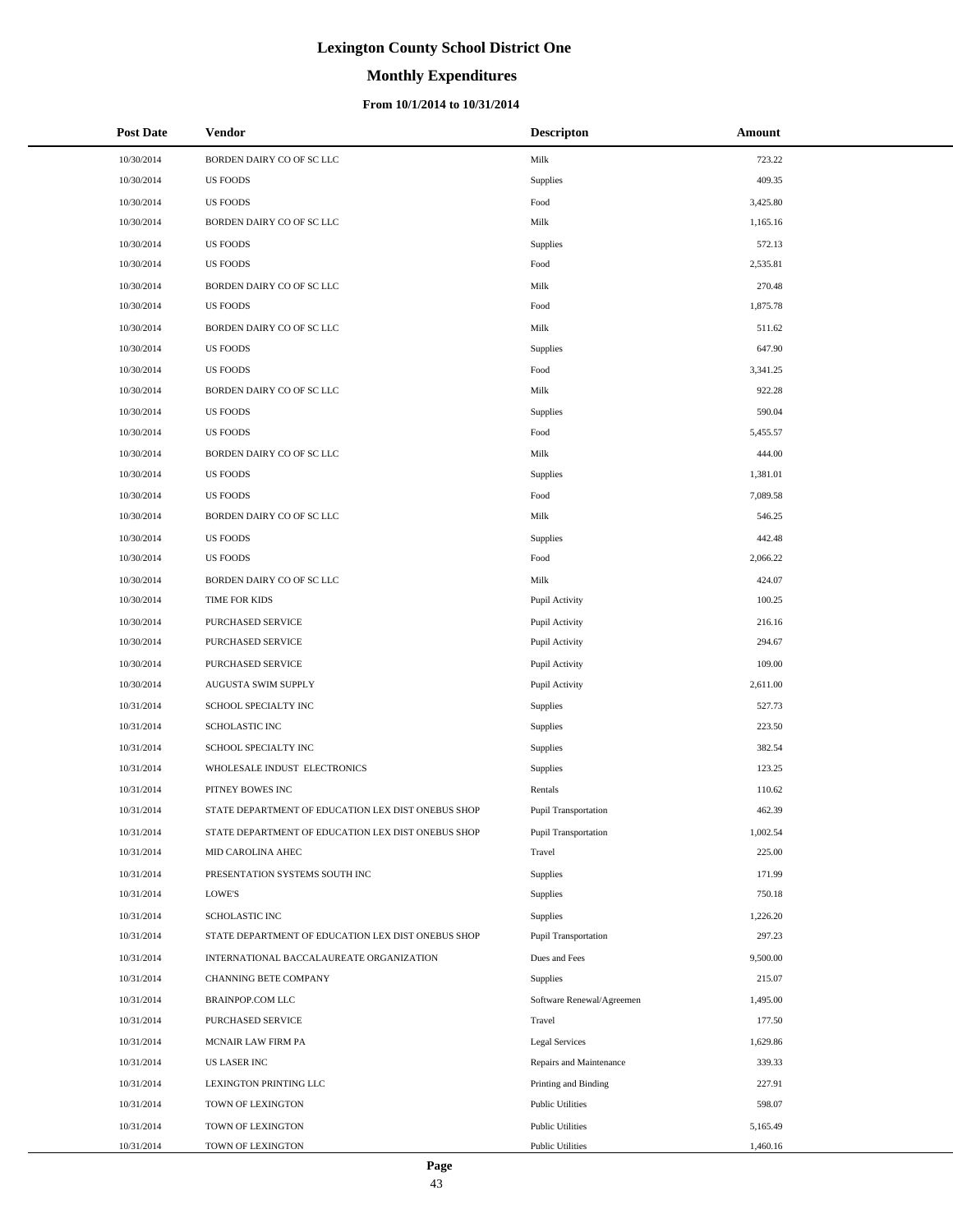# **Monthly Expenditures**

| <b>Post Date</b> | Vendor                                             | <b>Descripton</b>           | Amount   |
|------------------|----------------------------------------------------|-----------------------------|----------|
| 10/30/2014       | BORDEN DAIRY CO OF SC LLC                          | Milk                        | 723.22   |
| 10/30/2014       | <b>US FOODS</b>                                    | Supplies                    | 409.35   |
| 10/30/2014       | <b>US FOODS</b>                                    | Food                        | 3,425.80 |
| 10/30/2014       | BORDEN DAIRY CO OF SC LLC                          | Milk                        | 1,165.16 |
| 10/30/2014       | <b>US FOODS</b>                                    | Supplies                    | 572.13   |
| 10/30/2014       | <b>US FOODS</b>                                    | Food                        | 2,535.81 |
| 10/30/2014       | BORDEN DAIRY CO OF SC LLC                          | Milk                        | 270.48   |
| 10/30/2014       | <b>US FOODS</b>                                    | Food                        | 1,875.78 |
| 10/30/2014       | BORDEN DAIRY CO OF SC LLC                          | Milk                        | 511.62   |
| 10/30/2014       | <b>US FOODS</b>                                    | Supplies                    | 647.90   |
| 10/30/2014       | <b>US FOODS</b>                                    | Food                        | 3,341.25 |
| 10/30/2014       | BORDEN DAIRY CO OF SC LLC                          | Milk                        | 922.28   |
| 10/30/2014       | <b>US FOODS</b>                                    | Supplies                    | 590.04   |
| 10/30/2014       | <b>US FOODS</b>                                    | Food                        | 5,455.57 |
| 10/30/2014       | BORDEN DAIRY CO OF SC LLC                          | Milk                        | 444.00   |
| 10/30/2014       | <b>US FOODS</b>                                    | Supplies                    | 1,381.01 |
| 10/30/2014       | <b>US FOODS</b>                                    | Food                        | 7,089.58 |
| 10/30/2014       | BORDEN DAIRY CO OF SC LLC                          | Milk                        | 546.25   |
| 10/30/2014       | <b>US FOODS</b>                                    | Supplies                    | 442.48   |
| 10/30/2014       | <b>US FOODS</b>                                    | Food                        | 2,066.22 |
| 10/30/2014       | BORDEN DAIRY CO OF SC LLC                          | Milk                        | 424.07   |
| 10/30/2014       | TIME FOR KIDS                                      | Pupil Activity              | 100.25   |
| 10/30/2014       | PURCHASED SERVICE                                  | Pupil Activity              | 216.16   |
| 10/30/2014       | PURCHASED SERVICE                                  | Pupil Activity              | 294.67   |
| 10/30/2014       | PURCHASED SERVICE                                  | Pupil Activity              | 109.00   |
| 10/30/2014       | AUGUSTA SWIM SUPPLY                                | Pupil Activity              | 2,611.00 |
| 10/31/2014       | SCHOOL SPECIALTY INC                               | Supplies                    | 527.73   |
| 10/31/2014       | <b>SCHOLASTIC INC</b>                              | Supplies                    | 223.50   |
| 10/31/2014       | SCHOOL SPECIALTY INC                               | Supplies                    | 382.54   |
| 10/31/2014       | WHOLESALE INDUST ELECTRONICS                       | Supplies                    | 123.25   |
| 10/31/2014       | PITNEY BOWES INC                                   | Rentals                     | 110.62   |
| 10/31/2014       | STATE DEPARTMENT OF EDUCATION LEX DIST ONEBUS SHOP | <b>Pupil Transportation</b> | 462.39   |
| 10/31/2014       | STATE DEPARTMENT OF EDUCATION LEX DIST ONEBUS SHOP | Pupil Transportation        | 1,002.54 |
| 10/31/2014       | MID CAROLINA AHEC                                  | Travel                      | 225.00   |
| 10/31/2014       | PRESENTATION SYSTEMS SOUTH INC                     | Supplies                    | 171.99   |
| 10/31/2014       | LOWE'S                                             | Supplies                    | 750.18   |
| 10/31/2014       | <b>SCHOLASTIC INC</b>                              | Supplies                    | 1,226.20 |
| 10/31/2014       | STATE DEPARTMENT OF EDUCATION LEX DIST ONEBUS SHOP | Pupil Transportation        | 297.23   |
| 10/31/2014       | INTERNATIONAL BACCALAUREATE ORGANIZATION           | Dues and Fees               | 9,500.00 |
| 10/31/2014       | CHANNING BETE COMPANY                              | Supplies                    | 215.07   |
| 10/31/2014       | BRAINPOP.COM LLC                                   | Software Renewal/Agreemen   | 1,495.00 |
| 10/31/2014       | PURCHASED SERVICE                                  | Travel                      | 177.50   |
| 10/31/2014       | MCNAIR LAW FIRM PA                                 | <b>Legal Services</b>       | 1,629.86 |
| 10/31/2014       | <b>US LASER INC</b>                                | Repairs and Maintenance     | 339.33   |
| 10/31/2014       | LEXINGTON PRINTING LLC                             | Printing and Binding        | 227.91   |
| 10/31/2014       | TOWN OF LEXINGTON                                  | <b>Public Utilities</b>     | 598.07   |
| 10/31/2014       | TOWN OF LEXINGTON                                  | <b>Public Utilities</b>     | 5,165.49 |
| 10/31/2014       | TOWN OF LEXINGTON                                  | <b>Public Utilities</b>     | 1,460.16 |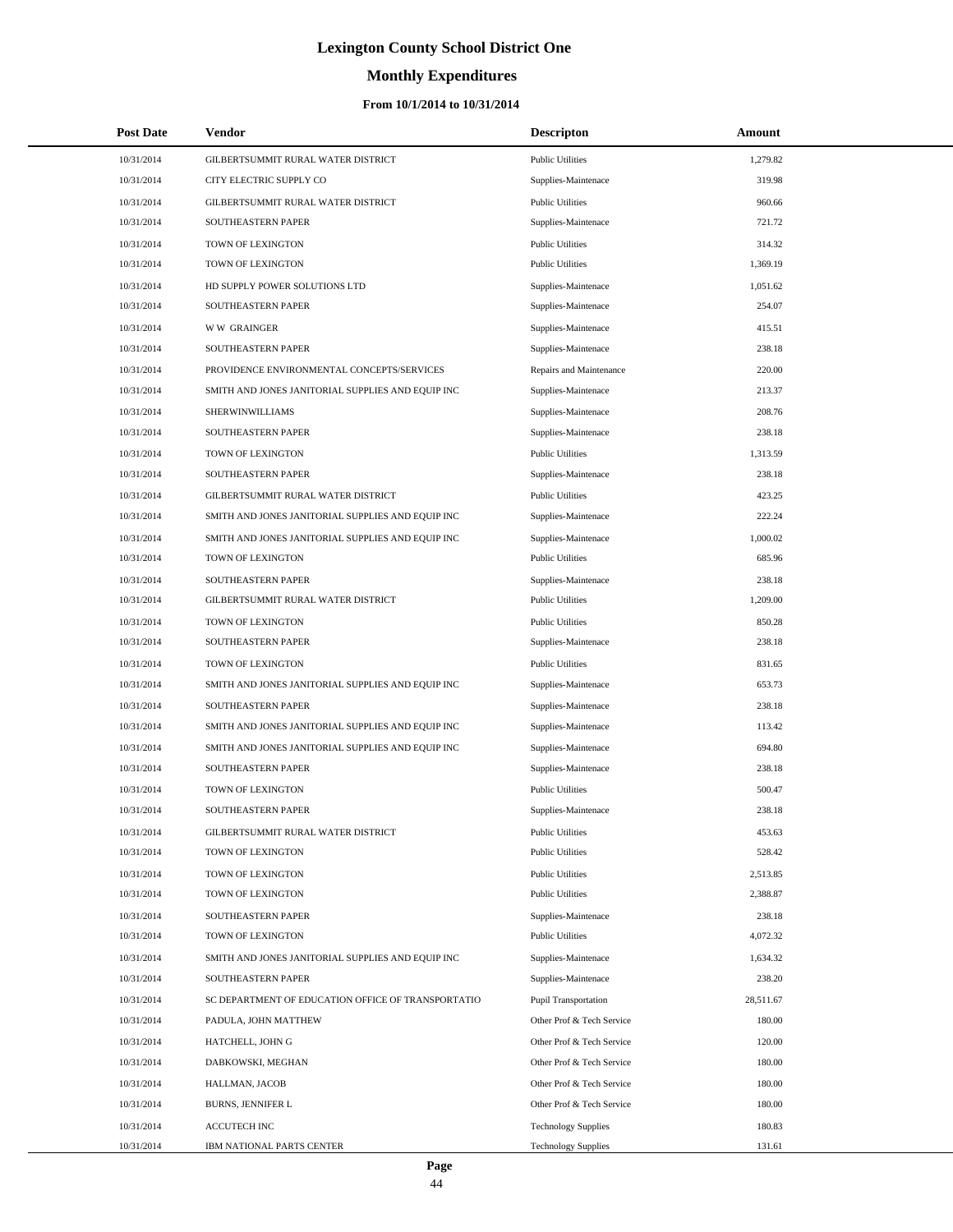# **Monthly Expenditures**

| <b>Post Date</b> | <b>Vendor</b>                                      | <b>Descripton</b>           | Amount    |  |
|------------------|----------------------------------------------------|-----------------------------|-----------|--|
| 10/31/2014       | GILBERTSUMMIT RURAL WATER DISTRICT                 | <b>Public Utilities</b>     | 1,279.82  |  |
| 10/31/2014       | CITY ELECTRIC SUPPLY CO                            | Supplies-Maintenace         | 319.98    |  |
| 10/31/2014       | GILBERTSUMMIT RURAL WATER DISTRICT                 | <b>Public Utilities</b>     | 960.66    |  |
| 10/31/2014       | <b>SOUTHEASTERN PAPER</b>                          | Supplies-Maintenace         | 721.72    |  |
| 10/31/2014       | TOWN OF LEXINGTON                                  | <b>Public Utilities</b>     | 314.32    |  |
| 10/31/2014       | TOWN OF LEXINGTON                                  | <b>Public Utilities</b>     | 1,369.19  |  |
| 10/31/2014       | HD SUPPLY POWER SOLUTIONS LTD                      | Supplies-Maintenace         | 1,051.62  |  |
| 10/31/2014       | SOUTHEASTERN PAPER                                 | Supplies-Maintenace         | 254.07    |  |
| 10/31/2014       | <b>WW GRAINGER</b>                                 | Supplies-Maintenace         | 415.51    |  |
| 10/31/2014       | SOUTHEASTERN PAPER                                 | Supplies-Maintenace         | 238.18    |  |
| 10/31/2014       | PROVIDENCE ENVIRONMENTAL CONCEPTS/SERVICES         | Repairs and Maintenance     | 220.00    |  |
| 10/31/2014       | SMITH AND JONES JANITORIAL SUPPLIES AND EQUIP INC  | Supplies-Maintenace         | 213.37    |  |
| 10/31/2014       | SHERWINWILLIAMS                                    | Supplies-Maintenace         | 208.76    |  |
| 10/31/2014       | SOUTHEASTERN PAPER                                 | Supplies-Maintenace         | 238.18    |  |
| 10/31/2014       | TOWN OF LEXINGTON                                  | <b>Public Utilities</b>     | 1,313.59  |  |
| 10/31/2014       | SOUTHEASTERN PAPER                                 | Supplies-Maintenace         | 238.18    |  |
| 10/31/2014       | GILBERTSUMMIT RURAL WATER DISTRICT                 | <b>Public Utilities</b>     | 423.25    |  |
| 10/31/2014       | SMITH AND JONES JANITORIAL SUPPLIES AND EQUIP INC  | Supplies-Maintenace         | 222.24    |  |
| 10/31/2014       | SMITH AND JONES JANITORIAL SUPPLIES AND EQUIP INC  | Supplies-Maintenace         | 1,000.02  |  |
| 10/31/2014       | TOWN OF LEXINGTON                                  | <b>Public Utilities</b>     | 685.96    |  |
| 10/31/2014       | SOUTHEASTERN PAPER                                 | Supplies-Maintenace         | 238.18    |  |
| 10/31/2014       | GILBERTSUMMIT RURAL WATER DISTRICT                 | <b>Public Utilities</b>     | 1,209.00  |  |
| 10/31/2014       | TOWN OF LEXINGTON                                  | <b>Public Utilities</b>     | 850.28    |  |
| 10/31/2014       | SOUTHEASTERN PAPER                                 | Supplies-Maintenace         | 238.18    |  |
| 10/31/2014       | TOWN OF LEXINGTON                                  | <b>Public Utilities</b>     | 831.65    |  |
| 10/31/2014       | SMITH AND JONES JANITORIAL SUPPLIES AND EQUIP INC  | Supplies-Maintenace         | 653.73    |  |
| 10/31/2014       | SOUTHEASTERN PAPER                                 | Supplies-Maintenace         | 238.18    |  |
| 10/31/2014       | SMITH AND JONES JANITORIAL SUPPLIES AND EQUIP INC  | Supplies-Maintenace         | 113.42    |  |
| 10/31/2014       | SMITH AND JONES JANITORIAL SUPPLIES AND EQUIP INC  | Supplies-Maintenace         | 694.80    |  |
| 10/31/2014       | SOUTHEASTERN PAPER                                 | Supplies-Maintenace         | 238.18    |  |
| 10/31/2014       | TOWN OF LEXINGTON                                  | <b>Public Utilities</b>     | 500.47    |  |
| 10/31/2014       | SOUTHEASTERN PAPER                                 | Supplies-Maintenace         | 238.18    |  |
| 10/31/2014       | GILBERTSUMMIT RURAL WATER DISTRICT                 | <b>Public Utilities</b>     | 453.63    |  |
| 10/31/2014       | TOWN OF LEXINGTON                                  | <b>Public Utilities</b>     | 528.42    |  |
| 10/31/2014       | TOWN OF LEXINGTON                                  | <b>Public Utilities</b>     | 2,513.85  |  |
| 10/31/2014       | TOWN OF LEXINGTON                                  | <b>Public Utilities</b>     | 2,388.87  |  |
| 10/31/2014       | SOUTHEASTERN PAPER                                 | Supplies-Maintenace         | 238.18    |  |
| 10/31/2014       | TOWN OF LEXINGTON                                  | <b>Public Utilities</b>     | 4,072.32  |  |
| 10/31/2014       | SMITH AND JONES JANITORIAL SUPPLIES AND EQUIP INC  | Supplies-Maintenace         | 1,634.32  |  |
| 10/31/2014       | SOUTHEASTERN PAPER                                 | Supplies-Maintenace         | 238.20    |  |
| 10/31/2014       | SC DEPARTMENT OF EDUCATION OFFICE OF TRANSPORTATIO | <b>Pupil Transportation</b> | 28,511.67 |  |
| 10/31/2014       | PADULA, JOHN MATTHEW                               | Other Prof & Tech Service   | 180.00    |  |
| 10/31/2014       | HATCHELL, JOHN G                                   | Other Prof & Tech Service   | 120.00    |  |
| 10/31/2014       | DABKOWSKI, MEGHAN                                  | Other Prof & Tech Service   | 180.00    |  |
| 10/31/2014       | HALLMAN, JACOB                                     | Other Prof & Tech Service   | 180.00    |  |
| 10/31/2014       | BURNS, JENNIFER L                                  | Other Prof & Tech Service   | 180.00    |  |
| 10/31/2014       | ACCUTECH INC                                       | <b>Technology Supplies</b>  | 180.83    |  |
| 10/31/2014       | IBM NATIONAL PARTS CENTER                          | <b>Technology Supplies</b>  | 131.61    |  |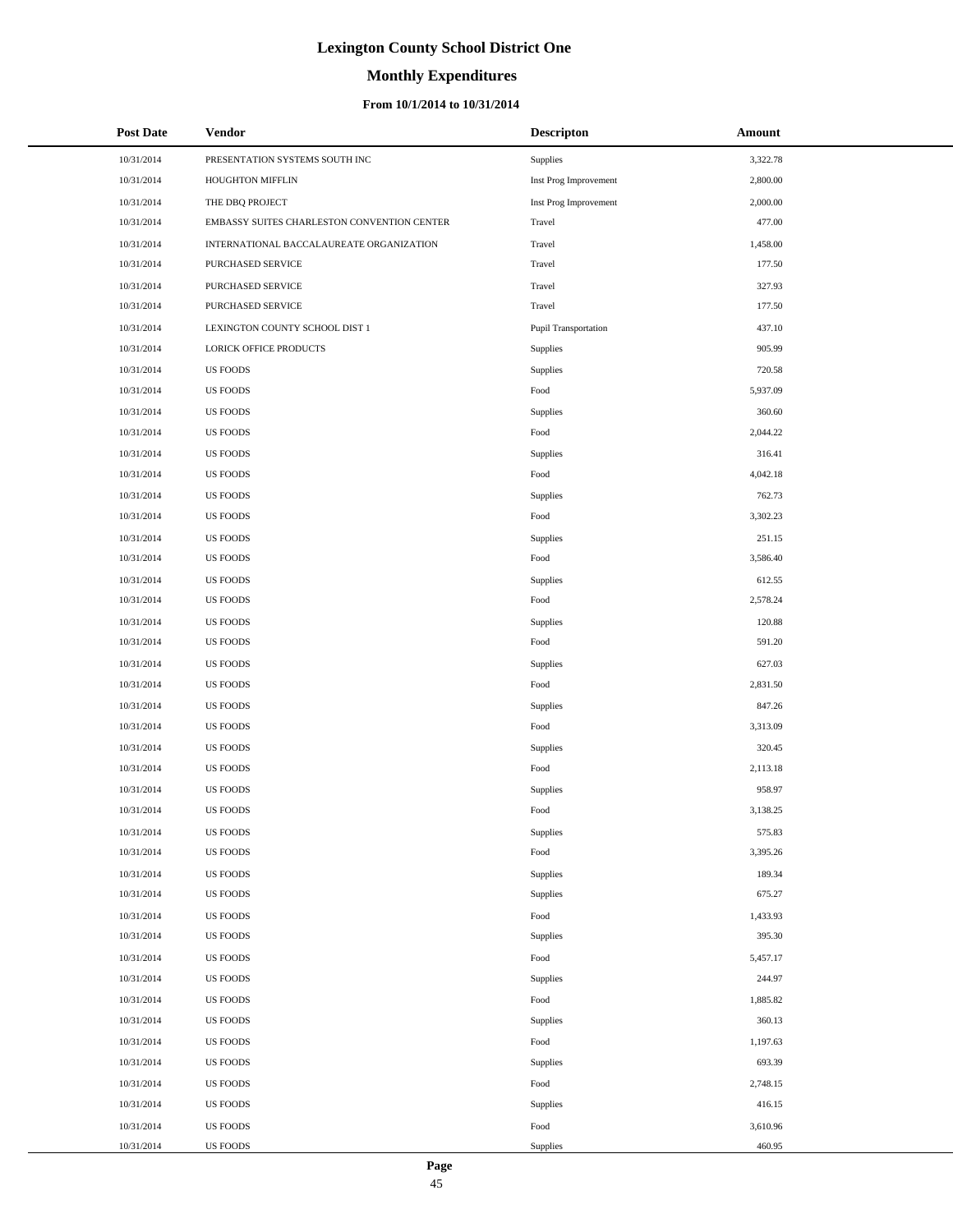# **Monthly Expenditures**

#### **From 10/1/2014 to 10/31/2014**

| <b>Post Date</b> | Vendor                                      | <b>Descripton</b>               | Amount   |
|------------------|---------------------------------------------|---------------------------------|----------|
| 10/31/2014       | PRESENTATION SYSTEMS SOUTH INC              | Supplies                        | 3,322.78 |
| 10/31/2014       | HOUGHTON MIFFLIN                            | Inst Prog Improvement           | 2,800.00 |
| 10/31/2014       | THE DBQ PROJECT                             | Inst Prog Improvement           | 2,000.00 |
| 10/31/2014       | EMBASSY SUITES CHARLESTON CONVENTION CENTER | Travel                          | 477.00   |
| 10/31/2014       | INTERNATIONAL BACCALAUREATE ORGANIZATION    | Travel                          | 1,458.00 |
| 10/31/2014       | PURCHASED SERVICE                           | Travel                          | 177.50   |
| 10/31/2014       | PURCHASED SERVICE                           | Travel                          | 327.93   |
| 10/31/2014       | PURCHASED SERVICE                           | Travel                          | 177.50   |
| 10/31/2014       | LEXINGTON COUNTY SCHOOL DIST 1              | Pupil Transportation            | 437.10   |
| 10/31/2014       | LORICK OFFICE PRODUCTS                      | Supplies                        | 905.99   |
| 10/31/2014       | US FOODS                                    | Supplies                        | 720.58   |
| 10/31/2014       | <b>US FOODS</b>                             | Food                            | 5,937.09 |
| 10/31/2014       | <b>US FOODS</b>                             | $\label{ex1} \textbf{Supplies}$ | 360.60   |
| 10/31/2014       | <b>US FOODS</b>                             | Food                            | 2,044.22 |
| 10/31/2014       | <b>US FOODS</b>                             | Supplies                        | 316.41   |
| 10/31/2014       | <b>US FOODS</b>                             | Food                            | 4,042.18 |
| 10/31/2014       | <b>US FOODS</b>                             | Supplies                        | 762.73   |
| 10/31/2014       | <b>US FOODS</b>                             | Food                            | 3,302.23 |
| 10/31/2014       | <b>US FOODS</b>                             | Supplies                        | 251.15   |
| 10/31/2014       | US FOODS                                    | Food                            | 3,586.40 |
| 10/31/2014       | <b>US FOODS</b>                             | Supplies                        | 612.55   |
| 10/31/2014       | <b>US FOODS</b>                             | Food                            | 2,578.24 |
| 10/31/2014       | <b>US FOODS</b>                             | Supplies                        | 120.88   |
| 10/31/2014       | <b>US FOODS</b>                             | Food                            | 591.20   |
| 10/31/2014       | <b>US FOODS</b>                             | Supplies                        | 627.03   |
| 10/31/2014       | <b>US FOODS</b>                             | Food                            | 2,831.50 |
| 10/31/2014       | <b>US FOODS</b>                             | Supplies                        | 847.26   |
| 10/31/2014       | <b>US FOODS</b>                             | Food                            | 3,313.09 |
| 10/31/2014       | <b>US FOODS</b>                             | Supplies                        | 320.45   |
| 10/31/2014       | <b>US FOODS</b>                             | Food                            | 2,113.18 |
| 10/31/2014       | <b>US FOODS</b>                             | Supplies                        | 958.97   |
| 10/31/2014       | <b>US FOODS</b>                             | Food                            | 3,138.25 |
| 10/31/2014       | <b>US FOODS</b>                             | Supplies                        | 575.83   |
| 10/31/2014       | <b>US FOODS</b>                             | Food                            | 3,395.26 |
| 10/31/2014       | US FOODS                                    | Supplies                        | 189.34   |
| 10/31/2014       | <b>US FOODS</b>                             | Supplies                        | 675.27   |
| 10/31/2014       | <b>US FOODS</b>                             | Food                            | 1,433.93 |
| 10/31/2014       | US FOODS                                    | Supplies                        | 395.30   |
| 10/31/2014       | US FOODS                                    | Food                            | 5,457.17 |
| 10/31/2014       | <b>US FOODS</b>                             | Supplies                        | 244.97   |
| 10/31/2014       | <b>US FOODS</b>                             | Food                            | 1,885.82 |
| 10/31/2014       | <b>US FOODS</b>                             | Supplies                        | 360.13   |
| 10/31/2014       | US FOODS                                    | Food                            | 1,197.63 |
| 10/31/2014       | US FOODS                                    | Supplies                        | 693.39   |
| 10/31/2014       | <b>US FOODS</b>                             | Food                            | 2,748.15 |
| 10/31/2014       | US FOODS                                    | Supplies                        | 416.15   |
| 10/31/2014       | US FOODS                                    | Food                            | 3,610.96 |
| 10/31/2014       | US FOODS                                    | Supplies                        | 460.95   |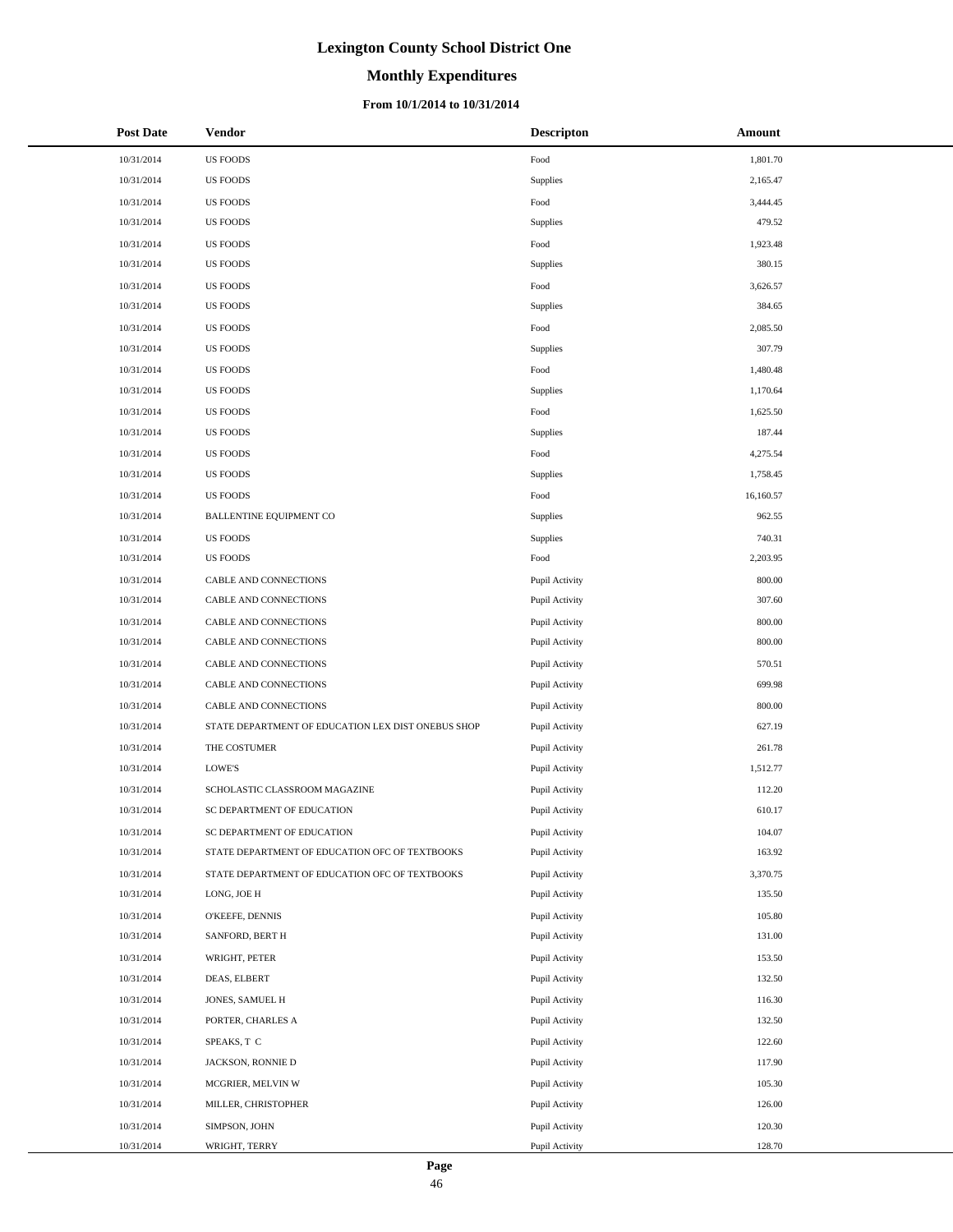# **Monthly Expenditures**

#### **From 10/1/2014 to 10/31/2014**

| <b>Post Date</b> | Vendor                                             | <b>Descripton</b> | Amount    |
|------------------|----------------------------------------------------|-------------------|-----------|
| 10/31/2014       | <b>US FOODS</b>                                    | Food              | 1,801.70  |
| 10/31/2014       | <b>US FOODS</b>                                    | Supplies          | 2,165.47  |
| 10/31/2014       | <b>US FOODS</b>                                    | Food              | 3,444.45  |
| 10/31/2014       | <b>US FOODS</b>                                    | Supplies          | 479.52    |
| 10/31/2014       | <b>US FOODS</b>                                    | Food              | 1,923.48  |
| 10/31/2014       | <b>US FOODS</b>                                    | Supplies          | 380.15    |
| 10/31/2014       | <b>US FOODS</b>                                    | Food              | 3,626.57  |
| 10/31/2014       | <b>US FOODS</b>                                    | Supplies          | 384.65    |
| 10/31/2014       | <b>US FOODS</b>                                    | Food              | 2,085.50  |
| 10/31/2014       | <b>US FOODS</b>                                    | Supplies          | 307.79    |
| 10/31/2014       | <b>US FOODS</b>                                    | Food              | 1,480.48  |
| 10/31/2014       | <b>US FOODS</b>                                    | Supplies          | 1,170.64  |
| 10/31/2014       | <b>US FOODS</b>                                    | Food              | 1,625.50  |
| 10/31/2014       | <b>US FOODS</b>                                    | Supplies          | 187.44    |
| 10/31/2014       | <b>US FOODS</b>                                    | Food              | 4,275.54  |
| 10/31/2014       | <b>US FOODS</b>                                    | Supplies          | 1,758.45  |
| 10/31/2014       | <b>US FOODS</b>                                    | Food              | 16,160.57 |
| 10/31/2014       | <b>BALLENTINE EQUIPMENT CO</b>                     | Supplies          | 962.55    |
| 10/31/2014       | <b>US FOODS</b>                                    | Supplies          | 740.31    |
| 10/31/2014       | <b>US FOODS</b>                                    | Food              | 2,203.95  |
| 10/31/2014       | CABLE AND CONNECTIONS                              | Pupil Activity    | 800.00    |
| 10/31/2014       | CABLE AND CONNECTIONS                              | Pupil Activity    | 307.60    |
| 10/31/2014       | CABLE AND CONNECTIONS                              | Pupil Activity    | 800.00    |
| 10/31/2014       | CABLE AND CONNECTIONS                              | Pupil Activity    | 800.00    |
| 10/31/2014       | CABLE AND CONNECTIONS                              | Pupil Activity    | 570.51    |
| 10/31/2014       | CABLE AND CONNECTIONS                              | Pupil Activity    | 699.98    |
| 10/31/2014       | CABLE AND CONNECTIONS                              | Pupil Activity    | 800.00    |
| 10/31/2014       | STATE DEPARTMENT OF EDUCATION LEX DIST ONEBUS SHOP | Pupil Activity    | 627.19    |
| 10/31/2014       | THE COSTUMER                                       | Pupil Activity    | 261.78    |
| 10/31/2014       | LOWE'S                                             | Pupil Activity    | 1,512.77  |
| 10/31/2014       | SCHOLASTIC CLASSROOM MAGAZINE                      | Pupil Activity    | 112.20    |
| 10/31/2014       | SC DEPARTMENT OF EDUCATION                         | Pupil Activity    | 610.17    |
| 10/31/2014       | SC DEPARTMENT OF EDUCATION                         | Pupil Activity    | 104.07    |
| 10/31/2014       | STATE DEPARTMENT OF EDUCATION OFC OF TEXTBOOKS     | Pupil Activity    | 163.92    |
| 10/31/2014       | STATE DEPARTMENT OF EDUCATION OFC OF TEXTBOOKS     | Pupil Activity    | 3,370.75  |
| 10/31/2014       | LONG, JOE H                                        | Pupil Activity    | 135.50    |
| 10/31/2014       | O'KEEFE, DENNIS                                    | Pupil Activity    | 105.80    |
| 10/31/2014       | SANFORD, BERT H                                    | Pupil Activity    | 131.00    |
| 10/31/2014       | WRIGHT, PETER                                      | Pupil Activity    | 153.50    |
| 10/31/2014       | DEAS, ELBERT                                       | Pupil Activity    | 132.50    |
| 10/31/2014       | JONES, SAMUEL H                                    | Pupil Activity    | 116.30    |
| 10/31/2014       | PORTER, CHARLES A                                  | Pupil Activity    | 132.50    |
| 10/31/2014       | SPEAKS, T C                                        | Pupil Activity    | 122.60    |
| 10/31/2014       | JACKSON, RONNIE D                                  | Pupil Activity    | 117.90    |
| 10/31/2014       | MCGRIER, MELVIN W                                  | Pupil Activity    | 105.30    |
| 10/31/2014       | MILLER, CHRISTOPHER                                | Pupil Activity    | 126.00    |
| 10/31/2014       | SIMPSON, JOHN                                      | Pupil Activity    | 120.30    |
| 10/31/2014       | WRIGHT, TERRY                                      | Pupil Activity    | 128.70    |